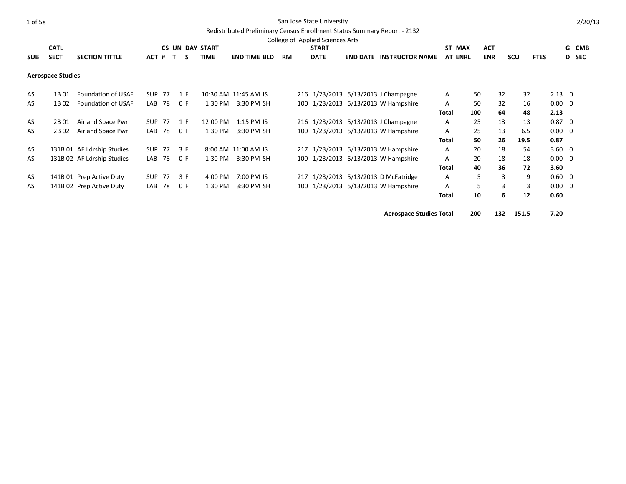# Redistributed Preliminary Census Enrollment Status Summary Report - 2132

|            |                          |                            |       |        |        |                        |                      |           | College of Applied Sciences Arts |                                     |                |            |            |            |             |                |       |
|------------|--------------------------|----------------------------|-------|--------|--------|------------------------|----------------------|-----------|----------------------------------|-------------------------------------|----------------|------------|------------|------------|-------------|----------------|-------|
|            | <b>CATL</b>              |                            |       |        |        | <b>CS UN DAY START</b> |                      |           | <b>START</b>                     |                                     | ST MAX         | <b>ACT</b> |            |            |             |                | G CMB |
| <b>SUB</b> | <b>SECT</b>              | <b>SECTION TITTLE</b>      | ACT # |        | T<br>S | <b>TIME</b>            | <b>END TIME BLD</b>  | <b>RM</b> | <b>DATE</b>                      | <b>END DATE INSTRUCTOR NAME</b>     | <b>AT ENRL</b> |            | <b>ENR</b> | <b>SCU</b> | <b>FTES</b> |                | D SEC |
|            |                          |                            |       |        |        |                        |                      |           |                                  |                                     |                |            |            |            |             |                |       |
|            | <b>Aerospace Studies</b> |                            |       |        |        |                        |                      |           |                                  |                                     |                |            |            |            |             |                |       |
|            |                          |                            |       |        |        |                        |                      |           |                                  |                                     |                |            |            |            |             |                |       |
| AS         | 1B 01                    | <b>Foundation of USAF</b>  |       | SUP 77 | 1 F    |                        | 10:30 AM 11:45 AM IS |           | 216 1/23/2013                    | $5/13/2013$ J Champagne             | A              | 50         | 32         | 32         |             | $2.13 \quad 0$ |       |
| AS         | 1B 02                    | Foundation of USAF         |       | LAB 78 | 0 F    | $1:30$ PM              | 3:30 PM SH           |           |                                  | 100 1/23/2013 5/13/2013 W Hampshire | A              | 50         | 32         | 16         |             | $0.00 \quad 0$ |       |
|            |                          |                            |       |        |        |                        |                      |           |                                  |                                     | <b>Total</b>   | 100        | 64         | 48         |             | 2.13           |       |
| AS         | 2B 01                    | Air and Space Pwr          |       | SUP 77 | 1 F    | 12:00 PM               | 1:15 PM IS           |           |                                  | 216 1/23/2013 5/13/2013 J Champagne | A              | 25         | 13         | 13         |             | $0.87 \quad 0$ |       |
| AS         | 2B 02                    | Air and Space Pwr          | LAB   | 78     | 0 F    | 1:30 PM                | 3:30 PM SH           |           |                                  | 100 1/23/2013 5/13/2013 W Hampshire | A              | 25         | 13         | 6.5        |             | $0.00 \quad 0$ |       |
|            |                          |                            |       |        |        |                        |                      |           |                                  |                                     | <b>Total</b>   | 50         | 26         | 19.5       |             | 0.87           |       |
| AS         |                          | 131B 01 AF Ldrship Studies |       | SUP 77 | 3 F    |                        | 8:00 AM 11:00 AM IS  |           |                                  | 217 1/23/2013 5/13/2013 W Hampshire | A              | 20         | 18         | 54         |             | $3.60 \quad 0$ |       |
| AS         |                          | 131B 02 AF Ldrship Studies |       | LAB 78 | 0 F    | 1:30 PM                | 3:30 PM SH           |           |                                  | 100 1/23/2013 5/13/2013 W Hampshire | A              | 20         | 18         | 18         |             | $0.00 \quad 0$ |       |
|            |                          |                            |       |        |        |                        |                      |           |                                  |                                     | <b>Total</b>   | 40         | 36         | 72         |             | 3.60           |       |
| AS         |                          | 141B 01 Prep Active Duty   |       | SUP 77 | 3 F    | 4:00 PM                | 7:00 PM IS           |           | 217 1/23/2013                    | 5/13/2013 D McFatridge              | A              | 5          | 3          | 9          |             | $0.60 \quad 0$ |       |
| AS         |                          | 141B 02 Prep Active Duty   | LAB   | 78     | 0 F    | 1:30 PM                | 3:30 PM SH           |           |                                  | 100 1/23/2013 5/13/2013 W Hampshire | A              | 5          | 3          | 3          |             | $0.00 \quad 0$ |       |
|            |                          |                            |       |        |        |                        |                      |           |                                  |                                     | <b>Total</b>   | 10         | 6          | 12         |             | 0.60           |       |

**Aerospace Studies Total 200 132 151.5 7.20**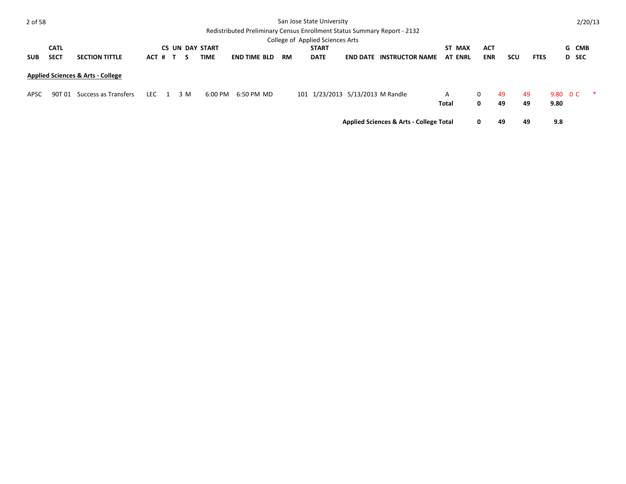| 2 of 58    |             |                                              |            |              |     |                        | Redistributed Preliminary Census Enrollment Status Summary Report - 2132 |           | San Jose State University        |                                                    |                |              |     |             |          |       | 2/20/13 |
|------------|-------------|----------------------------------------------|------------|--------------|-----|------------------------|--------------------------------------------------------------------------|-----------|----------------------------------|----------------------------------------------------|----------------|--------------|-----|-------------|----------|-------|---------|
|            |             |                                              |            |              |     |                        |                                                                          |           | College of Applied Sciences Arts |                                                    |                |              |     |             |          |       |         |
|            | <b>CATL</b> |                                              |            |              |     | <b>CS UN DAY START</b> |                                                                          |           | <b>START</b>                     |                                                    | ST MAX         | <b>ACT</b>   |     |             |          | G CMB |         |
| <b>SUB</b> | <b>SECT</b> | <b>SECTION TITTLE</b>                        | ACT #      | $\mathbf{T}$ | -S  | TIME                   | <b>END TIME BLD</b>                                                      | <b>RM</b> | <b>DATE</b>                      | <b>END DATE INSTRUCTOR NAME</b>                    | <b>AT ENRL</b> | <b>ENR</b>   | scu | <b>FTES</b> |          | D SEC |         |
|            |             | <b>Applied Sciences &amp; Arts - College</b> |            |              |     |                        |                                                                          |           |                                  |                                                    |                |              |     |             |          |       |         |
| APSC       | 90T 01      | Success as Transfers                         | <b>LEC</b> |              | 3 M | 6:00 PM                | 6:50 PM MD                                                               |           | 101 1/23/2013 5/13/2013 M Randle |                                                    | A              | $\mathbf{0}$ | -49 | -49         | 9.80 O C |       |         |
|            |             |                                              |            |              |     |                        |                                                                          |           |                                  |                                                    | Total          | 0            | 49  | 49          | 9.80     |       |         |
|            |             |                                              |            |              |     |                        |                                                                          |           |                                  | <b>Applied Sciences &amp; Arts - College Total</b> |                | 0            | 49  | 49          | 9.8      |       |         |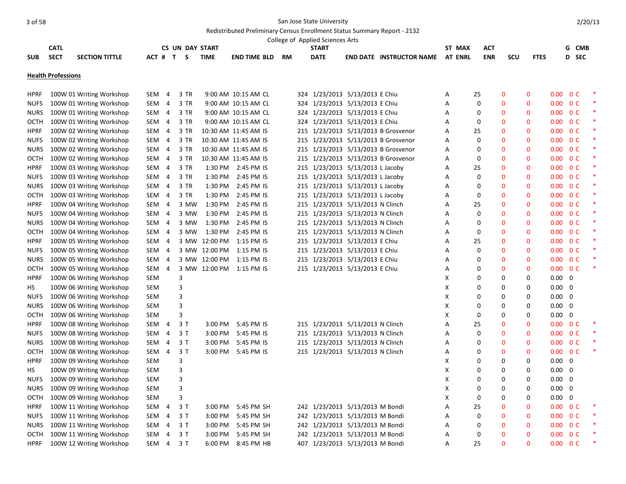|             |                           |                          |            |                |                        |               |                          |           | College of Applied Sciences Arts |                                     |                |              |              |              |                          |                |        |
|-------------|---------------------------|--------------------------|------------|----------------|------------------------|---------------|--------------------------|-----------|----------------------------------|-------------------------------------|----------------|--------------|--------------|--------------|--------------------------|----------------|--------|
|             | <b>CATL</b>               |                          |            |                | <b>CS UN DAY START</b> |               |                          |           | <b>START</b>                     |                                     | ST MAX         | <b>ACT</b>   |              |              |                          | G CMB          |        |
| <b>SUB</b>  | <b>SECT</b>               | <b>SECTION TITTLE</b>    | ACT #      |                | $\mathbf{T}$<br>S      | <b>TIME</b>   | <b>END TIME BLD</b>      | <b>RM</b> | <b>DATE</b>                      | <b>END DATE INSTRUCTOR NAME</b>     | <b>AT ENRL</b> | <b>ENR</b>   | <b>SCU</b>   | <b>FTES</b>  |                          | D SEC          |        |
|             | <b>Health Professions</b> |                          |            |                |                        |               |                          |           |                                  |                                     |                |              |              |              |                          |                |        |
| <b>HPRF</b> |                           | 100W 01 Writing Workshop | SEM        | 4              | 3 TR                   |               | 9:00 AM 10:15 AM CL      |           | 324 1/23/2013 5/13/2013 E Chiu   |                                     | Α              | 25           | $\mathbf{0}$ | 0            | 0.00                     | 0 <sup>C</sup> |        |
| <b>NUFS</b> |                           | 100W 01 Writing Workshop | SEM 4      |                | 3 TR                   |               | 9:00 AM 10:15 AM CL      |           | 324 1/23/2013 5/13/2013 E Chiu   |                                     | A              | $\Omega$     | $\Omega$     | $\Omega$     | $0.00 \t 0 C$            |                |        |
| <b>NURS</b> |                           | 100W 01 Writing Workshop | SEM 4      |                | 3 TR                   |               | 9:00 AM 10:15 AM CL      |           | 324 1/23/2013 5/13/2013 E Chiu   |                                     | Α              | 0            | $\mathbf{0}$ | $\Omega$     | $0.00 \t 0 C$            |                |        |
| OCTH        |                           | 100W 01 Writing Workshop | SEM 4      |                | 3 TR                   |               | 9:00 AM 10:15 AM CL      |           | 324 1/23/2013 5/13/2013 E Chiu   |                                     | Α              | 0            | $\mathbf{0}$ | 0            | $0.00 \quad 0 \text{ C}$ |                |        |
| <b>HPRF</b> |                           | 100W 02 Writing Workshop | SEM 4      |                | 3 TR                   |               | 10:30 AM 11:45 AM IS     |           |                                  | 215 1/23/2013 5/13/2013 B Grosvenor | A              | 25           | $\mathbf 0$  | $\Omega$     | $0.00 \quad 0 \text{ C}$ |                |        |
| <b>NUFS</b> |                           | 100W 02 Writing Workshop | SEM 4      |                | 3 TR                   |               | 10:30 AM 11:45 AM IS     |           |                                  | 215 1/23/2013 5/13/2013 B Grosvenor | A              | 0            | $\mathbf{0}$ | $\Omega$     | $0.00 \t 0 C$            |                | $\ast$ |
| <b>NURS</b> |                           | 100W 02 Writing Workshop | SEM 4      |                | 3 TR                   |               | 10:30 AM 11:45 AM IS     |           |                                  | 215 1/23/2013 5/13/2013 B Grosvenor | A              | $\Omega$     | $\mathbf 0$  | $\mathbf{0}$ | $0.00 \quad 0 \text{ C}$ |                | *      |
| OCTH        |                           | 100W 02 Writing Workshop | SEM 4      |                | 3 TR                   |               | 10:30 AM 11:45 AM IS     |           |                                  | 215 1/23/2013 5/13/2013 B Grosvenor | A              | $\Omega$     | $\mathbf 0$  | $\Omega$     | $0.00 \quad 0 \text{ C}$ |                |        |
| <b>HPRF</b> |                           | 100W 03 Writing Workshop | SEM 4      |                | 3 TR                   |               | 1:30 PM 2:45 PM IS       |           | 215 1/23/2013 5/13/2013 L Jacoby |                                     | Α              | 25           | $\mathbf{0}$ | $\Omega$     | $0.00 \quad 0 \text{ C}$ |                |        |
| <b>NUFS</b> |                           | 100W 03 Writing Workshop | SEM 4      |                | 3 TR                   | 1:30 PM       | 2:45 PM IS               |           | 215 1/23/2013 5/13/2013 L Jacoby |                                     | Α              | 0            | $\mathbf 0$  | $\mathbf{0}$ | $0.00\,$                 | 0 <sup>C</sup> | *      |
| <b>NURS</b> |                           | 100W 03 Writing Workshop | SEM 4      |                | 3 TR                   | 1:30 PM       | 2:45 PM IS               |           | 215 1/23/2013 5/13/2013 L Jacoby |                                     | A              | $\Omega$     | $\mathbf 0$  | $\Omega$     | $0.00 \quad 0 \text{ C}$ |                | *      |
| <b>OCTH</b> |                           | 100W 03 Writing Workshop | SEM 4      |                | 3 TR                   | 1:30 PM       | 2:45 PM IS               |           | 215 1/23/2013 5/13/2013 L Jacoby |                                     | Α              | 0            | $\mathbf 0$  | $\Omega$     | $0.00 \t 0 C$            |                | $\ast$ |
| <b>HPRF</b> |                           | 100W 04 Writing Workshop | SEM 4      |                | 3 MW                   | 1:30 PM       | 2:45 PM IS               |           | 215 1/23/2013 5/13/2013 N Clinch |                                     | Α              | 25           | $\mathbf 0$  | $\mathbf{0}$ | $0.00 \quad 0 \text{ C}$ |                | *      |
| <b>NUFS</b> |                           | 100W 04 Writing Workshop | SEM 4      |                | 3 MW                   | 1:30 PM       | 2:45 PM IS               |           | 215 1/23/2013 5/13/2013 N Clinch |                                     | A              | $\Omega$     | $\mathbf 0$  | $\Omega$     | $0.00 \quad 0 \text{ C}$ |                |        |
| <b>NURS</b> |                           | 100W 04 Writing Workshop | SEM 4      |                | 3 MW                   | 1:30 PM       | 2:45 PM IS               |           | 215 1/23/2013 5/13/2013 N Clinch |                                     | Α              | <sup>0</sup> | $\mathbf{0}$ | $\Omega$     | $0.00 \quad 0 \text{ C}$ |                |        |
| OCTH        |                           | 100W 04 Writing Workshop | SEM        | -4             | 3 MW                   | 1:30 PM       | 2:45 PM IS               |           | 215 1/23/2013 5/13/2013 N Clinch |                                     | A              | $\Omega$     | $\mathbf 0$  | $\mathbf{0}$ | $0.00 \quad 0 \text{ C}$ |                | *      |
| <b>HPRF</b> |                           | 100W 05 Writing Workshop | SEM 4      |                |                        | 3 MW 12:00 PM | 1:15 PM IS               |           | 215 1/23/2013 5/13/2013 E Chiu   |                                     | A              | 25           | $\mathbf 0$  | $\Omega$     | $0.00 \quad 0 \text{ C}$ |                |        |
| <b>NUFS</b> |                           | 100W 05 Writing Workshop | SEM 4      |                |                        | 3 MW 12:00 PM | 1:15 PM IS               |           | 215 1/23/2013 5/13/2013 E Chiu   |                                     | Α              | 0            | $\mathbf 0$  | $\Omega$     | $0.00 \quad 0 \text{ C}$ |                | $\ast$ |
| <b>NURS</b> |                           | 100W 05 Writing Workshop | SEM        | -4             |                        | 3 MW 12:00 PM | 1:15 PM IS               |           | 215 1/23/2013 5/13/2013 E Chiu   |                                     | Α              | 0            | $\mathbf 0$  | $\mathbf{0}$ | $0.00 \quad 0 \text{ C}$ |                | *      |
| OCTH        |                           | 100W 05 Writing Workshop | SEM        | $\overline{a}$ |                        |               | 3 MW 12:00 PM 1:15 PM IS |           | 215 1/23/2013 5/13/2013 E Chiu   |                                     | A              | $\Omega$     | $\mathbf 0$  | $\Omega$     | $0.00 \quad 0 \text{ C}$ |                | $\ast$ |
| <b>HPRF</b> |                           | 100W 06 Writing Workshop | SEM        |                | 3                      |               |                          |           |                                  |                                     | X              | 0            | $\mathbf 0$  | $\Omega$     | $0.00 \quad 0$           |                |        |
| HS          |                           | 100W 06 Writing Workshop | SEM        |                | 3                      |               |                          |           |                                  |                                     | X              | 0            | 0            | 0            | $0.00\,$                 | $\mathbf 0$    |        |
| <b>NUFS</b> |                           | 100W 06 Writing Workshop | SEM        |                | 3                      |               |                          |           |                                  |                                     | X              | $\Omega$     | $\Omega$     | $\Omega$     | $0.00 \quad 0$           |                |        |
| <b>NURS</b> |                           | 100W 06 Writing Workshop | SEM        |                | 3                      |               |                          |           |                                  |                                     | X              | $\Omega$     | 0            | $\Omega$     | $0.00 \quad 0$           |                |        |
| OCTH        |                           | 100W 06 Writing Workshop | SEM        |                | 3                      |               |                          |           |                                  |                                     | X              | $\Omega$     | 0            | $\Omega$     | $0.00\,$                 | $\mathbf 0$    |        |
| <b>HPRF</b> |                           | 100W 08 Writing Workshop | SEM        | 4              | 3 T                    | $3:00$ PM     | 5:45 PM IS               |           | 215 1/23/2013 5/13/2013 N Clinch |                                     | A              | 25           | $\mathbf 0$  | $\Omega$     | $0.00 \quad 0 \text{ C}$ |                |        |
| <b>NUFS</b> |                           | 100W 08 Writing Workshop | SEM        | 4              | 3T                     | 3:00 PM       | 5:45 PM IS               |           | 215 1/23/2013 5/13/2013 N Clinch |                                     | Α              | 0            | $\mathbf 0$  | $\Omega$     | $0.00 \t 0 C$            |                |        |
| <b>NURS</b> |                           | 100W 08 Writing Workshop | SEM        | 4              | 3T                     | 3:00 PM       | 5:45 PM IS               |           | 215 1/23/2013 5/13/2013 N Clinch |                                     | Α              | $\Omega$     | $\mathbf 0$  | $\Omega$     | $0.00\,$                 | 0 <sup>C</sup> |        |
| OCTH        |                           | 100W 08 Writing Workshop | SEM        | $\overline{4}$ | 3T                     | 3:00 PM       | 5:45 PM IS               |           | 215 1/23/2013 5/13/2013 N Clinch |                                     | Α              | $\Omega$     | $\mathbf 0$  | $\Omega$     | $0.00 \quad 0 \text{ C}$ |                | $\ast$ |
| <b>HPRF</b> |                           | 100W 09 Writing Workshop | SEM        |                | 3                      |               |                          |           |                                  |                                     | X              | <sup>0</sup> | $\mathbf 0$  | $\Omega$     | $0.00 \quad 0$           |                |        |
| HS          |                           | 100W 09 Writing Workshop | SEM        |                | 3                      |               |                          |           |                                  |                                     | X              | $\Omega$     | $\Omega$     | $\Omega$     | $0.00\,$                 | - 0            |        |
| <b>NUFS</b> |                           | 100W 09 Writing Workshop | <b>SEM</b> |                | 3                      |               |                          |           |                                  |                                     | X              | O            | $\Omega$     | $\Omega$     | $0.00 \quad 0$           |                |        |
| <b>NURS</b> |                           | 100W 09 Writing Workshop | SEM        |                | 3                      |               |                          |           |                                  |                                     | X              | 0            | $\mathbf 0$  | 0            | $0.00 \quad 0$           |                |        |
| OCTH        |                           | 100W 09 Writing Workshop | SEM        |                | 3                      |               |                          |           |                                  |                                     | X              | $\Omega$     | $\Omega$     | 0            | $0.00\,$                 | 0              |        |
| <b>HPRF</b> |                           | 100W 11 Writing Workshop | SEM        | 4              | 3T                     | 3:00 PM       | 5:45 PM SH               |           | 242 1/23/2013 5/13/2013 M Bondi  |                                     | A              | 25           | $\mathbf{0}$ | $\Omega$     | $0.00 \quad 0 \text{ C}$ |                | ∗      |
| <b>NUFS</b> |                           | 100W 11 Writing Workshop | SEM        | -4             | 3 T                    | 3:00 PM       | 5:45 PM SH               |           | 242 1/23/2013 5/13/2013 M Bondi  |                                     | Α              | 0            | $\mathbf 0$  | 0            | $0.00 \quad 0 \text{ C}$ |                | $\ast$ |
| <b>NURS</b> |                           | 100W 11 Writing Workshop | SEM 4      |                | 3T                     | 3:00 PM       | 5:45 PM SH               |           | 242 1/23/2013 5/13/2013 M Bondi  |                                     | A              | 0            | $\Omega$     | $\mathbf{0}$ | $0.00\,$                 | 0 <sup>C</sup> | *      |
| <b>OCTH</b> |                           | 100W 11 Writing Workshop | SEM        | $\overline{4}$ | 3T                     | 3:00 PM       | 5:45 PM SH               |           | 242 1/23/2013 5/13/2013 M Bondi  |                                     | A              | $\Omega$     | $\mathbf{0}$ | $\Omega$     | $0.00 \quad 0 \text{ C}$ |                | *      |
| <b>HPRF</b> |                           | 100W 12 Writing Workshop | SEM 4      |                | 3T                     | 6:00 PM       | 8:45 PM HB               |           | 407 1/23/2013 5/13/2013 M Bondi  |                                     | A              | 25           | $\Omega$     | n            | $0.00 \quad 0 \text{ C}$ |                |        |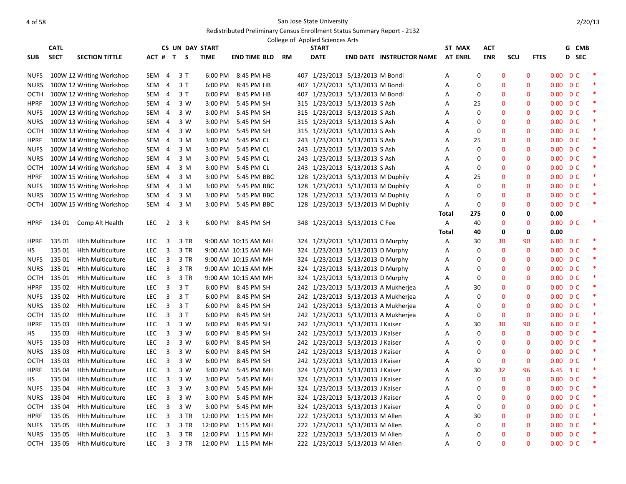|             | <b>CATL</b> |                          |            |                |           | <b>CS UN DAY START</b> |                     |    | College of Applied Sciences Arts<br><b>START</b> |                                     | ST MAX         | ACT        |              |              |                          | G CMB          |  |
|-------------|-------------|--------------------------|------------|----------------|-----------|------------------------|---------------------|----|--------------------------------------------------|-------------------------------------|----------------|------------|--------------|--------------|--------------------------|----------------|--|
| <b>SUB</b>  | <b>SECT</b> | <b>SECTION TITTLE</b>    |            |                | ACT # T S | <b>TIME</b>            | <b>END TIME BLD</b> | RM | <b>DATE</b>                                      | <b>END DATE INSTRUCTOR NAME</b>     | <b>AT ENRL</b> | <b>ENR</b> | <b>SCU</b>   | <b>FTES</b>  |                          | D SEC          |  |
|             |             |                          |            |                |           |                        |                     |    |                                                  |                                     |                |            |              |              |                          |                |  |
| <b>NUFS</b> |             | 100W 12 Writing Workshop | SEM        | 4              | 3 T       | 6:00 PM                | 8:45 PM HB          |    | 407 1/23/2013 5/13/2013 M Bondi                  |                                     | Α              | 0          | $\mathbf 0$  | $\mathbf{0}$ | $0.00 \quad 0 \text{ C}$ |                |  |
| <b>NURS</b> |             | 100W 12 Writing Workshop | SEM        | 4              | 3T        | 6:00 PM                | 8:45 PM HB          |    | 407 1/23/2013 5/13/2013 M Bondi                  |                                     | A              | $\Omega$   | $\mathbf{0}$ | $\mathbf{0}$ | 0.00 <sub>1</sub>        | 0 <sup>C</sup> |  |
| OCTH        |             | 100W 12 Writing Workshop | SEM 4      |                | 3T        | 6:00 PM                | 8:45 PM HB          |    | 407 1/23/2013 5/13/2013 M Bondi                  |                                     | A              | 0          | $\mathbf{0}$ | $\mathbf{0}$ | $0.00 \quad 0 \text{ C}$ |                |  |
| <b>HPRF</b> |             | 100W 13 Writing Workshop | SEM 4      |                | 3 W       | 3:00 PM                | 5:45 PM SH          |    | 315 1/23/2013 5/13/2013 S Ash                    |                                     | Α              | 25         | $\mathbf 0$  | $\mathbf 0$  | $0.00 \quad 0 \text{ C}$ |                |  |
| <b>NUFS</b> |             | 100W 13 Writing Workshop | SEM        | 4              | 3 W       | 3:00 PM                | 5:45 PM SH          |    | 315 1/23/2013 5/13/2013 S Ash                    |                                     | Α              | 0          | 0            | $\mathbf 0$  |                          | $0.00 \t 0 C$  |  |
| <b>NURS</b> |             | 100W 13 Writing Workshop | SEM 4      |                | 3 W       | 3:00 PM                | 5:45 PM SH          |    | 315 1/23/2013 5/13/2013 S Ash                    |                                     | A              | 0          | $\mathbf{0}$ | $\mathbf{0}$ | $0.00 \quad 0 \text{ C}$ |                |  |
| OCTH        |             | 100W 13 Writing Workshop | SEM        | $\overline{4}$ | 3 W       | 3:00 PM                | 5:45 PM SH          |    | 315 1/23/2013 5/13/2013 S Ash                    |                                     | Α              | 0          | $\mathbf 0$  | $\mathbf 0$  | $0.00 \quad 0 \text{ C}$ |                |  |
| <b>HPRF</b> |             | 100W 14 Writing Workshop | SEM 4      |                | 3 M       | 3:00 PM                | 5:45 PM CL          |    | 243 1/23/2013 5/13/2013 S Ash                    |                                     | A              | 25         | $\mathbf{0}$ | $\mathbf{0}$ | $0.00 \quad 0 \text{ C}$ |                |  |
| <b>NUFS</b> |             | 100W 14 Writing Workshop | SEM 4      |                | 3 M       | 3:00 PM                | 5:45 PM CL          |    | 243 1/23/2013 5/13/2013 S Ash                    |                                     | Α              | $\Omega$   | $\mathbf 0$  | $\mathbf 0$  | $0.00 \t 0 C$            |                |  |
| <b>NURS</b> |             | 100W 14 Writing Workshop | SEM 4      |                | 3 M       | 3:00 PM                | 5:45 PM CL          |    | 243 1/23/2013 5/13/2013 S Ash                    |                                     | Α              | 0          | $\mathbf 0$  | $\mathbf 0$  | $0.00 \quad 0 \text{ C}$ |                |  |
| OCTH        |             | 100W 14 Writing Workshop | SEM 4      |                | 3 M       | 3:00 PM                | 5:45 PM CL          |    | 243 1/23/2013 5/13/2013 S Ash                    |                                     | A              | 0          | $\mathbf 0$  | $\mathbf{0}$ | $0.00 \quad 0 \text{ C}$ |                |  |
| <b>HPRF</b> |             | 100W 15 Writing Workshop | SEM 4      |                | 3 M       | 3:00 PM                | 5:45 PM BBC         |    | 128 1/23/2013 5/13/2013 M Duphily                |                                     | A              | 25         | $\mathbf 0$  | $\mathbf{0}$ | $0.00 \quad 0 \text{ C}$ |                |  |
| <b>NUFS</b> |             | 100W 15 Writing Workshop | SEM 4      |                | 3 M       | 3:00 PM                | 5:45 PM BBC         |    | 128 1/23/2013 5/13/2013 M Duphily                |                                     | A              | $\Omega$   | $\mathbf 0$  | $\mathbf{0}$ | $0.00 \quad 0 \text{ C}$ |                |  |
| <b>NURS</b> |             | 100W 15 Writing Workshop | SEM 4      |                | 3 M       | 3:00 PM                | 5:45 PM BBC         |    | 128 1/23/2013 5/13/2013 M Duphily                |                                     | A              | $\Omega$   | $\mathbf{0}$ | $\mathbf{0}$ | $0.00 \t 0 C$            |                |  |
| OCTH        |             | 100W 15 Writing Workshop | SEM        | 4              | 3 M       | 3:00 PM                | 5:45 PM BBC         |    | 128 1/23/2013 5/13/2013 M Duphily                |                                     | А              | 0          | $\mathbf 0$  | $\mathbf 0$  | $0.00 \quad 0 \text{ C}$ |                |  |
|             |             |                          |            |                |           |                        |                     |    |                                                  |                                     | Total          | 275        | 0            | 0            | 0.00                     |                |  |
| <b>HPRF</b> |             | 134 01 Comp Alt Health   | LEC.       | $\overline{2}$ | 3 R       |                        | 6:00 PM 8:45 PM SH  |    | 348 1/23/2013 5/13/2013 C Fee                    |                                     | A              | 40         | $\mathbf{0}$ | $\mathbf{0}$ | $0.00 \quad 0 \text{ C}$ |                |  |
|             |             |                          |            |                |           |                        |                     |    |                                                  |                                     | Total          | 40         | 0            | 0            | 0.00                     |                |  |
| <b>HPRF</b> | 135 01      | <b>Hith Multiculture</b> | LEC.       | 3              | 3 TR      |                        | 9:00 AM 10:15 AM MH |    | 324 1/23/2013 5/13/2013 D Murphy                 |                                     | Α              | 30         | 30           | 90           | 6.00 0 C                 |                |  |
| HS.         | 135 01      | <b>Hith Multiculture</b> | <b>LEC</b> | 3              | 3 TR      |                        | 9:00 AM 10:15 AM MH |    | 324 1/23/2013 5/13/2013 D Murphy                 |                                     | A              | 0          | $\mathbf{0}$ | $\mathbf{0}$ | $0.00 \quad 0 \text{ C}$ |                |  |
| <b>NUFS</b> | 135 01      | <b>Hith Multiculture</b> | <b>LEC</b> | $\overline{3}$ | 3 TR      |                        | 9:00 AM 10:15 AM MH |    | 324 1/23/2013 5/13/2013 D Murphy                 |                                     | A              | $\Omega$   | $\mathbf{0}$ | $\mathbf{0}$ | $0.00 \quad 0 \text{ C}$ |                |  |
| NURS        | 135 01      | <b>Hith Multiculture</b> | LEC.       | 3              | 3 TR      |                        | 9:00 AM 10:15 AM MH |    | 324 1/23/2013 5/13/2013 D Murphy                 |                                     | Α              | 0          | $\mathbf 0$  | $\mathbf 0$  | $0.00 \t 0 C$            |                |  |
| ОСТН        | 135 01      | <b>Hith Multiculture</b> | LEC.       | 3              | 3 TR      |                        | 9:00 AM 10:15 AM MH |    | 324 1/23/2013 5/13/2013 D Murphy                 |                                     | Α              | 0          | $\mathbf 0$  | $\mathbf 0$  | $0.00 \quad 0 \text{ C}$ |                |  |
| <b>HPRF</b> | 135 02      | <b>Hith Multiculture</b> | <b>LEC</b> | 3              | 3T        | 6:00 PM                | 8:45 PM SH          |    |                                                  | 242 1/23/2013 5/13/2013 A Mukherjea | A              | 30         | $\mathbf 0$  | $\mathbf 0$  | $0.00 \t 0 C$            |                |  |
| <b>NUFS</b> | 135 02      | <b>Hith Multiculture</b> | <b>LEC</b> | 3              | 3T        | 6:00 PM                | 8:45 PM SH          |    |                                                  | 242 1/23/2013 5/13/2013 A Mukherjea | A              | 0          | $\mathbf{0}$ | $\mathbf{0}$ | $0.00 \quad 0 \text{ C}$ |                |  |
| <b>NURS</b> | 135 02      | <b>Hith Multiculture</b> | <b>LEC</b> | 3              | 3T        | 6:00 PM                | 8:45 PM SH          |    |                                                  | 242 1/23/2013 5/13/2013 A Mukherjea | A              | 0          | $\mathbf{0}$ | $\mathbf{0}$ | $0.00 \quad 0 \text{ C}$ |                |  |
| <b>OCTH</b> | 135 02      | <b>Hith Multiculture</b> | <b>LEC</b> | 3              | 3T        | 6:00 PM                | 8:45 PM SH          |    |                                                  | 242 1/23/2013 5/13/2013 A Mukherjea | A              | $\Omega$   | $\mathbf{0}$ | $\mathbf{0}$ | $0.00 \quad 0 \text{ C}$ |                |  |
| <b>HPRF</b> | 135 03      | <b>Hlth Multiculture</b> | <b>LEC</b> | 3              | 3 W       | 6:00 PM                | 8:45 PM SH          |    | 242 1/23/2013 5/13/2013 J Kaiser                 |                                     | Α              | 30         | 30           | 90           | 6.00 0 C                 |                |  |
| НS          | 135 03      | <b>Hith Multiculture</b> | LEC        | 3              | 3 W       | 6:00 PM                | 8:45 PM SH          |    | 242 1/23/2013 5/13/2013 J Kaiser                 |                                     | Α              | 0          | $\mathbf 0$  | $\mathbf 0$  | $0.00 \quad 0 \text{ C}$ |                |  |
| <b>NUFS</b> | 135 03      | <b>Hith Multiculture</b> | <b>LEC</b> | 3              | 3 W       | 6:00 PM                | 8:45 PM SH          |    | 242 1/23/2013 5/13/2013 J Kaiser                 |                                     | Α              | $\Omega$   | $\mathbf 0$  | $\mathbf 0$  | $0.00 \t 0 C$            |                |  |
| <b>NURS</b> | 135 03      | <b>Hith Multiculture</b> | <b>LEC</b> | $\overline{3}$ | 3 W       | 6:00 PM                | 8:45 PM SH          |    | 242 1/23/2013 5/13/2013 J Kaiser                 |                                     | A              | 0          | $\mathbf{0}$ | $\mathbf{0}$ | $0.00 \quad 0 \text{ C}$ |                |  |
| <b>OCTH</b> | 135 03      | <b>Hlth Multiculture</b> | LEC        | 3              | 3 W       | 6:00 PM                | 8:45 PM SH          |    | 242 1/23/2013 5/13/2013 J Kaiser                 |                                     | A              | $\Omega$   | $\mathbf{0}$ | $\mathbf{0}$ | $0.00 \quad 0 \text{ C}$ |                |  |
| <b>HPRF</b> | 135 04      | <b>Hlth Multiculture</b> | LEC        | 3              | 3 W       | 3:00 PM                | 5:45 PM MH          |    | 324 1/23/2013 5/13/2013 J Kaiser                 |                                     | Α              | 30         | 32           | 96           |                          | 6.45 1 C       |  |
| HS.         | 135 04      | <b>Hith Multiculture</b> | LEC.       | 3              | 3 W       | 3:00 PM                | 5:45 PM MH          |    | 324 1/23/2013 5/13/2013 J Kaiser                 |                                     | Α              | 0          | $\mathbf 0$  | $\mathbf{0}$ | $0.00 \t 0 C$            |                |  |
| <b>NUFS</b> | 135 04      | <b>Hith Multiculture</b> | <b>LEC</b> | 3              | 3 W       | 3:00 PM                | 5:45 PM MH          |    | 324 1/23/2013 5/13/2013 J Kaiser                 |                                     | Α              | 0          | $\mathbf 0$  | $\mathbf 0$  | $0.00 \t 0 C$            |                |  |
| <b>NURS</b> | 135 04      | <b>Hith Multiculture</b> | <b>LEC</b> | 3              | 3 W       | 3:00 PM                | 5:45 PM MH          |    | 324 1/23/2013 5/13/2013 J Kaiser                 |                                     | Α              | 0          | $\mathbf 0$  | $\mathbf{0}$ | $0.00 \quad 0 \text{ C}$ |                |  |
| OCTH        | 135 04      | <b>Hith Multiculture</b> | <b>LEC</b> | 3              | 3 W       | 3:00 PM                | 5:45 PM MH          |    | 324 1/23/2013 5/13/2013 J Kaiser                 |                                     | Α              | 0          | $\mathbf{0}$ | $\mathbf{0}$ | $0.00 \quad 0 \text{ C}$ |                |  |
| <b>HPRF</b> | 135 05      | <b>Hith Multiculture</b> | <b>LEC</b> | 3              | 3 TR      | 12:00 PM               | 1:15 PM MH          |    | 222 1/23/2013 5/13/2013 M Allen                  |                                     | A              | 30         | $\mathbf{0}$ | $\mathbf{0}$ | $0.00 \quad 0 \text{ C}$ |                |  |
| <b>NUFS</b> | 135 05      | <b>Hith Multiculture</b> | LEC        | 3              | 3 TR      | 12:00 PM               | 1:15 PM MH          |    | 222 1/23/2013 5/13/2013 M Allen                  |                                     | Α              | $\Omega$   | $\mathbf 0$  | $\mathbf 0$  | $0.00 \quad 0 \text{ C}$ |                |  |
| <b>NURS</b> | 135 05      | <b>Hith Multiculture</b> | <b>LEC</b> | 3              | 3 TR      | 12:00 PM               | 1:15 PM MH          |    | 222 1/23/2013 5/13/2013 M Allen                  |                                     | Α              | 0          | $\mathbf 0$  | $\mathbf{0}$ | $0.00 \t 0 C$            |                |  |
| ОСТН        | 135 05      | <b>Hith Multiculture</b> | <b>LEC</b> | $\overline{3}$ | 3 TR      | 12:00 PM               | 1:15 PM MH          |    | 222 1/23/2013 5/13/2013 M Allen                  |                                     | A              | $\Omega$   | $\Omega$     | $\Omega$     | $0.00 \quad 0 \text{ C}$ |                |  |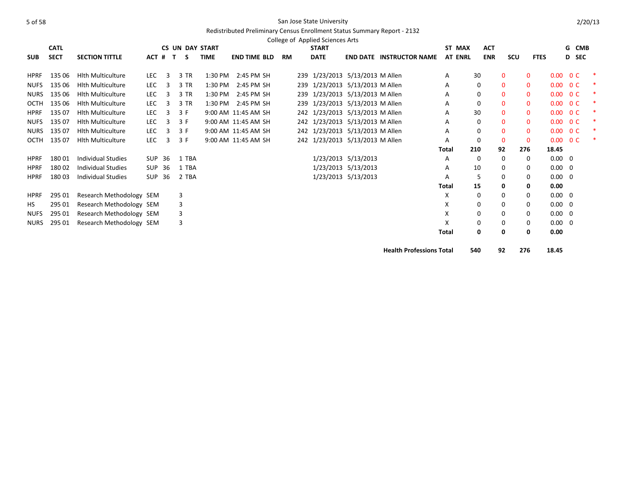|             |             |                          |               |         |                        |             |                     |           | College of Applied Sciences Arts |                                 |                |     |              |     |             |                |                |   |
|-------------|-------------|--------------------------|---------------|---------|------------------------|-------------|---------------------|-----------|----------------------------------|---------------------------------|----------------|-----|--------------|-----|-------------|----------------|----------------|---|
|             | <b>CATL</b> |                          |               |         | <b>CS UN DAY START</b> |             |                     |           | <b>START</b>                     |                                 | ST MAX         |     | <b>ACT</b>   |     |             |                | G CMB          |   |
| <b>SUB</b>  | <b>SECT</b> | <b>SECTION TITTLE</b>    |               | ACT # T | -S                     | <b>TIME</b> | <b>END TIME BLD</b> | <b>RM</b> | <b>DATE</b>                      | <b>END DATE INSTRUCTOR NAME</b> | <b>AT ENRL</b> |     | <b>ENR</b>   | scu | <b>FTES</b> |                | <b>D</b> SEC   |   |
| <b>HPRF</b> | 135 06      | <b>Hith Multiculture</b> | LEC           | 3       | 3 TR                   | 1:30 PM     | 2:45 PM SH          |           | 239 1/23/2013 5/13/2013 M Allen  |                                 | А              | 30  | $\mathbf{0}$ |     | $\mathbf 0$ | 0.00           | 0 <sup>C</sup> |   |
| <b>NUFS</b> | 135 06      | <b>Hith Multiculture</b> | LEC           | 3       | 3 TR                   | 1:30 PM     | 2:45 PM SH          |           | 239 1/23/2013 5/13/2013 M Allen  |                                 | А              | 0   | $\mathbf{0}$ |     | $\mathbf 0$ | 0.00           | 0 <sup>C</sup> |   |
| <b>NURS</b> | 135 06      | <b>Hlth Multiculture</b> | <b>LEC</b>    | 3       | 3 TR                   | 1:30 PM     | 2:45 PM SH          |           | 239 1/23/2013 5/13/2013 M Allen  |                                 | А              | 0   | $\mathbf{0}$ |     | $\mathbf 0$ | 0.00           | 0 <sup>C</sup> | ∗ |
| OCTH        | 135 06      | <b>Hith Multiculture</b> | <b>LEC</b>    |         | 3 TR                   | 1:30 PM     | 2:45 PM SH          |           | 239 1/23/2013 5/13/2013 M Allen  |                                 | A              | 0   | $\mathbf{0}$ |     | $\mathbf 0$ | 0.00           | 0 <sup>C</sup> |   |
| <b>HPRF</b> | 135 07      | <b>Hith Multiculture</b> | <b>LEC</b>    | 3       | 3 F                    |             | 9:00 AM 11:45 AM SH |           | 242 1/23/2013 5/13/2013 M Allen  |                                 | A              | 30  | $\mathbf{0}$ |     | $\mathbf 0$ | 0.00           | 0 <sup>C</sup> |   |
| <b>NUFS</b> | 135 07      | <b>Hith Multiculture</b> | <b>LEC</b>    | 3       | 3 F                    |             | 9:00 AM 11:45 AM SH |           | 242 1/23/2013 5/13/2013 M Allen  |                                 | A              | 0   | $\mathbf{0}$ |     | $\mathbf 0$ | 0.00           | 0 <sup>C</sup> |   |
| <b>NURS</b> | 135 07      | <b>Hith Multiculture</b> | <b>LEC</b>    | 3       | 3 F                    |             | 9:00 AM 11:45 AM SH |           | 242 1/23/2013 5/13/2013 M Allen  |                                 | A              | 0   | $\mathbf{0}$ |     | $\mathbf 0$ | 0.00           | 0 <sup>C</sup> |   |
| OCTH        | 135 07      | <b>Hith Multiculture</b> | <b>LEC</b>    | 3       | 3 F                    |             | 9:00 AM 11:45 AM SH |           | 242 1/23/2013 5/13/2013 M Allen  |                                 | А              | 0   | $\mathbf{0}$ |     | $\Omega$    | 0.00           | 0 <sup>C</sup> |   |
|             |             |                          |               |         |                        |             |                     |           |                                  |                                 | Total          | 210 | 92           | 276 |             | 18.45          |                |   |
| <b>HPRF</b> | 18001       | Individual Studies       | <b>SUP 36</b> |         | 1 TBA                  |             |                     |           | 1/23/2013 5/13/2013              |                                 | А              | 0   | 0            |     | 0           | $0.00 \quad 0$ |                |   |
| <b>HPRF</b> | 18002       | Individual Studies       | <b>SUP 36</b> |         | 1 TBA                  |             |                     |           | 1/23/2013 5/13/2013              |                                 | A              | 10  | 0            |     | 0           | $0.00 \quad 0$ |                |   |
| <b>HPRF</b> | 18003       | Individual Studies       | SUP           | -36     | 2 TBA                  |             |                     |           | 1/23/2013 5/13/2013              |                                 | A              | .5  | 0            |     | 0           | $0.00 \quad 0$ |                |   |
|             |             |                          |               |         |                        |             |                     |           |                                  |                                 | Total          | 15  | 0            |     | 0           | 0.00           |                |   |
| <b>HPRF</b> | 295 01      | Research Methodology SEM |               |         | 3                      |             |                     |           |                                  |                                 | X              | 0   | 0            |     | 0           | $0.00 \quad 0$ |                |   |
| HS.         | 295 01      | Research Methodology SEM |               |         | 3                      |             |                     |           |                                  |                                 | X              | 0   | 0            |     | 0           | $0.00 \quad 0$ |                |   |
| <b>NUFS</b> | 295 01      | Research Methodology SEM |               |         | 3                      |             |                     |           |                                  |                                 | x              | 0   | 0            |     | 0           | $0.00 \quad 0$ |                |   |
| <b>NURS</b> | 295 01      | Research Methodology SEM |               |         | 3                      |             |                     |           |                                  |                                 | x              | 0   | 0            |     | 0           | $0.00 \quad 0$ |                |   |
|             |             |                          |               |         |                        |             |                     |           |                                  |                                 | Total          | 0   | 0            |     | 0           | 0.00           |                |   |
|             |             |                          |               |         |                        |             |                     |           |                                  | <b>Health Professions Total</b> |                | 540 | 92           | 276 |             | 18.45          |                |   |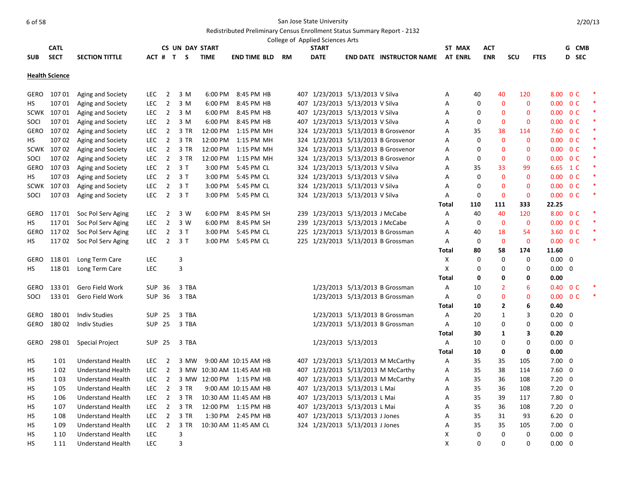|             |                       |                          |               |                |                        |             |                           |           | College of Applied Sciences Arts |                     |                                     |                |             |                |                |             |                |                          |        |
|-------------|-----------------------|--------------------------|---------------|----------------|------------------------|-------------|---------------------------|-----------|----------------------------------|---------------------|-------------------------------------|----------------|-------------|----------------|----------------|-------------|----------------|--------------------------|--------|
|             | <b>CATL</b>           |                          |               |                | <b>CS UN DAY START</b> |             |                           |           | <b>START</b>                     |                     |                                     | ST MAX         |             | ACT            |                |             |                | G CMB                    |        |
| <b>SUB</b>  | <b>SECT</b>           | <b>SECTION TITTLE</b>    |               |                | ACT # T S              | <b>TIME</b> | <b>END TIME BLD</b>       | <b>RM</b> | <b>DATE</b>                      |                     | <b>END DATE INSTRUCTOR NAME</b>     | <b>AT ENRL</b> |             | <b>ENR</b>     | <b>SCU</b>     | <b>FTES</b> |                | D SEC                    |        |
|             | <b>Health Science</b> |                          |               |                |                        |             |                           |           |                                  |                     |                                     |                |             |                |                |             |                |                          |        |
| <b>GERO</b> | 107 01                | Aging and Society        | <b>LEC</b>    | $\overline{2}$ | 3 M                    | $6:00$ PM   | 8:45 PM HB                |           | 407 1/23/2013 5/13/2013 V Silva  |                     |                                     | Α              | 40          | 40             | 120            | 8.00        |                | 0 <sup>C</sup>           |        |
| HS          | 107 01                | Aging and Society        | <b>LEC</b>    | $\overline{2}$ | 3 M                    | 6:00 PM     | 8:45 PM HB                |           | 407 1/23/2013 5/13/2013 V Silva  |                     |                                     | A              | 0           | $\mathbf{0}$   | $\mathbf{0}$   |             |                | $0.00 \quad 0 \text{ C}$ |        |
|             | SCWK 107 01           | Aging and Society        | <b>LEC</b>    | $\overline{2}$ | 3 M                    | 6:00 PM     | 8:45 PM HB                |           | 407 1/23/2013 5/13/2013 V Silva  |                     |                                     | A              | 0           | $\mathbf{0}$   | $\mathbf{0}$   |             |                | $0.00 \quad 0 \text{ C}$ |        |
| SOCI        | 107 01                | Aging and Society        | <b>LEC</b>    | $\overline{2}$ | 3 M                    | 6:00 PM     | 8:45 PM HB                |           | 407 1/23/2013 5/13/2013 V Silva  |                     |                                     | Α              | $\Omega$    | $\mathbf 0$    | $\Omega$       |             |                | $0.00 \t 0 C$            | $\ast$ |
| GERO        | 10702                 | Aging and Society        | LEC.          | $\overline{2}$ | 3 TR                   | 12:00 PM    | 1:15 PM MH                |           |                                  |                     | 324 1/23/2013 5/13/2013 B Grosvenor | A              | 35          | 38             | 114            |             |                | 7.60 O C                 |        |
| <b>HS</b>   | 10702                 | Aging and Society        | <b>LEC</b>    | $\overline{2}$ | 3 TR                   | 12:00 PM    | 1:15 PM MH                |           |                                  |                     | 324 1/23/2013 5/13/2013 B Grosvenor | A              | 0           | $\mathbf{0}$   | $\Omega$       |             |                | $0.00 \quad 0 \text{ C}$ |        |
| <b>SCWK</b> | 10702                 | Aging and Society        | LEC           | $\overline{2}$ | 3 TR                   | 12:00 PM    | 1:15 PM MH                |           |                                  |                     | 324 1/23/2013 5/13/2013 B Grosvenor | А              | $\Omega$    | $\mathbf 0$    | $\Omega$       |             |                | $0.00 \t 0 C$            | *      |
| SOCI        | 107 02                | Aging and Society        | <b>LEC</b>    | $\overline{2}$ | 3 TR                   | 12:00 PM    | 1:15 PM MH                |           |                                  |                     | 324 1/23/2013 5/13/2013 B Grosvenor | A              | $\Omega$    | $\overline{0}$ | $\mathbf{0}$   |             |                | $0.00 \quad 0 \text{ C}$ | $\ast$ |
| <b>GERO</b> | 10703                 | Aging and Society        | <b>LEC</b>    | $\overline{2}$ | 3T                     | 3:00 PM     | 5:45 PM CL                |           | 324 1/23/2013 5/13/2013 V Silva  |                     |                                     | A              | 35          | 33             | 99             |             |                | 6.65 1 C                 |        |
| HS          | 107 03                | Aging and Society        | LEC           | $\overline{2}$ | 3T                     | 3:00 PM     | 5:45 PM CL                |           | 324 1/23/2013 5/13/2013 V Silva  |                     |                                     | А              | 0           | $\mathbf 0$    | $\mathbf 0$    |             |                | $0.00 \t 0 C$            | *      |
| SCWK        | 10703                 | Aging and Society        | <b>LEC</b>    | $\overline{2}$ | 3T                     | 3:00 PM     | 5:45 PM CL                |           | 324 1/23/2013 5/13/2013 V Silva  |                     |                                     | A              | $\Omega$    | $\overline{0}$ | $\mathbf{0}$   |             |                | $0.00 \quad 0 \text{ C}$ | $\ast$ |
| SOCI        | 10703                 | Aging and Society        | <b>LEC</b>    | $\overline{2}$ | 3T                     | 3:00 PM     | 5:45 PM CL                |           | 324 1/23/2013 5/13/2013 V Silva  |                     |                                     | A              | 0           | $\mathbf{0}$   | $\mathbf 0$    |             |                | $0.00 \quad 0 \text{ C}$ | *      |
|             |                       |                          |               |                |                        |             |                           |           |                                  |                     |                                     | <b>Total</b>   | 110         | 111            | 333            | 22.25       |                |                          |        |
| GERO        | 117 01                | Soc Pol Serv Aging       | LEC.          | $\overline{2}$ | 3 W                    | 6:00 PM     | 8:45 PM SH                |           | 239 1/23/2013 5/13/2013 J McCabe |                     |                                     | Α              | 40          | 40             | 120            |             |                | 8.00 0 C                 |        |
| HS          | 11701                 | Soc Pol Serv Aging       | <b>LEC</b>    | $\overline{2}$ | 3 W                    | 6:00 PM     | 8:45 PM SH                |           | 239 1/23/2013 5/13/2013 J McCabe |                     |                                     | A              | 0           | $\mathbf{0}$   | $\mathbf{0}$   |             |                | $0.00 \t 0 C$            |        |
| <b>GERO</b> | 11702                 | Soc Pol Serv Aging       | LEC           | $\overline{2}$ | 3T                     | 3:00 PM     | 5:45 PM CL                |           |                                  |                     | 225 1/23/2013 5/13/2013 B Grossman  | A              | 40          | 18             | 54             |             |                | 3.60 O C                 |        |
| HS          | 11702                 | Soc Pol Serv Aging       | LEC.          | $2^{\circ}$    | 3T                     | 3:00 PM     | 5:45 PM CL                |           |                                  |                     | 225 1/23/2013 5/13/2013 B Grossman  | A              | $\mathbf 0$ | $\mathbf 0$    | $\overline{0}$ |             |                | $0.00 \t 0 C$            | $\ast$ |
|             |                       |                          |               |                |                        |             |                           |           |                                  |                     |                                     | <b>Total</b>   | 80          | 58             | 174            | 11.60       |                |                          |        |
| <b>GERO</b> | 118 01                | Long Term Care           | LEC           |                | 3                      |             |                           |           |                                  |                     |                                     | X              | 0           | $\mathbf 0$    | $\mathbf 0$    |             | $0.00 \quad 0$ |                          |        |
| HS          | 11801                 | Long Term Care           | <b>LEC</b>    |                | 3                      |             |                           |           |                                  |                     |                                     | X              | $\Omega$    | $\mathbf 0$    | $\mathbf 0$    |             | $0.00 \quad 0$ |                          |        |
|             |                       |                          |               |                |                        |             |                           |           |                                  |                     |                                     | Total          | 0           | 0              | 0              | 0.00        |                |                          |        |
| GERO        | 133 01                | Gero Field Work          | <b>SUP</b>    | 36             | 3 TBA                  |             |                           |           |                                  |                     | 1/23/2013 5/13/2013 B Grossman      | A              | 10          | $\overline{2}$ | 6              |             |                | $0.40 \quad 0 \text{ C}$ |        |
| SOCI        | 133 01                | Gero Field Work          | SUP 36        |                | 3 TBA                  |             |                           |           |                                  |                     | 1/23/2013 5/13/2013 B Grossman      | Α              | $\Omega$    | $\Omega$       | $\Omega$       |             |                | $0.00 \t 0 C$            |        |
|             |                       |                          |               |                |                        |             |                           |           |                                  |                     |                                     | Total          | 10          | 2              | 6              | 0.40        |                |                          |        |
| <b>GERO</b> | 18001                 | <b>Indiv Studies</b>     | <b>SUP</b>    | 25             | 3 TBA                  |             |                           |           |                                  |                     | 1/23/2013 5/13/2013 B Grossman      | A              | 20          | $\mathbf{1}$   | 3              |             | $0.20 \ 0$     |                          |        |
| GERO        | 18002                 | <b>Indiv Studies</b>     | <b>SUP 25</b> |                | 3 TBA                  |             |                           |           |                                  |                     | 1/23/2013 5/13/2013 B Grossman      | Α              | 10          | $\Omega$       | $\Omega$       |             | $0.00 \quad 0$ |                          |        |
|             |                       |                          |               |                |                        |             |                           |           |                                  |                     |                                     | Total          | 30          | 1              | 3              | 0.20        |                |                          |        |
| <b>GERO</b> | 298 01                | <b>Special Project</b>   | SUP           | 25             | 3 TBA                  |             |                           |           |                                  | 1/23/2013 5/13/2013 |                                     | A              | 10          | 0              | 0              |             | $0.00 \quad 0$ |                          |        |
|             |                       |                          |               |                |                        |             |                           |           |                                  |                     |                                     | <b>Total</b>   | 10          | 0              | $\mathbf 0$    | 0.00        |                |                          |        |
| HS          | 1 0 1                 | <b>Understand Health</b> | LEC.          | 2              | 3 MW                   |             | 9:00 AM 10:15 AM HB       |           |                                  |                     | 407 1/23/2013 5/13/2013 M McCarthy  | A              | 35          | 35             | 105            |             | $7.00 \quad 0$ |                          |        |
| <b>HS</b>   | 102                   | <b>Understand Health</b> | <b>LEC</b>    | $\overline{2}$ |                        |             | 3 MW 10:30 AM 11:45 AM HB |           |                                  |                     | 407 1/23/2013 5/13/2013 M McCarthy  | A              | 35          | 38             | 114            |             | $7.60$ 0       |                          |        |
| HS          | 103                   | <b>Understand Health</b> | <b>LEC</b>    | $\overline{2}$ |                        |             | 3 MW 12:00 PM 1:15 PM HB  |           |                                  |                     | 407 1/23/2013 5/13/2013 M McCarthy  | Α              | 35          | 36             | 108            |             | $7.20 \ 0$     |                          |        |
| HS          | 105                   | Understand Health        | LEC.          | $\overline{2}$ | 3 TR                   |             | 9:00 AM 10:15 AM HB       |           | 407 1/23/2013 5/13/2013 L Mai    |                     |                                     | A              | 35          | 36             | 108            |             | $7.20 \quad 0$ |                          |        |
| <b>HS</b>   | 106                   | <b>Understand Health</b> | <b>LEC</b>    | $\overline{2}$ | 3 TR                   |             | 10:30 AM 11:45 AM HB      |           | 407 1/23/2013 5/13/2013 L Mai    |                     |                                     | A              | 35          | 39             | 117            | 7.80        |                | 0                        |        |
| HS          | 107                   | <b>Understand Health</b> | <b>LEC</b>    | $\overline{2}$ | 3 TR                   |             | 12:00 PM 1:15 PM HB       |           | 407 1/23/2013 5/13/2013 L Mai    |                     |                                     | Α              | 35          | 36             | 108            |             | $7.20 \ 0$     |                          |        |
| НS          | 108                   | Understand Health        | <b>LEC</b>    | $\overline{2}$ | 3 TR                   |             | 1:30 PM 2:45 PM HB        |           | 407 1/23/2013 5/13/2013 J Jones  |                     |                                     | Α              | 35          | 31             | 93             |             | $6.20 \quad 0$ |                          |        |
| <b>HS</b>   | 109                   | <b>Understand Health</b> | LEC           | $\overline{2}$ | 3 TR                   |             | 10:30 AM 11:45 AM CL      |           | 324 1/23/2013 5/13/2013 J Jones  |                     |                                     | A              | 35          | 35             | 105            |             | $7.00 \quad 0$ |                          |        |
| <b>HS</b>   | 1 1 0                 | <b>Understand Health</b> | <b>LEC</b>    |                | 3                      |             |                           |           |                                  |                     |                                     | X              | $\Omega$    | $\mathbf 0$    | $\Omega$       |             | $0.00 \quad 0$ |                          |        |
| HS          | 1 1 1                 | Understand Health        | <b>LEC</b>    |                | 3                      |             |                           |           |                                  |                     |                                     | X              | $\Omega$    | $\Omega$       | $\Omega$       |             | $0.00 \quad 0$ |                          |        |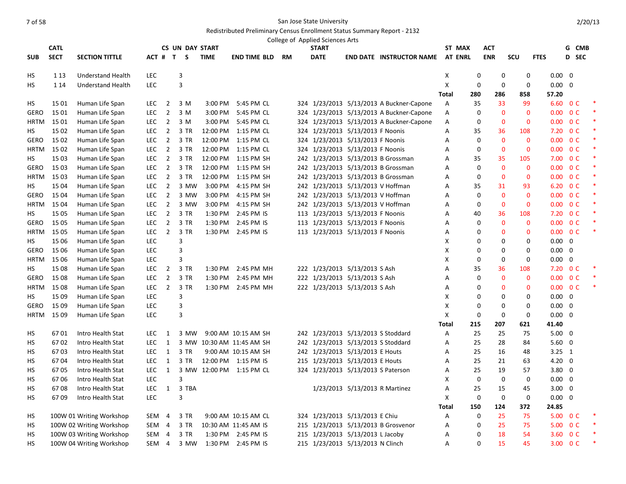|             | <b>CATL</b> |                          |                  |                | <b>CS UN DAY START</b> |             |                           |           | College of Applied Sciences Arts<br><b>START</b> |                                          | ST MAX         |                  | <b>ACT</b>   |              |                | G CMB                    |        |
|-------------|-------------|--------------------------|------------------|----------------|------------------------|-------------|---------------------------|-----------|--------------------------------------------------|------------------------------------------|----------------|------------------|--------------|--------------|----------------|--------------------------|--------|
| <b>SUB</b>  | <b>SECT</b> | <b>SECTION TITTLE</b>    |                  |                | ACT # T S              | <b>TIME</b> | <b>END TIME BLD</b>       | <b>RM</b> | <b>DATE</b>                                      | <b>END DATE INSTRUCTOR NAME</b>          | <b>AT ENRL</b> |                  | <b>ENR</b>   | scu          | <b>FTES</b>    | <b>D</b> SEC             |        |
|             |             |                          |                  |                |                        |             |                           |           |                                                  |                                          |                |                  |              |              |                |                          |        |
| HS          | 1 1 3       | <b>Understand Health</b> | LEC              |                | 3                      |             |                           |           |                                                  |                                          | X              | $\boldsymbol{0}$ | $\mathbf 0$  | $\mathbf 0$  | $0.00 \quad 0$ |                          |        |
| НS          | 1 1 4       | Understand Health        | <b>LEC</b>       |                | 3                      |             |                           |           |                                                  |                                          | X              | $\mathbf 0$      | 0            | $\mathbf 0$  | 0.00           | 0                        |        |
|             |             |                          |                  |                |                        |             |                           |           |                                                  |                                          | Total          | 280              | 286          | 858          | 57.20          |                          |        |
| HS          | 15 01       | Human Life Span          | LEC.             | $\overline{2}$ | 3 M                    |             | 3:00 PM 5:45 PM CL        |           |                                                  | 324 1/23/2013 5/13/2013 A Buckner-Capone | A              | 35               | 33           | 99           | 6.60           | 0 <sup>C</sup>           |        |
| <b>GERO</b> | 15 01       | Human Life Span          | LEC              | $\overline{2}$ | 3 M                    | 3:00 PM     | 5:45 PM CL                |           |                                                  | 324 1/23/2013 5/13/2013 A Buckner-Capone | А              | 0                | $\mathbf{0}$ | $\mathbf{0}$ | 0.00           | 0 <sup>C</sup>           | $\ast$ |
| <b>HRTM</b> | 15 01       | Human Life Span          | <b>LEC</b>       | $\overline{2}$ | 3 M                    | 3:00 PM     | 5:45 PM CL                |           |                                                  | 324 1/23/2013 5/13/2013 A Buckner-Capone | А              | 0                | $\mathbf 0$  | $\mathbf 0$  |                | $0.00 \t 0 C$            | $\ast$ |
| HS          | 15 02       | Human Life Span          | LEC.             | $\overline{2}$ | 3 TR                   | 12:00 PM    | 1:15 PM CL                |           | 324 1/23/2013 5/13/2013 F Noonis                 |                                          | А              | 35               | 36           | 108          | 7.20           | 0 <sup>C</sup>           | $\ast$ |
| GERO        | 15 02       | Human Life Span          | <b>LEC</b>       | $\overline{2}$ | 3 TR                   | 12:00 PM    | 1:15 PM CL                |           | 324 1/23/2013 5/13/2013 F Noonis                 |                                          | A              | 0                | $\mathbf{0}$ | $\mathbf{0}$ |                | $0.00 \quad 0 \text{ C}$ | $\ast$ |
| HRTM        | 15 02       | Human Life Span          | <b>LEC</b>       | $\overline{2}$ | 3 TR                   | 12:00 PM    | 1:15 PM CL                |           | 324 1/23/2013 5/13/2013 F Noonis                 |                                          | Α              | $\mathbf 0$      | $\mathbf{0}$ | $\mathbf{0}$ |                | $0.00 \t 0 C$            | $\ast$ |
| HS          | 15 03       | Human Life Span          | LEC              | $\overline{2}$ | 3 TR                   | 12:00 PM    | 1:15 PM SH                |           |                                                  | 242 1/23/2013 5/13/2013 B Grossman       | Α              | 35               | 35           | 105          |                | 7.00 0 C                 | $\ast$ |
| <b>GERO</b> | 15 03       | Human Life Span          | <b>LEC</b>       | $\overline{2}$ | 3 TR                   | 12:00 PM    | 1:15 PM SH                |           |                                                  | 242 1/23/2013 5/13/2013 B Grossman       | A              | $\mathbf 0$      | $\mathbf 0$  | $\mathbf 0$  | 0.00           | 0 <sup>C</sup>           | $\ast$ |
| <b>HRTM</b> | 15 03       | Human Life Span          | LEC              | $\overline{2}$ | 3 TR                   | 12:00 PM    | 1:15 PM SH                |           |                                                  | 242 1/23/2013 5/13/2013 B Grossman       | А              | 0                | $\mathbf{0}$ | $\mathbf{0}$ |                | $0.00 \quad 0 \text{ C}$ | $\ast$ |
| HS.         | 15 04       | Human Life Span          | LEC              | $\overline{2}$ | 3 MW                   | 3:00 PM     | 4:15 PM SH                |           | 242 1/23/2013 5/13/2013 V Hoffman                |                                          | А              | 35               | 31           | 93           |                | 6.20 O C                 | $\ast$ |
| <b>GERO</b> | 15 04       | Human Life Span          | <b>LEC</b>       | $\overline{2}$ | 3 MW                   | 3:00 PM     | 4:15 PM SH                |           | 242 1/23/2013 5/13/2013 V Hoffman                |                                          | A              | 0                | $\mathbf{0}$ | $\mathbf{0}$ |                | $0.00 \quad 0 \text{ C}$ | $\ast$ |
| <b>HRTM</b> | 15 04       | Human Life Span          | LEC              | $\overline{2}$ | 3 MW                   | 3:00 PM     | 4:15 PM SH                |           | 242 1/23/2013 5/13/2013 V Hoffman                |                                          | Α              | $\mathbf 0$      | $\mathbf 0$  | $\mathbf 0$  | 0.00           | 0 <sup>C</sup>           | $\ast$ |
| HS          | 15 05       | Human Life Span          | LEC              | $\overline{2}$ | 3 TR                   | 1:30 PM     | 2:45 PM IS                |           | 113 1/23/2013 5/13/2013 F Noonis                 |                                          | А              | 40               | 36           | 108          |                | 7.20 OC                  | $\ast$ |
| <b>GERO</b> | 15 05       | Human Life Span          | <b>LEC</b>       | $\overline{2}$ | 3 TR                   | 1:30 PM     | 2:45 PM IS                |           | 113 1/23/2013 5/13/2013 F Noonis                 |                                          | Α              | 0                | $\mathbf 0$  | $\mathbf 0$  | 0.00           | 0 <sup>C</sup>           | $\ast$ |
| <b>HRTM</b> | 15 05       | Human Life Span          | <b>LEC</b>       | $\overline{2}$ | 3 TR                   |             | 1:30 PM 2:45 PM IS        |           | 113 1/23/2013 5/13/2013 F Noonis                 |                                          | A              | 0                | $\mathbf{0}$ | $\mathbf 0$  | 0.00           | 0 <sup>C</sup>           | $\ast$ |
| HS.         | 15 06       | Human Life Span          | LEC              |                | 3                      |             |                           |           |                                                  |                                          | X              | 0                | 0            | $\mathbf 0$  | $0.00 \quad 0$ |                          |        |
| <b>GERO</b> | 15 06       | Human Life Span          | LEC              |                | 3                      |             |                           |           |                                                  |                                          | Χ              | $\mathbf 0$      | 0            | $\Omega$     | $0.00 \quad 0$ |                          |        |
| <b>HRTM</b> | 15 06       | Human Life Span          | <b>LEC</b>       |                | 3                      |             |                           |           |                                                  |                                          | X              | $\mathbf 0$      | 0            | $\mathbf 0$  | 0.00           | 0                        |        |
| НS          | 15 08       | Human Life Span          | LEC              | $\overline{2}$ | 3 TR                   | 1:30 PM     | 2:45 PM MH                |           | 222 1/23/2013 5/13/2013 S Ash                    |                                          | Α              | 35               | 36           | 108          |                | $7.20 \t 0 C$            |        |
| <b>GERO</b> | 15 08       | Human Life Span          | <b>LEC</b>       | $\overline{2}$ | 3 TR                   |             | 1:30 PM 2:45 PM MH        |           | 222 1/23/2013 5/13/2013 S Ash                    |                                          | Α              | 0                | $\mathbf 0$  | $\mathbf 0$  | 0.00           | 0 <sup>C</sup>           | $\ast$ |
| <b>HRTM</b> | 15 08       | Human Life Span          | <b>LEC</b>       | $\overline{2}$ | 3 TR                   |             | 1:30 PM 2:45 PM MH        |           | 222 1/23/2013 5/13/2013 S Ash                    |                                          | Α              | $\mathbf 0$      | $\mathbf{0}$ | $\mathbf 0$  | 0.00           | 0 <sup>C</sup>           |        |
| HS          | 15 09       | Human Life Span          | LEC              |                | 3                      |             |                           |           |                                                  |                                          | Χ              | $\mathbf 0$      | 0            | $\mathbf 0$  | $0.00 \quad 0$ |                          |        |
| <b>GERO</b> | 15 09       | Human Life Span          | LEC              |                | 3                      |             |                           |           |                                                  |                                          | X              | $\mathbf 0$      | 0            | 0            | $0.00 \quad 0$ |                          |        |
| <b>HRTM</b> | 15 09       | Human Life Span          | LEC              |                | 3                      |             |                           |           |                                                  |                                          | Χ              | $\mathbf 0$      | 0            | 0            | 0.00           | $\mathbf 0$              |        |
|             |             |                          |                  |                |                        |             |                           |           |                                                  |                                          | <b>Total</b>   | 215              | 207          | 621          | 41.40          |                          |        |
| HS          | 6701        | Intro Health Stat        | <b>LEC</b>       | 1              | 3 MW                   |             | 9:00 AM 10:15 AM SH       |           | 242 1/23/2013 5/13/2013 S Stoddard               |                                          | А              | 25               | 25           | 75           | $5.00 \quad 0$ |                          |        |
| HS          | 6702        | Intro Health Stat        | LEC              | 1              |                        |             | 3 MW 10:30 AM 11:45 AM SH |           | 242 1/23/2013 5/13/2013 S Stoddard               |                                          | Α              | 25               | 28           | 84           | 5.60           | 0                        |        |
| НS          | 6703        | Intro Health Stat        | LEC.             | 1              | 3 TR                   |             | 9:00 AM 10:15 AM SH       |           | 242 1/23/2013 5/13/2013 E Houts                  |                                          | А              | 25               | 16           | 48           | $3.25 \quad 1$ |                          |        |
| HS          | 6704        | Intro Health Stat        | <b>LEC</b>       | 1              | 3 TR                   |             | 12:00 PM 1:15 PM IS       |           | 215 1/23/2013 5/13/2013 E Houts                  |                                          | A              | 25               | 21           | 63           | $4.20 \quad 0$ |                          |        |
| HS          | 6705        | Intro Health Stat        | <b>LEC</b>       | 1              |                        |             | 3 MW 12:00 PM 1:15 PM CL  |           | 324 1/23/2013 5/13/2013 S Paterson               |                                          | Α              | 25               | 19           | 57           | 3.80           | $\mathbf 0$              |        |
| HS          | 6706        | Intro Health Stat        | LEC              |                | 3                      |             |                           |           |                                                  |                                          | Χ              | $\boldsymbol{0}$ | $\mathbf 0$  | $\mathbf 0$  | $0.00 \quad 0$ |                          |        |
| HS          | 6708        | Intro Health Stat        | LEC              | $\mathbf{1}$   | 3 TBA                  |             |                           |           |                                                  | 1/23/2013 5/13/2013 R Martinez           | А              | 25               | 15           | 45           | 3.00           | 0                        |        |
| HS          | 6709        | Intro Health Stat        | LEC              |                | 3                      |             |                           |           |                                                  |                                          | Χ              | 0                | 0            | 0            | 0.00           | 0                        |        |
|             |             |                          |                  |                |                        |             |                           |           |                                                  |                                          | <b>Total</b>   | 150              | 124          | 372          | 24.85          |                          |        |
| HS          |             | 100W 01 Writing Workshop | SEM 4            |                | 3 TR                   |             | 9:00 AM 10:15 AM CL       |           | 324 1/23/2013 5/13/2013 E Chiu                   |                                          | А              | 0                | 25           | 75           |                | 5.00 0 C                 |        |
| HS          |             | 100W 02 Writing Workshop | SEM 4            |                | 3 TR                   |             | 10:30 AM 11:45 AM IS      |           |                                                  | 215 1/23/2013 5/13/2013 B Grosvenor      | A              | $\mathbf 0$      | 25           | 75           | 5.00           | 0 <sup>C</sup>           | $\ast$ |
| HS          |             | 100W 03 Writing Workshop | SEM 4            |                | 3 TR                   |             | 1:30 PM 2:45 PM IS        |           | 215 1/23/2013 5/13/2013 L Jacoby                 |                                          | А              | $\Omega$         | 18           | 54           |                | 3.60 OC                  | $\ast$ |
| HS          |             | 100W 04 Writing Workshop | SEM <sub>4</sub> |                | 3 MW                   |             | 1:30 PM 2:45 PM IS        |           | 215 1/23/2013 5/13/2013 N Clinch                 |                                          | A              | 0                | 15           | 45           |                | 3.00 0 C                 |        |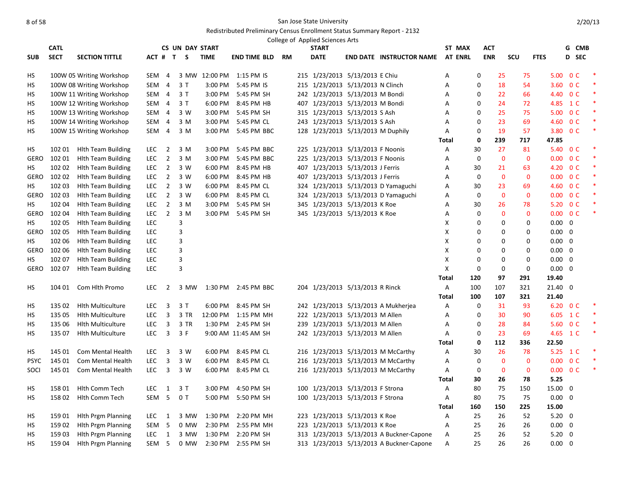|             | <b>CATL</b> |                           |            |                | <b>CS UN DAY START</b> |             |                          |    | College of Applied Sciences Arts<br><b>START</b> |                                          | ST MAX         |             | <b>ACT</b>   |              |                | G CMB                    |        |
|-------------|-------------|---------------------------|------------|----------------|------------------------|-------------|--------------------------|----|--------------------------------------------------|------------------------------------------|----------------|-------------|--------------|--------------|----------------|--------------------------|--------|
| <b>SUB</b>  | <b>SECT</b> | <b>SECTION TITTLE</b>     |            |                | ACT # T S              | <b>TIME</b> | <b>END TIME BLD</b>      | RM | <b>DATE</b>                                      | <b>END DATE INSTRUCTOR NAME</b>          | <b>AT ENRL</b> |             | <b>ENR</b>   | scu          | <b>FTES</b>    | D SEC                    |        |
|             |             |                           |            |                |                        |             |                          |    |                                                  |                                          |                |             |              |              |                |                          |        |
| НS          |             | 100W 05 Writing Workshop  | SEM        | $\overline{4}$ |                        |             | 3 MW 12:00 PM 1:15 PM IS |    | 215 1/23/2013 5/13/2013 E Chiu                   |                                          | Α              | 0           | 25           | 75           | 5.00           | 0 <sup>C</sup>           |        |
| НS          |             | 100W 08 Writing Workshop  | SEM        | $\overline{4}$ | 3T                     | 3:00 PM     | 5:45 PM IS               |    | 215 1/23/2013 5/13/2013 N Clinch                 |                                          | Α              | $\mathbf 0$ | 18           | 54           | 3.60           | 0 <sup>C</sup>           | $\ast$ |
| НS          |             | 100W 11 Writing Workshop  | SEM 4      |                | 3T                     | 3:00 PM     | 5:45 PM SH               |    | 242 1/23/2013 5/13/2013 M Bondi                  |                                          | A              | $\mathbf 0$ | 22           | 66           |                | 4.40 OC                  | $\ast$ |
| НS          |             | 100W 12 Writing Workshop  | SEM 4      |                | 3T                     | 6:00 PM     | 8:45 PM HB               |    | 407 1/23/2013 5/13/2013 M Bondi                  |                                          | Α              | 0           | 24           | 72           |                | 4.85 1 C                 | $\ast$ |
| НS          |             | 100W 13 Writing Workshop  | SEM        | $\overline{4}$ | 3 W                    | 3:00 PM     | 5:45 PM SH               |    | 315 1/23/2013 5/13/2013 S Ash                    |                                          | Α              | $\mathbf 0$ | 25           | 75           | 5.00           | 0 <sup>C</sup>           | $\ast$ |
| НS          |             | 100W 14 Writing Workshop  | SEM 4      |                | 3 M                    | 3:00 PM     | 5:45 PM CL               |    | 243 1/23/2013 5/13/2013 S Ash                    |                                          | A              | $\mathbf 0$ | 23           | 69           |                | 4.60 OC                  | $\ast$ |
| НS          |             | 100W 15 Writing Workshop  | SEM 4      |                | 3 M                    |             | 3:00 PM 5:45 PM BBC      |    | 128 1/23/2013 5/13/2013 M Duphily                |                                          | Α              | 0           | 19           | 57           |                | 3.80 OC                  | *      |
|             |             |                           |            |                |                        |             |                          |    |                                                  |                                          | <b>Total</b>   | $\mathbf 0$ | 239          | 717          | 47.85          |                          |        |
| НS          | 102 01      | <b>Hith Team Building</b> | <b>LEC</b> | $\overline{2}$ | 3 M                    | 3:00 PM     | 5:45 PM BBC              |    | 225 1/23/2013 5/13/2013 F Noonis                 |                                          | Α              | 30          | 27           | 81           | 5.40           | 0 <sup>C</sup>           |        |
| GERO        | 102 01      | <b>Hith Team Building</b> | <b>LEC</b> | $\overline{2}$ | 3 M                    | 3:00 PM     | 5:45 PM BBC              |    | 225 1/23/2013 5/13/2013 F Noonis                 |                                          | Α              | 0           | $\mathbf 0$  | $\mathbf 0$  | 0.00           | 0 <sup>C</sup>           | $\ast$ |
| HS.         | 102 02      | <b>Hith Team Building</b> | <b>LEC</b> | $\overline{2}$ | 3 W                    | 6:00 PM     | 8:45 PM HB               |    | 407 1/23/2013 5/13/2013 J Ferris                 |                                          | Α              | 30          | 21           | 63           | 4.20           | 0 <sup>C</sup>           | $\ast$ |
| <b>GERO</b> | 102 02      | <b>Hith Team Building</b> | <b>LEC</b> | $\overline{2}$ | 3 W                    | 6:00 PM     | 8:45 PM HB               |    | 407 1/23/2013 5/13/2013 J Ferris                 |                                          | Α              | $\mathbf 0$ | $\mathbf{0}$ | $\mathbf{0}$ |                | $0.00 \quad 0 \text{ C}$ | *      |
| НS          | 102 03      | <b>Hith Team Building</b> | <b>LEC</b> | $\overline{2}$ | 3 W                    | 6:00 PM     | 8:45 PM CL               |    |                                                  | 324 1/23/2013 5/13/2013 D Yamaguchi      | Α              | 30          | 23           | 69           |                | 4.60 OC                  | $\ast$ |
| <b>GERO</b> | 102 03      | <b>Hith Team Building</b> | <b>LEC</b> | $\overline{2}$ | 3 W                    | 6:00 PM     | 8:45 PM CL               |    |                                                  | 324 1/23/2013 5/13/2013 D Yamaguchi      | A              | $\mathbf 0$ | $\mathbf{0}$ | $\mathbf{0}$ |                | $0.00 \quad 0 \text{ C}$ | $\ast$ |
| НS          | 102 04      | <b>Hith Team Building</b> | <b>LEC</b> | $\overline{2}$ | 3 M                    | 3:00 PM     | 5:45 PM SH               |    | 345 1/23/2013 5/13/2013 K Roe                    |                                          | Α              | 30          | 26           | 78           |                | 5.20 0 C                 | $\ast$ |
| GERO        | 102 04      | <b>Hith Team Building</b> | <b>LEC</b> | $\overline{2}$ | 3 M                    |             | 3:00 PM 5:45 PM SH       |    | 345 1/23/2013 5/13/2013 K Roe                    |                                          | Α              | 0           | 0            | $\mathbf 0$  |                | $0.00 \quad 0 \text{ C}$ | $\ast$ |
| НS          | 102 05      | <b>Hith Team Building</b> | <b>LEC</b> |                | 3                      |             |                          |    |                                                  |                                          | X              | $\mathbf 0$ | $\mathbf 0$  | $\mathbf 0$  | $0.00 \quad 0$ |                          |        |
| <b>GERO</b> | 102 05      | <b>Hith Team Building</b> | <b>LEC</b> |                | 3                      |             |                          |    |                                                  |                                          | X              | $\mathbf 0$ | 0            | 0            | 0.00           | 0                        |        |
| НS          | 102 06      | <b>Hith Team Building</b> | <b>LEC</b> |                | 3                      |             |                          |    |                                                  |                                          | X              | $\mathbf 0$ | 0            | 0            | $0.00 \quad 0$ |                          |        |
| GERO        | 102 06      | <b>Hith Team Building</b> | <b>LEC</b> |                | 3                      |             |                          |    |                                                  |                                          | X              | $\mathbf 0$ | $\mathbf 0$  | $\Omega$     | $0.00 \quad 0$ |                          |        |
| HS.         | 102 07      | <b>Hith Team Building</b> | LEC        |                | 3                      |             |                          |    |                                                  |                                          | X              | $\mathbf 0$ | $\mathbf 0$  | $\mathbf 0$  | 0.00           | 0                        |        |
| <b>GERO</b> | 102 07      | <b>Hith Team Building</b> | LEC        |                | 3                      |             |                          |    |                                                  |                                          | X              | $\mathbf 0$ | 0            | $\mathbf 0$  | $0.00 \quad 0$ |                          |        |
|             |             |                           |            |                |                        |             |                          |    |                                                  |                                          | Total          | 120         | 97           | 291          | 19.40          |                          |        |
| HS          | 104 01      | Com Hith Promo            | <b>LEC</b> | $\overline{2}$ | 3 MW                   |             | 1:30 PM 2:45 PM BBC      |    | 204 1/23/2013 5/13/2013 R Rinck                  |                                          | Α              | 100         | 107          | 321          | 21.40          | $\mathbf 0$              |        |
|             |             |                           |            |                |                        |             |                          |    |                                                  |                                          | <b>Total</b>   | 100         | 107          | 321          | 21.40          |                          |        |
| НS          | 135 02      | <b>Hith Multiculture</b>  | <b>LEC</b> | 3              | 3T                     | 6:00 PM     | 8:45 PM SH               |    |                                                  | 242 1/23/2013 5/13/2013 A Mukherjea      | Α              | 0           | 31           | 93           |                | 6.20 0 C                 | $\ast$ |
| НS          | 135 05      | <b>Hith Multiculture</b>  | <b>LEC</b> | 3              | 3 TR                   |             | 12:00 PM 1:15 PM MH      |    | 222 1/23/2013 5/13/2013 M Allen                  |                                          | Α              | $\mathbf 0$ | 30           | 90           |                | 6.05 1 C                 |        |
| НS          | 135 06      | <b>Hlth Multiculture</b>  | <b>LEC</b> | $\overline{3}$ | 3 TR                   |             | 1:30 PM 2:45 PM SH       |    | 239 1/23/2013 5/13/2013 M Allen                  |                                          | Α              | 0           | 28           | 84           |                | 5.60 OC                  | $\ast$ |
| НS          | 135 07      | <b>Hith Multiculture</b>  | <b>LEC</b> | $\overline{3}$ | 3 F                    |             | 9:00 AM 11:45 AM SH      |    | 242 1/23/2013 5/13/2013 M Allen                  |                                          | Α              | 0           | 23           | 69           |                | 4.65 1 C                 | $\ast$ |
|             |             |                           |            |                |                        |             |                          |    |                                                  |                                          | Total          | $\mathbf 0$ | 112          | 336          | 22.50          |                          |        |
| НS          | 145 01      | <b>Com Mental Health</b>  | <b>LEC</b> | 3              | 3 W                    |             | 6:00 PM 8:45 PM CL       |    |                                                  | 216 1/23/2013 5/13/2013 M McCarthy       | A              | 30          | 26           | 78           |                | 5.25 1 C                 |        |
| <b>PSYC</b> | 145 01      | Com Mental Health         | <b>LEC</b> | 3              | 3 W                    | 6:00 PM     | 8:45 PM CL               |    |                                                  | 216 1/23/2013 5/13/2013 M McCarthy       | A              | $\mathbf 0$ | $\mathbf{0}$ | $\mathbf 0$  |                | $0.00 \t 0 C$            | $\ast$ |
| SOCI        | 145 01      | Com Mental Health         | <b>LEC</b> | $\overline{3}$ | 3 W                    |             | 6:00 PM 8:45 PM CL       |    |                                                  | 216 1/23/2013 5/13/2013 M McCarthy       | Α              | 0           | $\mathbf 0$  | $\mathbf 0$  |                | $0.00 \t 0 C$            | $\ast$ |
|             |             |                           |            |                |                        |             |                          |    |                                                  |                                          | Total          | 30          | 26           | 78           | 5.25           |                          |        |
| HS.         | 158 01      | <b>Hlth Comm Tech</b>     | <b>LEC</b> | 1              | 3T                     | 3:00 PM     | 4:50 PM SH               |    | 100 1/23/2013 5/13/2013 F Strona                 |                                          | Α              | 80          | 75           | 150          | 15.00          | $\mathbf 0$              |        |
| HS          | 158 02      | Hith Comm Tech            | SEM        | 5              | 0T                     | 5:00 PM     | 5:50 PM SH               |    | 100 1/23/2013 5/13/2013 F Strona                 |                                          | Α              | 80          | 75           | 75           | 0.00           | 0                        |        |
|             |             |                           |            |                |                        |             |                          |    |                                                  |                                          | <b>Total</b>   | 160         | 150          | 225          | 15.00          |                          |        |
| НS          | 159 01      | <b>Hith Prgm Planning</b> | <b>LEC</b> | 1              | 3 MW                   | 1:30 PM     | 2:20 PM MH               |    | 223 1/23/2013 5/13/2013 K Roe                    |                                          | Α              | 25          | 26           | 52           | $5.20 \ 0$     |                          |        |
| НS          | 159 02      | <b>Hith Prgm Planning</b> | SEM        | 5              | 0 MW                   | 2:30 PM     | 2:55 PM MH               |    | 223 1/23/2013 5/13/2013 K Roe                    |                                          | Α              | 25          | 26           | 26           | 0.00           | 0                        |        |
| НS          | 15903       | <b>Hlth Prgm Planning</b> | <b>LEC</b> | $\overline{1}$ | 3 MW                   | 1:30 PM     | 2:20 PM SH               |    |                                                  | 313 1/23/2013 5/13/2013 A Buckner-Capone | Α              | 25          | 26           | 52           | 5.20           | $\mathbf 0$              |        |
| НS          | 159 04      | <b>Hlth Prgm Planning</b> | SEM        | 5              | 0 MW                   | 2:30 PM     | 2:55 PM SH               |    |                                                  | 313 1/23/2013 5/13/2013 A Buckner-Capone | A              | 25          | 26           | 26           | $0.00\,$       | $\mathbf 0$              |        |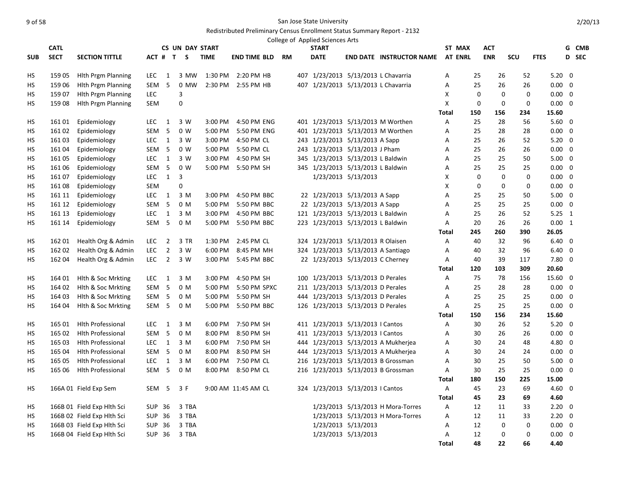|            |             |                            |                  |                |                        |             |                     |           | College of Applied Sciences Arts |                                     |                                     |                |     |             |             |                |                |       |
|------------|-------------|----------------------------|------------------|----------------|------------------------|-------------|---------------------|-----------|----------------------------------|-------------------------------------|-------------------------------------|----------------|-----|-------------|-------------|----------------|----------------|-------|
|            | <b>CATL</b> |                            |                  |                | <b>CS UN DAY START</b> |             |                     |           | <b>START</b>                     |                                     |                                     | ST MAX         |     | <b>ACT</b>  |             |                |                | G CMB |
| <b>SUB</b> | <b>SECT</b> | <b>SECTION TITTLE</b>      | ACT # T          |                | S.                     | <b>TIME</b> | <b>END TIME BLD</b> | <b>RM</b> | <b>DATE</b>                      |                                     | <b>END DATE INSTRUCTOR NAME</b>     | <b>AT ENRL</b> |     | <b>ENR</b>  | SCU         | <b>FTES</b>    |                | D SEC |
| HS         | 159 05      | <b>Hith Prgm Planning</b>  | LEC              | 1              | 3 MW                   | 1:30 PM     | 2:20 PM HB          |           |                                  | 407 1/23/2013 5/13/2013 L Chavarria |                                     | Α              | 25  | 26          | 52          | $5.20 \quad 0$ |                |       |
| НS         | 159 06      | <b>Hith Prgm Planning</b>  | SEM              | 5              | 0 MW                   | 2:30 PM     | 2:55 PM HB          |           |                                  | 407 1/23/2013 5/13/2013 L Chavarria |                                     | А              | 25  | 26          | 26          | 0.00           | 0              |       |
| НS         | 159 07      | <b>Hith Prgm Planning</b>  | <b>LEC</b>       |                | 3                      |             |                     |           |                                  |                                     |                                     | X              | 0   | $\mathbf 0$ | $\mathbf 0$ | $0.00 \quad 0$ |                |       |
| НS         | 15908       | <b>Hith Prgm Planning</b>  | SEM              |                | 0                      |             |                     |           |                                  |                                     |                                     | X              | 0   | $\mathbf 0$ | $\mathbf 0$ | $0.00 \quad 0$ |                |       |
|            |             |                            |                  |                |                        |             |                     |           |                                  |                                     |                                     | <b>Total</b>   | 150 | 156         | 234         | 15.60          |                |       |
| НS         | 161 01      | Epidemiology               | <b>LEC</b>       | $\mathbf{1}$   | 3 W                    | 3:00 PM     | 4:50 PM ENG         |           |                                  |                                     | 401 1/23/2013 5/13/2013 M Worthen   | A              | 25  | 28          | 56          | $5.60$ 0       |                |       |
| <b>HS</b>  | 161 02      | Epidemiology               | SEM              | 5              | 0 W                    | 5:00 PM     | 5:50 PM ENG         |           |                                  |                                     | 401 1/23/2013 5/13/2013 M Worthen   | Α              | 25  | 28          | 28          | $0.00 \quad 0$ |                |       |
| НS         | 16103       | Epidemiology               | <b>LEC</b>       | 1              | 3 W                    | 3:00 PM     | 4:50 PM CL          |           |                                  | 243 1/23/2013 5/13/2013 A Sapp      |                                     | А              | 25  | 26          | 52          | $5.20 \quad 0$ |                |       |
| НS         | 161 04      | Epidemiology               | SEM <sub>5</sub> |                | 0 <sub>W</sub>         | 5:00 PM     | 5:50 PM CL          |           |                                  | 243 1/23/2013 5/13/2013 J Pham      |                                     | Α              | 25  | 26          | 26          | $0.00 \quad 0$ |                |       |
| НS         | 161 05      | Epidemiology               | LEC              | 1              | 3 W                    | 3:00 PM     | 4:50 PM SH          |           |                                  | 345 1/23/2013 5/13/2013 L Baldwin   |                                     | Α              | 25  | 25          | 50          | $5.00 \quad 0$ |                |       |
| НS         | 161 06      | Epidemiology               | SEM              | 5              | 0 W                    | 5:00 PM     | 5:50 PM SH          |           |                                  | 345 1/23/2013 5/13/2013 L Baldwin   |                                     | A              | 25  | 25          | 25          | $0.00 \quad 0$ |                |       |
| НS         | 16107       | Epidemiology               | LEC              | 1              | 3                      |             |                     |           |                                  | 1/23/2013 5/13/2013                 |                                     | X              | 0   | $\mathbf 0$ | 0           | $0.00 \quad 0$ |                |       |
| НS         | 16108       | Epidemiology               | SEM              |                | $\overline{0}$         |             |                     |           |                                  |                                     |                                     | X              | 0   | $\mathbf 0$ | $\mathbf 0$ | $0.00 \quad 0$ |                |       |
| HS         | 161 11      | Epidemiology               | <b>LEC</b>       | 1              | 3 M                    | 3:00 PM     | 4:50 PM BBC         |           |                                  | 22 1/23/2013 5/13/2013 A Sapp       |                                     | A              | 25  | 25          | 50          | $5.00 \quad 0$ |                |       |
| HS         | 161 12      | Epidemiology               | SEM              | 5              | 0 M                    | 5:00 PM     | 5:50 PM BBC         |           |                                  | 22 1/23/2013 5/13/2013 A Sapp       |                                     | A              | 25  | 25          | 25          | $0.00 \quad 0$ |                |       |
| НS         | 161 13      | Epidemiology               | <b>LEC</b>       | $\overline{1}$ | 3 M                    | 3:00 PM     | 4:50 PM BBC         |           |                                  | 121 1/23/2013 5/13/2013 L Baldwin   |                                     | А              | 25  | 26          | 52          | $5.25 \quad 1$ |                |       |
| НS         | 161 14      | Epidemiology               | SEM <sub>5</sub> |                | 0 M                    | 5:00 PM     | 5:50 PM BBC         |           |                                  | 223 1/23/2013 5/13/2013 L Baldwin   |                                     | Α              | 20  | 26          | 26          | $0.00 \quad 1$ |                |       |
|            |             |                            |                  |                |                        |             |                     |           |                                  |                                     |                                     | Total          | 245 | 260         | 390         | 26.05          |                |       |
| HS         | 162 01      | Health Org & Admin         | LEC              | $\overline{2}$ | 3 TR                   | 1:30 PM     | 2:45 PM CL          |           |                                  | 324 1/23/2013 5/13/2013 R Olaisen   |                                     | Α              | 40  | 32          | 96          | $6.40 \quad 0$ |                |       |
| HS         | 162 02      | Health Org & Admin         | LEC              | $\overline{2}$ | 3 W                    | 6:00 PM     | 8:45 PM MH          |           |                                  | 324 1/23/2013 5/13/2013 A Santiago  |                                     | А              | 40  | 32          | 96          | $6.40 \quad 0$ |                |       |
| НS         | 162 04      | Health Org & Admin         | LEC              | $\overline{2}$ | 3 W                    | 3:00 PM     | 5:45 PM BBC         |           |                                  | 22 1/23/2013 5/13/2013 C Cherney    |                                     | Α              | 40  | 39          | 117         | 7.80           | $\mathbf 0$    |       |
|            |             |                            |                  |                |                        |             |                     |           |                                  |                                     |                                     | <b>Total</b>   | 120 | 103         | 309         | 20.60          |                |       |
| HS         | 164 01      | Hith & Soc Mrkting         | LEC              | 1              | 3 M                    | 3:00 PM     | 4:50 PM SH          |           |                                  | 100 1/23/2013 5/13/2013 D Perales   |                                     | Α              | 75  | 78          | 156         | 15.60 0        |                |       |
| НS         | 164 02      | Hith & Soc Mrkting         | SEM <sub>5</sub> |                | 0 M                    | 5:00 PM     | 5:50 PM SPXC        |           |                                  | 211 1/23/2013 5/13/2013 D Perales   |                                     | А              | 25  | 28          | 28          | 0.00           | $\overline{0}$ |       |
| <b>HS</b>  | 164 03      | Hlth & Soc Mrkting         | SEM <sub>5</sub> |                | 0 M                    | 5:00 PM     | 5:50 PM SH          |           |                                  | 444 1/23/2013 5/13/2013 D Perales   |                                     | A              | 25  | 25          | 25          | $0.00 \quad 0$ |                |       |
| HS         | 164 04      | Hlth & Soc Mrkting         | SEM <sub>5</sub> |                | 0 M                    | 5:00 PM     | 5:50 PM BBC         |           |                                  | 126 1/23/2013 5/13/2013 D Perales   |                                     | A              | 25  | 25          | 25          | $0.00 \quad 0$ |                |       |
|            |             |                            |                  |                |                        |             |                     |           |                                  |                                     |                                     | <b>Total</b>   | 150 | 156         | 234         | 15.60          |                |       |
| НS         | 165 01      | <b>Hith Professional</b>   | <b>LEC</b>       | $\overline{1}$ | 3 M                    | 6:00 PM     | 7:50 PM SH          |           |                                  | 411 1/23/2013 5/13/2013   Cantos    |                                     | Α              | 30  | 26          | 52          | $5.20 \ 0$     |                |       |
| HS         | 165 02      | <b>Hith Professional</b>   | SEM <sub>5</sub> |                | 0 M                    | 8:00 PM     | 8:50 PM SH          |           |                                  | 411 1/23/2013 5/13/2013   Cantos    |                                     | Α              | 30  | 26          | 26          | $0.00 \quad 0$ |                |       |
| НS         | 165 03      | <b>Hith Professional</b>   | LEC              | $\overline{1}$ | 3 M                    | 6:00 PM     | 7:50 PM SH          |           |                                  |                                     | 444 1/23/2013 5/13/2013 A Mukherjea | Α              | 30  | 24          | 48          | 4.80 0         |                |       |
| НS         | 165 04      | <b>Hith Professional</b>   | SEM <sub>5</sub> |                | 0 M                    | 8:00 PM     | 8:50 PM SH          |           |                                  |                                     | 444 1/23/2013 5/13/2013 A Mukherjea | Α              | 30  | 24          | 24          | $0.00 \quad 0$ |                |       |
| НS         | 165 05      | <b>Hith Professional</b>   | LEC 1            |                | 3 M                    | 6:00 PM     | 7:50 PM CL          |           |                                  |                                     | 216 1/23/2013 5/13/2013 B Grossman  | Α              | 30  | 25          | 50          | $5.00 \quad 0$ |                |       |
| <b>HS</b>  | 165 06      | <b>Hith Professional</b>   | SEM <sub>5</sub> |                | 0 M                    | 8:00 PM     | 8:50 PM CL          |           |                                  |                                     | 216 1/23/2013 5/13/2013 B Grossman  | A              | 30  | 25          | 25          | $0.00 \quad 0$ |                |       |
|            |             |                            |                  |                |                        |             |                     |           |                                  |                                     |                                     | <b>Total</b>   | 180 | 150         | 225         | 15.00          |                |       |
| HS         |             | 166A 01 Field Exp Sem      | SEM <sub>5</sub> |                | 3 F                    |             | 9:00 AM 11:45 AM CL |           |                                  | 324 1/23/2013 5/13/2013   Cantos    |                                     | Α              | 45  | 23          | 69          | $4.60$ 0       |                |       |
|            |             |                            |                  |                |                        |             |                     |           |                                  |                                     |                                     | Total          | 45  | 23          | 69          | 4.60           |                |       |
| HS         |             | 166B 01 Field Exp Hlth Sci | SUP 36           |                | 3 TBA                  |             |                     |           |                                  |                                     | 1/23/2013 5/13/2013 H Mora-Torres   | Α              | 12  | 11          | 33          | $2.20 \quad 0$ |                |       |
| HS         |             | 166B 02 Field Exp Hlth Sci | <b>SUP 36</b>    |                | 3 TBA                  |             |                     |           |                                  |                                     | 1/23/2013 5/13/2013 H Mora-Torres   | Α              | 12  | 11          | 33          | $2.20 \quad 0$ |                |       |
| НS         |             | 166B 03 Field Exp Hlth Sci | <b>SUP 36</b>    |                | 3 TBA                  |             |                     |           |                                  | 1/23/2013 5/13/2013                 |                                     | A              | 12  |             | 0<br>0      | $0.00 \quad 0$ |                |       |
| HS         |             | 166B 04 Field Exp Hlth Sci | SUP 36           |                | 3 TBA                  |             |                     |           |                                  | 1/23/2013 5/13/2013                 |                                     | A              | 12  | $\Omega$    | $\mathbf 0$ | 0.00           | $\mathbf 0$    |       |
|            |             |                            |                  |                |                        |             |                     |           |                                  |                                     |                                     | <b>Total</b>   | 48  | 22          | 66          | 4.40           |                |       |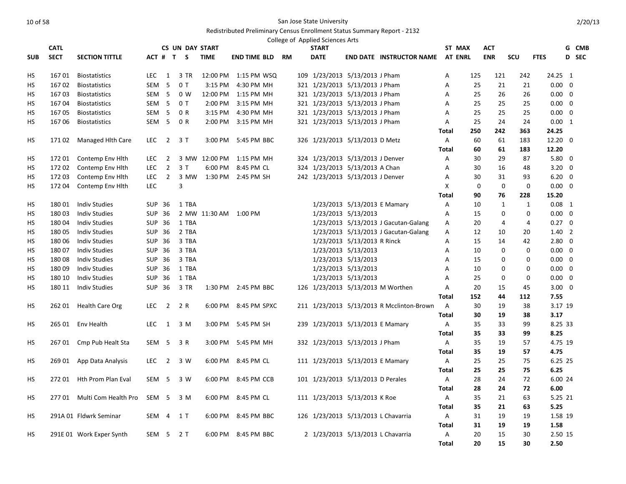|            | <b>CATL</b> |                          |                  |                | <b>CS UN DAY START</b> |               |                       |    | College of Applied Sciences Arts<br><b>START</b> |                              |                                           |                | ST MAX         | <b>ACT</b>   |                         |                 | G CMB |
|------------|-------------|--------------------------|------------------|----------------|------------------------|---------------|-----------------------|----|--------------------------------------------------|------------------------------|-------------------------------------------|----------------|----------------|--------------|-------------------------|-----------------|-------|
| <b>SUB</b> | <b>SECT</b> | <b>SECTION TITTLE</b>    |                  |                | ACT # T S              | <b>TIME</b>   | END TIME BLD          | RM | <b>DATE</b>                                      |                              | <b>END DATE INSTRUCTOR NAME</b>           |                | <b>AT ENRL</b> | <b>ENR</b>   | SCU                     | <b>FTES</b>     | D SEC |
|            |             |                          |                  |                |                        |               |                       |    |                                                  |                              |                                           |                |                |              |                         |                 |       |
| HS         | 16701       | <b>Biostatistics</b>     | LEC              | 1              | 3 TR                   | 12:00 PM      | 1:15 PM WSQ           |    | 109 1/23/2013 5/13/2013 J Pham                   |                              |                                           | Α              | 125            | 121          | 242                     | 24.25 1         |       |
| НS         | 16702       | <b>Biostatistics</b>     | SEM              | 5              | 0T                     | $3:15$ PM     | 4:30 PM MH            |    | 321 1/23/2013 5/13/2013 J Pham                   |                              |                                           | Α              | 25             | 21           | 21                      | $0.00 \quad 0$  |       |
| HS         | 16703       | <b>Biostatistics</b>     | SEM <sub>5</sub> |                | 0 <sub>W</sub>         | 12:00 PM      | 1:15 PM MH            |    | 321 1/23/2013 5/13/2013 J Pham                   |                              |                                           | A              | 25             | 26           | 26                      | $0.00 \quad 0$  |       |
| НS         | 16704       | <b>Biostatistics</b>     | SEM <sub>5</sub> |                | 0T                     | 2:00 PM       | 3:15 PM MH            |    | 321 1/23/2013 5/13/2013 J Pham                   |                              |                                           | A              | 25             | 25           | 25                      | $0.00 \quad 0$  |       |
| НS         | 16705       | <b>Biostatistics</b>     | SEM <sub>5</sub> |                | 0 R                    | $3:15$ PM     | 4:30 PM MH            |    | 321 1/23/2013 5/13/2013 J Pham                   |                              |                                           | Α              | 25             | 25           | 25                      | $0.00 \quad 0$  |       |
| <b>HS</b>  | 16706       | <b>Biostatistics</b>     | SEM <sub>5</sub> |                | 0 R                    | 2:00 PM       | 3:15 PM MH            |    | 321 1/23/2013 5/13/2013 J Pham                   |                              |                                           | A              | 25             | 24           | 24                      | $0.00 \quad 1$  |       |
|            |             |                          |                  |                |                        |               |                       |    |                                                  |                              |                                           | Total          | 250            | 242          | 363                     | 24.25           |       |
| HS         | 17102       | Managed Hith Care        | <b>LEC</b>       | $\overline{2}$ | 3 T                    | 3:00 PM       | 5:45 PM BBC           |    | 326 1/23/2013 5/13/2013 D Metz                   |                              |                                           | A              | 60             | 61           | 183                     | $12.20 \quad 0$ |       |
|            |             |                          |                  |                |                        |               |                       |    |                                                  |                              |                                           | <b>Total</b>   | 60             | 61           | 183                     | 12.20           |       |
| HS         | 172 01      | Contemp Env Hith         | LEC              | 2              |                        | 3 MW 12:00 PM | 1:15 PM MH            |    | 324 1/23/2013 5/13/2013 J Denver                 |                              |                                           | Α              | 30             | 29           | 87                      | $5.80 \quad 0$  |       |
| HS         | 17202       | Contemp Env Hith         | <b>LEC</b>       | $\overline{2}$ | 3T                     | 6:00 PM       | 8:45 PM CL            |    | 324 1/23/2013 5/13/2013 A Chan                   |                              |                                           | A              | 30             | 16           | 48                      | $3.20 \ 0$      |       |
| НS         | 172 03      | Contemp Env Hith         | LEC              | $\overline{2}$ | 3 MW                   |               | 1:30 PM 2:45 PM SH    |    | 242 1/23/2013 5/13/2013 J Denver                 |                              |                                           | А              | 30             | 31           | 93                      | $6.20 \quad 0$  |       |
| НS         | 17204       | Contemp Env Hith         | <b>LEC</b>       |                | 3                      |               |                       |    |                                                  |                              |                                           | X              | 0              |              | $\Omega$<br>$\mathbf 0$ | $0.00 \quad 0$  |       |
|            |             |                          |                  |                |                        |               |                       |    |                                                  |                              |                                           | <b>Total</b>   | 90             | 76           | 228                     | 15.20           |       |
| HS         | 18001       | <b>Indiv Studies</b>     | <b>SUP 36</b>    |                | 1 TBA                  |               |                       |    |                                                  | 1/23/2013 5/13/2013 E Mamary |                                           | Α              | 10             | $\mathbf{1}$ | $\mathbf{1}$            | $0.08$ 1        |       |
| НS         | 18003       | <b>Indiv Studies</b>     | <b>SUP 36</b>    |                |                        |               | 2 MW 11:30 AM 1:00 PM |    |                                                  | 1/23/2013 5/13/2013          |                                           | А              | 15             | $\Omega$     | 0                       | $0.00 \quad 0$  |       |
| НS         | 18004       | <b>Indiv Studies</b>     | SUP 36           |                | 1 TBA                  |               |                       |    |                                                  |                              | 1/23/2013 5/13/2013 J Gacutan-Galang      | Α              | 20             | 4            | 4                       | $0.27 \quad 0$  |       |
| HS         | 18005       | <b>Indiv Studies</b>     | <b>SUP 36</b>    |                | 2 TBA                  |               |                       |    |                                                  |                              | 1/23/2013 5/13/2013 J Gacutan-Galang      | Α              | 12             | 10           | 20                      | $1.40\quad2$    |       |
| НS         | 180 06      | <b>Indiv Studies</b>     | <b>SUP 36</b>    |                | 3 TBA                  |               |                       |    |                                                  | 1/23/2013 5/13/2013 R Rinck  |                                           | Α              | 15             | 14           | 42                      | $2.80 \quad 0$  |       |
| НS         | 18007       | <b>Indiv Studies</b>     | SUP 36           |                | 3 TBA                  |               |                       |    |                                                  | 1/23/2013 5/13/2013          |                                           | A              | 10             |              | 0<br>0                  | $0.00 \quad 0$  |       |
| HS         | 18008       | <b>Indiv Studies</b>     | SUP 36           |                | 3 TBA                  |               |                       |    |                                                  | 1/23/2013 5/13/2013          |                                           | A              | 15             |              | 0<br>0                  | $0.00 \quad 0$  |       |
| HS         | 18009       | <b>Indiv Studies</b>     | SUP 36           |                | 1 TBA                  |               |                       |    |                                                  | 1/23/2013 5/13/2013          |                                           | A              | 10             |              | $\mathbf 0$<br>0        | $0.00 \quad 0$  |       |
| НS         | 180 10      | <b>Indiv Studies</b>     | SUP 36           |                | 1 TBA                  |               |                       |    |                                                  | 1/23/2013 5/13/2013          |                                           | A              | 25             | 0            | 0                       | $0.00 \quad 0$  |       |
| НS         | 180 11      | <b>Indiv Studies</b>     | SUP 36           |                | 3 TR                   |               | 1:30 PM 2:45 PM BBC   |    |                                                  |                              | 126 1/23/2013 5/13/2013 M Worthen         | Α              | 20             | 15           | 45                      | $3.00 \quad 0$  |       |
|            |             |                          |                  |                |                        |               |                       |    |                                                  |                              |                                           | <b>Total</b>   | 152            | 44           | 112                     | 7.55            |       |
| HS         | 262 01      | <b>Health Care Org</b>   | <b>LEC</b>       | $\overline{2}$ | 2 R                    |               | 6:00 PM 8:45 PM SPXC  |    |                                                  |                              | 211 1/23/2013 5/13/2013 R Mcclinton-Brown | $\overline{A}$ | 30             | 19           | 38                      | 3.17 19         |       |
|            |             |                          |                  |                |                        |               |                       |    |                                                  |                              |                                           | <b>Total</b>   | 30             | 19           | 38                      | 3.17            |       |
| НS         | 265 01      | Env Health               | LEC              | $\overline{1}$ | 3 M                    | 3:00 PM       | 5:45 PM SH            |    | 239 1/23/2013 5/13/2013 E Mamary                 |                              |                                           | A              | 35             | 33           | 99                      | 8.25 33         |       |
|            |             |                          |                  |                |                        |               |                       |    |                                                  |                              |                                           | Total          | 35             | 33           | 99                      | 8.25            |       |
| НS         | 26701       | Cmp Pub Healt Sta        | SEM 5            |                | 3 R                    | 3:00 PM       | 5:45 PM MH            |    | 332 1/23/2013 5/13/2013 J Pham                   |                              |                                           | Α              | 35             | 19           | 57                      | 4.75 19         |       |
|            |             |                          |                  |                |                        |               |                       |    |                                                  |                              |                                           | <b>Total</b>   | 35             | 19           | 57                      | 4.75            |       |
| НS         | 26901       | App Data Analysis        | <b>LEC</b>       | $\overline{2}$ | 3 W                    |               | 6:00 PM 8:45 PM CL    |    | 111 1/23/2013 5/13/2013 E Mamary                 |                              |                                           | $\mathsf{A}$   | 25             | 25           | 75                      | 6.25 25         |       |
|            |             |                          |                  |                |                        |               |                       |    |                                                  |                              |                                           | <b>Total</b>   | 25             | 25           | 75                      | 6.25            |       |
| HS         | 27201       | Hth Prom Plan Eval       | SEM <sub>5</sub> |                | 3 W                    |               | 6:00 PM 8:45 PM CCB   |    | 101 1/23/2013 5/13/2013 D Perales                |                              |                                           | A              | 28             | 24           | 72                      | 6.00 24         |       |
|            |             |                          |                  |                |                        |               |                       |    |                                                  |                              |                                           | <b>Total</b>   | 28             | 24           | 72                      | 6.00            |       |
| НS         | 27701       | Multi Com Health Pro     | SEM <sub>5</sub> |                | 3 M                    | 6:00 PM       | 8:45 PM CL            |    | 111 1/23/2013 5/13/2013 K Roe                    |                              |                                           | A              | 35             | 21           | 63                      | 5.25 21         |       |
|            |             |                          |                  |                |                        |               |                       |    |                                                  |                              |                                           | Total          | 35             | 21           | 63                      | 5.25            |       |
| НS         |             | 291A 01 Fldwrk Seminar   |                  | SEM 4          | $1$ T                  |               | 6:00 PM 8:45 PM BBC   |    | 126 1/23/2013 5/13/2013 L Chavarria              |                              |                                           | A              | 31             | 19           | 19                      | 1.58 19         |       |
|            |             |                          |                  |                |                        |               |                       |    |                                                  |                              |                                           | <b>Total</b>   | 31             | 19           | 19                      | 1.58            |       |
| <b>HS</b>  |             | 291E 01 Work Exper Synth | SEM 5            |                | 2T                     |               | 6:00 PM 8:45 PM BBC   |    | 2 1/23/2013 5/13/2013 L Chavarria                |                              |                                           | A              | 20             | 15           | 30                      | 2.50 15         |       |
|            |             |                          |                  |                |                        |               |                       |    |                                                  |                              |                                           | <b>Total</b>   | 20             | 15           | 30                      | 2.50            |       |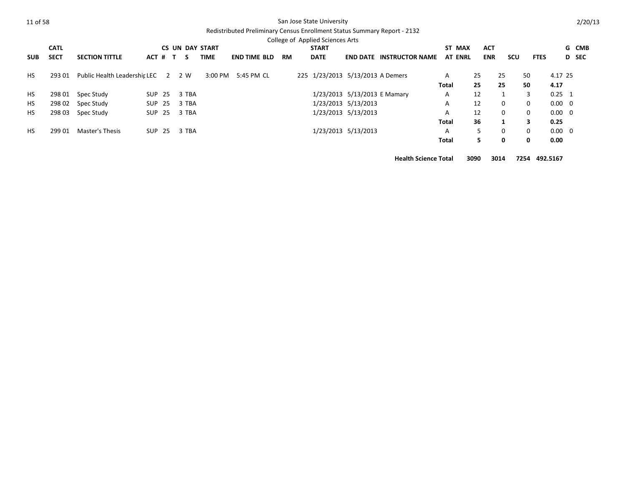# Redistributed Preliminary Census Enrollment Status Summary Report - 2132

|            |             |                                    |               |      |       |                        |                     |           | College of Applied Sciences Arts |                                  |                                 |                |            |              |             |                |              |
|------------|-------------|------------------------------------|---------------|------|-------|------------------------|---------------------|-----------|----------------------------------|----------------------------------|---------------------------------|----------------|------------|--------------|-------------|----------------|--------------|
|            | <b>CATL</b> |                                    |               |      |       | <b>CS UN DAY START</b> |                     |           | <b>START</b>                     |                                  |                                 | ST MAX         | <b>ACT</b> |              |             |                | G CMB        |
| <b>SUB</b> | <b>SECT</b> | <b>SECTION TITTLE</b>              | $ACT$ # $T$   |      | S.    | TIME                   | <b>END TIME BLD</b> | <b>RM</b> | <b>DATE</b>                      |                                  | <b>END DATE INSTRUCTOR NAME</b> | <b>AT ENRL</b> | <b>ENR</b> | <b>SCU</b>   | <b>FTES</b> |                | <b>D</b> SEC |
| <b>HS</b>  | 293 01      | Public Health Leadershir LEC 2 2 W |               |      |       | 3:00 PM                | 5:45 PM CL          |           |                                  | 225 1/23/2013 5/13/2013 A Demers |                                 | A              | 25         | 25           | 50          | 4.17 25        |              |
|            |             |                                    |               |      |       |                        |                     |           |                                  |                                  |                                 | <b>Total</b>   | 25         | 25           | 50          | 4.17           |              |
| <b>HS</b>  | 298 01      | Spec Study                         | SUP           | - 25 | 3 TBA |                        |                     |           |                                  | 1/23/2013 5/13/2013 E Mamary     |                                 | A              | 12         |              | 3           | $0.25$ 1       |              |
| <b>HS</b>  | 298 02      | Spec Study                         | SUP 25        |      | 3 TBA |                        |                     |           |                                  | 1/23/2013 5/13/2013              |                                 | A              | 12         | $\mathbf 0$  | 0           | $0.00 \quad 0$ |              |
| <b>HS</b>  | 298 03      | Spec Study                         | SUP 25        |      | 3 TBA |                        |                     |           |                                  | 1/23/2013 5/13/2013              |                                 | A              | 12         | $\mathbf{0}$ | 0           | $0.00 \quad 0$ |              |
|            |             |                                    |               |      |       |                        |                     |           |                                  |                                  |                                 | <b>Total</b>   | 36         |              | 3           | 0.25           |              |
| <b>HS</b>  | 299 01      | Master's Thesis                    | <b>SUP 25</b> |      | 3 TBA |                        |                     |           |                                  | 1/23/2013 5/13/2013              |                                 | A              | 5          | $\mathbf 0$  | $\mathbf 0$ | $0.00 \quad 0$ |              |
|            |             |                                    |               |      |       |                        |                     |           |                                  |                                  |                                 | Total          | 5.         | 0            | 0           | 0.00           |              |

**Health Science Total 3090 3014 7254 492.5167**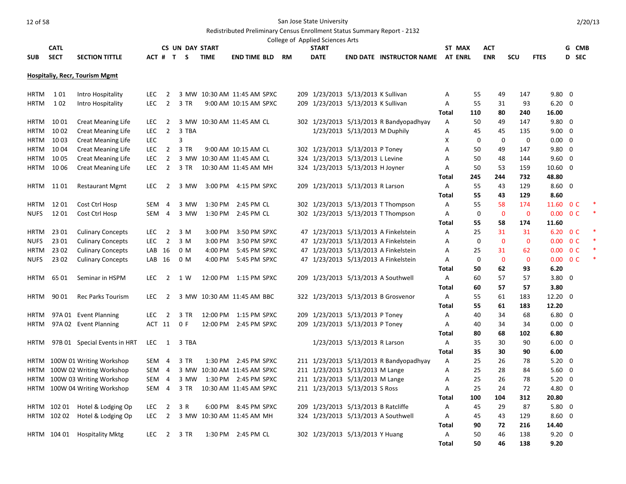# Redistributed Preliminary Census Enrollment Status Summary Report - 2132

|                            |               |                                                        |                          |                |                        |             |                                                     |    | College of Applied Sciences Arts    |                               |                                         |                          |                   |                   |                    |                          |                                           |        |
|----------------------------|---------------|--------------------------------------------------------|--------------------------|----------------|------------------------|-------------|-----------------------------------------------------|----|-------------------------------------|-------------------------------|-----------------------------------------|--------------------------|-------------------|-------------------|--------------------|--------------------------|-------------------------------------------|--------|
|                            | <b>CATL</b>   |                                                        |                          |                | <b>CS UN DAY START</b> | <b>TIME</b> |                                                     |    | <b>START</b>                        |                               |                                         | ST MAX<br><b>AT ENRL</b> |                   | ACT               |                    |                          |                                           | G CMB  |
| <b>SUB</b>                 | <b>SECT</b>   | <b>SECTION TITTLE</b>                                  | ACT #                    |                | T S                    |             | <b>END TIME BLD</b>                                 | RM | <b>DATE</b>                         |                               | <b>END DATE INSTRUCTOR NAME</b>         |                          |                   | <b>ENR</b>        | <b>SCU</b>         | <b>FTES</b>              |                                           | D SEC  |
|                            |               | <b>Hospitaliy, Recr, Tourism Mgmt</b>                  |                          |                |                        |             |                                                     |    |                                     |                               |                                         |                          |                   |                   |                    |                          |                                           |        |
|                            |               |                                                        |                          |                |                        |             |                                                     |    |                                     |                               |                                         |                          |                   |                   |                    |                          |                                           |        |
| <b>HRTM</b>                | 101           | Intro Hospitality                                      | <b>LEC</b>               | $\overline{2}$ |                        |             | 3 MW 10:30 AM 11:45 AM SPXC                         |    | 209 1/23/2013 5/13/2013 K Sullivan  |                               |                                         | Α                        | 55                | 49                | 147                | $9.80 \quad 0$           |                                           |        |
| <b>HRTM</b>                | 102           | Intro Hospitality                                      | <b>LEC</b>               | $\overline{2}$ | 3 TR                   |             | 9:00 AM 10:15 AM SPXC                               |    | 209 1/23/2013 5/13/2013 K Sullivan  |                               |                                         | A                        | 55                | 31                | 93                 | $6.20 \quad 0$           |                                           |        |
|                            |               |                                                        |                          |                |                        |             |                                                     |    |                                     |                               |                                         | Total                    | 110               | 80                | 240                | 16.00                    |                                           |        |
| <b>HRTM</b>                | 10 01         | <b>Creat Meaning Life</b>                              | <b>LEC</b>               | 2              |                        |             | 3 MW 10:30 AM 11:45 AM CL                           |    |                                     |                               | 302 1/23/2013 5/13/2013 R Bandyopadhyay | A                        | 50                | 49                | 147                | $9.80 \quad 0$           |                                           |        |
| <b>HRTM</b><br><b>HRTM</b> | 10 02<br>1003 | <b>Creat Meaning Life</b><br><b>Creat Meaning Life</b> | <b>LEC</b><br><b>LEC</b> | $\overline{2}$ | 3 TBA<br>3             |             |                                                     |    |                                     | 1/23/2013 5/13/2013 M Duphily |                                         | Α<br>X                   | 45<br>$\mathbf 0$ | 45<br>$\mathbf 0$ | 135<br>$\mathbf 0$ | 9.00<br>0.00             | $\overline{\mathbf{0}}$<br>$\overline{0}$ |        |
| <b>HRTM</b>                | 1004          | <b>Creat Meaning Life</b>                              | LEC                      | $\overline{2}$ | 3 TR                   |             | 9:00 AM 10:15 AM CL                                 |    | 302 1/23/2013 5/13/2013 P Toney     |                               |                                         | Α                        | 50                | 49                | 147                | 9.80                     | $\overline{\mathbf{0}}$                   |        |
| <b>HRTM</b>                | 10 05         | <b>Creat Meaning Life</b>                              | <b>LEC</b>               | $\overline{2}$ |                        |             | 3 MW 10:30 AM 11:45 AM CL                           |    | 324 1/23/2013 5/13/2013 L Levine    |                               |                                         | Α                        | 50                | 48                | 144                | 9.60                     | $\overline{\mathbf{0}}$                   |        |
| <b>HRTM</b>                | 10 06         | <b>Creat Meaning Life</b>                              | <b>LEC</b>               | $\overline{2}$ | 3 TR                   |             | 10:30 AM 11:45 AM MH                                |    | 324 1/23/2013 5/13/2013 H Joyner    |                               |                                         | Α                        | 50                | 53                | 159                | $10.60 \quad 0$          |                                           |        |
|                            |               |                                                        |                          |                |                        |             |                                                     |    |                                     |                               |                                         | <b>Total</b>             | 245               | 244               | 732                | 48.80                    |                                           |        |
| <b>HRTM</b>                | 11 01         | <b>Restaurant Mgmt</b>                                 | LEC.                     | 2              | 3 MW                   |             | 3:00 PM 4:15 PM SPXC                                |    | 209 1/23/2013 5/13/2013 R Larson    |                               |                                         | Α                        | 55                | 43                | 129                | $8.60 \quad 0$           |                                           |        |
|                            |               |                                                        |                          |                |                        |             |                                                     |    |                                     |                               |                                         | Total                    | 55                | 43                | 129                | 8.60                     |                                           |        |
| <b>HRTM</b>                | 1201          | Cost Ctrl Hosp                                         | SEM                      | $\overline{4}$ | 3 MW                   | 1:30 PM     | 2:45 PM CL                                          |    |                                     |                               | 302 1/23/2013 5/13/2013 T Thompson      | Α                        | 55                | 58                | 174                | 11.60                    | 0 <sup>C</sup>                            |        |
| <b>NUFS</b>                | 12 01         | Cost Ctrl Hosp                                         | SEM                      | $\overline{4}$ | 3 MW                   | 1:30 PM     | 2:45 PM CL                                          |    |                                     |                               | 302 1/23/2013 5/13/2013 T Thompson      | Α                        | 0                 | $\mathbf 0$       | $\mathbf 0$        | $0.00 \quad 0 \text{ C}$ |                                           |        |
|                            |               |                                                        |                          |                |                        |             |                                                     |    |                                     |                               |                                         | Total                    | 55                | 58                | 174                | 11.60                    |                                           |        |
| <b>HRTM</b>                | 23 01         | <b>Culinary Concepts</b>                               | LEC                      | $\overline{2}$ | 3 M                    | 3:00 PM     | 3:50 PM SPXC                                        |    |                                     |                               | 47 1/23/2013 5/13/2013 A Finkelstein    | Α                        | 25                | 31                | 31                 | 6.20                     | 0 <sup>C</sup>                            |        |
| <b>NUFS</b>                | 23 01         | <b>Culinary Concepts</b>                               | <b>LEC</b>               | $\overline{2}$ | 3 M                    | 3:00 PM     | 3:50 PM SPXC                                        |    |                                     |                               | 47 1/23/2013 5/13/2013 A Finkelstein    | A                        | $\mathbf 0$       | $\mathbf{0}$      | $\mathbf{0}$       | $0.00 \quad 0 \text{ C}$ |                                           |        |
| <b>HRTM</b>                | 23 02         | <b>Culinary Concepts</b>                               | LAB 16                   |                | 0 M                    | 4:00 PM     | 5:45 PM SPXC                                        |    |                                     |                               | 47 1/23/2013 5/13/2013 A Finkelstein    | A                        | 25                | 31                | 62                 | $0.00 \t 0 C$            |                                           |        |
| <b>NUFS</b>                | 23 02         | <b>Culinary Concepts</b>                               | LAB 16                   |                | 0 M                    | 4:00 PM     | 5:45 PM SPXC                                        |    |                                     |                               | 47 1/23/2013 5/13/2013 A Finkelstein    | Α                        | 0                 | $\mathbf{0}$      | $\mathbf{0}$       | 0.00 <sub>1</sub>        | 0 <sup>C</sup>                            | $\ast$ |
|                            |               |                                                        |                          |                |                        |             |                                                     |    |                                     |                               |                                         | <b>Total</b>             | 50                | 62                | 93                 | 6.20                     |                                           |        |
| <b>HRTM</b>                | 65 01         | Seminar in HSPM                                        | <b>LEC</b>               | $\overline{2}$ | 1 W                    | 12:00 PM    | 1:15 PM SPXC                                        |    |                                     |                               | 209 1/23/2013 5/13/2013 A Southwell     | Α                        | 60                | 57                | 57                 | $3.80 \quad 0$           |                                           |        |
|                            |               |                                                        |                          |                |                        |             |                                                     |    |                                     |                               |                                         | Total                    | 60                | 57                | 57                 | 3.80                     |                                           |        |
| <b>HRTM</b>                | 90 01         | <b>Rec Parks Tourism</b>                               | <b>LEC</b>               | 2              |                        |             | 3 MW 10:30 AM 11:45 AM BBC                          |    |                                     |                               | 322 1/23/2013 5/13/2013 B Grosvenor     | Α                        | 55                | 61                | 183                | 12.20 0                  |                                           |        |
|                            |               |                                                        |                          |                |                        |             |                                                     |    |                                     |                               |                                         | <b>Total</b>             | 55                | 61                | 183                | 12.20                    |                                           |        |
| <b>HRTM</b>                |               | 97A 01 Event Planning                                  | <b>LEC</b>               | $\overline{2}$ | 3 TR                   | 12:00 PM    | 1:15 PM SPXC                                        |    | 209 1/23/2013 5/13/2013 P Toney     |                               |                                         | А                        | 40                | 34                | 68                 | 6.80                     | $\overline{\mathbf{0}}$                   |        |
| <b>HRTM</b>                |               | 97A 02 Event Planning                                  | ACT 11                   |                | 0 F                    | 12:00 PM    | 2:45 PM SPXC                                        |    | 209 1/23/2013 5/13/2013 P Toney     |                               |                                         | Α                        | 40                | 34                | 34                 | $0.00 \quad 0$           |                                           |        |
|                            |               |                                                        |                          |                |                        |             |                                                     |    |                                     |                               |                                         | Total                    | 80                | 68                | 102                | 6.80                     |                                           |        |
| <b>HRTM</b>                |               | 97B 01 Special Events in HRT                           | <b>LEC</b>               | 1              | 3 TBA                  |             |                                                     |    |                                     | 1/23/2013 5/13/2013 R Larson  |                                         | Α                        | 35                | 30                | 90                 | 6.00                     | $\overline{0}$                            |        |
|                            |               |                                                        |                          |                |                        |             |                                                     |    |                                     |                               |                                         | Total                    | 35                | 30                | 90<br>78           | 6.00                     |                                           |        |
| <b>HRTM</b><br><b>HRTM</b> |               | 100W 01 Writing Workshop<br>100W 02 Writing Workshop   | SEM 4<br>SEM 4           |                | 3 TR                   |             | 1:30 PM 2:45 PM SPXC<br>3 MW 10:30 AM 11:45 AM SPXC |    | 211 1/23/2013 5/13/2013 M Lange     |                               | 211 1/23/2013 5/13/2013 R Bandyopadhyay | Α<br>A                   | 25<br>25          | 26<br>28          | 84                 | $5.20 \ 0$<br>5.60       | $\overline{\mathbf{0}}$                   |        |
| <b>HRTM</b>                |               | 100W 03 Writing Workshop                               | SEM                      | $\overline{4}$ | 3 MW                   |             | 1:30 PM 2:45 PM SPXC                                |    | 211 1/23/2013 5/13/2013 M Lange     |                               |                                         | A                        | 25                | 26                | 78                 | 5.20                     | $\overline{0}$                            |        |
| <b>HRTM</b>                |               | 100W 04 Writing Workshop                               | SEM <sub>4</sub>         |                | 3 TR                   |             | 10:30 AM 11:45 AM SPXC                              |    | 211 1/23/2013 5/13/2013 S Ross      |                               |                                         | Α                        | 25                | 24                | 72                 | 4.80 0                   |                                           |        |
|                            |               |                                                        |                          |                |                        |             |                                                     |    |                                     |                               |                                         | <b>Total</b>             | 100               | 104               | 312                | 20.80                    |                                           |        |
| <b>HRTM</b>                | 102 01        | Hotel & Lodging Op                                     | <b>LEC</b>               | $\overline{2}$ | 3 R                    | 6:00 PM     | 8:45 PM SPXC                                        |    | 209 1/23/2013 5/13/2013 B Ratcliffe |                               |                                         | A                        | 45                | 29                | 87                 | $5.80 \quad 0$           |                                           |        |
| <b>HRTM</b>                | 102 02        | Hotel & Lodging Op                                     | <b>LEC</b>               | $\overline{2}$ |                        |             | 3 MW 10:30 AM 11:45 AM MH                           |    |                                     |                               | 324 1/23/2013 5/13/2013 A Southwell     | A                        | 45                | 43                | 129                | $8.60 \quad 0$           |                                           |        |
|                            |               |                                                        |                          |                |                        |             |                                                     |    |                                     |                               |                                         | Total                    | 90                | 72                | 216                | 14.40                    |                                           |        |
|                            |               | HRTM 104 01 Hospitality Mktg                           | LEC.                     | 2              | 3 TR                   |             | 1:30 PM 2:45 PM CL                                  |    | 302 1/23/2013 5/13/2013 Y Huang     |                               |                                         | A                        | 50                | 46                | 138                | $9.20 \quad 0$           |                                           |        |
|                            |               |                                                        |                          |                |                        |             |                                                     |    |                                     |                               |                                         | <b>Total</b>             | 50                | 46                | 138                | 9.20                     |                                           |        |

2/20/13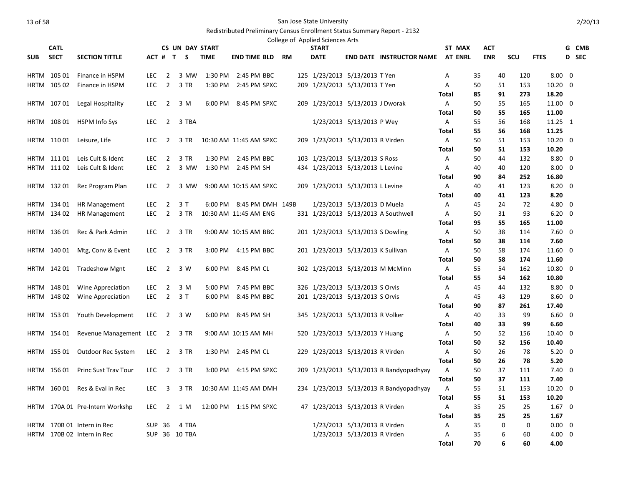|            |             |                                 |            |                         |                        |             |                        |  | College of Applied Sciences Arts |                                    |                                         |              |                |            |         |             |                        |       |
|------------|-------------|---------------------------------|------------|-------------------------|------------------------|-------------|------------------------|--|----------------------------------|------------------------------------|-----------------------------------------|--------------|----------------|------------|---------|-------------|------------------------|-------|
|            | <b>CATL</b> |                                 |            |                         | <b>CS UN DAY START</b> |             |                        |  | <b>START</b>                     |                                    |                                         |              | ST MAX         | <b>ACT</b> |         |             |                        | G CMB |
| <b>SUB</b> | <b>SECT</b> | <b>SECTION TITTLE</b>           |            |                         | ACT # T S              | <b>TIME</b> | <b>END TIME BLD RM</b> |  | <b>DATE</b>                      |                                    | <b>END DATE INSTRUCTOR NAME</b>         |              | <b>AT ENRL</b> | <b>ENR</b> |         | <b>SCU</b>  | <b>FTES</b>            | D SEC |
|            | HRTM 105 01 | Finance in HSPM                 | <b>LEC</b> | $\overline{2}$          | 3 MW                   | 1:30 PM     | 2:45 PM BBC            |  |                                  | 125 1/23/2013 5/13/2013 T Yen      |                                         | A            |                | 35         | 40      | 120         | $8.00 \quad 0$         |       |
|            | HRTM 10502  | Finance in HSPM                 | <b>LEC</b> | $\overline{2}$          | 3 TR                   | 1:30 PM     | 2:45 PM SPXC           |  |                                  | 209 1/23/2013 5/13/2013 T Yen      |                                         | A            |                | 50         | 51      | 153         | $10.20 \quad 0$        |       |
|            |             |                                 |            |                         |                        |             |                        |  |                                  |                                    |                                         | <b>Total</b> |                | 85         | 91      | 273         | 18.20                  |       |
|            |             | HRTM 107 01 Legal Hospitality   | LEC.       | $\overline{2}$          | 3 M                    |             | 6:00 PM 8:45 PM SPXC   |  |                                  | 209 1/23/2013 5/13/2013 J Dworak   |                                         | A            |                | 50         | 55      | 165         | 11.00 0                |       |
|            |             |                                 |            |                         |                        |             |                        |  |                                  |                                    |                                         | Total        |                | 50         | 55      | 165         | 11.00                  |       |
|            |             | HRTM 108 01 HSPM Info Sys       | <b>LEC</b> |                         | 2 3 TBA                |             |                        |  |                                  | 1/23/2013 5/13/2013 P Wey          |                                         | $\mathsf{A}$ |                | 55         | 56      | 168         | 11.25 1                |       |
|            |             |                                 |            |                         |                        |             |                        |  |                                  |                                    |                                         | <b>Total</b> |                | 55         | 56      | 168         | 11.25                  |       |
|            |             | HRTM 11001 Leisure, Life        | <b>LEC</b> | 2                       | 3 TR                   |             | 10:30 AM 11:45 AM SPXC |  |                                  | 209 1/23/2013 5/13/2013 R Virden   |                                         | A            |                | 50         | 51      | 153         | $10.20 \quad 0$        |       |
|            |             |                                 |            |                         |                        |             |                        |  |                                  |                                    |                                         | <b>Total</b> |                | 50         | 51      | 153         | 10.20                  |       |
|            | HRTM 11101  | Leis Cult & Ident               | LEC.       | 2                       | 3 TR                   | 1:30 PM     | 2:45 PM BBC            |  |                                  | 103 1/23/2013 5/13/2013 S Ross     |                                         | Α            |                | 50         | 44      | 132         | 8.80 0                 |       |
|            |             | HRTM 11102 Leis Cult & Ident    | <b>LEC</b> | $\overline{2}$          | 3 MW                   |             | 1:30 PM 2:45 PM SH     |  |                                  | 434 1/23/2013 5/13/2013 L Levine   |                                         | A            |                | 40         | 40      | 120         | $8.00 \quad 0$         |       |
|            |             |                                 |            |                         |                        |             |                        |  |                                  |                                    |                                         | <b>Total</b> |                | 90         | 84      | 252         | 16.80                  |       |
|            |             | HRTM 132 01 Rec Program Plan    | <b>LEC</b> | $\overline{2}$          | 3 MW                   |             | 9:00 AM 10:15 AM SPXC  |  |                                  | 209 1/23/2013 5/13/2013 L Levine   |                                         | A            |                | 40         | 41      | 123         | $8.20 \quad 0$         |       |
|            |             |                                 |            |                         |                        |             |                        |  |                                  |                                    |                                         | Total        |                | 40         | 41      | 123         | 8.20                   |       |
|            | HRTM 134 01 | <b>HR Management</b>            | <b>LEC</b> | $\overline{2}$          | 3T                     | 6:00 PM     | 8:45 PM DMH 149B       |  |                                  | 1/23/2013 5/13/2013 D Muela        |                                         | A            |                | 45         | 24      | 72          | 4.80 0                 |       |
|            | HRTM 134 02 | <b>HR Management</b>            | <b>LEC</b> | $\overline{2}$          | 3 TR                   |             | 10:30 AM 11:45 AM ENG  |  |                                  |                                    | 331 1/23/2013 5/13/2013 A Southwell     | A            |                | 50         | 31      | 93          | $6.20 \quad 0$         |       |
|            |             |                                 |            |                         |                        |             |                        |  |                                  |                                    |                                         | Total        |                | 95         | 55      | 165         | 11.00                  |       |
|            | HRTM 13601  | Rec & Park Admin                | LEC        | $\overline{2}$          | 3 TR                   |             | 9:00 AM 10:15 AM BBC   |  |                                  | 201 1/23/2013 5/13/2013 S Dowling  |                                         | A            |                | 50         | 38      | 114         | $7.60 \quad 0$         |       |
|            |             |                                 |            |                         |                        |             |                        |  |                                  |                                    |                                         | Total        |                | 50         | 38      | 114         | 7.60                   |       |
|            | HRTM 140 01 | Mtg, Conv & Event               | LEC        | $\overline{2}$          | 3 TR                   |             | 3:00 PM 4:15 PM BBC    |  |                                  | 201 1/23/2013 5/13/2013 K Sullivan |                                         | A            |                | 50         | 58      | 174         | 11.60 0                |       |
|            |             |                                 |            |                         |                        |             |                        |  |                                  |                                    |                                         | <b>Total</b> |                | 50         | 58      | 174         | 11.60                  |       |
|            |             | HRTM 142 01 Tradeshow Mgnt      | <b>LEC</b> | $\overline{2}$          | 3 W                    |             | 6:00 PM 8:45 PM CL     |  |                                  | 302 1/23/2013 5/13/2013 M McMinn   |                                         | A            |                | 55         | 54      | 162         | 10.80 0                |       |
|            |             |                                 |            |                         |                        |             |                        |  |                                  |                                    |                                         | Total        |                | 55         | 54      | 162         | 10.80                  |       |
|            | HRTM 14801  | Wine Appreciation               | LEC.       | 2                       | 3 M                    | 5:00 PM     | 7:45 PM BBC            |  |                                  | 326 1/23/2013 5/13/2013 S Orvis    |                                         | Α            |                | 45         | 44      | 132         | $8.80 \quad 0$         |       |
|            | HRTM 14802  | Wine Appreciation               | LEC.       | $\overline{\mathbf{2}}$ | 3T                     | 6:00 PM     | 8:45 PM BBC            |  |                                  | 201 1/23/2013 5/13/2013 S Orvis    |                                         | A            |                | 45         | 43      | 129         | $8.60 \quad 0$         |       |
|            |             |                                 |            |                         |                        |             |                        |  |                                  |                                    |                                         | Total        |                | 90         | 87      | 261         | 17.40                  |       |
|            |             | HRTM 153 01 Youth Development   | <b>LEC</b> | $\overline{2}$          | 3 W                    |             | 6:00 PM 8:45 PM SH     |  |                                  | 345 1/23/2013 5/13/2013 R Volker   |                                         | $\mathsf{A}$ |                | 40         | 33      | 99          | $6.60 \quad 0$         |       |
|            |             |                                 |            |                         |                        |             |                        |  |                                  |                                    |                                         | <b>Total</b> |                | 40         | 33      | 99          | 6.60                   |       |
|            | HRTM 154 01 | Revenue Management LEC          |            | $\overline{2}$          | 3 TR                   |             | 9:00 AM 10:15 AM MH    |  |                                  | 520 1/23/2013 5/13/2013 Y Huang    |                                         | Α            |                | 50         | 52      | 156         | 10.40 0                |       |
|            |             |                                 |            |                         |                        |             |                        |  |                                  |                                    |                                         | <b>Total</b> |                | 50         | 52      | 156         | 10.40                  |       |
|            | HRTM 155 01 | Outdoor Rec System              | LEC        |                         | 2 3 TR                 |             | 1:30 PM 2:45 PM CL     |  |                                  | 229 1/23/2013 5/13/2013 R Virden   |                                         | A            |                | 50         | 26      | 78          | $5.20 \quad 0$         |       |
|            |             |                                 |            |                         |                        |             |                        |  |                                  |                                    |                                         | Total        |                | 50         | 26      | 78          | 5.20                   |       |
|            | HRTM 15601  | <b>Princ Sust Trav Tour</b>     | LEC.       | $\overline{2}$          | 3 TR                   |             | 3:00 PM 4:15 PM SPXC   |  |                                  |                                    | 209 1/23/2013 5/13/2013 R Bandyopadhyay | A            |                | 50         | 37      | 111         | $7.40 \quad 0$         |       |
|            |             |                                 |            |                         |                        |             |                        |  |                                  |                                    |                                         | Total        |                | 50         | 37      | 111         | 7.40                   |       |
|            |             | HRTM 160 01 Res & Eval in Rec   | <b>LEC</b> | 3                       | 3 TR                   |             | 10:30 AM 11:45 AM DMH  |  |                                  |                                    | 234 1/23/2013 5/13/2013 R Bandyopadhyay | A            |                | 55         | 51      | 153         | $10.20 \quad 0$        |       |
|            |             |                                 |            |                         |                        |             |                        |  |                                  |                                    |                                         | <b>Total</b> |                | 55         | 51      | 153         | 10.20                  |       |
|            |             | HRTM 170A 01 Pre-Intern Workshp | LEC.       | 2                       | 1 M                    |             | 12:00 PM  1:15 PM SPXC |  |                                  | 47 1/23/2013 5/13/2013 R Virden    |                                         | A            |                | 35         | 25      | 25<br>25    | $1.67 \quad 0$         |       |
|            |             | HRTM 170B 01 Intern in Rec      | SUP 36     |                         | 4 TBA                  |             |                        |  |                                  | 1/23/2013 5/13/2013 R Virden       |                                         | Total<br>A   |                | 35<br>35   | 25<br>0 | $\mathbf 0$ | 1.67<br>$0.00 \quad 0$ |       |
|            |             | HRTM 170B 02 Intern in Rec      |            |                         | SUP 36 10 TBA          |             |                        |  |                                  | 1/23/2013 5/13/2013 R Virden       |                                         | A            |                | 35         | 6       | 60          | $4.00 \quad 0$         |       |
|            |             |                                 |            |                         |                        |             |                        |  |                                  |                                    |                                         | Total        |                | 70         | 6       | 60          | 4.00                   |       |
|            |             |                                 |            |                         |                        |             |                        |  |                                  |                                    |                                         |              |                |            |         |             |                        |       |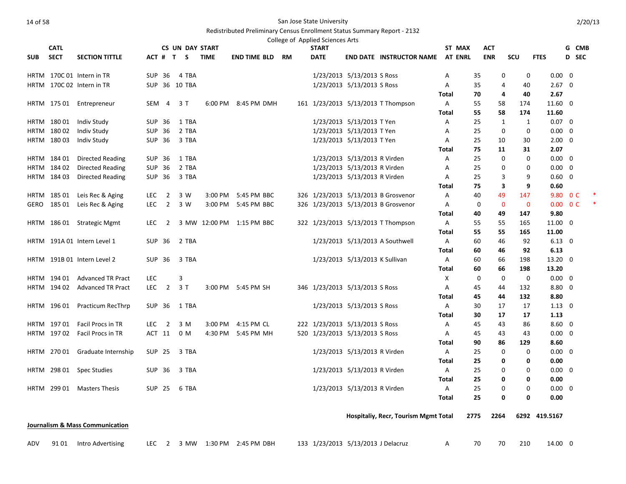|             |             |                                            |               |                |                        |               |                          |    | College of Applied Sciences Arts   |                                |                                      |                |          |                   |             |                        |                          |  |
|-------------|-------------|--------------------------------------------|---------------|----------------|------------------------|---------------|--------------------------|----|------------------------------------|--------------------------------|--------------------------------------|----------------|----------|-------------------|-------------|------------------------|--------------------------|--|
|             | <b>CATL</b> |                                            |               |                | <b>CS UN DAY START</b> |               |                          |    | <b>START</b>                       |                                |                                      | ST MAX         |          | ACT               |             |                        | G CMB                    |  |
| <b>SUB</b>  | <b>SECT</b> | <b>SECTION TITTLE</b>                      |               |                | ACT # T S              | <b>TIME</b>   | <b>END TIME BLD</b>      | RM | <b>DATE</b>                        |                                | <b>END DATE INSTRUCTOR NAME</b>      | <b>AT ENRL</b> |          | <b>ENR</b>        | <b>SCU</b>  | <b>FTES</b>            | D SEC                    |  |
|             |             | HRTM 170C 01 Intern in TR                  | <b>SUP 36</b> |                | 4 TBA                  |               |                          |    |                                    | 1/23/2013 5/13/2013 S Ross     |                                      | Α              | 35       | 0                 | 0           | $0.00 \quad 0$         |                          |  |
|             |             | HRTM 170C 02 Intern in TR                  |               |                | SUP 36 10 TBA          |               |                          |    |                                    | 1/23/2013 5/13/2013 S Ross     |                                      | Α              | 35       | $\overline{4}$    | 40          | $2.67 \quad 0$         |                          |  |
|             |             |                                            |               |                |                        |               |                          |    |                                    |                                |                                      | Total          | 70       | 4                 | 40          | 2.67                   |                          |  |
| <b>HRTM</b> |             | 175 01 Entrepreneur                        | SEM           | -4             | 3 T                    |               | 6:00 PM 8:45 PM DMH      |    |                                    |                                | 161 1/23/2013 5/13/2013 T Thompson   | A              | 55       | 58                | 174         | 11.60 0                |                          |  |
|             |             |                                            |               |                |                        |               |                          |    |                                    |                                |                                      | Total          | 55       | 58                | 174         | 11.60                  |                          |  |
|             | HRTM 18001  | Indiv Study                                | SUP 36        |                | 1 TBA                  |               |                          |    |                                    | 1/23/2013 5/13/2013 T Yen      |                                      | Α              | 25       | 1                 | 1           | $0.07 \quad 0$         |                          |  |
| HRTM        | 18002       | Indiv Study                                | SUP 36        |                | 2 TBA                  |               |                          |    |                                    | 1/23/2013 5/13/2013 T Yen      |                                      | A              | 25       | 0                 | $\mathbf 0$ | $0.00 \quad 0$         |                          |  |
| <b>HRTM</b> | 18003       | Indiv Study                                | SUP 36        |                | 3 TBA                  |               |                          |    |                                    | 1/23/2013 5/13/2013 T Yen      |                                      | A              | 25       | 10                | 30          | $2.00 \quad 0$         |                          |  |
|             |             |                                            |               |                |                        |               |                          |    |                                    |                                |                                      | Total          | 75       | 11                | 31          | 2.07                   |                          |  |
|             | HRTM 18401  | Directed Reading                           | SUP 36        |                | 1 TBA                  |               |                          |    |                                    | 1/23/2013 5/13/2013 R Virden   |                                      | Α              | 25       | 0                 | 0           | $0.00 \quad 0$         |                          |  |
|             | HRTM 184 02 | Directed Reading                           | <b>SUP 36</b> |                | 2 TBA                  |               |                          |    |                                    | 1/23/2013 5/13/2013 R Virden   |                                      | A              | 25       | 0                 | $\mathbf 0$ | $0.00\,$               | $\overline{\mathbf{0}}$  |  |
| <b>HRTM</b> | 184 03      | Directed Reading                           | <b>SUP 36</b> |                | 3 TBA                  |               |                          |    |                                    | 1/23/2013 5/13/2013 R Virden   |                                      | Α              | 25       | 3                 | 9           | $0.60 \quad 0$         |                          |  |
|             |             |                                            |               |                |                        |               |                          |    |                                    |                                |                                      | Total          | 75       | 3                 | 9           | 0.60                   |                          |  |
|             | HRTM 18501  | Leis Rec & Aging                           | <b>LEC</b>    | $\overline{2}$ | 3 W                    | 3:00 PM       | 5:45 PM BBC              |    |                                    |                                | 326 1/23/2013 5/13/2013 B Grosvenor  | Α              | 40       | 49                | 147         | 9.80                   | 0 <sup>C</sup>           |  |
| GERO        | 185 01      | Leis Rec & Aging                           | <b>LEC</b>    | $\overline{2}$ | 3 W                    | 3:00 PM       | 5:45 PM BBC              |    |                                    |                                | 326 1/23/2013 5/13/2013 B Grosvenor  | Α              | 0        | $\mathbf 0$       | $\mathbf 0$ |                        | $0.00 \quad 0 \text{ C}$ |  |
|             |             |                                            |               |                |                        |               |                          |    |                                    |                                |                                      | Total          | 40       | 49                | 147         | 9.80                   |                          |  |
| <b>HRTM</b> |             | 186 01 Strategic Mgmt                      | <b>LEC</b>    | $\overline{2}$ |                        | 3 MW 12:00 PM | 1:15 PM BBC              |    |                                    |                                | 322 1/23/2013 5/13/2013 T Thompson   | Α              | 55       | 55                | 165         | 11.00 0                |                          |  |
|             |             |                                            |               |                |                        |               |                          |    |                                    |                                |                                      | Total          | 55       | 55                | 165         | 11.00                  |                          |  |
|             |             | HRTM 191A 01 Intern Level 1                | <b>SUP 36</b> |                | 2 TBA                  |               |                          |    |                                    |                                | 1/23/2013 5/13/2013 A Southwell      | Α              | 60       | 46                | 92          | $6.13 \quad 0$         |                          |  |
|             |             |                                            |               |                |                        |               |                          |    |                                    |                                |                                      | Total          | 60       | 46                | 92          | 6.13                   |                          |  |
| <b>HRTM</b> |             | 191B 01 Intern Level 2                     | <b>SUP 36</b> |                | 3 TBA                  |               |                          |    |                                    | 1/23/2013 5/13/2013 K Sullivan |                                      | A              | 60       | 66                | 198         | 13.20 0                |                          |  |
|             |             |                                            |               |                |                        |               |                          |    |                                    |                                |                                      | Total          | 60       | 66                | 198         | 13.20                  |                          |  |
|             | HRTM 194 01 | <b>Advanced TR Pract</b>                   | LEC           |                | 3                      |               |                          |    |                                    |                                |                                      | Χ              | 0        | 0                 | $\mathbf 0$ | $0.00 \quad 0$         |                          |  |
| HRTM        | 194 02      | <b>Advanced TR Pract</b>                   | LEC           | $\overline{2}$ | 3T                     |               | 3:00 PM 5:45 PM SH       |    | 346 1/23/2013 5/13/2013 S Ross     |                                |                                      | Α              | 45       | 44                | 132         | $8.80\quad 0$          |                          |  |
|             |             |                                            |               |                |                        |               |                          |    |                                    |                                |                                      | Total          | 45       | 44                | 132         | 8.80                   |                          |  |
| HRTM        | 196 01      | Practicum RecThrp                          | SUP 36        |                | 1 TBA                  |               |                          |    |                                    | 1/23/2013 5/13/2013 S Ross     |                                      | Α              | 30       | 17                | 17          | $1.13 \quad 0$         |                          |  |
|             |             |                                            |               |                |                        |               |                          |    |                                    |                                |                                      | <b>Total</b>   | 30       | 17                | 17          | 1.13                   |                          |  |
|             | HRTM 19701  | Facil Procs in TR                          | <b>LEC</b>    | $\overline{2}$ | 3 M                    | 3:00 PM       | 4:15 PM CL               |    | 222 1/23/2013 5/13/2013 S Ross     |                                |                                      | A              | 45       | 43                | 86          | $8.60 \quad 0$         |                          |  |
| HRTM        | 197 02      | Facil Procs in TR                          |               | ACT 11         | 0 M                    | 4:30 PM       | 5:45 PM MH               |    | 520 1/23/2013 5/13/2013 S Ross     |                                |                                      | A              | 45       | 43                | 43          | $0.00 \quad 0$         |                          |  |
|             |             |                                            |               |                |                        |               |                          |    |                                    |                                |                                      | Total          | 90       | 86<br>$\mathbf 0$ | 129         | 8.60                   |                          |  |
|             |             | HRTM 270 01 Graduate Internship            | <b>SUP 25</b> |                | 3 TBA                  |               |                          |    |                                    | 1/23/2013 5/13/2013 R Virden   |                                      | A              | 25       |                   | $\mathbf 0$ | $0.00 \quad 0$         |                          |  |
|             |             |                                            |               |                |                        |               |                          |    |                                    |                                |                                      | Total          | 25       | 0                 | 0           | 0.00                   |                          |  |
| HRTM        |             | 298 01 Spec Studies                        | SUP 36        |                | 3 TBA                  |               |                          |    |                                    | 1/23/2013 5/13/2013 R Virden   |                                      | A              | 25       | 0                 | 0           | $0.00 \quad 0$         |                          |  |
| HRTM        | 299 01      |                                            |               |                |                        |               |                          |    |                                    |                                |                                      | Total          | 25<br>25 | 0<br>0            | 0<br>0      | 0.00<br>$0.00 \quad 0$ |                          |  |
|             |             | Masters Thesis                             | SUP 25        |                | 6 TBA                  |               |                          |    |                                    | 1/23/2013 5/13/2013 R Virden   |                                      | Α<br>Total     | 25       | $\mathbf 0$       | 0           | 0.00                   |                          |  |
|             |             |                                            |               |                |                        |               |                          |    |                                    |                                |                                      |                |          |                   |             |                        |                          |  |
|             |             |                                            |               |                |                        |               |                          |    |                                    |                                | Hospitaliy, Recr, Tourism Mgmt Total |                | 2775     | 2264              |             | 6292 419.5167          |                          |  |
|             |             | <b>Journalism &amp; Mass Communication</b> |               |                |                        |               |                          |    |                                    |                                |                                      |                |          |                   |             |                        |                          |  |
| ADV         | 91 01       | Intro Advertising                          | <b>LEC</b>    | $\overline{2}$ |                        |               | 3 MW 1:30 PM 2:45 PM DBH |    | 133 1/23/2013 5/13/2013 J Delacruz |                                |                                      | Α              | 70       | 70                | 210         | 14.00 0                |                          |  |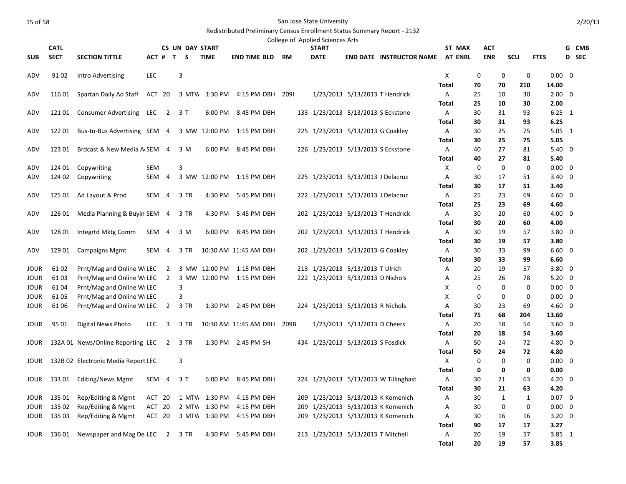|             | <b>CATL</b> |                                     |            |                         | <b>CS UN DAY START</b> |               |                           |      | College of Applied Sciences Arts<br><b>START</b> |                                    |                                       | ST MAX         |          | ACT          |          |                | G              | CMB   |
|-------------|-------------|-------------------------------------|------------|-------------------------|------------------------|---------------|---------------------------|------|--------------------------------------------------|------------------------------------|---------------------------------------|----------------|----------|--------------|----------|----------------|----------------|-------|
| <b>SUB</b>  | <b>SECT</b> | <b>SECTION TITTLE</b>               | ACT #      |                         | $\mathbf{T}$<br>S.     | <b>TIME</b>   | <b>END TIME BLD</b>       | RM   | <b>DATE</b>                                      |                                    | <b>END DATE INSTRUCTOR NAME</b>       | <b>AT ENRL</b> |          | <b>ENR</b>   | SCU      | <b>FTES</b>    |                | D SEC |
|             |             |                                     |            |                         |                        |               |                           |      |                                                  |                                    |                                       |                |          |              |          |                |                |       |
| ADV         | 91 02       | Intro Advertising                   | <b>LEC</b> |                         | 3                      |               |                           |      |                                                  |                                    |                                       | X              | 0        | 0            | 0        | $0.00 \quad 0$ |                |       |
|             |             |                                     |            |                         |                        |               |                           |      |                                                  |                                    |                                       | <b>Total</b>   | 70       | 70           | 210      | 14.00          |                |       |
| ADV         | 116 01      | Spartan Daily Ad Staff ACT 20       |            |                         |                        |               | 3 MTW 1:30 PM 4:15 PM DBH | 2091 |                                                  | 1/23/2013 5/13/2013 T Hendrick     |                                       | Α              | 25       | 10           | 30       | $2.00 \quad 0$ |                |       |
|             |             |                                     |            |                         |                        |               |                           |      |                                                  |                                    |                                       | <b>Total</b>   | 25       | 10           | 30       | 2.00           |                |       |
| ADV         | 121 01      | Consumer Advertising LEC            |            | $\overline{\mathbf{2}}$ | 3 T                    | 6:00 PM       | 8:45 PM DBH               |      |                                                  | 133 1/23/2013 5/13/2013 S Eckstone |                                       | A              | 30       | 31           | 93       | $6.25 \quad 1$ |                |       |
|             |             |                                     |            |                         |                        |               |                           |      |                                                  |                                    |                                       | Total          | 30       | 31           | 93       | 6.25           |                |       |
| ADV         | 122 01      | Bus-to-Bus Advertising SEM 4        |            |                         |                        |               | 3 MW 12:00 PM 1:15 PM DBH |      |                                                  | 225 1/23/2013 5/13/2013 G Coakley  |                                       | A              | 30       | 25           | 75       | $5.05 \quad 1$ |                |       |
|             |             |                                     |            |                         |                        |               |                           |      |                                                  |                                    |                                       | <b>Total</b>   | 30       | 25           | 75       | 5.05           |                |       |
| ADV         | 123 01      | Brdcast & New Media A SEM 4         |            |                         | 3 M                    | 6:00 PM       | 8:45 PM DBH               |      |                                                  | 226 1/23/2013 5/13/2013 S Eckstone |                                       | A              | 40       | 27           | 81       | 5.40           | $\mathbf 0$    |       |
|             |             |                                     |            |                         |                        |               |                           |      |                                                  |                                    |                                       | <b>Total</b>   | 40       | 27           | 81       | 5.40           |                |       |
| ADV         | 124 01      | Copywriting                         | SEM        |                         | 3                      |               |                           |      |                                                  |                                    |                                       | X              | 0        | 0            | 0        | $0.00 \quad 0$ |                |       |
| ADV         | 124 02      | Copywriting                         | SEM        | 4                       |                        |               | 3 MW 12:00 PM 1:15 PM DBH |      |                                                  | 225 1/23/2013 5/13/2013 J Delacruz |                                       | Α              | 30       | 17           | 51       | 3.40           | 0              |       |
|             |             |                                     |            |                         |                        |               |                           |      |                                                  |                                    |                                       | <b>Total</b>   | 30       | 17           | 51       | 3.40           |                |       |
| ADV         | 125 01      | Ad Layout & Prod                    | SEM 4      |                         | 3 TR                   | 4:30 PM       | 5:45 PM DBH               |      |                                                  | 222 1/23/2013 5/13/2013 J Delacruz |                                       | A              | 25       | 23           | 69       | $4.60 \quad 0$ |                |       |
|             |             |                                     |            |                         |                        |               |                           |      |                                                  |                                    |                                       | <b>Total</b>   | 25       | 23           | 69       | 4.60           |                |       |
| ADV         | 126 01      | Media Planning & Buyin SEM 4        |            |                         | 3 TR                   | 4:30 PM       | 5:45 PM DBH               |      |                                                  | 202 1/23/2013 5/13/2013 T Hendrick |                                       | A              | 30       | 20           | 60       | $4.00 \quad 0$ |                |       |
|             |             |                                     |            |                         |                        |               |                           |      |                                                  |                                    |                                       | Total          | 30       | 20           | 60       | 4.00           | $\overline{0}$ |       |
| ADV         | 128 01      | Integrtd Mktg Comm                  | SEM 4      |                         | 3 M                    |               | 6:00 PM 8:45 PM DBH       |      |                                                  | 202 1/23/2013 5/13/2013 T Hendrick |                                       | A<br>Total     | 30<br>30 | 19<br>19     | 57<br>57 | 3.80<br>3.80   |                |       |
| ADV         | 129 01      | <b>Campaigns Mgmt</b>               | SEM 4      |                         | 3 TR                   |               | 10:30 AM 11:45 AM DBH     |      |                                                  | 202 1/23/2013 5/13/2013 G Coakley  |                                       | A              | 30       | 33           | 99       | $6.60 \quad 0$ |                |       |
|             |             |                                     |            |                         |                        |               |                           |      |                                                  |                                    |                                       | <b>Total</b>   | 30       | 33           | 99       | 6.60           |                |       |
| JOUR        | 61 02       | Prnt/Mag and Online WILEC 2         |            |                         |                        |               | 3 MW 12:00 PM 1:15 PM DBH |      |                                                  | 213 1/23/2013 5/13/2013 T Ulrich   |                                       | Α              | 20       | 19           | 57       | $3.80$ 0       |                |       |
| <b>JOUR</b> | 6103        | Prnt/Mag and Online WLEC            |            | $\overline{2}$          |                        |               | 3 MW 12:00 PM 1:15 PM DBH |      |                                                  | 222 1/23/2013 5/13/2013 D Nichols  |                                       | A              | 25       | 26           | 78       | $5.20 \quad 0$ |                |       |
| JOUR        | 61 04       | Prnt/Mag and Online WILEC           |            |                         | 3                      |               |                           |      |                                                  |                                    |                                       | Х              | 0        | $\mathbf 0$  | 0        | $0.00 \quad 0$ |                |       |
| <b>JOUR</b> | 6105        | Prnt/Mag and Online WILEC           |            |                         | 3                      |               |                           |      |                                                  |                                    |                                       | X              | 0        | $\mathbf 0$  | 0        | $0.00 \quad 0$ |                |       |
| <b>JOUR</b> | 61 06       | Prnt/Mag and Online WLEC            |            | $\overline{2}$          | 3 TR                   |               | 1:30 PM 2:45 PM DBH       |      |                                                  | 224 1/23/2013 5/13/2013 R Nichols  |                                       | A              | 30       | 23           | 69       | $4.60 \quad 0$ |                |       |
|             |             |                                     |            |                         |                        |               |                           |      |                                                  |                                    |                                       | <b>Total</b>   | 75       | 68           | 204      | 13.60          |                |       |
| JOUR        | 95 01       | Digital News Photo                  | <b>LEC</b> | 3                       | 3 TR                   |               | 10:30 AM 11:45 AM DBH     | 209B |                                                  | 1/23/2013 5/13/2013 D Cheers       |                                       | A              | 20       | 18           | 54       | $3.60 \quad 0$ |                |       |
|             |             |                                     |            |                         |                        |               |                           |      |                                                  |                                    |                                       | Total          | 20       | 18           | 54       | 3.60           |                |       |
| JOUR        |             | 132A 01 News/Online Reporting LEC   |            | $\overline{2}$          | 3 TR                   |               | 1:30 PM 2:45 PM SH        |      |                                                  | 434 1/23/2013 5/13/2013 S Fosdick  |                                       | A              | 50       | 24           | 72       | 4.80 0         |                |       |
|             |             |                                     |            |                         |                        |               |                           |      |                                                  |                                    |                                       | <b>Total</b>   | 50       | 24           | 72       | 4.80           |                |       |
| JOUR        |             | 132B 02 Electronic Media Report LEC |            |                         | 3                      |               |                           |      |                                                  |                                    |                                       | X              | 0        | $\mathbf 0$  | 0        | $0.00 \quad 0$ |                |       |
|             |             |                                     |            |                         |                        |               |                           |      |                                                  |                                    |                                       | Total          | 0        | 0            | 0        | 0.00           |                |       |
| JOUR        | 133 01      | Editing/News Mgmt                   |            | SEM 4                   | 3T                     |               | 6:00 PM 8:45 PM DBH       |      |                                                  |                                    | 224 1/23/2013 5/13/2013 W Tillinghast | A              | 30       | 21           | 63       | $4.20 \quad 0$ |                |       |
|             |             |                                     |            |                         |                        |               |                           |      |                                                  |                                    |                                       | <b>Total</b>   | 30       | 21           | 63       | 4.20           |                |       |
| JOUR        | 135 01      | Rep/Editing & Mgmt                  | ACT 20     |                         | 1 MTW                  | 1:30 PM       | 4:15 PM DBH               |      |                                                  |                                    | 209 1/23/2013 5/13/2013 K Komenich    | Α              | 30       | $\mathbf{1}$ | 1        | $0.07 \quad 0$ |                |       |
| JOUR        | 135 02      | Rep/Editing & Mgmt                  | ACT 20     |                         |                        | 2 MTW 1:30 PM | 4:15 PM DBH               |      |                                                  |                                    | 209 1/23/2013 5/13/2013 K Komenich    | Α              | 30       | 0            | 0        | 0.00           | 0              |       |
| JOUR        | 135 03      | Rep/Editing & Mgmt                  | ACT 20     |                         |                        |               | 3 MTW 1:30 PM 4:15 PM DBH |      |                                                  |                                    | 209 1/23/2013 5/13/2013 K Komenich    | A              | 30       | 16           | 16       | $3.20 \ 0$     |                |       |
|             |             |                                     |            |                         |                        |               |                           |      |                                                  |                                    |                                       | Total          | 90       | 17           | 17       | 3.27           |                |       |
| JOUR        | 136 01      | Newspaper and Mag De LEC 2          |            |                         | 3 TR                   |               | 4:30 PM 5:45 PM DBH       |      |                                                  | 213 1/23/2013 5/13/2013 T Mitchell |                                       | A              | 20       | 19           | 57       | $3.85$ 1       |                |       |
|             |             |                                     |            |                         |                        |               |                           |      |                                                  |                                    |                                       | Total          | 20       | 19           | 57       | 3.85           |                |       |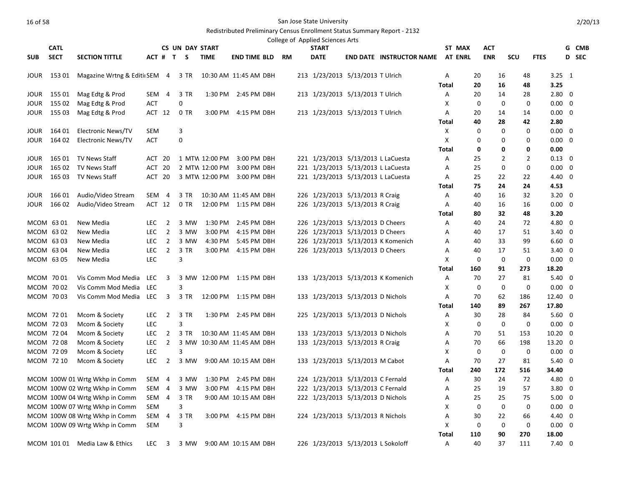|             |             |                                |            |                         |                |        |                        |                            |  | College of Applied Sciences Arts |                                    |                                    |              |                |              |             |     |                |                 |              |
|-------------|-------------|--------------------------------|------------|-------------------------|----------------|--------|------------------------|----------------------------|--|----------------------------------|------------------------------------|------------------------------------|--------------|----------------|--------------|-------------|-----|----------------|-----------------|--------------|
|             | <b>CATL</b> |                                |            |                         |                |        | <b>CS UN DAY START</b> |                            |  | <b>START</b>                     |                                    |                                    |              | ST MAX         | <b>ACT</b>   |             |     |                |                 | G CMB        |
| <b>SUB</b>  | <b>SECT</b> | <b>SECTION TITTLE</b>          |            |                         | ACT # T S      |        | <b>TIME</b>            | <b>END TIME BLD RM</b>     |  | <b>DATE</b>                      |                                    | <b>END DATE INSTRUCTOR NAME</b>    |              | <b>AT ENRL</b> | <b>ENR</b>   |             | scu | <b>FTES</b>    |                 | <b>D</b> SEC |
| JOUR        | 153 01      | Magazine Wrtng & Editi SEM 4   |            |                         |                | 3 TR   |                        | 10:30 AM 11:45 AM DBH      |  |                                  | 213 1/23/2013 5/13/2013 T Ulrich   |                                    | Α            |                | 20           | 16          | 48  |                | $3.25 \quad 1$  |              |
|             |             |                                |            |                         |                |        |                        |                            |  |                                  |                                    |                                    | <b>Total</b> |                | 20           | 16          | 48  |                | 3.25            |              |
| <b>JOUR</b> | 155 01      | Mag Edtg & Prod                | SEM        | $\overline{4}$          |                | 3 TR   |                        | 1:30 PM 2:45 PM DBH        |  |                                  | 213 1/23/2013 5/13/2013 T Ulrich   |                                    | Α            |                | 20           | 14          | 28  |                | $2.80 \quad 0$  |              |
| JOUR        | 155 02      | Mag Edtg & Prod                | <b>ACT</b> |                         | $\mathbf 0$    |        |                        |                            |  |                                  |                                    |                                    | Х            |                | 0            | $\mathbf 0$ |     | 0              | $0.00 \quad 0$  |              |
| <b>JOUR</b> | 155 03      | Mag Edtg & Prod                | ACT 12     |                         |                | $0$ TR |                        | 3:00 PM 4:15 PM DBH        |  |                                  | 213 1/23/2013 5/13/2013 T Ulrich   |                                    | Α            |                | 20           | 14          | 14  |                | $0.00 \quad 0$  |              |
|             |             |                                |            |                         |                |        |                        |                            |  |                                  |                                    |                                    | Total        |                | 40           | 28          | 42  |                | 2.80            |              |
| JOUR        | 164 01      | Electronic News/TV             | <b>SEM</b> |                         | $\mathsf 3$    |        |                        |                            |  |                                  |                                    |                                    | X            |                | 0            | 0           |     | 0              | $0.00 \quad 0$  |              |
| <b>JOUR</b> | 164 02      | <b>Electronic News/TV</b>      | ACT        |                         | 0              |        |                        |                            |  |                                  |                                    |                                    | X            |                | $\mathbf{0}$ | 0           |     | 0              | $0.00 \quad 0$  |              |
|             |             |                                |            |                         |                |        |                        |                            |  |                                  |                                    |                                    | <b>Total</b> |                | 0            | 0           |     | 0              | 0.00            |              |
| JOUR        | 165 01      | TV News Staff                  | ACT 20     |                         |                |        |                        | 1 MTW 12:00 PM 3:00 PM DBH |  |                                  | 221 1/23/2013 5/13/2013 L LaCuesta |                                    | Α            |                | 25           | 2           |     | $\overline{2}$ | $0.13 \quad 0$  |              |
| <b>JOUR</b> | 165 02      | TV News Staff                  | ACT 20     |                         |                |        |                        | 2 MTW 12:00 PM 3:00 PM DBH |  |                                  | 221 1/23/2013 5/13/2013 L LaCuesta |                                    | A            |                | 25           | 0           |     | $\mathbf 0$    | $0.00 \quad 0$  |              |
| <b>JOUR</b> | 165 03      | TV News Staff                  | ACT 20     |                         |                |        |                        | 3 MTW 12:00 PM 3:00 PM DBH |  |                                  | 221 1/23/2013 5/13/2013 L LaCuesta |                                    | Α            |                | 25           | 22          | 22  |                | $4.40 \quad 0$  |              |
|             |             |                                |            |                         |                |        |                        |                            |  |                                  |                                    |                                    | Total        |                | 75           | 24          | 24  |                | 4.53            |              |
| <b>JOUR</b> | 166 01      | Audio/Video Stream             | SEM 4      |                         |                | 3 TR   |                        | 10:30 AM 11:45 AM DBH      |  |                                  | 226 1/23/2013 5/13/2013 R Craig    |                                    | Α            |                | 40           | 16          | 32  |                | $3.20 \quad 0$  |              |
| <b>JOUR</b> | 16602       | Audio/Video Stream             | ACT 12     |                         |                | $0$ TR |                        | 12:00 PM 1:15 PM DBH       |  |                                  | 226 1/23/2013 5/13/2013 R Craig    |                                    | Α            |                | 40           | 16          | 16  |                | $0.00 \quad 0$  |              |
|             |             |                                |            |                         |                |        |                        |                            |  |                                  |                                    |                                    | Total        |                | 80           | 32          | 48  |                | 3.20            |              |
|             | MCOM 63 01  | New Media                      | <b>LEC</b> | 2                       |                | 3 MW   | 1:30 PM                | 2:45 PM DBH                |  |                                  | 226 1/23/2013 5/13/2013 D Cheers   |                                    | Α            |                | 40           | 24          | 72  |                | 4.80 0          |              |
|             | MCOM 63 02  | New Media                      | <b>LEC</b> | $\overline{2}$          |                | 3 MW   | 3:00 PM                | 4:15 PM DBH                |  |                                  | 226 1/23/2013 5/13/2013 D Cheers   |                                    | Α            |                | 40           | 17          | 51  |                | $3.40 \quad 0$  |              |
|             | MCOM 6303   | New Media                      | <b>LEC</b> | $\overline{2}$          |                | 3 MW   | 4:30 PM                | 5:45 PM DBH                |  |                                  |                                    | 226 1/23/2013 5/13/2013 K Komenich | A            |                | 40           | 33          | 99  |                | $6.60 \quad 0$  |              |
|             | MCOM 63 04  | New Media                      | <b>LEC</b> | $\overline{2}$          |                | 3 TR   |                        | 3:00 PM 4:15 PM DBH        |  |                                  | 226 1/23/2013 5/13/2013 D Cheers   |                                    | Α            |                | 40           | 17          | 51  |                | $3.40 \quad 0$  |              |
|             | MCOM 63 05  | New Media                      | <b>LEC</b> |                         | 3              |        |                        |                            |  |                                  |                                    |                                    | Χ            |                | 0            | 0           |     | 0              | $0.00 \quad 0$  |              |
|             |             |                                |            |                         |                |        |                        |                            |  |                                  |                                    |                                    | <b>Total</b> |                | 160          | 91          | 273 |                | 18.20           |              |
|             | MCOM 7001   | Vis Comm Mod Media             | LEC        | 3                       |                |        |                        | 3 MW 12:00 PM 1:15 PM DBH  |  |                                  |                                    | 133 1/23/2013 5/13/2013 K Komenich | Α            |                | 70           | 27          | 81  |                | $5.40 \quad 0$  |              |
|             | MCOM 7002   | Vis Comm Mod Media             | LEC        |                         | $\overline{3}$ |        |                        |                            |  |                                  |                                    |                                    | х            |                | 0            | 0           |     | 0              | $0.00 \quad 0$  |              |
|             | MCOM 7003   | Vis Comm Mod Media LEC         |            | $\overline{\mathbf{3}}$ |                | 3 TR   |                        | 12:00 PM 1:15 PM DBH       |  |                                  | 133 1/23/2013 5/13/2013 D Nichols  |                                    | Α            |                | 70           | 62          | 186 |                | 12.40 0         |              |
|             |             |                                |            |                         |                |        |                        |                            |  |                                  |                                    |                                    | <b>Total</b> |                | 140          | 89          | 267 |                | 17.80           |              |
|             | MCOM 7201   | Mcom & Society                 | LEC.       | $\overline{2}$          |                | 3 TR   |                        | 1:30 PM 2:45 PM DBH        |  |                                  | 225 1/23/2013 5/13/2013 D Nichols  |                                    | Α            |                | 30           | 28          | 84  |                | $5.60 \quad 0$  |              |
|             | MCOM 72 03  | Mcom & Society                 | <b>LEC</b> |                         | 3              |        |                        |                            |  |                                  |                                    |                                    | x            |                | 0            | $\mathbf 0$ |     | 0              | $0.00 \quad 0$  |              |
|             | MCOM 7204   | Mcom & Society                 | <b>LEC</b> | $\overline{2}$          |                | 3 TR   |                        | 10:30 AM 11:45 AM DBH      |  |                                  | 133 1/23/2013 5/13/2013 D Nichols  |                                    | A            |                | 70           | 51          | 153 |                | $10.20 \quad 0$ |              |
|             | MCOM 72 08  | Mcom & Society                 | <b>LEC</b> | $\overline{2}$          |                |        |                        | 3 MW 10:30 AM 11:45 AM DBH |  |                                  | 133 1/23/2013 5/13/2013 R Craig    |                                    | Α            |                | 70           | 66          | 198 |                | 13.20 0         |              |
|             | MCOM 72 09  | Mcom & Society                 | <b>LEC</b> |                         | 3              |        |                        |                            |  |                                  |                                    |                                    | Χ            |                | 0            | 0           |     | 0              | $0.00 \quad 0$  |              |
|             | MCOM 72 10  | Mcom & Society                 | <b>LEC</b> | $\overline{2}$          |                | 3 MW   |                        | 9:00 AM 10:15 AM DBH       |  |                                  | 133 1/23/2013 5/13/2013 M Cabot    |                                    | A            |                | 70           | 27          | 81  |                | $5.40 \quad 0$  |              |
|             |             |                                |            |                         |                |        |                        |                            |  |                                  |                                    |                                    | Total        |                | 240          | 172         | 516 |                | 34.40           |              |
|             |             | MCOM 100W 01 Wrtg Wkhp in Comm | SEM        | 4                       |                | 3 MW   |                        | 1:30 PM 2:45 PM DBH        |  |                                  | 224 1/23/2013 5/13/2013 C Fernald  |                                    | Α            |                | 30           | 24          | 72  |                | 4.80 0          |              |
|             |             | MCOM 100W 02 Wrtg Wkhp in Comm | SEM 4      |                         |                | 3 MW   |                        | 3:00 PM 4:15 PM DBH        |  |                                  | 222 1/23/2013 5/13/2013 C Fernald  |                                    | A            |                | 25           | 19          | 57  |                | $3.80 \quad 0$  |              |
|             |             | MCOM 100W 04 Wrtg Wkhp in Comm | SEM 4      |                         |                | 3 TR   |                        | 9:00 AM 10:15 AM DBH       |  |                                  | 222 1/23/2013 5/13/2013 D Nichols  |                                    | Α            |                | 25           | 25          | 75  |                | $5.00 \quad 0$  |              |
|             |             | MCOM 100W 07 Wrtg Wkhp in Comm | SEM        |                         | 3              |        |                        |                            |  |                                  |                                    |                                    | х            |                | 0            | $\mathbf 0$ |     | 0              | $0.00 \quad 0$  |              |
|             |             | MCOM 100W 08 Wrtg Wkhp in Comm | SEM 4      |                         |                | 3 TR   |                        | 3:00 PM 4:15 PM DBH        |  |                                  | 224 1/23/2013 5/13/2013 R Nichols  |                                    | A            |                | 30           | 22          | 66  |                | $4.40 \quad 0$  |              |
|             |             | MCOM 100W 09 Wrtg Wkhp in Comm | <b>SEM</b> |                         | 3              |        |                        |                            |  |                                  |                                    |                                    | X            |                | 0            | $\mathbf 0$ |     | 0              | $0.00 \quad 0$  |              |
|             |             |                                |            |                         |                |        |                        |                            |  |                                  |                                    |                                    | Total        |                | 110          | 90          | 270 |                | 18.00           |              |
|             |             | MCOM 101 01 Media Law & Ethics | <b>LEC</b> | 3                       |                | 3 MW   |                        | 9:00 AM 10:15 AM DBH       |  |                                  | 226 1/23/2013 5/13/2013 L Sokoloff |                                    | A            |                | 40           | 37          | 111 |                | $7.40 \quad 0$  |              |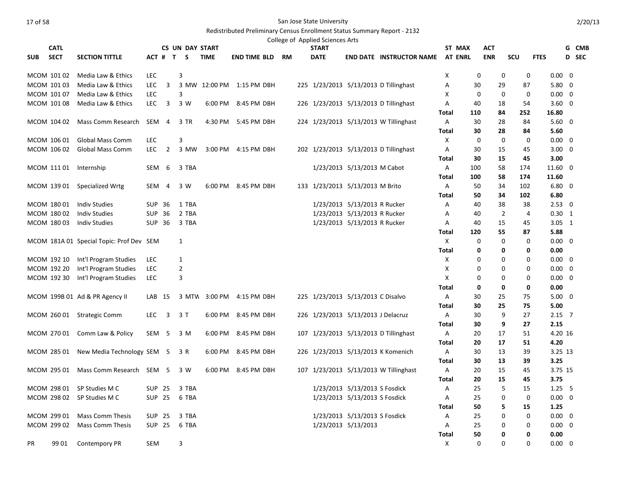|            | <b>CATL</b>                |                                          |                  |                | <b>CS UN DAY START</b> |               |                           |  | College of Applied Sciences Arts<br><b>START</b> |                                    |                                       |              | ST MAX                     |                          |                            |                                  |       |
|------------|----------------------------|------------------------------------------|------------------|----------------|------------------------|---------------|---------------------------|--|--------------------------------------------------|------------------------------------|---------------------------------------|--------------|----------------------------|--------------------------|----------------------------|----------------------------------|-------|
| <b>SUB</b> | <b>SECT</b>                |                                          | ACT # T          |                |                        | <b>TIME</b>   |                           |  | <b>DATE</b>                                      |                                    |                                       |              | <b>AT ENRL</b>             | <b>ACT</b><br><b>ENR</b> |                            |                                  | G CMB |
|            |                            | <b>SECTION TITTLE</b>                    |                  |                | S                      |               | <b>END TIME BLD RM</b>    |  |                                                  |                                    | <b>END DATE INSTRUCTOR NAME</b>       |              |                            |                          | SCU                        | <b>FTES</b>                      | D SEC |
|            | MCOM 10102                 | Media Law & Ethics                       | <b>LEC</b>       |                | 3                      |               |                           |  |                                                  |                                    |                                       | X            | 0                          |                          | 0<br>0                     | $0.00 \quad 0$                   |       |
|            | MCOM 101 03                | Media Law & Ethics                       | <b>LEC</b>       | 3              |                        | 3 MW 12:00 PM | 1:15 PM DBH               |  |                                                  |                                    | 225 1/23/2013 5/13/2013 D Tillinghast | Α            | 30                         | 29                       | 87                         | $5.80 \quad 0$                   |       |
|            | MCOM 101 07                | Media Law & Ethics                       | <b>LEC</b>       |                | 3                      |               |                           |  |                                                  |                                    |                                       | X            | 0                          | 0                        | 0                          | $0.00 \quad 0$                   |       |
|            | MCOM 101 08                | Media Law & Ethics                       | <b>LEC</b>       | 3              | 3 W                    | 6:00 PM       | 8:45 PM DBH               |  |                                                  |                                    | 226 1/23/2013 5/13/2013 D Tillinghast | Α            | 40                         | 18                       | 54                         | $3.60 \quad 0$                   |       |
|            |                            |                                          |                  |                |                        |               |                           |  |                                                  |                                    |                                       | Total        | 110                        | 84                       | 252                        | 16.80                            |       |
|            | MCOM 104 02                | Mass Comm Research                       | SEM 4            |                | 3 TR                   | 4:30 PM       | 5:45 PM DBH               |  |                                                  |                                    | 224 1/23/2013 5/13/2013 W Tillinghast | A            | 30                         | 28                       | 84                         | $5.60 \quad 0$                   |       |
|            |                            |                                          |                  |                |                        |               |                           |  |                                                  |                                    |                                       | <b>Total</b> | 30                         | 28                       | 84                         | 5.60                             |       |
|            | MCOM 106 01                | <b>Global Mass Comm</b>                  | <b>LEC</b>       |                | $\mathsf 3$            |               |                           |  |                                                  |                                    |                                       | $\mathsf{x}$ | $\mathbf 0$                |                          | $\mathbf 0$<br>$\mathbf 0$ | $0.00 \quad 0$                   |       |
|            | MCOM 106 02                | <b>Global Mass Comm</b>                  | <b>LEC</b>       | $\overline{2}$ | 3 MW                   | 3:00 PM       | 4:15 PM DBH               |  |                                                  |                                    | 202 1/23/2013 5/13/2013 D Tillinghast | A            | 30                         | 15                       | 45                         | $3.00 \quad 0$                   |       |
|            |                            |                                          |                  |                |                        |               |                           |  |                                                  |                                    |                                       | Total        | 30                         | 15                       | 45                         | 3.00                             |       |
|            | MCOM 111 01                | Internship                               | SEM              | 6              | 3 TBA                  |               |                           |  |                                                  | 1/23/2013 5/13/2013 M Cabot        |                                       | A            | 100                        | 58                       | 174                        | 11.60 0                          |       |
|            |                            |                                          |                  |                |                        |               |                           |  |                                                  |                                    |                                       | <b>Total</b> | 100                        | 58                       | 174                        | 11.60                            |       |
|            | MCOM 139 01                | Specialized Wrtg                         | SEM 4            |                | 3 W                    | 6:00 PM       | 8:45 PM DBH               |  |                                                  | 133 1/23/2013 5/13/2013 M Brito    |                                       | A            | 50                         | 34                       | 102                        | $6.80$ 0                         |       |
|            |                            |                                          |                  |                |                        |               |                           |  |                                                  |                                    |                                       | Total        | 50                         | 34                       | 102                        | 6.80                             |       |
|            | MCOM 180 01                | <b>Indiv Studies</b>                     | <b>SUP 36</b>    |                | 1 TBA                  |               |                           |  |                                                  | 1/23/2013 5/13/2013 R Rucker       |                                       | Α            | 40                         | 38                       | 38                         | $2.53 \quad 0$                   |       |
|            | MCOM 180 02                | <b>Indiv Studies</b>                     | <b>SUP 36</b>    |                | 2 TBA                  |               |                           |  |                                                  | 1/23/2013 5/13/2013 R Rucker       |                                       | A            | 40                         | $\overline{2}$           | 4                          | $0.30 \quad 1$                   |       |
|            | MCOM 180 03                | <b>Indiv Studies</b>                     | SUP 36           |                | 3 TBA                  |               |                           |  |                                                  | 1/23/2013 5/13/2013 R Rucker       |                                       | A            | 40                         | 15                       | 45                         | $3.05 \quad 1$                   |       |
|            |                            |                                          |                  |                |                        |               |                           |  |                                                  |                                    |                                       | <b>Total</b> | 120                        | 55                       | 87                         | 5.88                             |       |
|            |                            | MCOM 181A 01 Special Topic: Prof Dev SEM |                  |                | 1                      |               |                           |  |                                                  |                                    |                                       | X            | 0                          |                          | 0<br>0                     | $0.00 \quad 0$                   |       |
|            |                            |                                          |                  |                |                        |               |                           |  |                                                  |                                    |                                       | <b>Total</b> | 0                          |                          | 0<br>0                     | 0.00                             |       |
|            | MCOM 192 10                | Int'l Program Studies                    | <b>LEC</b>       |                | $\mathbf{1}$           |               |                           |  |                                                  |                                    |                                       | X            | 0                          |                          | 0<br>0                     | $0.00 \quad 0$                   |       |
|            | MCOM 192 20<br>MCOM 192 30 | Int'l Program Studies                    | LEC              |                | $\overline{2}$         |               |                           |  |                                                  |                                    |                                       | Χ<br>X       | $\mathbf 0$<br>$\mathbf 0$ |                          | 0<br>$\Omega$<br>0         | $0.00 \quad 0$<br>$0.00 \quad 0$ |       |
|            |                            | Int'l Program Studies                    | <b>LEC</b>       |                | $\mathsf 3$            |               |                           |  |                                                  |                                    |                                       |              | 0                          |                          | 0<br>0<br>0                | 0.00                             |       |
|            |                            | MCOM 199B 01 Ad & PR Agency II           | LAB 15           |                |                        |               | 3 MTW 3:00 PM 4:15 PM DBH |  |                                                  | 225 1/23/2013 5/13/2013 C Disalvo  |                                       | Total<br>A   | 30                         | 25                       | 75                         | $5.00 \quad 0$                   |       |
|            |                            |                                          |                  |                |                        |               |                           |  |                                                  |                                    |                                       | <b>Total</b> | 30                         | 25                       | 75                         | 5.00                             |       |
|            | MCOM 260 01                | <b>Strategic Comm</b>                    | <b>LEC</b>       | $\overline{3}$ | 3 T                    | 6:00 PM       | 8:45 PM DBH               |  |                                                  | 226 1/23/2013 5/13/2013 J Delacruz |                                       | A            | 30                         | 9                        | 27                         | $2.15$ 7                         |       |
|            |                            |                                          |                  |                |                        |               |                           |  |                                                  |                                    |                                       | Total        | 30                         | 9                        | 27                         | 2.15                             |       |
|            | MCOM 270 01                | Comm Law & Policy                        | SEM <sub>5</sub> |                | 3 M                    | 6:00 PM       | 8:45 PM DBH               |  |                                                  |                                    | 107 1/23/2013 5/13/2013 D Tillinghast | Α            | 20                         | 17                       | 51                         | 4.20 16                          |       |
|            |                            |                                          |                  |                |                        |               |                           |  |                                                  |                                    |                                       | <b>Total</b> | 20                         | 17                       | 51                         | 4.20                             |       |
|            | MCOM 285 01                | New Media Technology SEM 5               |                  |                | 3 R                    | 6:00 PM       | 8:45 PM DBH               |  |                                                  |                                    | 226 1/23/2013 5/13/2013 K Komenich    | A            | 30                         | 13                       | 39                         | 3.25 13                          |       |
|            |                            |                                          |                  |                |                        |               |                           |  |                                                  |                                    |                                       | Total        | 30                         | 13                       | 39                         | 3.25                             |       |
|            | MCOM 295 01                | Mass Comm Research SEM 5                 |                  |                | 3 W                    | 6:00 PM       | 8:45 PM DBH               |  |                                                  |                                    | 107 1/23/2013 5/13/2013 W Tillinghast | A            | 20                         | 15                       | 45                         | 3.75 15                          |       |
|            |                            |                                          |                  |                |                        |               |                           |  |                                                  |                                    |                                       | <b>Total</b> | 20                         | 15                       | 45                         | 3.75                             |       |
|            | MCOM 298 01                | SP Studies M C                           | <b>SUP 25</b>    |                | 3 TBA                  |               |                           |  |                                                  | 1/23/2013 5/13/2013 S Fosdick      |                                       | Α            | 25                         | 5                        | 15                         | $1.25 \quad 5$                   |       |
|            | MCOM 298 02                | SP Studies M C                           | <b>SUP 25</b>    |                | 6 TBA                  |               |                           |  |                                                  | 1/23/2013 5/13/2013 S Fosdick      |                                       | Α            | 25                         |                          | $\mathbf 0$<br>0           | $0.00 \quad 0$                   |       |
|            |                            |                                          |                  |                |                        |               |                           |  |                                                  |                                    |                                       | Total        | 50                         |                          | 5<br>15                    | 1.25                             |       |
|            | MCOM 299 01                | <b>Mass Comm Thesis</b>                  | SUP 25           |                | 3 TBA                  |               |                           |  |                                                  | 1/23/2013 5/13/2013 S Fosdick      |                                       | Α            | 25                         |                          | 0<br>0                     | $0.00 \quad 0$                   |       |
|            | MCOM 299 02                | Mass Comm Thesis                         | <b>SUP 25</b>    |                | 6 TBA                  |               |                           |  |                                                  | 1/23/2013 5/13/2013                |                                       | A            | 25                         |                          | $\Omega$<br>0              | $0.00 \quad 0$                   |       |
|            |                            |                                          |                  |                |                        |               |                           |  |                                                  |                                    |                                       | <b>Total</b> | 50                         |                          | 0<br>0                     | 0.00                             |       |
| PR         | 99 01                      | <b>Contempory PR</b>                     | <b>SEM</b>       |                | 3                      |               |                           |  |                                                  |                                    |                                       | X            | $\Omega$                   |                          | $\Omega$<br>0              | $0.00 \quad 0$                   |       |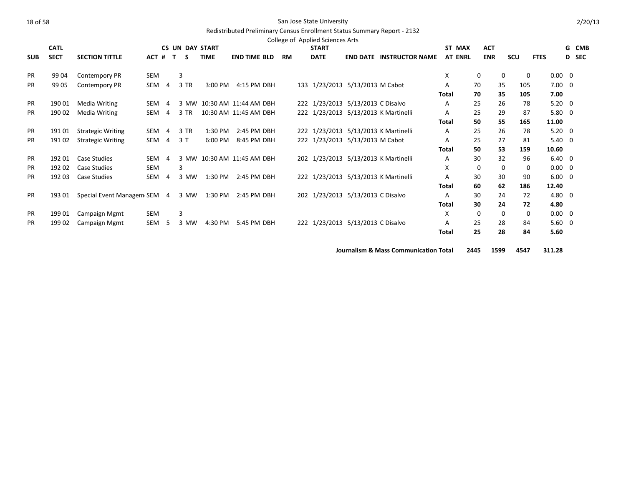# Redistributed Preliminary Census Enrollment Status Summary Report - 2132

|            | <b>CATL</b> |                             |       |                | <b>CS UN DAY START</b> |             |                            |           | <b>START</b> |                                   |                                      | ST MAX         | <b>ACT</b> |             |             |                | G CMB        |
|------------|-------------|-----------------------------|-------|----------------|------------------------|-------------|----------------------------|-----------|--------------|-----------------------------------|--------------------------------------|----------------|------------|-------------|-------------|----------------|--------------|
| <b>SUB</b> | <b>SECT</b> | <b>SECTION TITTLE</b>       | ACT # |                | $\mathbf{T}$<br>S.     | <b>TIME</b> | <b>END TIME BLD</b>        | <b>RM</b> | <b>DATE</b>  |                                   | <b>END DATE INSTRUCTOR NAME</b>      | <b>AT ENRL</b> |            | <b>ENR</b>  | <b>SCU</b>  | <b>FTES</b>    | <b>D</b> SEC |
| <b>PR</b>  | 99 04       | Contempory PR               | SEM   |                | 3                      |             |                            |           |              |                                   |                                      | X              | 0          | $\mathbf 0$ | 0           | $0.00 \quad 0$ |              |
| <b>PR</b>  | 99 05       | Contempory PR               | SEM 4 |                | 3 TR                   | 3:00 PM     | 4:15 PM DBH                |           |              | 133 1/23/2013 5/13/2013 M Cabot   |                                      | A              | 70         | 35          | 105         | $7.00 \quad 0$ |              |
|            |             |                             |       |                |                        |             |                            |           |              |                                   |                                      | <b>Total</b>   | 70         | 35          | 105         | 7.00           |              |
| <b>PR</b>  | 190 01      | Media Writing               | SEM   | $\overline{a}$ |                        |             | 3 MW 10:30 AM 11:44 AM DBH |           |              | 222 1/23/2013 5/13/2013 C Disalvo |                                      | A              | 25         | 26          | 78          | $5.20 \quad 0$ |              |
| <b>PR</b>  | 190 02      | Media Writing               | SEM   | 4              | 3 TR                   |             | 10:30 AM 11:45 AM DBH      |           |              |                                   | 222 1/23/2013 5/13/2013 K Martinelli | A              | 25         | 29          | 87          | $5.80 \quad 0$ |              |
|            |             |                             |       |                |                        |             |                            |           |              |                                   |                                      | <b>Total</b>   | 50         | 55          | 165         | 11.00          |              |
| <b>PR</b>  | 19101       | <b>Strategic Writing</b>    | SEM 4 |                | 3 TR                   | 1:30 PM     | 2:45 PM DBH                |           |              |                                   | 222 1/23/2013 5/13/2013 K Martinelli | A              | 25         | 26          | 78          | $5.20 \ 0$     |              |
| <b>PR</b>  | 19102       | <b>Strategic Writing</b>    | SEM 4 |                | 3T                     | 6:00 PM     | 8:45 PM DBH                |           |              | 222 1/23/2013 5/13/2013 M Cabot   |                                      | Α              | 25         | 27          | 81          | $5.40 \quad 0$ |              |
|            |             |                             |       |                |                        |             |                            |           |              |                                   |                                      | Total          | 50         | 53          | 159         | 10.60          |              |
| <b>PR</b>  | 192 01      | Case Studies                | SEM   | 4              |                        |             | 3 MW 10:30 AM 11:45 AM DBH |           |              |                                   | 202 1/23/2013 5/13/2013 K Martinelli | Α              | 30         | 32          | 96          | $6.40 \quad 0$ |              |
| <b>PR</b>  | 192 02      | Case Studies                | SEM   |                | 3                      |             |                            |           |              |                                   |                                      | X              | $\Omega$   | $\Omega$    | 0           | $0.00 \quad 0$ |              |
| <b>PR</b>  | 192 03      | Case Studies                | SEM   | 4              | 3 MW                   | 1:30 PM     | 2:45 PM DBH                |           |              |                                   | 222 1/23/2013 5/13/2013 K Martinelli | A              | 30         | 30          | 90          | $6.00 \quad 0$ |              |
|            |             |                             |       |                |                        |             |                            |           |              |                                   |                                      | Total          | 60         | 62          | 186         | 12.40          |              |
| <b>PR</b>  | 193 01      | Special Event Managem SEM 4 |       |                | 3 MW                   | 1:30 PM     | 2:45 PM DBH                |           |              | 202 1/23/2013 5/13/2013 C Disalvo |                                      | A              | 30         | 24          | 72          | 4.80 0         |              |
|            |             |                             |       |                |                        |             |                            |           |              |                                   |                                      | Total          | 30         | 24          | 72          | 4.80           |              |
| <b>PR</b>  | 19901       | Campaign Mgmt               | SEM   |                | 3                      |             |                            |           |              |                                   |                                      | X              | 0          | $\mathbf 0$ | $\mathbf 0$ | $0.00 \quad 0$ |              |
| <b>PR</b>  | 199 02      | Campaign Mgmt               | SEM   | -5             | 3 MW                   | 4:30 PM     | 5:45 PM DBH                |           |              | 222 1/23/2013 5/13/2013 C Disalvo |                                      | A              | 25         | 28          | 84          | $5.60 \quad 0$ |              |
|            |             |                             |       |                |                        |             |                            |           |              |                                   |                                      | Total          | 25         | 28          | 84          | 5.60           |              |
|            |             |                             |       |                |                        |             |                            |           |              |                                   |                                      |                |            |             |             |                |              |

**Journalism & Mass Communication Total 2445 1599 4547 311.28**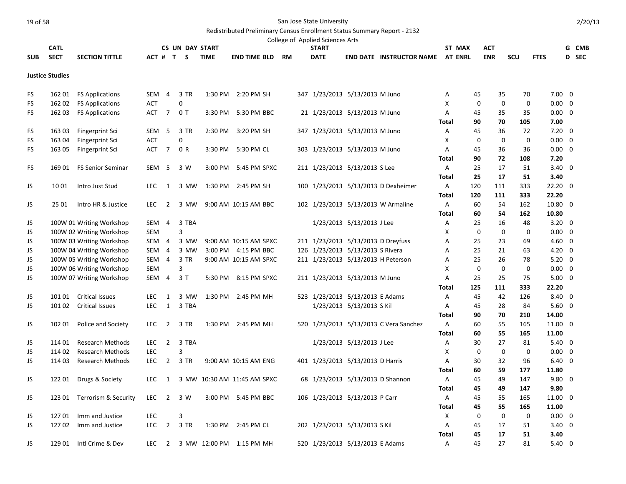|            |                        |                          |                  |                |                |                        |                             |           | College of Applied Sciences Arts |                                    |                                        |              |                |                      |             |              |                |              |
|------------|------------------------|--------------------------|------------------|----------------|----------------|------------------------|-----------------------------|-----------|----------------------------------|------------------------------------|----------------------------------------|--------------|----------------|----------------------|-------------|--------------|----------------|--------------|
|            | <b>CATL</b>            |                          |                  |                |                | <b>CS UN DAY START</b> |                             |           | <b>START</b>                     |                                    |                                        |              | ST MAX         | ACT                  |             |              |                | G CMB        |
| <b>SUB</b> | <b>SECT</b>            | <b>SECTION TITTLE</b>    |                  |                | ACT # T S      | <b>TIME</b>            | <b>END TIME BLD</b>         | <b>RM</b> | <b>DATE</b>                      |                                    | <b>END DATE INSTRUCTOR NAME</b>        |              | <b>AT ENRL</b> | <b>ENR</b>           | <b>SCU</b>  | <b>FTES</b>  |                | <b>D</b> SEC |
|            | <b>Justice Studies</b> |                          |                  |                |                |                        |                             |           |                                  |                                    |                                        |              |                |                      |             |              |                |              |
| FS         | 162 01                 | <b>FS Applications</b>   | SEM              | 4              | 3 TR           |                        | 1:30 PM 2:20 PM SH          |           |                                  | 347 1/23/2013 5/13/2013 M Juno     |                                        | Α            |                | 45                   | 70<br>35    |              | $7.00 \quad 0$ |              |
| FS         | 162 02                 | <b>FS Applications</b>   | <b>ACT</b>       |                | 0              |                        |                             |           |                                  |                                    |                                        | X            |                | 0                    | $\mathbf 0$ | 0            | $0.00 \quad 0$ |              |
| FS         | 162 03                 | <b>FS Applications</b>   | <b>ACT</b>       | $\overline{7}$ | 0 <sub>T</sub> | 3:30 PM                | 5:30 PM BBC                 |           |                                  | 21 1/23/2013 5/13/2013 M Juno      |                                        | A            |                | 45                   | 35<br>35    |              | $0.00 \quad 0$ |              |
|            |                        |                          |                  |                |                |                        |                             |           |                                  |                                    |                                        | Total        |                | 90<br>70             | 105         | 7.00         |                |              |
| FS         | 163 03                 | Fingerprint Sci          | SEM <sub>5</sub> |                | 3 TR           |                        | 2:30 PM 3:20 PM SH          |           |                                  | 347 1/23/2013 5/13/2013 M Juno     |                                        | A            |                | 45                   | 36<br>72    |              | $7.20 \ 0$     |              |
| FS         | 163 04                 | Fingerprint Sci          | ACT              |                | 0              |                        |                             |           |                                  |                                    |                                        | Х            |                | 0                    | 0           | 0            | $0.00 \quad 0$ |              |
| FS         | 163 05                 | Fingerprint Sci          | ACT              | $\overline{7}$ | 0 R            | 3:30 PM                | 5:30 PM CL                  |           |                                  | 303 1/23/2013 5/13/2013 M Juno     |                                        | Α            |                | 45                   | 36<br>36    |              | $0.00 \quad 0$ |              |
|            |                        |                          |                  |                |                |                        |                             |           |                                  |                                    |                                        | Total        |                | 90<br>72             | 108         | 7.20         |                |              |
| FS         | 169 01                 | <b>FS Senior Seminar</b> | SEM <sub>5</sub> |                | 3 W            | 3:00 PM                | 5:45 PM SPXC                |           |                                  | 211 1/23/2013 5/13/2013 S Lee      |                                        | Α            |                | 25<br>17             | 51          |              | $3.40 \quad 0$ |              |
|            |                        |                          |                  |                |                |                        |                             |           |                                  |                                    |                                        | Total        |                | 25<br>17             | 51          | 3.40         |                |              |
| JS         | 10 01                  | Intro Just Stud          | <b>LEC</b>       | 1              | 3 MW           |                        | 1:30 PM 2:45 PM SH          |           |                                  |                                    | 100 1/23/2013 5/13/2013 D Dexheimer    | A            | 120            | 111                  | 333         | $22.20 \t 0$ |                |              |
|            |                        |                          |                  |                |                |                        |                             |           |                                  |                                    |                                        | <b>Total</b> | 120            | 111                  | 333         | 22.20        |                |              |
| JS         | 25 01                  | Intro HR & Justice       | <b>LEC</b>       | $\overline{2}$ | 3 MW           |                        | 9:00 AM 10:15 AM BBC        |           |                                  |                                    | 102 1/23/2013 5/13/2013 W Armaline     | A            | 60             | 54                   | 162         | 10.80 0      |                |              |
|            |                        |                          |                  |                |                |                        |                             |           |                                  |                                    |                                        | <b>Total</b> |                | 60<br>54             | 162         | 10.80        |                |              |
| JS         |                        | 100W 01 Writing Workshop | SEM 4            |                | 3 TBA          |                        |                             |           |                                  | 1/23/2013 5/13/2013 J Lee          |                                        | Α            |                | 25<br>16             | 48          |              | $3.20 \ 0$     |              |
| JS         |                        | 100W 02 Writing Workshop | <b>SEM</b>       |                | 3              |                        |                             |           |                                  |                                    |                                        | X            |                | 0                    | $\mathbf 0$ | $\mathbf 0$  | $0.00 \quad 0$ |              |
| JS         |                        | 100W 03 Writing Workshop | SEM 4            |                | 3 MW           |                        | 9:00 AM 10:15 AM SPXC       |           |                                  | 211 1/23/2013 5/13/2013 D Dreyfuss |                                        | A            |                | 25<br>23             | 69          |              | $4.60 \quad 0$ |              |
| JS         |                        | 100W 04 Writing Workshop | SEM 4            |                | 3 MW           |                        | 3:00 PM 4:15 PM BBC         |           |                                  | 126 1/23/2013 5/13/2013 S Rivera   |                                        | Α            |                | 25                   | 21<br>63    |              | $4.20 \ 0$     |              |
| JS         |                        | 100W 05 Writing Workshop | SEM              | 4              | 3 TR           |                        | 9:00 AM 10:15 AM SPXC       |           |                                  | 211 1/23/2013 5/13/2013 H Peterson |                                        | Α            |                | 25<br>26             | 78          |              | $5.20 \ 0$     |              |
| JS         |                        | 100W 06 Writing Workshop | <b>SEM</b>       |                | 3              |                        |                             |           |                                  |                                    |                                        | X            |                | 0                    | $\mathbf 0$ | $\mathbf 0$  | $0.00 \quad 0$ |              |
| JS         |                        | 100W 07 Writing Workshop |                  | SEM 4          | 3T             | 5:30 PM                | 8:15 PM SPXC                |           |                                  | 211 1/23/2013 5/13/2013 M Juno     |                                        | Α            |                | 25<br>25             | 75          |              | $5.00 \quad 0$ |              |
|            |                        |                          |                  |                |                |                        |                             |           |                                  |                                    |                                        | Total        | 125            | 111                  | 333         | 22.20        |                |              |
| JS         |                        | 101 01 Critical Issues   | LEC              | 1              | 3 MW           |                        | 1:30 PM 2:45 PM MH          |           |                                  | 523 1/23/2013 5/13/2013 E Adams    |                                        | A            |                | 45<br>42             | 126         |              | 8.40 0         |              |
| JS         | 101 02                 | <b>Critical Issues</b>   | LEC              | 1              | 3 TBA          |                        |                             |           |                                  | 1/23/2013 5/13/2013 S Kil          |                                        | A            |                | 45                   | 28<br>84    |              | $5.60 \quad 0$ |              |
|            |                        |                          |                  |                |                |                        |                             |           |                                  |                                    |                                        | Total        |                | 90<br>70             | 210         | 14.00        |                |              |
| JS         | 102 01                 | Police and Society       | LEC              | $\overline{2}$ | 3 TR           |                        | 1:30 PM 2:45 PM MH          |           |                                  |                                    | 520 1/23/2013 5/13/2013 C Vera Sanchez | A            |                | 55<br>60             | 165         | 11.00 0      |                |              |
|            |                        |                          |                  |                |                |                        |                             |           |                                  |                                    |                                        | Total        |                | 60<br>55             | 165         | 11.00        |                |              |
| JS         | 114 01                 | <b>Research Methods</b>  | <b>LEC</b>       | $\overline{2}$ | 3 TBA          |                        |                             |           |                                  | 1/23/2013 5/13/2013 J Lee          |                                        | Α            |                | 30<br>27             | 81          |              | $5.40 \quad 0$ |              |
| JS         | 114 02                 | <b>Research Methods</b>  | LEC              |                | 3              |                        |                             |           |                                  |                                    |                                        | X            |                | 0                    | $\mathbf 0$ | $\mathbf 0$  | $0.00 \quad 0$ |              |
| JS         | 114 03                 | <b>Research Methods</b>  | LEC              | $\overline{2}$ | 3 TR           |                        | 9:00 AM 10:15 AM ENG        |           |                                  | 401 1/23/2013 5/13/2013 D Harris   |                                        | Α            |                | 30                   | 32<br>96    |              | $6.40 \quad 0$ |              |
|            |                        |                          |                  |                |                |                        |                             |           |                                  |                                    |                                        | <b>Total</b> |                | 60<br>59             | 177         | 11.80        |                |              |
| JS         | 122 01                 | Drugs & Society          | <b>LEC</b>       | 1              |                |                        | 3 MW 10:30 AM 11:45 AM SPXC |           |                                  | 68 1/23/2013 5/13/2013 D Shannon   |                                        | A            |                | 45<br>49             | 147         |              | $9.80$ 0       |              |
|            |                        |                          |                  |                |                |                        |                             |           |                                  |                                    |                                        | <b>Total</b> |                | 45<br>49             | 147         | 9.80         |                |              |
| JS         | 123 01                 | Terrorism & Security     | LEC              | $\overline{2}$ | 3 W            |                        | 3:00 PM 5:45 PM BBC         |           |                                  | 106 1/23/2013 5/13/2013 P Carr     |                                        | Α            |                | 45<br>55             | 165         | 11.00 0      |                |              |
|            |                        |                          |                  |                |                |                        |                             |           |                                  |                                    |                                        | Total        |                | 45<br>55             | 165         | 11.00        |                |              |
| JS         | 12701                  | Imm and Justice          | LEC              |                | 3              |                        |                             |           |                                  |                                    |                                        | Χ            |                | 0                    | 0           | $\mathbf 0$  | $0.00 \quad 0$ |              |
| JS         | 12702                  | Imm and Justice          | <b>LEC</b>       | $\overline{2}$ | 3 TR           |                        | 1:30 PM 2:45 PM CL          |           |                                  | 202 1/23/2013 5/13/2013 S Kil      |                                        | Α            |                | 17<br>45<br>17<br>45 | 51<br>51    | 3.40         | $3.40 \quad 0$ |              |
| JS         | 129 01                 | Intl Crime & Dev         | <b>LEC</b>       | $\overline{2}$ |                |                        | 3 MW 12:00 PM 1:15 PM MH    |           |                                  | 520 1/23/2013 5/13/2013 E Adams    |                                        | Total<br>A   |                | 45<br>27             | 81          |              | $5.40 \quad 0$ |              |
|            |                        |                          |                  |                |                |                        |                             |           |                                  |                                    |                                        |              |                |                      |             |              |                |              |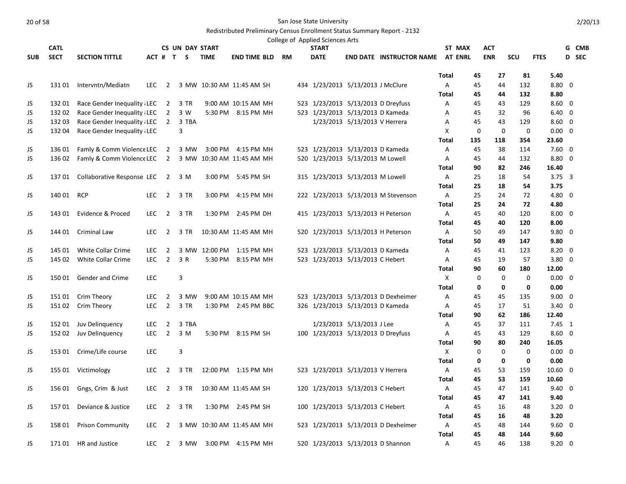|            |             |                                  |            |                |                        |                           |                      |    | College of Applied Sciences Arts |                                    |                                         |              |        |             |                            |                |       |
|------------|-------------|----------------------------------|------------|----------------|------------------------|---------------------------|----------------------|----|----------------------------------|------------------------------------|-----------------------------------------|--------------|--------|-------------|----------------------------|----------------|-------|
|            | <b>CATL</b> |                                  |            |                | <b>CS UN DAY START</b> |                           |                      |    | <b>START</b>                     |                                    |                                         |              | ST MAX | <b>ACT</b>  |                            |                | G CMB |
| <b>SUB</b> | <b>SECT</b> | <b>SECTION TITTLE</b>            |            |                | $ACT$ # $T$ $S$        | <b>TIME</b>               | <b>END TIME BLD</b>  | RM | <b>DATE</b>                      |                                    | <b>END DATE INSTRUCTOR NAME AT ENRL</b> |              |        | <b>ENR</b>  | SCU                        | <b>FTES</b>    | D SEC |
|            |             |                                  |            |                |                        |                           |                      |    |                                  |                                    |                                         | <b>Total</b> | 45     | 27          | 81                         | 5.40           |       |
| JS         | 131 01      | Intervntn/Mediatn                | LEC.       | 2              |                        | 3 MW 10:30 AM 11:45 AM SH |                      |    |                                  | 434 1/23/2013 5/13/2013 J McClure  |                                         | A            | 45     | 44          | 132                        | $8.80 \quad 0$ |       |
|            |             |                                  |            |                |                        |                           |                      |    |                                  |                                    |                                         | <b>Total</b> | 45     | 44          | 132                        | 8.80           |       |
| JS         | 132 01      | Race Gender Inequality LEC       |            | $\overline{2}$ | 3 TR                   |                           | 9:00 AM 10:15 AM MH  |    |                                  | 523 1/23/2013 5/13/2013 D Dreyfuss |                                         | Α            | 45     | 43          | 129                        | $8.60 \quad 0$ |       |
| JS         | 132 02      | Race Gender Inequality LEC       |            | $\overline{2}$ | 3 W                    |                           | 5:30 PM 8:15 PM MH   |    |                                  | 523 1/23/2013 5/13/2013 D Kameda   |                                         | A            | 45     | 32          | 96                         | $6.40 \quad 0$ |       |
| JS         | 132 03      | Race Gender Inequality LEC       |            | $2^{\circ}$    | 3 TBA                  |                           |                      |    |                                  | 1/23/2013 5/13/2013 V Herrera      |                                         | Α            | 45     | 43          | 129                        | $8.60 \quad 0$ |       |
| JS         | 132 04      | Race Gender Inequality LEC       |            |                | 3                      |                           |                      |    |                                  |                                    |                                         | X            |        | 0           | $\mathbf 0$<br>0           | $0.00 \quad 0$ |       |
|            |             |                                  |            |                |                        |                           |                      |    |                                  |                                    |                                         | <b>Total</b> | 135    | 118         | 354                        | 23.60          |       |
| JS         | 136 01      | Famly & Comm Violence LEC 2      |            |                | 3 MW                   |                           | 3:00 PM 4:15 PM MH   |    |                                  | 523 1/23/2013 5/13/2013 D Kameda   |                                         | A            | 45     | 38          | 114                        | $7.60 \quad 0$ |       |
| JS         | 136 02      | Famly & Comm Violence LEC 2      |            |                |                        | 3 MW 10:30 AM 11:45 AM MH |                      |    |                                  | 520 1/23/2013 5/13/2013 M Lowell   |                                         | A            | 45     | 44          | 132                        | 8.80 0         |       |
|            |             |                                  |            |                |                        |                           |                      |    |                                  |                                    |                                         | Total        | 90     | 82          | 246                        | 16.40          |       |
| JS         | 13701       | Collaborative Response LEC 2 3 M |            |                |                        |                           | 3:00 PM 5:45 PM SH   |    |                                  | 315 1/23/2013 5/13/2013 M Lowell   |                                         | A            | 25     | 18          | 54                         | $3.75 \quad 3$ |       |
|            |             |                                  |            |                |                        |                           |                      |    |                                  |                                    |                                         | Total        | 25     | 18          | 54                         | 3.75           |       |
| JS         | 140 01 RCP  |                                  | <b>LEC</b> | $\overline{2}$ | 3 TR                   | 3:00 PM                   | 4:15 PM MH           |    |                                  |                                    | 222 1/23/2013 5/13/2013 M Stevenson     | A            | 25     | 24          | 72                         | $4.80\ 0$      |       |
|            |             |                                  |            |                |                        |                           |                      |    |                                  |                                    |                                         | <b>Total</b> | 25     | 24          | 72                         | 4.80           |       |
| JS         | 143 01      | Evidence & Proced                | LEC.       | $\overline{2}$ | 3 TR                   | 1:30 PM                   | 2:45 PM DH           |    |                                  |                                    | 415 1/23/2013 5/13/2013 H Peterson      | Α            | 45     | 40          | 120                        | $8.00 \quad 0$ |       |
|            |             |                                  |            |                |                        |                           |                      |    |                                  |                                    |                                         | <b>Total</b> | 45     | 40          | 120                        | 8.00           |       |
| JS         | 144 01      | Criminal Law                     | <b>LEC</b> | $\overline{2}$ | 3 TR                   |                           | 10:30 AM 11:45 AM MH |    |                                  | 520 1/23/2013 5/13/2013 H Peterson |                                         | A            | 50     | 49          | 147                        | $9.80 \quad 0$ |       |
|            |             |                                  |            |                |                        |                           |                      |    |                                  |                                    |                                         | Total        | 50     | 49          | 147                        | 9.80           |       |
| JS         | 145 01      | <b>White Collar Crime</b>        | LEC.       | $\overline{2}$ |                        | 3 MW 12:00 PM             | 1:15 PM MH           |    |                                  | 523 1/23/2013 5/13/2013 D Kameda   |                                         | A            | 45     | 41          | 123                        | $8.20 \quad 0$ |       |
| JS         | 145 02      | <b>White Collar Crime</b>        | <b>LEC</b> | $\overline{2}$ | 3 R                    | 5:30 PM                   | 8:15 PM MH           |    |                                  | 523 1/23/2013 5/13/2013 C Hebert   |                                         | Α            | 45     | 19          | 57                         | $3.80 \quad 0$ |       |
|            |             |                                  |            |                |                        |                           |                      |    |                                  |                                    |                                         | Total        | 90     | 60          | 180                        | 12.00          |       |
| JS         | 150 01      | <b>Gender and Crime</b>          | <b>LEC</b> |                | 3                      |                           |                      |    |                                  |                                    |                                         | X            |        | 0           | 0<br>0                     | $0.00 \quad 0$ |       |
|            |             |                                  |            |                |                        |                           |                      |    |                                  |                                    |                                         | <b>Total</b> |        | 0           | 0<br>0                     | 0.00           |       |
| JS         | 151 01      | Crim Theory                      | LEC.       | 2              | 3 MW                   |                           | 9:00 AM 10:15 AM MH  |    |                                  |                                    | 523 1/23/2013 5/13/2013 D Dexheimer     | Α            | 45     | 45          | 135                        | $9.00 \quad 0$ |       |
| JS         |             | 151 02 Crim Theory               | <b>LEC</b> | $\overline{2}$ | 3 TR                   |                           | 1:30 PM 2:45 PM BBC  |    |                                  | 326 1/23/2013 5/13/2013 D Kameda   |                                         | A            | 45     | 17          | 51                         | $3.40 \quad 0$ |       |
|            |             |                                  |            |                |                        |                           |                      |    |                                  |                                    |                                         | <b>Total</b> | 90     | 62          | 186                        | 12.40          |       |
| JS         | 152 01      | Juv Delinguency                  | LEC        | $\overline{2}$ | 3 TBA                  |                           |                      |    |                                  | 1/23/2013 5/13/2013 J Lee          |                                         | Α            | 45     | 37          | 111                        | $7.45 \quad 1$ |       |
| JS         | 152 02      | Juv Delinguency                  | <b>LEC</b> | $\overline{2}$ | 3 M                    | 5:30 PM                   | 8:15 PM SH           |    |                                  | 100 1/23/2013 5/13/2013 D Dreyfuss |                                         | A            | 45     | 43          | 129                        | $8.60 \quad 0$ |       |
|            |             |                                  |            |                |                        |                           |                      |    |                                  |                                    |                                         | <b>Total</b> | 90     | 80          | 240                        | 16.05          |       |
| JS         |             | 153 01 Crime/Life course         | <b>LEC</b> |                | 3                      |                           |                      |    |                                  |                                    |                                         | X            |        | $\mathbf 0$ | $\mathbf 0$<br>$\mathbf 0$ | $0.00 \quad 0$ |       |
|            |             |                                  |            |                |                        |                           |                      |    |                                  |                                    |                                         | <b>Total</b> |        | 0           | $\mathbf 0$<br>0           | 0.00           |       |
| JS         |             | 155 01 Victimology               | <b>LEC</b> | $\overline{2}$ | 3 TR                   |                           | 12:00 PM 1:15 PM MH  |    |                                  | 523 1/23/2013 5/13/2013 V Herrera  |                                         | A            | 45     | 53          | 159                        | $10.60$ 0      |       |
|            |             |                                  |            |                |                        |                           |                      |    |                                  |                                    |                                         | Total        | 45     | 53          | 159                        | 10.60          |       |
| JS         | 156 01      | Gngs, Crim & Just                | LEC.       | $\overline{2}$ | 3 TR                   |                           | 10:30 AM 11:45 AM SH |    |                                  | 120 1/23/2013 5/13/2013 C Hebert   |                                         | Α            | 45     | 47          | 141                        | $9.40 \quad 0$ |       |
|            |             |                                  |            |                |                        |                           |                      |    |                                  |                                    |                                         | Total        | 45     | 47          | 141                        | 9.40           |       |
| JS         | 157 01      | Deviance & Justice               | LEC.       | $\overline{2}$ | 3 TR                   |                           | 1:30 PM 2:45 PM SH   |    |                                  | 100 1/23/2013 5/13/2013 C Hebert   |                                         | A            | 45     | 16          | 48                         | $3.20 \quad 0$ |       |
|            |             |                                  |            |                |                        |                           |                      |    |                                  |                                    |                                         | Total        | 45     | 16          | 48                         | 3.20           |       |
| JS         | 158 01      | <b>Prison Community</b>          | <b>LEC</b> | $\overline{2}$ |                        | 3 MW 10:30 AM 11:45 AM MH |                      |    |                                  |                                    | 523 1/23/2013 5/13/2013 D Dexheimer     | A            | 45     | 48          | 144                        | $9.60 \quad 0$ |       |
|            |             |                                  |            |                |                        |                           |                      |    |                                  |                                    |                                         | Total        | 45     | 48          | 144                        | 9.60           |       |
| JS         |             | 17101 HR and Justice             | <b>LEC</b> | $\overline{2}$ |                        | 3 MW 3:00 PM 4:15 PM MH   |                      |    |                                  | 520 1/23/2013 5/13/2013 D Shannon  |                                         | A            | 45     | 46          | 138                        | $9.20 \quad 0$ |       |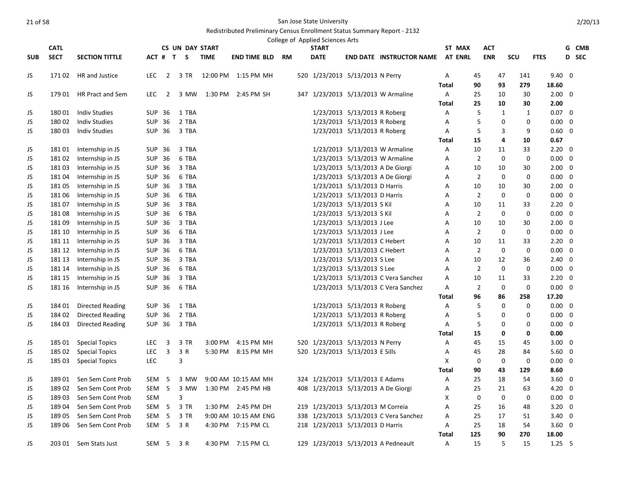|            |             |                         |                  |                          |                        |             |                        | College of Applied Sciences Arts    |                              |                                         |              |        |                |                              |                |   |              |
|------------|-------------|-------------------------|------------------|--------------------------|------------------------|-------------|------------------------|-------------------------------------|------------------------------|-----------------------------------------|--------------|--------|----------------|------------------------------|----------------|---|--------------|
|            | <b>CATL</b> |                         |                  |                          | <b>CS UN DAY START</b> |             |                        | <b>START</b>                        |                              |                                         |              | ST MAX | <b>ACT</b>     |                              |                |   | G CMB        |
| <b>SUB</b> | <b>SECT</b> | <b>SECTION TITTLE</b>   |                  |                          | ACT # T S              | <b>TIME</b> | <b>END TIME BLD RM</b> | <b>DATE</b>                         |                              | <b>END DATE INSTRUCTOR NAME AT ENRL</b> |              |        | <b>ENR</b>     | SCU                          | <b>FTES</b>    |   | <b>D</b> SEC |
| JS         | 171 02      | HR and Justice          | LEC.             | $\overline{2}$           | 3 TR                   |             | 12:00 PM 1:15 PM MH    | 520 1/23/2013 5/13/2013 N Perry     |                              |                                         | A            |        | 45             | 47<br>141                    | $9.40 \quad 0$ |   |              |
|            |             |                         |                  |                          |                        |             |                        |                                     |                              |                                         | <b>Total</b> |        | 90             | 279<br>93                    | 18.60          |   |              |
| JS         |             | 179 01 HR Pract and Sem | <b>LEC</b>       | $\overline{\phantom{0}}$ | 3 MW                   |             | 1:30 PM 2:45 PM SH     |                                     |                              | 347 1/23/2013 5/13/2013 W Armaline      | A            |        | 25             | 30<br>10                     | $2.00 \quad 0$ |   |              |
|            |             |                         |                  |                          |                        |             |                        |                                     |                              |                                         | <b>Total</b> |        | 25             | 10<br>30                     | 2.00           |   |              |
| JS         | 18001       | <b>Indiv Studies</b>    | SUP 36           |                          | 1 TBA                  |             |                        |                                     | 1/23/2013 5/13/2013 R Roberg |                                         | Α            |        | 5              | $\mathbf{1}$<br>$\mathbf{1}$ | $0.07 \quad 0$ |   |              |
| JS         | 18002       | <b>Indiv Studies</b>    | SUP 36           |                          | 2 TBA                  |             |                        |                                     | 1/23/2013 5/13/2013 R Roberg |                                         | Α            |        | 5              | 0<br>$\mathbf 0$             | $0.00 \quad 0$ |   |              |
| JS         | 18003       | <b>Indiv Studies</b>    | SUP 36           |                          | 3 TBA                  |             |                        |                                     | 1/23/2013 5/13/2013 R Roberg |                                         | A            |        | 5              | 9<br>3                       | $0.60 \quad 0$ |   |              |
|            |             |                         |                  |                          |                        |             |                        |                                     |                              |                                         | <b>Total</b> |        | 15             | 10<br>4                      | 0.67           |   |              |
| JS         | 18101       | Internship in JS        | SUP 36           |                          | 3 TBA                  |             |                        |                                     |                              | 1/23/2013 5/13/2013 W Armaline          | Α            |        | 10             | 33<br>11                     | $2.20 \ 0$     |   |              |
| JS         | 18102       | Internship in JS        | SUP 36           |                          | 6 TBA                  |             |                        |                                     |                              | 1/23/2013 5/13/2013 W Armaline          | Α            |        | $\overline{2}$ | $\mathbf 0$<br>0             | $0.00 \quad 0$ |   |              |
| JS         | 18103       | Internship in JS        | SUP 36           |                          | 3 TBA                  |             |                        |                                     |                              | 1/23/2013 5/13/2013 A De Giorgi         | A            |        | 10             | 30<br>10                     | $2.00 \quad 0$ |   |              |
| JS         | 18104       | Internship in JS        | <b>SUP 36</b>    |                          | 6 TBA                  |             |                        |                                     |                              | 1/23/2013 5/13/2013 A De Giorgi         | Α            |        | 2              | 0<br>$\mathbf 0$             | $0.00 \quad 0$ |   |              |
| JS         | 18105       | Internship in JS        | SUP 36           |                          | 3 TBA                  |             |                        |                                     | 1/23/2013 5/13/2013 D Harris |                                         | A            |        | 10             | 10<br>30                     | $2.00 \quad 0$ |   |              |
| JS         | 18106       | Internship in JS        | SUP 36           |                          | 6 TBA                  |             |                        |                                     | 1/23/2013 5/13/2013 D Harris |                                         | Α            |        | $\overline{2}$ | $\mathbf 0$<br>0             | $0.00 \quad 0$ |   |              |
| JS         | 18107       | Internship in JS        | SUP 36           |                          | 3 TBA                  |             |                        |                                     | 1/23/2013 5/13/2013 S Kil    |                                         | Α            |        | 10             | 11<br>33                     | $2.20 \quad 0$ |   |              |
| JS         | 18108       | Internship in JS        | SUP 36           |                          | 6 TBA                  |             |                        |                                     | 1/23/2013 5/13/2013 S Kil    |                                         | Α            |        | $\overline{2}$ | 0<br>0                       | $0.00 \quad 0$ |   |              |
| JS         | 18109       | Internship in JS        | SUP 36           |                          | 3 TBA                  |             |                        |                                     | 1/23/2013 5/13/2013 J Lee    |                                         | A            |        | 10             | 10<br>30                     | $2.00 \quad 0$ |   |              |
| JS         | 181 10      | Internship in JS        | SUP 36           |                          | 6 TBA                  |             |                        |                                     | 1/23/2013 5/13/2013 J Lee    |                                         | Α            |        | $\overline{2}$ | $\Omega$<br>0                | $0.00 \quad 0$ |   |              |
| JS         | 181 11      | Internship in JS        | SUP 36           |                          | 3 TBA                  |             |                        |                                     | 1/23/2013 5/13/2013 C Hebert |                                         | Α            |        | 10             | 11<br>33                     | $2.20 \ 0$     |   |              |
| JS         | 181 12      | Internship in JS        | <b>SUP 36</b>    |                          | 6 TBA                  |             |                        |                                     | 1/23/2013 5/13/2013 C Hebert |                                         | A            |        | $\overline{2}$ | $\mathbf 0$<br>$\mathbf 0$   | $0.00 \quad 0$ |   |              |
| JS         | 181 13      | Internship in JS        | SUP 36           |                          | 3 TBA                  |             |                        |                                     | 1/23/2013 5/13/2013 S Lee    |                                         | A            |        | 10             | 12<br>36                     | $2.40 \quad 0$ |   |              |
| JS         | 181 14      | Internship in JS        | SUP 36           |                          | 6 TBA                  |             |                        |                                     | 1/23/2013 5/13/2013 S Lee    |                                         | A            |        | $\overline{2}$ | $\mathbf 0$<br>$\mathbf 0$   | $0.00 \quad 0$ |   |              |
| JS         | 181 15      | Internship in JS        | SUP 36           |                          | 3 TBA                  |             |                        |                                     |                              | 1/23/2013 5/13/2013 C Vera Sanchez      | Α            |        | 10             | 11<br>33                     | $2.20 \ 0$     |   |              |
| JS         | 181 16      | Internship in JS        | SUP 36           |                          | 6 TBA                  |             |                        |                                     |                              | 1/23/2013 5/13/2013 C Vera Sanchez      | Α            |        | 2              | $\mathbf 0$<br>0             | $0.00 \quad 0$ |   |              |
|            |             |                         |                  |                          |                        |             |                        |                                     |                              |                                         | <b>Total</b> |        | 96             | 86<br>258                    | 17.20          |   |              |
| JS         | 184 01      | <b>Directed Reading</b> | SUP 36           |                          | 1 TBA                  |             |                        |                                     | 1/23/2013 5/13/2013 R Roberg |                                         | Α            |        | 5              | 0<br>0                       | $0.00 \quad 0$ |   |              |
| JS         | 184 02      | Directed Reading        | SUP 36           |                          | 2 TBA                  |             |                        |                                     | 1/23/2013 5/13/2013 R Roberg |                                         | Α            |        | 5              | $\Omega$<br>$\mathbf 0$      | $0.00\,$       | 0 |              |
| JS         | 184 03      | Directed Reading        | SUP 36           |                          | 3 TBA                  |             |                        |                                     | 1/23/2013 5/13/2013 R Roberg |                                         | A            |        | 5              | 0<br>0                       | $0.00 \quad 0$ |   |              |
|            |             |                         |                  |                          |                        |             |                        |                                     |                              |                                         | Total        |        | 15             | 0<br>0                       | 0.00           |   |              |
| JS         | 185 01      | <b>Special Topics</b>   | <b>LEC</b>       | 3                        | 3 TR                   | 3:00 PM     | 4:15 PM MH             | 520 1/23/2013 5/13/2013 N Perry     |                              |                                         | Α            |        | 45             | 15<br>45                     | $3.00 \quad 0$ |   |              |
| JS         | 185 02      | <b>Special Topics</b>   | <b>LEC</b>       | $\overline{3}$           | 3 R                    |             | 5:30 PM 8:15 PM MH     | 520 1/23/2013 5/13/2013 E Sills     |                              |                                         | A            |        | 45             | 28<br>84                     | $5.60 \quad 0$ |   |              |
| JS         | 185 03      | <b>Special Topics</b>   | <b>LEC</b>       |                          | 3                      |             |                        |                                     |                              |                                         | X            |        | 0              | $\mathbf 0$<br>0             | $0.00 \quad 0$ |   |              |
|            |             |                         |                  |                          |                        |             |                        |                                     |                              |                                         | <b>Total</b> |        | 90             | 129<br>43                    | 8.60           |   |              |
| JS         | 18901       | Sen Sem Cont Prob       | SEM              | -5                       | 3 MW                   |             | 9:00 AM 10:15 AM MH    | 324 1/23/2013 5/13/2013 E Adams     |                              |                                         | Α            |        | 25             | 18<br>54                     | $3.60 \quad 0$ |   |              |
| JS         | 18902       | Sen Sem Cont Prob       | SEM <sub>5</sub> |                          | 3 MW                   |             | 1:30 PM 2:45 PM HB     | 408 1/23/2013 5/13/2013 A De Giorgi |                              |                                         | Α            |        | 25             | 21<br>63                     | $4.20 \ 0$     |   |              |
| JS         | 18903       | Sen Sem Cont Prob       | SEM              |                          | 3                      |             |                        |                                     |                              |                                         | X            |        | 0              | $\mathbf 0$<br>0             | $0.00 \quad 0$ |   |              |
| JS         | 18904       | Sen Sem Cont Prob       | SEM 5            |                          | 3 TR                   |             | 1:30 PM 2:45 PM DH     | 219 1/23/2013 5/13/2013 M Correia   |                              |                                         | Α            |        | 25             | 16<br>48                     | $3.20 \ 0$     |   |              |
| JS         | 18905       | Sen Sem Cont Prob       | SEM <sub>5</sub> |                          | 3 TR                   |             | 9:00 AM 10:15 AM ENG   |                                     |                              | 338 1/23/2013 5/13/2013 C Vera Sanchez  | Α            |        | 25             | 17<br>51                     | $3.40 \quad 0$ |   |              |
| JS         | 189 06      | Sen Sem Cont Prob       | SEM <sub>5</sub> |                          | 3 R                    |             | 4:30 PM 7:15 PM CL     | 218 1/23/2013 5/13/2013 D Harris    |                              |                                         | Α            |        | 25             | 18<br>54                     | $3.60 \quad 0$ |   |              |
|            |             |                         |                  |                          |                        |             |                        |                                     |                              |                                         | <b>Total</b> | 125    |                | 90<br>270                    | 18.00          |   |              |
| JS         |             | 203 01 Sem Stats Just   | SEM <sub>5</sub> |                          | 3 R                    |             | 4:30 PM 7:15 PM CL     |                                     |                              | 129 1/23/2013 5/13/2013 A Pedneault     | Α            |        | 15             | 5<br>15                      | $1.25$ 5       |   |              |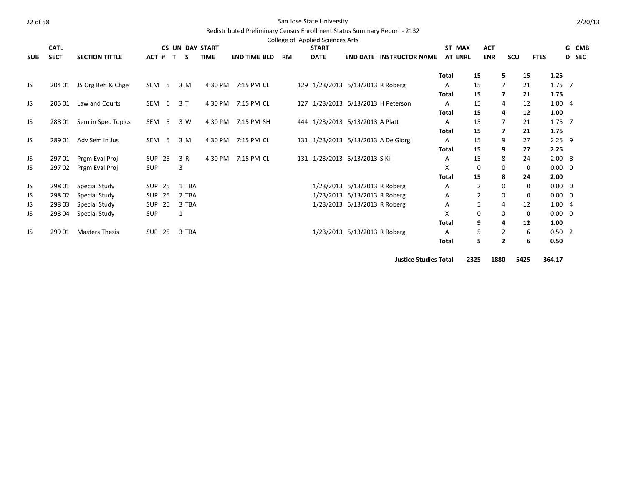|--|--|--|--|

#### San Jose State University

# Redistributed Preliminary Census Enrollment Status Summary Report - 2132

|            | <b>CATL</b> |                       |                  |     | <b>CS UN DAY START</b> |             |                     |           | College of Applied Sciences Arts<br><b>START</b> |                              |                                     |              | ST MAX         | <b>ACT</b>     |                         |             |                | G CMB        |
|------------|-------------|-----------------------|------------------|-----|------------------------|-------------|---------------------|-----------|--------------------------------------------------|------------------------------|-------------------------------------|--------------|----------------|----------------|-------------------------|-------------|----------------|--------------|
| <b>SUB</b> | <b>SECT</b> | <b>SECTION TITTLE</b> | ACT #            | T.  | s                      | <b>TIME</b> | <b>END TIME BLD</b> | <b>RM</b> | <b>DATE</b>                                      |                              | <b>END DATE INSTRUCTOR NAME</b>     |              | <b>AT ENRL</b> | <b>ENR</b>     | <b>SCU</b>              | <b>FTES</b> |                | <b>D</b> SEC |
|            |             |                       |                  |     |                        |             |                     |           |                                                  |                              |                                     | <b>Total</b> |                | 15             | 5                       | 15          | 1.25           |              |
| JS.        | 204 01      | JS Org Beh & Chge     | SEM 5            |     | 3 M                    | 4:30 PM     | 7:15 PM CL          |           | 129 1/23/2013 5/13/2013 R Roberg                 |                              |                                     | A            |                | 15             | 7                       | 21          | $1.75$ 7       |              |
|            |             |                       |                  |     |                        |             |                     |           |                                                  |                              |                                     | <b>Total</b> |                | 15             | 7                       | 21          | 1.75           |              |
| JS.        | 205 01      | Law and Courts        | SEM              | - 6 | 3T                     | 4:30 PM     | 7:15 PM CL          |           | 127 1/23/2013 5/13/2013 H Peterson               |                              |                                     | A            |                | 15             | 4                       | 12          | 1.004          |              |
|            |             |                       |                  |     |                        |             |                     |           |                                                  |                              |                                     | <b>Total</b> |                | 15             | 4                       | 12          | 1.00           |              |
| JS.        | 28801       | Sem in Spec Topics    | SEM <sub>5</sub> |     | 3 W                    | 4:30 PM     | 7:15 PM SH          |           | 444 1/23/2013 5/13/2013 A Platt                  |                              |                                     | A            |                | 15             |                         | 21          | $1.75$ 7       |              |
|            |             |                       |                  |     |                        |             |                     |           |                                                  |                              |                                     | <b>Total</b> |                | 15             | $\overline{\mathbf{z}}$ | 21          | 1.75           |              |
| JS         | 28901       | Adv Sem in Jus        | SEM <sub>5</sub> |     | 3 M                    | 4:30 PM     | 7:15 PM CL          |           |                                                  |                              | 131 1/23/2013 5/13/2013 A De Giorgi | A            |                | 15             | 9                       | 27          | $2.25$ 9       |              |
|            |             |                       |                  |     |                        |             |                     |           |                                                  |                              |                                     | Total        |                | 15             | 9                       | 27          | 2.25           |              |
| JS         | 297 01      | Prgm Eval Proj        | <b>SUP 25</b>    |     | 3 R                    | 4:30 PM     | 7:15 PM CL          |           | 131 1/23/2013 5/13/2013 S Kil                    |                              |                                     | A            |                | 15             | 8                       | 24          | 2.008          |              |
| JS         | 29702       | Prgm Eval Proj        | <b>SUP</b>       |     | 3                      |             |                     |           |                                                  |                              |                                     | X            |                | 0              | 0                       | 0           | $0.00 \quad 0$ |              |
|            |             |                       |                  |     |                        |             |                     |           |                                                  |                              |                                     | <b>Total</b> |                | 15             | 8                       | 24          | 2.00           |              |
| JS         | 298 01      | Special Study         | <b>SUP 25</b>    |     | 1 TBA                  |             |                     |           |                                                  | 1/23/2013 5/13/2013 R Roberg |                                     | A            |                | $\overline{2}$ | 0                       | 0           | $0.00 \quad 0$ |              |
| JS         | 298 02      | Special Study         | SUP 25           |     | 2 TBA                  |             |                     |           |                                                  | 1/23/2013 5/13/2013 R Roberg |                                     | Α            |                | $\overline{2}$ | 0                       | 0           | $0.00 \quad 0$ |              |
| JS         | 298 03      | Special Study         | <b>SUP 25</b>    |     | 3 TBA                  |             |                     |           |                                                  | 1/23/2013 5/13/2013 R Roberg |                                     | A            |                | 5              | 4                       | 12          | 1.004          |              |
| JS         | 298 04      | Special Study         | SUP              |     | 1                      |             |                     |           |                                                  |                              |                                     | X            |                | 0              | 0                       | 0           | $0.00 \quad 0$ |              |
|            |             |                       |                  |     |                        |             |                     |           |                                                  |                              |                                     | <b>Total</b> |                | 9              | 4                       | 12          | 1.00           |              |
| JS         | 299 01      | <b>Masters Thesis</b> | <b>SUP 25</b>    |     | 3 TBA                  |             |                     |           |                                                  | 1/23/2013 5/13/2013 R Roberg |                                     | Α            |                | 5              | $\overline{2}$          | 6           | $0.50$ 2       |              |
|            |             |                       |                  |     |                        |             |                     |           |                                                  |                              |                                     | <b>Total</b> |                | 5              | $\overline{2}$          | 6           | 0.50           |              |
|            |             |                       |                  |     |                        |             |                     |           |                                                  |                              |                                     |              |                |                |                         |             |                |              |

**Justice Studies Total 2325 1880 5425 364.17**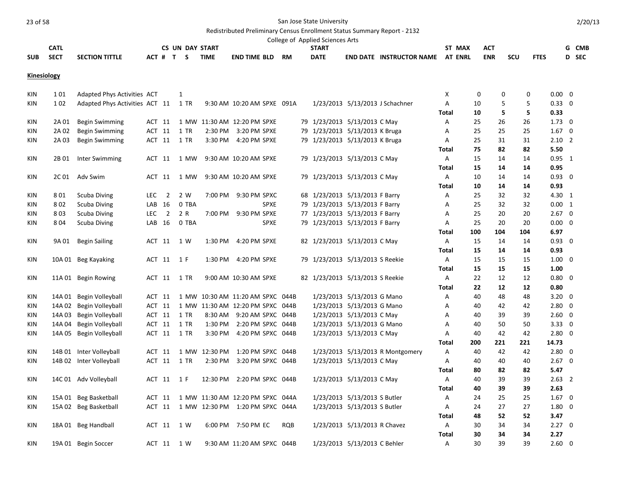#### Redistributed Preliminary Census Enrollment Status Summary Report - 2132

|            |             |                       |                            |                                  | College of Applied Sciences Arts |                                                   |        |            |     |             |            |
|------------|-------------|-----------------------|----------------------------|----------------------------------|----------------------------------|---------------------------------------------------|--------|------------|-----|-------------|------------|
|            | <b>CATL</b> |                       | <b>CS UN DAY START</b>     |                                  | START                            |                                                   | ST MAX | ACT        |     |             | <b>CMB</b> |
| <b>SUB</b> | <b>SECT</b> | <b>SECTION TITTLE</b> | <b>TIME</b><br>$ACT$ # T S | <b>RM</b><br><b>END TIME BLD</b> | <b>DATE</b>                      | <b>END DATE</b><br><b>INSTRUCTOR NAME AT ENRL</b> |        | <b>ENR</b> | scu | <b>FTES</b> | D SEC      |

# **Kinesiology**

| KIN        | 101    | Adapted Phys Activities ACT    |            |                | 1          |               |                                  |     |  |                                  | х            | 0   | 0   | 0   | $0.00 \quad 0$ |  |
|------------|--------|--------------------------------|------------|----------------|------------|---------------|----------------------------------|-----|--|----------------------------------|--------------|-----|-----|-----|----------------|--|
| <b>KIN</b> | 102    | Adapted Phys Activities ACT 11 |            |                | 1 TR       |               | 9:30 AM 10:20 AM SPXE 091A       |     |  | 1/23/2013 5/13/2013 J Schachner  | A            | 10  | 5   | 5   | $0.33 \ 0$     |  |
|            |        |                                |            |                |            |               |                                  |     |  |                                  | Total        | 10  | 5   | 5   | 0.33           |  |
| <b>KIN</b> | 2A 01  | Begin Swimming                 | ACT 11     |                |            |               | 1 MW 11:30 AM 12:20 PM SPXE      |     |  | 79 1/23/2013 5/13/2013 C May     | A            | 25  | 26  | 26  | $1.73 \quad 0$ |  |
| KIN        | 2A 02  | <b>Begin Swimming</b>          | ACT 11     |                | 1 TR       |               | 2:30 PM 3:20 PM SPXE             |     |  | 79 1/23/2013 5/13/2013 K Bruga   | Α            | 25  | 25  | 25  | $1.67 \quad 0$ |  |
| KIN        | 2A 03  | Begin Swimming                 | ACT 11     |                | 1 TR       |               | 3:30 PM 4:20 PM SPXE             |     |  | 79 1/23/2013 5/13/2013 K Bruga   | Α            | 25  | 31  | 31  | $2.10$ 2       |  |
|            |        |                                |            |                |            |               |                                  |     |  |                                  | <b>Total</b> | 75  | 82  | 82  | 5.50           |  |
| <b>KIN</b> | 2B 01  | Inter Swimming                 | ACT 11     |                | 1 MW       |               | 9:30 AM 10:20 AM SPXE            |     |  | 79 1/23/2013 5/13/2013 C May     | Α            | 15  | 14  | 14  | $0.95$ 1       |  |
|            |        |                                |            |                |            |               |                                  |     |  |                                  | Total        | 15  | 14  | 14  | 0.95           |  |
| KIN        |        | 2C 01 Adv Swim                 | ACT 11     |                | 1 MW       |               | 9:30 AM 10:20 AM SPXE            |     |  | 79 1/23/2013 5/13/2013 C May     | Α            | 10  | 14  | 14  | $0.93 \quad 0$ |  |
|            |        |                                |            |                |            |               |                                  |     |  |                                  | Total        | 10  | 14  | 14  | 0.93           |  |
| <b>KIN</b> | 801    | <b>Scuba Diving</b>            | <b>LEC</b> | $\overline{2}$ | 2 W        |               | 7:00 PM 9:30 PM SPXC             |     |  | 68 1/23/2013 5/13/2013 F Barry   | A            | 25  | 32  | 32  | 4.30 1         |  |
| KIN        | 802    | Scuba Diving                   | LAB        | 16             | 0 TBA      |               | <b>SPXE</b>                      |     |  | 79 1/23/2013 5/13/2013 F Barry   | Α            | 25  | 32  | 32  | $0.00 \quad 1$ |  |
| KIN        | 803    | Scuba Diving                   | <b>LEC</b> | $\overline{2}$ | 2 R        | 7:00 PM       | 9:30 PM SPXE                     |     |  | 77 1/23/2013 5/13/2013 F Barry   | А            | 25  | 20  | 20  | $2.67$ 0       |  |
| KIN        | 804    | <b>Scuba Diving</b>            | LAB 16     |                | 0 TBA      |               | <b>SPXE</b>                      |     |  | 79 1/23/2013 5/13/2013 F Barry   | A            | 25  | 20  | 20  | $0.00 \quad 0$ |  |
|            |        |                                |            |                |            |               |                                  |     |  |                                  | Total        | 100 | 104 | 104 | 6.97           |  |
| <b>KIN</b> | 9A 01  | <b>Begin Sailing</b>           | ACT 11     |                | 1 W        |               | 1:30 PM 4:20 PM SPXE             |     |  | 82 1/23/2013 5/13/2013 C May     | Α            | 15  | 14  | 14  | $0.93 \quad 0$ |  |
|            |        |                                |            |                |            |               |                                  |     |  |                                  | Total        | 15  | 14  | 14  | 0.93           |  |
| KIN        |        | 10A 01 Beg Kayaking            | ACT 11     |                | 1 F        |               | 1:30 PM 4:20 PM SPXE             |     |  | 79 1/23/2013 5/13/2013 S Reekie  | Α            | 15  | 15  | 15  | $1.00 \quad 0$ |  |
|            |        |                                |            |                |            |               |                                  |     |  |                                  | Total        | 15  | 15  | 15  | 1.00           |  |
| KIN        |        | 11A 01 Begin Rowing            | ACT 11     |                | 1 TR       |               | 9:00 AM 10:30 AM SPXE            |     |  | 82 1/23/2013 5/13/2013 S Reekie  | A            | 22  | 12  | 12  | $0.80 \quad 0$ |  |
|            |        |                                |            |                |            |               |                                  |     |  |                                  | Total        | 22  | 12  | 12  | 0.80           |  |
| KIN        | 14A 01 | Begin Volleyball               | ACT 11     |                |            |               | 1 MW 10:30 AM 11:20 AM SPXC 044B |     |  | 1/23/2013 5/13/2013 G Mano       | Α            | 40  | 48  | 48  | $3.20 \ 0$     |  |
| <b>KIN</b> |        | 14A 02 Begin Volleyball        | ACT 11     |                |            |               | 1 MW 11:30 AM 12:20 PM SPXC 044B |     |  | 1/23/2013 5/13/2013 G Mano       | A            | 40  | 42  | 42  | $2.80 \quad 0$ |  |
| KIN        |        | 14A 03 Begin Volleyball        | ACT 11     |                | 1 TR       |               | 8:30 AM 9:20 AM SPXC 044B        |     |  | 1/23/2013 5/13/2013 C May        | Α            | 40  | 39  | 39  | $2.60 \quad 0$ |  |
| KIN        | 14A 04 | Begin Volleyball               | ACT 11     |                | 1 TR       | 1:30 PM       | 2:20 PM SPXC 044B                |     |  | 1/23/2013 5/13/2013 G Mano       | Α            | 40  | 50  | 50  | 3.33 0         |  |
| KIN.       |        | 14A 05 Begin Volleyball        | ACT 11     |                | 1 TR       | 3:30 PM       | 4:20 PM SPXC 044B                |     |  | 1/23/2013 5/13/2013 C May        | A            | 40  | 42  | 42  | $2.80 \quad 0$ |  |
|            |        |                                |            |                |            |               |                                  |     |  |                                  | Total        | 200 | 221 | 221 | 14.73          |  |
| KIN        |        | 14B 01 Inter Volleyball        | ACT 11     |                |            | 1 MW 12:30 PM | 1:20 PM SPXC 044B                |     |  | 1/23/2013 5/13/2013 R Montgomery | Α            | 40  | 42  | 42  | $2.80 \ 0$     |  |
| KIN        |        | 14B 02 Inter Volleyball        | ACT 11     |                | 1 TR       | 2:30 PM       | 3:20 PM SPXC 044B                |     |  | 1/23/2013 5/13/2013 C May        | Α            | 40  | 40  | 40  | $2.67 \quad 0$ |  |
|            |        |                                |            |                |            |               |                                  |     |  |                                  | Total        | 80  | 82  | 82  | 5.47           |  |
| KIN        |        | 14C 01 Adv Volleyball          | ACT 11     |                | 1 F        | 12:30 PM      | 2:20 PM SPXC 044B                |     |  | 1/23/2013 5/13/2013 C May        | Α            | 40  | 39  | 39  | $2.63$ 2       |  |
|            |        |                                |            |                |            |               |                                  |     |  |                                  | Total        | 40  | 39  | 39  | 2.63           |  |
| KIN        |        | 15A 01 Beg Basketball          | ACT 11     |                |            |               | 1 MW 11:30 AM 12:20 PM SPXC 044A |     |  | 1/23/2013 5/13/2013 S Butler     | Α            | 24  | 25  | 25  | $1.67 \quad 0$ |  |
| KIN        |        | 15A 02 Beg Basketball          | ACT 11     |                |            |               | 1 MW 12:30 PM 1:20 PM SPXC 044A  |     |  | 1/23/2013 5/13/2013 S Butler     | Α            | 24  | 27  | 27  | $1.80 \ 0$     |  |
|            |        |                                |            |                |            |               |                                  |     |  |                                  | Total        | 48  | 52  | 52  | 3.47           |  |
| KIN        |        | 18A 01 Beg Handball            | ACT 11     |                | 1 W        |               | 6:00 PM 7:50 PM EC               | RQB |  | 1/23/2013 5/13/2013 R Chavez     | A            | 30  | 34  | 34  | $2.27 \quad 0$ |  |
|            |        |                                |            |                |            |               |                                  |     |  |                                  | <b>Total</b> | 30  | 34  | 34  | 2.27           |  |
| KIN        |        | 19A 01 Begin Soccer            |            |                | ACT 11 1 W |               | 9:30 AM 11:20 AM SPXC 044B       |     |  | 1/23/2013 5/13/2013 C Behler     | A            | 30  | 39  | 39  | $2.60 \quad 0$ |  |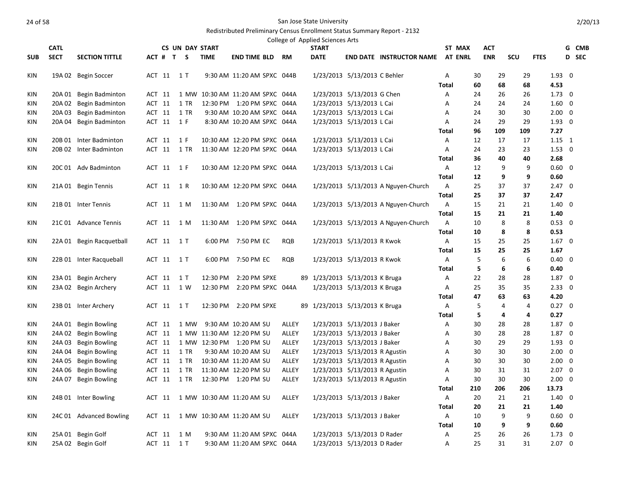|            |             |                          |        |            |                        |             |                                  |            | College of Applied Sciences Arts |                               |                                     |              |                |            |                |     |             |                |              |
|------------|-------------|--------------------------|--------|------------|------------------------|-------------|----------------------------------|------------|----------------------------------|-------------------------------|-------------------------------------|--------------|----------------|------------|----------------|-----|-------------|----------------|--------------|
|            | <b>CATL</b> |                          |        |            | <b>CS UN DAY START</b> |             |                                  |            | <b>START</b>                     |                               |                                     |              | ST MAX         | ACT        |                |     |             |                | G CMB        |
| <b>SUB</b> | <b>SECT</b> | <b>SECTION TITTLE</b>    |        |            | ACT # T S              | <b>TIME</b> | <b>END TIME BLD</b>              | RM         | <b>DATE</b>                      |                               | <b>END DATE INSTRUCTOR NAME</b>     |              | <b>AT ENRL</b> | <b>ENR</b> |                | SCU | <b>FTES</b> |                | <b>D</b> SEC |
| KIN        |             | 19A 02 Begin Soccer      |        | ACT 11 1 T |                        |             | 9:30 AM 11:20 AM SPXC 044B       |            |                                  | 1/23/2013 5/13/2013 C Behler  |                                     | Α            |                | 30         | 29             | 29  |             | $1.93 \quad 0$ |              |
|            |             |                          |        |            |                        |             |                                  |            |                                  |                               |                                     | Total        |                | 60         | 68             | 68  |             | 4.53           |              |
| <b>KIN</b> |             | 20A 01 Begin Badminton   | ACT 11 |            |                        |             | 1 MW 10:30 AM 11:20 AM SPXC 044A |            |                                  | 1/23/2013 5/13/2013 G Chen    |                                     | Α            |                | 24         | 26             | 26  |             | $1.73 \quad 0$ |              |
| KIN        |             | 20A 02 Begin Badminton   | ACT 11 |            | 1 TR                   |             | 12:30 PM 1:20 PM SPXC 044A       |            |                                  | 1/23/2013 5/13/2013 L Cai     |                                     | Α            |                | 24         | 24             | 24  |             | $1.60 \quad 0$ |              |
| KIN        | 20A 03      | Begin Badminton          | ACT 11 |            | 1 TR                   |             | 9:30 AM 10:20 AM SPXC 044A       |            |                                  | 1/23/2013 5/13/2013 L Cai     |                                     | Α            |                | 24         | 30             | 30  |             | $2.00 \quad 0$ |              |
| <b>KIN</b> |             | 20A 04 Begin Badminton   |        | ACT 11 1 F |                        |             | 8:30 AM 10:20 AM SPXC 044A       |            |                                  | 1/23/2013 5/13/2013 L Cai     |                                     | A            |                | 24         | 29             | 29  |             | $1.93 \quad 0$ |              |
|            |             |                          |        |            |                        |             |                                  |            |                                  |                               |                                     | Total        |                | 96         | 109            | 109 |             | 7.27           |              |
| KIN        |             | 20B 01 Inter Badminton   | ACT 11 |            | 1 F                    |             | 10:30 AM 12:20 PM SPXC 044A      |            |                                  | 1/23/2013 5/13/2013 L Cai     |                                     | A            |                | 12         | 17             | 17  |             | $1.15 \quad 1$ |              |
| KIN        |             | 20B 02 Inter Badminton   |        |            | ACT 11 1 TR            |             | 11:30 AM 12:20 PM SPXC 044A      |            |                                  | 1/23/2013 5/13/2013 L Cai     |                                     | Α            |                | 24         | 23             | 23  |             | $1.53 \ 0$     |              |
|            |             |                          |        |            |                        |             |                                  |            |                                  |                               |                                     | Total        |                | 36         | 40             | 40  |             | 2.68           |              |
| KIN        |             | 20C 01 Adv Badminton     |        | ACT 11 1 F |                        |             | 10:30 AM 12:20 PM SPXC 044A      |            |                                  | 1/23/2013 5/13/2013 L Cai     |                                     | A            |                | 12         | 9              | 9   |             | $0.60 \quad 0$ |              |
|            |             |                          |        |            |                        |             |                                  |            |                                  |                               |                                     | <b>Total</b> |                | 12         | 9              | 9   |             | 0.60           |              |
| KIN        |             | 21A 01 Begin Tennis      | ACT 11 |            | 1 R                    |             | 10:30 AM 12:20 PM SPXC 044A      |            |                                  |                               | 1/23/2013 5/13/2013 A Nguyen-Church | A            |                | 25         | 37             | 37  |             | $2.47 \quad 0$ |              |
|            |             |                          |        |            |                        |             |                                  |            |                                  |                               |                                     | <b>Total</b> |                | 25         | 37             | 37  |             | 2.47           |              |
| KIN        |             | 21B 01 Inter Tennis      | ACT 11 |            | 1 M                    |             | 11:30 AM  1:20 PM SPXC  044A     |            |                                  |                               | 1/23/2013 5/13/2013 A Nguyen-Church | Α            |                | 15         | 21             | 21  |             | $1.40 \quad 0$ |              |
|            |             |                          |        |            |                        |             |                                  |            |                                  |                               |                                     | Total        |                | 15         | 21             | 21  |             | 1.40           |              |
| KIN        |             | 21C 01 Advance Tennis    | ACT 11 |            | 1 M                    |             | 11:30 AM  1:20 PM SPXC  044A     |            |                                  |                               | 1/23/2013 5/13/2013 A Nguyen-Church | A            |                | 10         | 8              | 8   |             | $0.53 \quad 0$ |              |
|            |             |                          |        |            |                        |             |                                  |            |                                  |                               |                                     | <b>Total</b> |                | 10         | 8              | 8   |             | 0.53           |              |
| KIN        |             | 22A 01 Begin Racquetball |        | ACT 11     | 1 T                    |             | 6:00 PM 7:50 PM EC               | <b>RQB</b> |                                  | 1/23/2013 5/13/2013 R Kwok    |                                     | A            |                | 15         | 25             | 25  |             | $1.67 \quad 0$ |              |
|            |             |                          |        |            |                        |             |                                  |            |                                  |                               |                                     | <b>Total</b> |                | 15         | 25             | 25  |             | 1.67           |              |
| <b>KIN</b> |             | 22B 01 Inter Racqueball  |        | ACT 11     | 1 <sub>T</sub>         |             | 6:00 PM 7:50 PM EC               | <b>ROB</b> |                                  | 1/23/2013 5/13/2013 R Kwok    |                                     | A            |                | 5          | 6              | 6   |             | $0.40 \quad 0$ |              |
|            |             |                          |        |            |                        |             |                                  |            |                                  |                               |                                     | Total        |                | 5          | 6              | 6   |             | 0.40           |              |
| KIN        |             | 23A 01 Begin Archery     | ACT 11 |            | 1 T                    | 12:30 PM    | 2:20 PM SPXE                     |            | 89 1/23/2013 5/13/2013 K Bruga   |                               |                                     | A            |                | 22         | 28             | 28  |             | $1.87 \quad 0$ |              |
| KIN        |             | 23A 02 Begin Archery     | ACT 11 |            | 1 W                    | 12:30 PM    | 2:20 PM SPXC 044A                |            |                                  | 1/23/2013 5/13/2013 K Bruga   |                                     | A            |                | 25         | 35             | 35  |             | $2.33 \quad 0$ |              |
|            |             |                          |        |            |                        |             |                                  |            |                                  |                               |                                     | <b>Total</b> |                | 47         | 63             | 63  |             | 4.20           |              |
| KIN        |             | 23B 01 Inter Archery     |        | ACT 11     | 1 <sub>T</sub>         |             | 12:30 PM 2:20 PM SPXE            |            | 89 1/23/2013 5/13/2013 K Bruga   |                               |                                     | A            |                | 5          | $\overline{4}$ | 4   |             | $0.27 \quad 0$ |              |
|            |             |                          |        |            |                        |             |                                  |            |                                  |                               |                                     | <b>Total</b> |                | 5          | 4              | 4   |             | 0.27           |              |
| KIN        |             | 24A 01 Begin Bowling     | ACT 11 |            | 1 MW                   |             | 9:30 AM 10:20 AM SU              | ALLEY      |                                  | 1/23/2013 5/13/2013 J Baker   |                                     | Α            |                | 30         | 28             | 28  |             | $1.87 \quad 0$ |              |
| KIN        |             | 24A 02 Begin Bowling     | ACT 11 |            |                        |             | 1 MW 11:30 AM 12:20 PM SU        | ALLEY      |                                  | 1/23/2013 5/13/2013 J Baker   |                                     | Α            |                | 30         | 28             | 28  |             | $1.87 \quad 0$ |              |
| KIN        |             | 24A 03 Begin Bowling     | ACT 11 |            |                        |             | 1 MW 12:30 PM 1:20 PM SU         | ALLEY      |                                  | 1/23/2013 5/13/2013 J Baker   |                                     | Α            |                | 30         | 29             | 29  |             | $1.93 \quad 0$ |              |
| KIN        |             | 24A 04 Begin Bowling     | ACT 11 |            | 1 TR                   |             | 9:30 AM 10:20 AM SU              | ALLEY      |                                  | 1/23/2013 5/13/2013 R Agustin |                                     | A            |                | 30         | 30             | 30  |             | $2.00 \quad 0$ |              |
| KIN        |             | 24A 05 Begin Bowling     | ACT 11 |            | 1 TR                   |             | 10:30 AM 11:20 AM SU             | ALLEY      |                                  | 1/23/2013 5/13/2013 R Agustin |                                     | A            |                | 30         | 30             | 30  |             | $2.00 \quad 0$ |              |
| KIN        | 24A 06      | <b>Begin Bowling</b>     | ACT 11 |            | 1 TR                   |             | 11:30 AM 12:20 PM SU             | ALLEY      |                                  | 1/23/2013 5/13/2013 R Agustin |                                     | Α            |                | 30         | 31             | 31  |             | $2.07 \quad 0$ |              |
| KIN        |             | 24A 07 Begin Bowling     |        |            | ACT 11 1 TR            |             | 12:30 PM 1:20 PM SU              | ALLEY      |                                  | 1/23/2013 5/13/2013 R Agustin |                                     | A            |                | 30         | 30             | 30  |             | $2.00 \quad 0$ |              |
|            |             |                          |        |            |                        |             |                                  |            |                                  |                               |                                     | Total        |                | 210        | 206            | 206 |             | 13.73          |              |
| KIN        |             | 24B 01 Inter Bowling     | ACT 11 |            |                        |             | 1 MW 10:30 AM 11:20 AM SU        | ALLEY      |                                  | 1/23/2013 5/13/2013 J Baker   |                                     | A            |                | 20         | 21             | 21  |             | $1.40 \quad 0$ |              |
|            |             |                          |        |            |                        |             |                                  |            |                                  |                               |                                     | <b>Total</b> |                | 20         | 21             | 21  |             | 1.40           |              |
| KIN        |             | 24C 01 Advanced Bowling  | ACT 11 |            |                        |             | 1 MW 10:30 AM 11:20 AM SU        | ALLEY      |                                  | 1/23/2013 5/13/2013 J Baker   |                                     | A            |                | 10         | 9              | 9   |             | $0.60 \quad 0$ |              |
|            |             |                          |        |            |                        |             |                                  |            |                                  |                               |                                     | <b>Total</b> |                | 10         | 9              | 9   |             | 0.60           |              |
| KIN        |             | 25A 01 Begin Golf        |        | ACT 11     | 1 M                    |             | 9:30 AM 11:20 AM SPXC 044A       |            |                                  | 1/23/2013 5/13/2013 D Rader   |                                     | A            |                | 25<br>25   | 26             | 26  |             | $1.73 \quad 0$ |              |
| ΚIΝ        |             | 25A 02 Begin Golf        |        | ACT 11     | 1 T                    |             | 9:30 AM 11:20 AM SPXC 044A       |            |                                  | 1/23/2013 5/13/2013 D Rader   |                                     | A            |                |            | 31             | 31  |             | $2.07 \quad 0$ |              |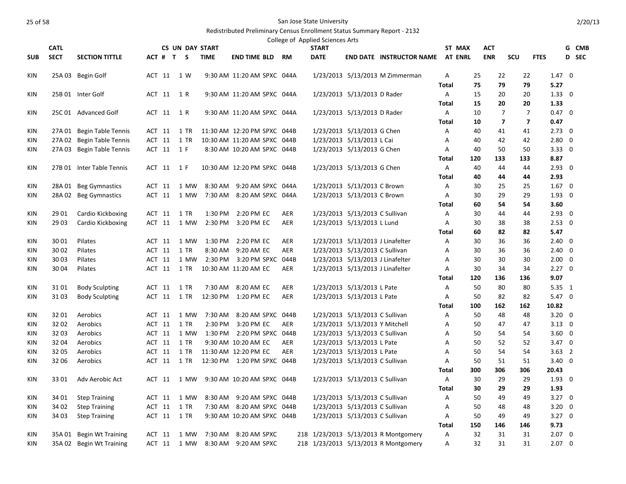|                          |                |                           |                  |                        |                    |                              |            | College of Applied Sciences Arts |                                                                    |                                      |              |                |            |                |                         |                                  |       |
|--------------------------|----------------|---------------------------|------------------|------------------------|--------------------|------------------------------|------------|----------------------------------|--------------------------------------------------------------------|--------------------------------------|--------------|----------------|------------|----------------|-------------------------|----------------------------------|-------|
|                          | <b>CATL</b>    |                           |                  | <b>CS UN DAY START</b> |                    |                              |            | <b>START</b>                     |                                                                    |                                      |              | ST MAX         | <b>ACT</b> |                |                         |                                  | G CMB |
| <b>SUB</b>               | <b>SECT</b>    | <b>SECTION TITTLE</b>     | ACT # T S        |                        | <b>TIME</b>        | <b>END TIME BLD RM</b>       |            | <b>DATE</b>                      |                                                                    | <b>END DATE INSTRUCTOR NAME</b>      |              | <b>AT ENRL</b> | <b>ENR</b> | SCU            | <b>FTES</b>             |                                  | D SEC |
| <b>KIN</b>               |                | 25A 03 Begin Golf         | ACT 11           | 1 W                    |                    | 9:30 AM 11:20 AM SPXC 044A   |            |                                  |                                                                    | 1/23/2013 5/13/2013 M Zimmerman      | A            |                | 25         | 22             | 22                      | $1.47 \quad 0$                   |       |
|                          |                |                           |                  |                        |                    |                              |            |                                  |                                                                    |                                      | Total        | 75             |            | 79             | 79                      | 5.27                             |       |
| <b>KIN</b>               |                | 25B 01 Inter Golf         | ACT 11 1 R       |                        |                    | 9:30 AM 11:20 AM SPXC 044A   |            |                                  | 1/23/2013 5/13/2013 D Rader                                        |                                      | A            |                | 15         | 20             | 20                      | $1.33 \quad 0$                   |       |
|                          |                |                           |                  |                        |                    |                              |            |                                  |                                                                    |                                      | <b>Total</b> |                | 15         | 20             | 20                      | 1.33                             |       |
| KIN                      |                | 25C 01 Advanced Golf      | ACT 11           | 1 R                    |                    | 9:30 AM 11:20 AM SPXC 044A   |            |                                  | 1/23/2013 5/13/2013 D Rader                                        |                                      | A            | 10             |            | $\overline{7}$ | $\overline{7}$          | $0.47 \quad 0$                   |       |
|                          |                |                           |                  |                        |                    |                              |            |                                  |                                                                    |                                      | Total        | 10             |            | $\overline{7}$ | $\overline{\mathbf{z}}$ | 0.47                             |       |
| KIN                      |                | 27A 01 Begin Table Tennis | ACT 11           | 1 TR                   |                    | 11:30 AM 12:20 PM SPXC 044B  |            |                                  | 1/23/2013 5/13/2013 G Chen                                         |                                      | Α            |                | 40         | 41             | 41                      | $2.73 \quad 0$                   |       |
| KIN                      |                | 27A 02 Begin Table Tennis | ACT 11           | 1 TR                   |                    | 10:30 AM 11:20 AM SPXC 044B  |            |                                  | 1/23/2013 5/13/2013 L Cai                                          |                                      | A            |                | 40         | 42             | 42                      | $2.80 \quad 0$                   |       |
| KIN                      |                | 27A 03 Begin Table Tennis | ACT 11 1 F       |                        |                    | 8:30 AM 10:20 AM SPXC 044B   |            |                                  | 1/23/2013 5/13/2013 G Chen                                         |                                      | Α            |                | 40         | 50             | 50                      | $3.33 \quad 0$                   |       |
|                          |                |                           |                  |                        |                    |                              |            |                                  |                                                                    |                                      | <b>Total</b> | 120            | 133        |                | 133                     | 8.87                             |       |
| KIN                      |                | 27B 01 Inter Table Tennis | ACT 11           | 1 F                    |                    | 10:30 AM 12:20 PM SPXC 044B  |            |                                  | 1/23/2013 5/13/2013 G Chen                                         |                                      | A            |                | 40         | 44             | 44                      | $2.93 \quad 0$                   |       |
|                          |                |                           |                  |                        |                    |                              |            |                                  |                                                                    |                                      | Total        |                | 40         | 44             | 44                      | 2.93                             |       |
| KIN                      |                | 28A 01 Beg Gymnastics     | ACT 11           | 1 MW                   | 8:30 AM            | 9:20 AM SPXC 044A            |            |                                  | 1/23/2013 5/13/2013 C Brown                                        |                                      | A            |                | 30         | 25             | 25                      | $1.67 \quad 0$                   |       |
| <b>KIN</b>               |                | 28A 02 Beg Gymnastics     | ACT 11           | 1 MW                   | 7:30 AM            | 8:20 AM SPXC 044A            |            |                                  | 1/23/2013 5/13/2013 C Brown                                        |                                      | Α            |                | 30         | 29             | 29                      | $1.93 \quad 0$                   |       |
|                          |                |                           |                  |                        |                    |                              |            |                                  |                                                                    |                                      | <b>Total</b> |                | 60         | 54             | 54                      | 3.60                             |       |
| KIN                      | 29 01          | Cardio Kickboxing         | ACT 11           | 1 TR                   | 1:30 PM            | 2:20 PM EC                   | AER        |                                  | 1/23/2013 5/13/2013 C Sullivan                                     |                                      | Α            |                | 30         | 44             | 44                      | $2.93 \quad 0$                   |       |
| KIN                      | 29 03          | Cardio Kickboxing         | ACT 11           | 1 MW                   | 2:30 PM            | 3:20 PM EC                   | AER        |                                  | 1/23/2013 5/13/2013 L Lund                                         |                                      | Α            |                | 30         | 38             | 38                      | $2.53 \quad 0$                   |       |
|                          |                |                           |                  |                        |                    |                              |            |                                  |                                                                    |                                      | Total        |                | 60         | 82             | 82                      | 5.47                             |       |
| <b>KIN</b>               | 30 01<br>30 02 | Pilates<br>Pilates        | ACT 11<br>ACT 11 | 1 MW<br>1 TR           | 1:30 PM<br>8:30 AM | 2:20 PM EC<br>9:20 AM EC     | AER<br>AER |                                  | 1/23/2013 5/13/2013 J Linafelter<br>1/23/2013 5/13/2013 C Sullivan |                                      | A<br>Α       |                | 30<br>30   | 36<br>36       | 36<br>36                | $2.40 \quad 0$<br>$2.40 \quad 0$ |       |
| <b>KIN</b><br><b>KIN</b> | 30 03          | Pilates                   | ACT 11           | 1 MW                   |                    | 2:30 PM 3:20 PM SPXC 044B    |            |                                  |                                                                    | 1/23/2013 5/13/2013 J Linafelter     | A            |                | 30         | 30             | 30                      | $2.00 \quad 0$                   |       |
| KIN                      | 30 04          | Pilates                   | ACT 11           | 1 TR                   |                    | 10:30 AM 11:20 AM EC         | AER        |                                  | 1/23/2013 5/13/2013 J Linafelter                                   |                                      | Α            |                | 30         | 34             | 34                      | $2.27 \quad 0$                   |       |
|                          |                |                           |                  |                        |                    |                              |            |                                  |                                                                    |                                      | Total        | 120            | 136        |                | 136                     | 9.07                             |       |
| <b>KIN</b>               | 3101           | <b>Body Sculpting</b>     | ACT 11           | 1 TR                   |                    | 7:30 AM 8:20 AM EC           | <b>AER</b> |                                  | 1/23/2013 5/13/2013 L Pate                                         |                                      | A            | 50             |            | 80             | 80                      | 5.35 1                           |       |
| <b>KIN</b>               | 3103           | <b>Body Sculpting</b>     | ACT 11           | 1 TR                   |                    | 12:30 PM 1:20 PM EC          | <b>AER</b> |                                  | 1/23/2013 5/13/2013 L Pate                                         |                                      | $\mathsf{A}$ |                | 50         | 82             | 82                      | $5.47 \quad 0$                   |       |
|                          |                |                           |                  |                        |                    |                              |            |                                  |                                                                    |                                      | <b>Total</b> | 100            | 162        |                | 162                     | 10.82                            |       |
| <b>KIN</b>               | 3201           | Aerobics                  | ACT 11           | 1 MW                   |                    | 7:30 AM 8:20 AM SPXC 044B    |            |                                  | 1/23/2013 5/13/2013 C Sullivan                                     |                                      | Α            | 50             |            | 48             | 48                      | $3.20 \quad 0$                   |       |
| <b>KIN</b>               | 3202           | Aerobics                  | ACT 11           | 1 TR                   | 2:30 PM            | 3:20 PM EC                   | <b>AER</b> |                                  | 1/23/2013 5/13/2013 Y Mitchell                                     |                                      | A            |                | 50         | 47             | 47                      | $3.13 \quad 0$                   |       |
| KIN                      | 32 03          | Aerobics                  | ACT 11           | 1 MW                   | 1:30 PM            | 2:20 PM SPXC 044B            |            |                                  | 1/23/2013 5/13/2013 C Sullivan                                     |                                      | Α            |                | 50         | 54             | 54                      | $3.60 \quad 0$                   |       |
| KIN                      | 32 04          | Aerobics                  | ACT 11           | 1 TR                   |                    | 9:30 AM 10:20 AM EC          | AER        |                                  | 1/23/2013 5/13/2013 L Pate                                         |                                      | Α            |                | 50         | 52             | 52                      | $3.47 \quad 0$                   |       |
| <b>KIN</b>               | 32 05          | Aerobics                  | ACT 11           | $1$ TR                 |                    | 11:30 AM 12:20 PM EC         | <b>AER</b> |                                  | 1/23/2013 5/13/2013 L Pate                                         |                                      | A            |                | 50         | 54             | 54                      | $3.63 \quad 2$                   |       |
| <b>KIN</b>               | 32 06          | Aerobics                  | ACT 11           | 1 TR                   |                    | 12:30 PM  1:20 PM SPXC  044B |            |                                  | 1/23/2013 5/13/2013 C Sullivan                                     |                                      | Α            |                | 50         | 51             | 51                      | $3.40 \quad 0$                   |       |
|                          |                |                           |                  |                        |                    |                              |            |                                  |                                                                    |                                      | Total        | 300            | 306        |                | 306                     | 20.43                            |       |
| <b>KIN</b>               | 3301           | Adv Aerobic Act           | ACT 11           | 1 MW                   |                    | 9:30 AM 10:20 AM SPXC 044B   |            |                                  | 1/23/2013 5/13/2013 C Sullivan                                     |                                      | A            |                | 30         | 29             | 29                      | $1.93 \quad 0$                   |       |
|                          |                |                           |                  |                        |                    |                              |            |                                  |                                                                    |                                      | <b>Total</b> |                | 30         | 29             | 29                      | 1.93                             |       |
| <b>KIN</b>               | 34 01          | <b>Step Training</b>      | ACT 11           | 1 MW                   | 8:30 AM            | 9:20 AM SPXC 044B            |            |                                  | 1/23/2013 5/13/2013 C Sullivan                                     |                                      | A            |                | 50         | 49             | 49                      | $3.27 \quad 0$                   |       |
| KIN                      | 34 02          | <b>Step Training</b>      | ACT 11           | 1 TR                   | 7:30 AM            | 8:20 AM SPXC 044B            |            |                                  | 1/23/2013 5/13/2013 C Sullivan                                     |                                      | Α            |                | 50         | 48             | 48                      | $3.20 \quad 0$                   |       |
| <b>KIN</b>               | 34 03          | <b>Step Training</b>      | ACT 11           | 1 TR                   |                    | 9:30 AM 10:20 AM SPXC 044B   |            |                                  | 1/23/2013 5/13/2013 C Sullivan                                     |                                      | A            |                | 50         | 49             | 49                      | $3.27 \quad 0$                   |       |
|                          |                |                           |                  |                        |                    |                              |            |                                  |                                                                    |                                      | <b>Total</b> | 150            | 146        |                | 146                     | 9.73                             |       |
| <b>KIN</b>               | 35A 01         | Begin Wt Training         | ACT 11           | 1 MW                   | 7:30 AM            | 8:20 AM SPXC                 |            |                                  |                                                                    | 218 1/23/2013 5/13/2013 R Montgomery | A            | 32             |            | 31             | 31                      | $2.07 \quad 0$                   |       |
| KIN                      |                | 35A 02 Begin Wt Training  |                  | ACT 11 1 MW            |                    | 8:30 AM 9:20 AM SPXC         |            |                                  |                                                                    | 218 1/23/2013 5/13/2013 R Montgomery | A            |                | 32         | 31             | 31                      | $2.07 \quad 0$                   |       |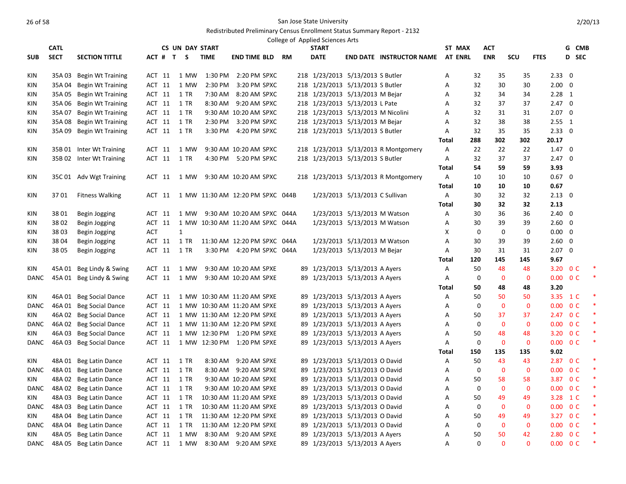|             |             |                          |            |                        |             |                                  |  | College of Applied Sciences Arts   |                                |                                      |                |             |                |              |                          |                |        |
|-------------|-------------|--------------------------|------------|------------------------|-------------|----------------------------------|--|------------------------------------|--------------------------------|--------------------------------------|----------------|-------------|----------------|--------------|--------------------------|----------------|--------|
|             | <b>CATL</b> |                          |            | <b>CS UN DAY START</b> |             |                                  |  | <b>START</b>                       |                                |                                      | ST MAX         |             | ACT            |              |                          |                | G CMB  |
| <b>SUB</b>  | <b>SECT</b> | <b>SECTION TITTLE</b>    |            | ACT # T S              | <b>TIME</b> | <b>END TIME BLD RM</b>           |  | <b>DATE</b>                        |                                | <b>END DATE INSTRUCTOR NAME</b>      | <b>AT ENRL</b> |             | <b>ENR</b>     | <b>SCU</b>   | <b>FTES</b>              |                | D SEC  |
| KIN         | 35A 03      | Begin Wt Training        | ACT 11     | 1 MW                   | 1:30 PM     | 2:20 PM SPXC                     |  | 218 1/23/2013 5/13/2013 S Butler   |                                |                                      | Α              | 32          | 35             | 35           | $2.33 \ 0$               |                |        |
| KIN         | 35A 04      | <b>Begin Wt Training</b> | ACT 11     | 1 MW                   | 2:30 PM     | 3:20 PM SPXC                     |  | 218 1/23/2013 5/13/2013 S Butler   |                                |                                      | Α              | 32          | 30             | 30           | $2.00 \quad 0$           |                |        |
| KIN         | 35A 05      | Begin Wt Training        | ACT 11     | 1 TR                   | 7:30 AM     | 8:20 AM SPXC                     |  | 218 1/23/2013 5/13/2013 M Bejar    |                                |                                      | Α              | 32          | 34             | 34           | $2.28$ 1                 |                |        |
| KIN         | 35A 06      | Begin Wt Training        | ACT 11     | 1 TR                   |             | 8:30 AM 9:20 AM SPXC             |  | 218 1/23/2013 5/13/2013 L Pate     |                                |                                      | Α              | 32          | 37             | 37           | $2.47 \quad 0$           |                |        |
| KIN         | 35A 07      | <b>Begin Wt Training</b> | ACT 11     | 1 TR                   |             | 9:30 AM 10:20 AM SPXC            |  | 218 1/23/2013 5/13/2013 M Nicolini |                                |                                      | A              | 32          | 31             | 31           | $2.07 \quad 0$           |                |        |
| KIN         | 35A 08      | Begin Wt Training        | ACT 11     | 1 TR                   | 2:30 PM     | 3:20 PM SPXC                     |  | 218 1/23/2013 5/13/2013 M Bejar    |                                |                                      | A              | 32          | 38             | 38           | $2.55$ 1                 |                |        |
| KIN         |             | 35A 09 Begin Wt Training | ACT 11     | 1 TR                   | 3:30 PM     | 4:20 PM SPXC                     |  | 218 1/23/2013 5/13/2013 S Butler   |                                |                                      | Α              | 32          | 35             | 35           | $2.33 \t0$               |                |        |
|             |             |                          |            |                        |             |                                  |  |                                    |                                |                                      | Total          | 288         | 302            | 302          | 20.17                    |                |        |
| KIN         |             | 35B 01 Inter Wt Training | ACT 11     | 1 MW                   |             | 9:30 AM 10:20 AM SPXC            |  |                                    |                                | 218 1/23/2013 5/13/2013 R Montgomery | Α              | 22          | 22             | 22           | $1.47 \quad 0$           |                |        |
| KIN         |             | 35B 02 Inter Wt Training | ACT 11     | 1 TR                   |             | 4:30 PM 5:20 PM SPXC             |  | 218 1/23/2013 5/13/2013 S Butler   |                                |                                      | Α              | 32          | 37             | 37           | $2.47 \quad 0$           |                |        |
|             |             |                          |            |                        |             |                                  |  |                                    |                                |                                      | Total          | 54          | 59             | 59           | 3.93                     |                |        |
| KIN         |             | 35C 01 Adv Wgt Training  |            | ACT 11 1 MW            |             | 9:30 AM 10:20 AM SPXC            |  |                                    |                                | 218 1/23/2013 5/13/2013 R Montgomery | A              | 10          | 10             | 10           | $0.67$ 0                 |                |        |
|             |             |                          |            |                        |             |                                  |  |                                    |                                |                                      | Total          | 10          | 10             | 10           | 0.67                     |                |        |
| KIN         | 3701        | <b>Fitness Walking</b>   | ACT 11     |                        |             | 1 MW 11:30 AM 12:20 PM SPXC 044B |  |                                    | 1/23/2013 5/13/2013 C Sullivan |                                      | Α              | 30          | 32             | 32           | $2.13 \quad 0$           |                |        |
|             |             |                          |            |                        |             |                                  |  |                                    |                                |                                      | <b>Total</b>   | 30          | 32             | 32           | 2.13                     |                |        |
| KIN         | 3801        | Begin Jogging            | ACT 11     | 1 MW                   |             | 9:30 AM 10:20 AM SPXC 044A       |  |                                    |                                | 1/23/2013 5/13/2013 M Watson         | Α              | 30          | 36             | 36           | $2.40 \quad 0$           |                |        |
| KIN         | 3802        | Begin Jogging            | ACT 11     |                        |             | 1 MW 10:30 AM 11:20 AM SPXC 044A |  |                                    | 1/23/2013 5/13/2013 M Watson   |                                      | A              | 30          | 39             | 39           | $2.60 \quad 0$           |                |        |
| KIN         | 38 03       | Begin Jogging            | <b>ACT</b> | $\mathbf{1}$           |             |                                  |  |                                    |                                |                                      | X              | 0           | $\mathbf 0$    | 0            | $0.00 \quad 0$           |                |        |
| KIN         | 3804        | Begin Jogging            | ACT 11     | 1 TR                   |             | 11:30 AM 12:20 PM SPXC 044A      |  |                                    |                                | 1/23/2013 5/13/2013 M Watson         | Α              | 30          | 39             | 39           | $2.60 \quad 0$           |                |        |
| KIN         | 3805        | Begin Jogging            | ACT 11     | 1 TR                   |             | 3:30 PM 4:20 PM SPXC 044A        |  |                                    | 1/23/2013 5/13/2013 M Bejar    |                                      | Α              | 30          | 31             | 31           | $2.07 \quad 0$           |                |        |
|             |             |                          |            |                        |             |                                  |  |                                    |                                |                                      | Total          | 120         | 145            | 145          | 9.67                     |                |        |
| KIN         | 45A 01      | Beg Lindy & Swing        | ACT 11     | 1 MW                   |             | 9:30 AM 10:20 AM SPXE            |  | 89 1/23/2013 5/13/2013 A Ayers     |                                |                                      | Α              | 50          | 48             | 48           | 3.20 O C                 |                |        |
| <b>DANC</b> |             | 45A 01 Beg Lindy & Swing | ACT 11     | 1 MW                   |             | 9:30 AM 10:20 AM SPXE            |  | 89 1/23/2013 5/13/2013 A Ayers     |                                |                                      | Α              | $\mathbf 0$ | $\overline{0}$ | $\mathbf{0}$ | $0.00 \quad 0 \text{ C}$ |                | $\ast$ |
|             |             |                          |            |                        |             |                                  |  |                                    |                                |                                      | <b>Total</b>   | 50          | 48             | 48           | 3.20                     |                |        |
| KIN         |             | 46A 01 Beg Social Dance  | ACT 11     |                        |             | 1 MW 10:30 AM 11:20 AM SPXE      |  | 89 1/23/2013 5/13/2013 A Ayers     |                                |                                      | Α              | 50          | 50             | 50           | 3.35 1 C                 |                |        |
| DANC        |             | 46A 01 Beg Social Dance  | ACT 11     |                        |             | 1 MW 10:30 AM 11:20 AM SPXE      |  | 89 1/23/2013 5/13/2013 A Ayers     |                                |                                      | Α              | $\mathbf 0$ | $\bf{0}$       | $\mathbf{0}$ | 0.00                     | 0 <sup>C</sup> | ∗      |
| <b>KIN</b>  | 46A 02      | <b>Beg Social Dance</b>  | ACT 11     |                        |             | 1 MW 11:30 AM 12:20 PM SPXE      |  | 89 1/23/2013 5/13/2013 A Ayers     |                                |                                      | A              | 50          | 37             | 37           | 2.47 0 C                 |                | $\ast$ |
| <b>DANC</b> | 46A02       | <b>Beg Social Dance</b>  | ACT 11     |                        |             | 1 MW 11:30 AM 12:20 PM SPXE      |  | 89 1/23/2013 5/13/2013 A Ayers     |                                |                                      | A              | $\mathbf 0$ | $\mathbf 0$    | $\mathbf{0}$ | $0.00 \quad 0 \text{ C}$ |                |        |
| KIN         |             | 46A 03 Beg Social Dance  | ACT 11     |                        |             | 1 MW 12:30 PM 1:20 PM SPXE       |  | 89 1/23/2013 5/13/2013 A Ayers     |                                |                                      | Α              | 50          | 48             | 48           | 3.20 OC                  |                |        |
| DANC        |             | 46A 03 Beg Social Dance  | ACT 11     |                        |             | 1 MW 12:30 PM 1:20 PM SPXE       |  | 89 1/23/2013 5/13/2013 A Ayers     |                                |                                      | Α              | 0           | $\mathbf 0$    | $\mathbf 0$  | $0.00 \t 0 C$            |                | $\ast$ |
|             |             |                          |            |                        |             |                                  |  |                                    |                                |                                      | Total          | 150         | 135            | 135          | 9.02                     |                |        |
| KIN         |             | 48A 01 Beg Latin Dance   | ACT 11     | 1 TR                   |             | 8:30 AM 9:20 AM SPXE             |  | 89 1/23/2013 5/13/2013 O David     |                                |                                      | A              | 50          | 43             | 43           | 2.87 0 C                 |                |        |
| <b>DANC</b> | 48A 01      | Beg Latin Dance          | ACT 11     | 1 TR                   |             | 8:30 AM 9:20 AM SPXE             |  | 89 1/23/2013 5/13/2013 O David     |                                |                                      | A              | $\mathbf 0$ | $\overline{0}$ | $\mathbf{0}$ | 0.00                     | 0 <sup>C</sup> | $\ast$ |
| KIN         | 48A 02      | Beg Latin Dance          | ACT 11     | 1 TR                   |             | 9:30 AM 10:20 AM SPXE            |  | 89 1/23/2013 5/13/2013 O David     |                                |                                      | Α              | 50          | 58             | 58           | 3.87 0 C                 |                |        |
| <b>DANC</b> | 48A02       | Beg Latin Dance          | ACT 11     | 1 TR                   |             | 9:30 AM 10:20 AM SPXE            |  | 89 1/23/2013 5/13/2013 O David     |                                |                                      | Α              | 0           | $\mathbf 0$    | $\mathbf{0}$ | 0.00                     | 0 <sup>C</sup> |        |
| KIN         | 48A 03      | Beg Latin Dance          | ACT 11     | 1 TR                   |             | 10:30 AM 11:20 AM SPXE           |  | 89 1/23/2013 5/13/2013 O David     |                                |                                      | Α              | 50          | 49             | 49           | 3.28                     | 1 C            | ∗      |
| DANC        | 48A03       | Beg Latin Dance          | ACT 11     | 1 TR                   |             | 10:30 AM 11:20 AM SPXE           |  | 89 1/23/2013 5/13/2013 O David     |                                |                                      | Α              | $\Omega$    | $\mathbf{0}$   | $\mathbf{0}$ | $0.00 \quad 0 \text{ C}$ |                | ×      |
| KIN         | 48A 04      | Beg Latin Dance          | ACT 11     | 1 TR                   |             | 11:30 AM 12:20 PM SPXE           |  | 89 1/23/2013 5/13/2013 O David     |                                |                                      | A              | 50          | 49             | 49           | 3.27 0 C                 |                |        |
| <b>DANC</b> | 48A04       | Beg Latin Dance          | ACT 11     | 1 TR                   |             | 11:30 AM 12:20 PM SPXE           |  | 89 1/23/2013 5/13/2013 O David     |                                |                                      | A              | $\mathbf 0$ | $\mathbf{0}$   | $\mathbf{0}$ | 0.00 <sub>1</sub>        | 0 <sup>C</sup> | ×      |
| KIN         | 48A05       | Beg Latin Dance          | ACT 11     | 1 MW                   |             | 8:30 AM 9:20 AM SPXE             |  | 89 1/23/2013 5/13/2013 A Ayers     |                                |                                      | A              | 50          | 50             | 42           | 2.80                     | 0 <sup>C</sup> | $\ast$ |
| DANC        |             | 48A 05 Beg Latin Dance   | ACT 11     | 1 MW                   |             | 8:30 AM 9:20 AM SPXE             |  | 89 1/23/2013 5/13/2013 A Ayers     |                                |                                      | A              | $\Omega$    | $\Omega$       | $\Omega$     | $0.00 \quad 0 \text{ C}$ |                |        |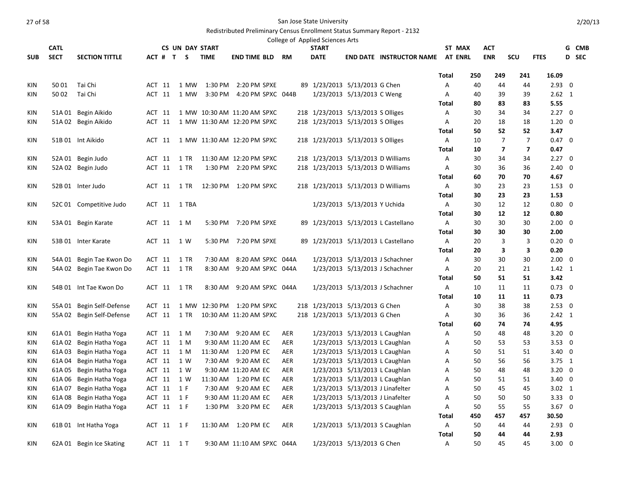|            |             |                           |        |                  |                        |             |                             |            | College of Applied Sciences Arts   |                                  |                                         |              |          |                |                         |                                  |       |
|------------|-------------|---------------------------|--------|------------------|------------------------|-------------|-----------------------------|------------|------------------------------------|----------------------------------|-----------------------------------------|--------------|----------|----------------|-------------------------|----------------------------------|-------|
|            | <b>CATL</b> |                           |        |                  | <b>CS UN DAY START</b> |             |                             |            | <b>START</b>                       |                                  |                                         |              | ST MAX   | <b>ACT</b>     |                         |                                  | G CMB |
| <b>SUB</b> | <b>SECT</b> | <b>SECTION TITTLE</b>     |        |                  | ACT # T S              | <b>TIME</b> | END TIME BLD                | <b>RM</b>  | <b>DATE</b>                        |                                  | <b>END DATE INSTRUCTOR NAME AT ENRL</b> |              |          | <b>ENR</b>     | SCU                     | <b>FTES</b>                      | D SEC |
|            |             |                           |        |                  |                        |             |                             |            |                                    |                                  |                                         | <b>Total</b> | 250      | 249            | 241                     | 16.09                            |       |
| KIN        | 50 01       | Tai Chi                   | ACT 11 |                  | 1 MW                   | 1:30 PM     | 2:20 PM SPXE                |            | 89 1/23/2013 5/13/2013 G Chen      |                                  |                                         | Α            | 40       | 44             | 44                      | $2.93 \quad 0$                   |       |
| KIN        | 50 02       | Tai Chi                   |        | ACT 11           | 1 MW                   |             | 3:30 PM 4:20 PM SPXC 044B   |            |                                    | 1/23/2013 5/13/2013 C Weng       |                                         | A            | 40       | 39             | 39                      | $2.62 \quad 1$                   |       |
|            |             |                           |        |                  |                        |             |                             |            |                                    |                                  |                                         | Total        | 80       | 83             | 83                      | 5.55                             |       |
| KIN        |             | 51A 01 Begin Aikido       |        | ACT 11           |                        |             | 1 MW 10:30 AM 11:20 AM SPXC |            | 218 1/23/2013 5/13/2013 S Olliges  |                                  |                                         | Α            | 30       | 34             | 34                      | $2.27 \quad 0$                   |       |
| KIN        |             | 51A 02 Begin Aikido       | ACT 11 |                  |                        |             | 1 MW 11:30 AM 12:20 PM SPXC |            | 218 1/23/2013 5/13/2013 S Olliges  |                                  |                                         | Α            | 20       | 18             | 18                      | $1.20 \quad 0$                   |       |
|            |             |                           |        |                  |                        |             |                             |            |                                    |                                  |                                         | Total        | 50       | 52             | 52                      | 3.47                             |       |
| KIN        |             | 51B 01 Int Aikido         |        | ACT 11           |                        |             | 1 MW 11:30 AM 12:20 PM SPXC |            | 218 1/23/2013 5/13/2013 S Olliges  |                                  |                                         | A            | 10       | $\overline{7}$ | $\overline{7}$          | $0.47 \quad 0$                   |       |
|            |             |                           |        |                  |                        |             |                             |            |                                    |                                  |                                         | <b>Total</b> | 10       | $\overline{7}$ | $\overline{\mathbf{z}}$ | 0.47                             |       |
| KIN        |             | 52A 01 Begin Judo         |        | ACT 11           | 1 TR                   |             | 11:30 AM 12:20 PM SPXC      |            | 218 1/23/2013 5/13/2013 D Williams |                                  |                                         | Α            | 30       | 34             | 34                      | $2.27 \quad 0$                   |       |
| KIN        |             | 52A 02 Begin Judo         |        | ACT 11           | 1 TR                   |             | 1:30 PM 2:20 PM SPXC        |            | 218 1/23/2013 5/13/2013 D Williams |                                  |                                         | A            | 30       | 36             | 36                      | $2.40 \quad 0$                   |       |
|            |             |                           |        |                  |                        |             |                             |            |                                    |                                  |                                         | Total        | 60       | 70             | 70                      | 4.67                             |       |
| KIN        |             | 52B 01 Inter Judo         |        | ACT 11           | 1 TR                   |             | 12:30 PM   1:20 PM SPXC     |            | 218 1/23/2013 5/13/2013 D Williams |                                  |                                         | A            | 30       | 23             | 23                      | $1.53 \quad 0$                   |       |
|            |             |                           |        |                  |                        |             |                             |            |                                    |                                  |                                         | Total        | 30       | 23             | 23                      | 1.53                             |       |
| KIN        |             | 52C 01 Competitive Judo   |        | ACT 11           | 1 TBA                  |             |                             |            |                                    | 1/23/2013 5/13/2013 Y Uchida     |                                         | Α            | 30       | 12             | 12                      | $0.80 \quad 0$                   |       |
|            |             |                           |        |                  |                        |             |                             |            |                                    |                                  |                                         | Total        | 30       | 12             | 12                      | 0.80                             |       |
| KIN        |             | 53A 01 Begin Karate       |        | ACT 11           | 1 M                    |             | 5:30 PM 7:20 PM SPXE        |            |                                    |                                  | 89 1/23/2013 5/13/2013 L Castellano     | A            | 30       | 30             | 30                      | $2.00 \quad 0$                   |       |
|            |             |                           |        |                  |                        |             |                             |            |                                    |                                  |                                         | Total        | 30       | 30             | 30                      | 2.00                             |       |
| KIN        |             | 53B 01 Inter Karate       |        |                  | ACT 11 1 W             |             | 5:30 PM 7:20 PM SPXE        |            |                                    |                                  | 89 1/23/2013 5/13/2013 L Castellano     | A            | 20       | 3              | 3                       | $0.20 \quad 0$                   |       |
|            |             |                           |        |                  |                        |             |                             |            |                                    |                                  |                                         | <b>Total</b> | 20       | 3              | 3                       | 0.20                             |       |
| KIN        |             | 54A 01 Begin Tae Kwon Do  |        | ACT 11           | 1 TR                   | 7:30 AM     | 8:20 AM SPXC 044A           |            |                                    |                                  | 1/23/2013 5/13/2013 J Schachner         | A            | 30       | 30             | 30                      | $2.00 \quad 0$                   |       |
| KIN        |             | 54A 02 Begin Tae Kwon Do  |        | ACT 11           | 1 TR                   |             | 8:30 AM 9:20 AM SPXC 044A   |            |                                    |                                  | 1/23/2013 5/13/2013 J Schachner         | A            | 20       | 21             | 21                      | $1.42 \quad 1$                   |       |
|            |             |                           |        |                  |                        |             |                             |            |                                    |                                  |                                         | <b>Total</b> | 50       | 51             | 51                      | 3.42                             |       |
| KIN        |             | 54B 01 Int Tae Kwon Do    |        | ACT 11           | 1 TR                   | 8:30 AM     | 9:20 AM SPXC 044A           |            |                                    |                                  | 1/23/2013 5/13/2013 J Schachner         | A            | 10       | 11             | 11                      | $0.73 \quad 0$                   |       |
|            |             |                           |        |                  |                        |             |                             |            |                                    |                                  |                                         | <b>Total</b> | 10       | 11             | 11                      | 0.73                             |       |
| KIN        |             | 55A 01 Begin Self-Defense |        | ACT 11<br>ACT 11 | 1 TR                   |             | 1 MW 12:30 PM 1:20 PM SPXC  |            | 218 1/23/2013 5/13/2013 G Chen     |                                  |                                         | A            | 30       | 38             | 38<br>36                | $2.53 \quad 0$<br>$2.42 \quad 1$ |       |
| KIN        |             | 55A 02 Begin Self-Defense |        |                  |                        |             | 10:30 AM 11:20 AM SPXC      |            | 218 1/23/2013 5/13/2013 G Chen     |                                  |                                         | A<br>Total   | 30<br>60 | 36<br>74       | 74                      | 4.95                             |       |
| KIN        | 61A 01      | Begin Hatha Yoga          |        | ACT 11           | 1 M                    |             | 7:30 AM 9:20 AM EC          | AER        |                                    |                                  | 1/23/2013 5/13/2013 L Caughlan          | Α            | 50       | 48             | 48                      | $3.20 \quad 0$                   |       |
| KIN        | 61A 02      | Begin Hatha Yoga          |        | ACT 11           | 1 M                    |             | 9:30 AM 11:20 AM EC         | AER        |                                    | 1/23/2013 5/13/2013 L Caughlan   |                                         | А            | 50       | 53             | 53                      | $3.53 \quad 0$                   |       |
| KIN        | 61A 03      | Begin Hatha Yoga          |        | ACT 11           | 1 M                    |             | 11:30 AM  1:20 PM EC        | AER        |                                    |                                  | 1/23/2013 5/13/2013 L Caughlan          | Α            | 50       | 51             | 51                      | $3.40 \quad 0$                   |       |
| KIN        | 61A 04      | Begin Hatha Yoga          | ACT 11 |                  | 1 W                    |             | 7:30 AM 9:20 AM EC          | AER        |                                    | 1/23/2013 5/13/2013 L Caughlan   |                                         | A            | 50       | 56             | 56                      | $3.75 \quad 1$                   |       |
| KIN        | 61A05       | Begin Hatha Yoga          |        | ACT 11           | 1 W                    |             | 9:30 AM 11:20 AM EC         | AER        |                                    | 1/23/2013 5/13/2013 L Caughlan   |                                         | Α            | 50       | 48             | 48                      | $3.20 \quad 0$                   |       |
| KIN        | 61A 06      | Begin Hatha Yoga          |        | ACT 11           | 1 W                    |             | 11:30 AM 1:20 PM EC         | AER        |                                    | 1/23/2013 5/13/2013 L Caughlan   |                                         | Α            | 50       | 51             | 51                      | $3.40 \quad 0$                   |       |
| KIN        | 61A 07      | Begin Hatha Yoga          | ACT 11 |                  | 1 F                    |             | 7:30 AM 9:20 AM EC          | AER        |                                    | 1/23/2013 5/13/2013 J Linafelter |                                         | Α            | 50       | 45             | 45                      | $3.02 \quad 1$                   |       |
| KIN        | 61A08       | Begin Hatha Yoga          |        | ACT 11           | 1 F                    |             | 9:30 AM 11:20 AM EC         | AER        |                                    | 1/23/2013 5/13/2013 J Linafelter |                                         | Α            | 50       | 50             | 50                      | $3.33 \quad 0$                   |       |
| KIN        | 61A 09      | Begin Hatha Yoga          |        | ACT 11           | 1 F                    |             | 1:30 PM 3:20 PM EC          | AER        |                                    | 1/23/2013 5/13/2013 S Caughlan   |                                         | Α            | 50       | 55             | 55                      | $3.67 \quad 0$                   |       |
|            |             |                           |        |                  |                        |             |                             |            |                                    |                                  |                                         | Total        | 450      | 457            | 457                     | 30.50                            |       |
| <b>KIN</b> |             | 61B 01 Int Hatha Yoga     |        | ACT 11           | 1 F                    |             | 11:30 AM 1:20 PM EC         | <b>AER</b> |                                    |                                  | 1/23/2013 5/13/2013 S Caughlan          | $\mathsf{A}$ | 50       | 44             | 44                      | $2.93 \quad 0$                   |       |
|            |             |                           |        |                  |                        |             |                             |            |                                    |                                  |                                         | <b>Total</b> | 50       | 44             | 44                      | 2.93                             |       |
| KIN        |             | 62A 01 Begin Ice Skating  |        | ACT 11           | 1 T                    |             | 9:30 AM 11:10 AM SPXC 044A  |            |                                    | 1/23/2013 5/13/2013 G Chen       |                                         | A            | 50       | 45             | 45                      | $3.00 \quad 0$                   |       |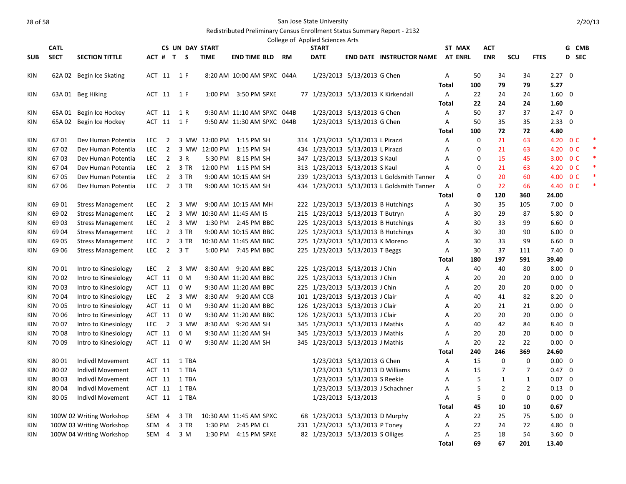|            |             |                          |            |                         |                        |             |                            |           | College of Applied Sciences Arts  |                              |                                            |              |                |            |                |                            |                |       |        |
|------------|-------------|--------------------------|------------|-------------------------|------------------------|-------------|----------------------------|-----------|-----------------------------------|------------------------------|--------------------------------------------|--------------|----------------|------------|----------------|----------------------------|----------------|-------|--------|
|            | <b>CATL</b> |                          |            |                         | <b>CS UN DAY START</b> |             |                            |           | <b>START</b>                      |                              |                                            |              | ST MAX         | <b>ACT</b> |                |                            |                | G CMB |        |
| <b>SUB</b> | <b>SECT</b> | <b>SECTION TITTLE</b>    |            |                         | ACT # T S              | <b>TIME</b> | <b>END TIME BLD</b>        | <b>RM</b> | <b>DATE</b>                       |                              | <b>END DATE INSTRUCTOR NAME</b>            |              | <b>AT ENRL</b> | <b>ENR</b> | SCU            | <b>FTES</b>                |                | D SEC |        |
| KIN        |             | 62A 02 Begin Ice Skating |            |                         | ACT 11 1 F             |             | 8:20 AM 10:00 AM SPXC 044A |           |                                   | 1/23/2013 5/13/2013 G Chen   |                                            | Α            | 50             | 34         | 34             |                            | $2.27 \quad 0$ |       |        |
|            |             |                          |            |                         |                        |             |                            |           |                                   |                              |                                            | <b>Total</b> | 100            | 79         | 79             | 5.27                       |                |       |        |
| <b>KIN</b> |             | 63A 01 Beg Hiking        |            |                         | ACT 11 1 F             |             | 1:00 PM 3:50 PM SPXE       |           |                                   |                              | 77 1/23/2013 5/13/2013 K Kirkendall        | Α            | 22             | 24         | 24             | $1.60 \quad 0$             |                |       |        |
|            |             |                          |            |                         |                        |             |                            |           |                                   |                              |                                            | <b>Total</b> | 22             | 24         | 24             | 1.60                       |                |       |        |
| <b>KIN</b> |             | 65A 01 Begin Ice Hockey  |            | ACT 11                  | 1 R                    |             | 9:30 AM 11:10 AM SPXC 044B |           |                                   | 1/23/2013 5/13/2013 G Chen   |                                            | Α            | 50             | 37         | 37             |                            | $2.47 \quad 0$ |       |        |
| KIN        |             | 65A 02 Begin Ice Hockey  |            |                         | ACT 11 1 F             |             | 9:50 AM 11:30 AM SPXC 044B |           |                                   | 1/23/2013 5/13/2013 G Chen   |                                            | A            | 50             | 35         | 35             |                            | $2.33 \quad 0$ |       |        |
|            |             |                          |            |                         |                        |             |                            |           |                                   |                              |                                            | Total        | 100            | 72         | 72             | 4.80                       |                |       |        |
| KIN        | 6701        | Dev Human Potentia       | LEC        | 2                       |                        |             | 3 MW 12:00 PM 1:15 PM SH   |           | 314 1/23/2013 5/13/2013 L Pirazzi |                              |                                            | A            | 0              | 21         | 63             |                            | 4.20 0 C       |       | *      |
| KIN        | 6702        | Dev Human Potentia       | <b>LEC</b> | $\overline{2}$          |                        |             | 3 MW 12:00 PM 1:15 PM SH   |           | 434 1/23/2013 5/13/2013 L Pirazzi |                              |                                            | Α            | $\mathbf 0$    | 21         | 63             |                            | 4.20 0 C       |       | $\ast$ |
| KIN        | 6703        | Dev Human Potentia       | LEC.       | $\overline{2}$          | 3 R                    | 5:30 PM     | 8:15 PM SH                 |           | 347 1/23/2013 5/13/2013 S Kaul    |                              |                                            | Α            | 0              | 15         | 45             |                            | 3.00 0 C       |       |        |
| <b>KIN</b> | 6704        | Dev Human Potentia       | <b>LEC</b> | $\overline{2}$          | 3 TR                   |             | 12:00 PM 1:15 PM SH        |           | 313 1/23/2013 5/13/2013 S Kaul    |                              |                                            | A            | 0              | 21         | 63             |                            | 4.20 OC        |       | ∗      |
| <b>KIN</b> | 6705        | Dev Human Potentia       | <b>LEC</b> | $\overline{2}$          | 3 TR                   |             | 9:00 AM 10:15 AM SH        |           |                                   |                              | 239 1/23/2013 5/13/2013 L Goldsmith Tanner | A            | $\mathbf 0$    | 20         | 60             |                            | 4.00 0 C       |       |        |
| <b>KIN</b> | 6706        | Dev Human Potentia       |            | LEC <sub>2</sub>        | 3 TR                   |             | 9:00 AM 10:15 AM SH        |           |                                   |                              | 434 1/23/2013 5/13/2013 L Goldsmith Tanner | Α            | 0              | 22         | 66             |                            | 4.40 OC        |       | $\ast$ |
|            |             |                          |            |                         |                        |             |                            |           |                                   |                              |                                            | <b>Total</b> | 0              | 120        | 360            | 24.00                      |                |       |        |
| KIN        | 69 01       | <b>Stress Management</b> | <b>LEC</b> | $\overline{2}$          | 3 MW                   |             | 9:00 AM 10:15 AM MH        |           |                                   |                              | 222 1/23/2013 5/13/2013 B Hutchings        | A            | 30             | 35         | 105            | $7.00 \quad 0$             |                |       |        |
| KIN        | 69 02       | <b>Stress Management</b> | <b>LEC</b> | $\overline{2}$          |                        |             | 3 MW 10:30 AM 11:45 AM IS  |           | 215 1/23/2013 5/13/2013 T Butryn  |                              |                                            | Α            | 30             | 29         | 87             |                            | $5.80 \quad 0$ |       |        |
| KIN        | 69 03       | <b>Stress Management</b> | LEC.       | $\overline{2}$          | 3 MW                   |             | 1:30 PM 2:45 PM BBC        |           |                                   |                              | 225 1/23/2013 5/13/2013 B Hutchings        | Α            | 30             | 33         | 99             |                            | $6.60 \quad 0$ |       |        |
| KIN        | 69 04       | <b>Stress Management</b> | <b>LEC</b> | $\overline{2}$          | 3 TR                   |             | 9:00 AM 10:15 AM BBC       |           |                                   |                              | 225 1/23/2013 5/13/2013 B Hutchings        | A            | 30             | 30         | 90             |                            | $6.00 \quad 0$ |       |        |
| KIN        | 69 05       | <b>Stress Management</b> | <b>LEC</b> | $\overline{2}$          | 3 TR                   |             | 10:30 AM 11:45 AM BBC      |           | 225 1/23/2013 5/13/2013 K Moreno  |                              |                                            | Α            | 30             | 33         | 99             |                            | $6.60 \quad 0$ |       |        |
| <b>KIN</b> | 69 06       | <b>Stress Management</b> | <b>LEC</b> | $\overline{2}$          | 3T                     |             | 5:00 PM 7:45 PM BBC        |           | 225 1/23/2013 5/13/2013 T Beggs   |                              |                                            | Α            | 30             | 37         | 111            |                            | $7.40 \quad 0$ |       |        |
|            |             |                          |            |                         |                        |             |                            |           |                                   |                              |                                            | Total        | 180            | 197        | 591            | 39.40                      |                |       |        |
| <b>KIN</b> | 70 01       | Intro to Kinesiology     | LEC.       | $\overline{2}$          | 3 MW                   |             | 8:30 AM 9:20 AM BBC        |           | 225 1/23/2013 5/13/2013 J Chin    |                              |                                            | Α            | 40             | 40         | 80             | $8.00 \quad 0$             |                |       |        |
| KIN        | 70 02       | Intro to Kinesiology     |            | ACT 11                  | 0 M                    |             | 9:30 AM 11:20 AM BBC       |           | 225 1/23/2013 5/13/2013 J Chin    |                              |                                            | Α            | 20             | 20         | 20             |                            | $0.00 \quad 0$ |       |        |
| KIN        | 70 03       | Intro to Kinesiology     |            | ACT 11                  | 0 <sub>W</sub>         |             | 9:30 AM 11:20 AM BBC       |           | 225 1/23/2013 5/13/2013 J Chin    |                              |                                            | A            | 20             | 20         | 20             |                            | $0.00 \quad 0$ |       |        |
| KIN        | 70 04       | Intro to Kinesiology     | <b>LEC</b> | $\overline{2}$          | 3 MW                   |             | 8:30 AM 9:20 AM CCB        |           | 101 1/23/2013 5/13/2013 J Clair   |                              |                                            | A            | 40             | 41         | 82             |                            | $8.20 \quad 0$ |       |        |
| <b>KIN</b> | 70 05       | Intro to Kinesiology     |            | ACT 11                  | 0 M                    |             | 9:30 AM 11:20 AM BBC       |           | 126 1/23/2013 5/13/2013 J Clair   |                              |                                            | Α            | 20             | 21         | 21             |                            | $0.00 \quad 0$ |       |        |
| KIN        | 70 06       | Intro to Kinesiology     |            | ACT 11                  | 0 <sub>W</sub>         |             | 9:30 AM 11:20 AM BBC       |           | 126 1/23/2013 5/13/2013 J Clair   |                              |                                            | A            | 20             | 20         | 20             |                            | $0.00 \quad 0$ |       |        |
| KIN        | 7007        | Intro to Kinesiology     | LEC.       | $\overline{\mathbf{2}}$ | 3 MW                   |             | 8:30 AM 9:20 AM SH         |           | 345 1/23/2013 5/13/2013 J Mathis  |                              |                                            | A            | 40             | 42         | 84             |                            | 8.40 0         |       |        |
| KIN        | 70 08       | Intro to Kinesiology     |            | ACT 11                  | 0 M                    |             | 9:30 AM 11:20 AM SH        |           | 345 1/23/2013 5/13/2013 J Mathis  |                              |                                            | Α            | 20             | 20         | 20             |                            | $0.00 \quad 0$ |       |        |
| <b>KIN</b> | 70 09       | Intro to Kinesiology     |            | ACT 11                  | 0 W                    |             | 9:30 AM 11:20 AM SH        |           | 345 1/23/2013 5/13/2013 J Mathis  |                              |                                            | Α            | 20             | 22         | 22             |                            | $0.00 \quad 0$ |       |        |
|            |             |                          |            |                         |                        |             |                            |           |                                   |                              |                                            | <b>Total</b> | 240            | 246        | 369            | 24.60                      |                |       |        |
| KIN        | 80 01       | Indivdl Movement         |            | ACT 11                  | 1 TBA                  |             |                            |           |                                   | 1/23/2013 5/13/2013 G Chen   |                                            | A            | 15             |            | $\mathbf 0$    | $\Omega$<br>$0.00 \quad 0$ |                |       |        |
| KIN        | 80 02       | Indivdl Movement         |            | ACT 11                  | 1 TBA                  |             |                            |           |                                   |                              | 1/23/2013 5/13/2013 D Williams             | A            | 15             |            | $\overline{7}$ | $\overline{7}$             | $0.47 \quad 0$ |       |        |
| <b>KIN</b> | 80 03       | Indivdl Movement         |            | ACT 11                  | 1 TBA                  |             |                            |           |                                   | 1/23/2013 5/13/2013 S Reekie |                                            | A            | 5              |            | $\mathbf{1}$   | $\mathbf{1}$               | $0.07 \quad 0$ |       |        |
| KIN        | 80 04       | Indivdl Movement         |            | ACT 11                  | 1 TBA                  |             |                            |           |                                   |                              | 1/23/2013 5/13/2013 J Schachner            | Α            | 5              |            | $\overline{2}$ | $\overline{2}$             | $0.13 \quad 0$ |       |        |
| KIN        | 80 05       | Indivdl Movement         |            | ACT 11                  | 1 TBA                  |             |                            |           |                                   | 1/23/2013 5/13/2013          |                                            | Α            | 5              |            | $\pmb{0}$      | $\mathbf 0$                | $0.00 \quad 0$ |       |        |
|            |             |                          |            |                         |                        |             |                            |           |                                   |                              |                                            | Total        | 45             | 10         | 10             | 0.67                       |                |       |        |
| KIN        |             | 100W 02 Writing Workshop | SEM        | $\overline{4}$          | 3 TR                   |             | 10:30 AM 11:45 AM SPXC     |           | 68 1/23/2013 5/13/2013 D Murphy   |                              |                                            | Α            | 22             | 25         | 75             |                            | $5.00 \quad 0$ |       |        |
| KIN        |             | 100W 03 Writing Workshop | SEM        | 4                       | 3 TR                   |             | 1:30 PM 2:45 PM CL         |           | 231 1/23/2013 5/13/2013 P Toney   |                              |                                            | Α            | 22             | 24         | 72             |                            | 4.80 0         |       |        |
| <b>KIN</b> |             | 100W 04 Writing Workshop |            | SEM 4                   | 3 M                    |             | 1:30 PM 4:15 PM SPXE       |           | 82 1/23/2013 5/13/2013 S Olliges  |                              |                                            | A            | 25             | 18         | 54             |                            | $3.60 \quad 0$ |       |        |
|            |             |                          |            |                         |                        |             |                            |           |                                   |                              |                                            | <b>Total</b> | 69             | 67         | 201            | 13.40                      |                |       |        |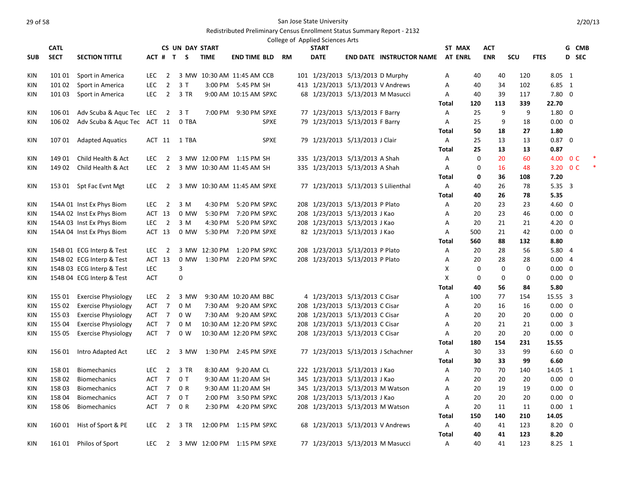|            | <b>CATL</b> |                             |            |                          | <b>CS UN DAY START</b> |               |                             |           | College of Applied Sciences Arts<br><b>START</b> |                                    |              | ST MAX         | ACT         |            |                |                | G CMB          |  |
|------------|-------------|-----------------------------|------------|--------------------------|------------------------|---------------|-----------------------------|-----------|--------------------------------------------------|------------------------------------|--------------|----------------|-------------|------------|----------------|----------------|----------------|--|
| <b>SUB</b> | <b>SECT</b> | <b>SECTION TITTLE</b>       |            |                          | ACT # T S              | <b>TIME</b>   | <b>END TIME BLD</b>         | <b>RM</b> | <b>DATE</b>                                      | <b>END DATE INSTRUCTOR NAME</b>    |              | <b>AT ENRL</b> | <b>ENR</b>  | <b>SCU</b> | <b>FTES</b>    |                | D SEC          |  |
|            |             |                             |            |                          |                        |               |                             |           |                                                  |                                    |              |                |             |            |                |                |                |  |
| KIN        | 101 01      | Sport in America            | <b>LEC</b> | $\overline{2}$           |                        |               | 3 MW 10:30 AM 11:45 AM CCB  |           | 101 1/23/2013 5/13/2013 D Murphy                 |                                    | Α            | 40             | 40          | 120        | 8.05 1         |                |                |  |
| KIN        | 101 02      | Sport in America            | <b>LEC</b> | $\overline{2}$           | 3T                     |               | 3:00 PM 5:45 PM SH          |           | 413 1/23/2013 5/13/2013 V Andrews                |                                    | A            | 40             | 34          | 102        | 6.85 1         |                |                |  |
| KIN        | 101 03      | Sport in America            | LEC        | $\overline{2}$           | 3 TR                   |               | 9:00 AM 10:15 AM SPXC       |           | 68 1/23/2013 5/13/2013 M Masucci                 |                                    | A            | 40             | 39          | 117        | $7.80 \quad 0$ |                |                |  |
|            |             |                             |            |                          |                        |               |                             |           |                                                  |                                    | <b>Total</b> | 120            | 113         | 339        | 22.70          |                |                |  |
| KIN        | 106 01      | Adv Scuba & Aquc Tec LEC    |            | $\overline{2}$           | 3 T                    | 7:00 PM       | 9:30 PM SPXE                |           | 77 1/23/2013 5/13/2013 F Barry                   |                                    | Α            | 25             | 9           | 9          | $1.80 \quad 0$ |                |                |  |
| KIN        | 106 02      | Adv Scuba & Aquc Tec ACT 11 |            |                          | 0 TBA                  |               | <b>SPXE</b>                 |           | 79 1/23/2013 5/13/2013 F Barry                   |                                    | Α            | 25             | 9           | 18         | $0.00 \quad 0$ |                |                |  |
|            |             |                             |            |                          |                        |               |                             |           |                                                  |                                    | <b>Total</b> | 50             | 18          | 27         | 1.80           |                |                |  |
| KIN        | 10701       | <b>Adapted Aquatics</b>     |            | ACT 11                   | 1 TBA                  |               | <b>SPXE</b>                 |           | 79 1/23/2013 5/13/2013 J Clair                   |                                    | A            | 25             | 13          | 13         | $0.87 \quad 0$ |                |                |  |
|            |             |                             |            |                          |                        |               |                             |           |                                                  |                                    | <b>Total</b> | 25             | 13          | 13         | 0.87           |                |                |  |
| KIN        | 149 01      | Child Health & Act          | <b>LEC</b> | 2                        |                        |               | 3 MW 12:00 PM 1:15 PM SH    |           | 335 1/23/2013 5/13/2013 A Shah                   |                                    | A            | 0              | 20          | 60         | 4.00           |                | 0 <sup>C</sup> |  |
| KIN        | 149 02      | Child Health & Act          | <b>LEC</b> | $\overline{2}$           |                        |               | 3 MW 10:30 AM 11:45 AM SH   |           | 335 1/23/2013 5/13/2013 A Shah                   |                                    | Α            | $\mathbf 0$    | 16          | 48         | 3.20           |                | 0 <sup>C</sup> |  |
|            |             |                             |            |                          |                        |               |                             |           |                                                  |                                    | Total        | 0              | 36          | 108        | 7.20           |                |                |  |
| KIN        |             | 153 01 Spt Fac Evnt Mgt     | <b>LEC</b> | 2                        |                        |               | 3 MW 10:30 AM 11:45 AM SPXE |           | 77 1/23/2013 5/13/2013 S Lilienthal              |                                    | Α            | 40             | 26          | 78         | 5.35 3         |                |                |  |
|            |             |                             |            |                          |                        |               |                             |           |                                                  |                                    | <b>Total</b> | 40             | 26          | 78         | 5.35           |                |                |  |
| KIN        |             | 154A 01 Inst Ex Phys Biom   | LEC        | $\overline{\phantom{a}}$ | 3 M                    | 4:30 PM       | 5:20 PM SPXC                |           | 208 1/23/2013 5/13/2013 P Plato                  |                                    | Α            | 20             | 23          | 23         | $4.60 \quad 0$ |                |                |  |
| KIN        |             | 154A 02 Inst Ex Phys Biom   | ACT 13     |                          | 0 MW                   | 5:30 PM       | 7:20 PM SPXC                |           | 208 1/23/2013 5/13/2013 J Kao                    |                                    | A            | 20             | 23          | 46         | $0.00 \quad 0$ |                |                |  |
| KIN        |             | 154A 03 Inst Ex Phys Biom   | <b>LEC</b> | $\overline{2}$           | 3 M                    | 4:30 PM       | 5:20 PM SPXC                |           | 208 1/23/2013 5/13/2013 J Kao                    |                                    | Α            | 20             | 21          | 21         | $4.20 \ 0$     |                |                |  |
| KIN        |             | 154A 04 Inst Ex Phys Biom   | ACT 13     |                          | 0 MW                   | 5:30 PM       | 7:20 PM SPXE                |           | 82 1/23/2013 5/13/2013 J Kao                     |                                    | Α            | 500            | 21          | 42         | $0.00 \quad 0$ |                |                |  |
|            |             |                             |            |                          |                        |               |                             |           |                                                  |                                    | Total        | 560            | 88          | 132        | 8.80           |                |                |  |
| <b>KIN</b> |             | 154B 01 ECG Interp & Test   | <b>LEC</b> | -2                       |                        | 3 MW 12:30 PM | 1:20 PM SPXC                |           | 208 1/23/2013 5/13/2013 P Plato                  |                                    | Α            | 20             | 28          | 56         | 5.80 4         |                |                |  |
| KIN        |             | 154B 02 ECG Interp & Test   | ACT 13     |                          |                        | 0 MW 1:30 PM  | 2:20 PM SPXC                |           | 208 1/23/2013 5/13/2013 P Plato                  |                                    | Α            | 20             | 28          | 28         | 0.004          |                |                |  |
| KIN        |             | 154B 03 ECG Interp & Test   | <b>LEC</b> |                          | $\mathsf 3$            |               |                             |           |                                                  |                                    | X            | 0              | $\mathbf 0$ | $\Omega$   | $0.00 \quad 0$ |                |                |  |
| <b>KIN</b> |             | 154B 04 ECG Interp & Test   | <b>ACT</b> |                          | 0                      |               |                             |           |                                                  |                                    | X            | 0              | $\mathbf 0$ | 0          | $0.00 \quad 0$ |                |                |  |
|            |             |                             |            |                          |                        |               |                             |           |                                                  |                                    | <b>Total</b> | 40             | 56          | 84         | 5.80           |                |                |  |
| KIN        | 155 01      | <b>Exercise Physiology</b>  | LEC        | $\overline{2}$           | 3 MW                   |               | 9:30 AM 10:20 AM BBC        |           | 4 1/23/2013 5/13/2013 C Cisar                    |                                    | A            | 100            | 77          | 154        | 15.55 3        |                |                |  |
| <b>KIN</b> | 155 02      | <b>Exercise Physiology</b>  | ACT        | $\overline{7}$           | 0 M                    |               | 7:30 AM 9:20 AM SPXC        |           | 208 1/23/2013 5/13/2013 C Cisar                  |                                    | Α            | 20             | 16          | 16         | $0.00 \quad 0$ |                |                |  |
| <b>KIN</b> | 155 03      | <b>Exercise Physiology</b>  | ACT 7      |                          | 0 <sub>W</sub>         |               | 7:30 AM 9:20 AM SPXC        |           | 208 1/23/2013 5/13/2013 C Cisar                  |                                    | Α            | 20             | 20          | 20         | $0.00 \quad 0$ |                |                |  |
| KIN        | 155 04      | <b>Exercise Physiology</b>  | ACT 7      |                          | 0 M                    |               | 10:30 AM 12:20 PM SPXC      |           | 208 1/23/2013 5/13/2013 C Cisar                  |                                    | Α            | 20             | 21          | 21         | $0.00 \quad 3$ |                |                |  |
| <b>KIN</b> | 155 05      | <b>Exercise Physiology</b>  | ACT        | $\overline{7}$           | 0 <sub>W</sub>         |               | 10:30 AM 12:20 PM SPXC      |           | 208 1/23/2013 5/13/2013 C Cisar                  |                                    | A            | 20             | 20          | 20         | 0.00           | $\overline{0}$ |                |  |
|            |             |                             |            |                          |                        |               |                             |           |                                                  |                                    | <b>Total</b> | 180            | 154         | 231        | 15.55          |                |                |  |
| KIN        | 156 01      | Intro Adapted Act           | <b>LEC</b> | 2                        | 3 MW                   |               | 1:30 PM 2:45 PM SPXE        |           |                                                  | 77 1/23/2013 5/13/2013 J Schachner | A            | 30             | 33          | 99         | $6.60 \quad 0$ |                |                |  |
|            |             |                             |            |                          |                        |               |                             |           |                                                  |                                    | Total        | 30             | 33          | 99         | 6.60           |                |                |  |
| KIN        | 158 01      | <b>Biomechanics</b>         | <b>LEC</b> | $\overline{2}$           | 3 TR                   |               | 8:30 AM 9:20 AM CL          |           | 222 1/23/2013 5/13/2013 J Kao                    |                                    | A            | 70             | 70          | 140        | 14.05 1        |                |                |  |
| KIN        | 15802       | <b>Biomechanics</b>         | ACT        | $\overline{7}$           | 0T                     |               | 9:30 AM 11:20 AM SH         |           | 345 1/23/2013 5/13/2013 J Kao                    |                                    | Α            | 20             | 20          | 20         | $0.00 \quad 0$ |                |                |  |
| KIN        | 158 03      | <b>Biomechanics</b>         | ACT        | $\overline{7}$           | 0 R                    |               | 9:30 AM 11:20 AM SH         |           | 345 1/23/2013 5/13/2013 M Watson                 |                                    | Α            | 20             | 19          | 19         | $0.00 \quad 0$ |                |                |  |
| KIN        | 158 04      | <b>Biomechanics</b>         | <b>ACT</b> | $\overline{7}$           | 0T                     | 2:00 PM       | 3:50 PM SPXC                |           | 208 1/23/2013 5/13/2013 J Kao                    |                                    | A            | 20             | 20          | 20         | $0.00 \quad 0$ |                |                |  |
| <b>KIN</b> | 158 06      | <b>Biomechanics</b>         |            | ACT 7                    | 0 R                    |               | 2:30 PM 4:20 PM SPXC        |           | 208 1/23/2013 5/13/2013 M Watson                 |                                    | Α            | 20             | 11          | 11         | 0.00 1         |                |                |  |
|            |             |                             |            |                          |                        |               |                             |           |                                                  |                                    | <b>Total</b> | 150            | 140         | 210        | 14.05          |                |                |  |
| KIN        | 160 01      | Hist of Sport & PE          | LEC        | $\overline{2}$           | 3 TR                   |               | 12:00 PM  1:15 PM SPXC      |           | 68 1/23/2013 5/13/2013 V Andrews                 |                                    | A            | 40             | 41          | 123        | $8.20 \quad 0$ |                |                |  |
|            |             |                             |            |                          |                        |               |                             |           |                                                  |                                    | <b>Total</b> | 40             | 41          | 123        | 8.20           |                |                |  |
| KIN        | 161 01      | Philos of Sport             | <b>LEC</b> | $\overline{2}$           |                        |               | 3 MW 12:00 PM 1:15 PM SPXE  |           | 77 1/23/2013 5/13/2013 M Masucci                 |                                    | A            | 40             | 41          | 123        | 8.25 1         |                |                |  |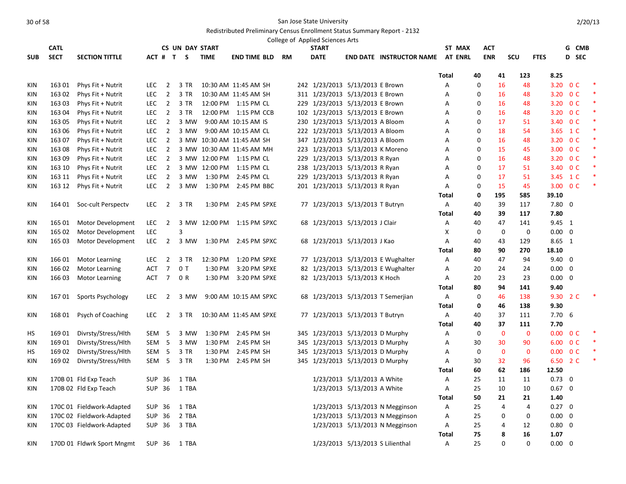|            |             |                            |                  |                  |                        |             |                            |    | College of Applied Sciences Arts |                             |                                    |                |             |                |                |                          |                |        |
|------------|-------------|----------------------------|------------------|------------------|------------------------|-------------|----------------------------|----|----------------------------------|-----------------------------|------------------------------------|----------------|-------------|----------------|----------------|--------------------------|----------------|--------|
|            | <b>CATL</b> |                            |                  |                  | <b>CS UN DAY START</b> |             |                            |    | <b>START</b>                     |                             |                                    | ST MAX         |             | <b>ACT</b>     |                |                          | G CMB          |        |
| <b>SUB</b> | <b>SECT</b> | <b>SECTION TITTLE</b>      |                  |                  | ACT # T S              | <b>TIME</b> | <b>END TIME BLD</b>        | RM | <b>DATE</b>                      |                             | <b>END DATE INSTRUCTOR NAME</b>    | <b>AT ENRL</b> |             | <b>ENR</b>     | SCU            | <b>FTES</b>              | D SEC          |        |
|            |             |                            |                  |                  |                        |             |                            |    |                                  |                             |                                    | Total          | 40          | 41             | 123            | 8.25                     |                |        |
| KIN        | 163 01      | Phys Fit + Nutrit          | <b>LEC</b>       | $\overline{2}$   | 3 TR                   |             | 10:30 AM 11:45 AM SH       |    | 242 1/23/2013 5/13/2013 E Brown  |                             |                                    | Α              | 0           | 16             | 48             | 3.20                     | 0 <sup>C</sup> |        |
| KIN        | 163 02      | Phys Fit + Nutrit          | <b>LEC</b>       | $\overline{2}$   | 3 TR                   |             | 10:30 AM 11:45 AM SH       |    | 311 1/23/2013 5/13/2013 E Brown  |                             |                                    | А              | 0           | 16             | 48             | 3.20 O C                 |                |        |
| <b>KIN</b> | 163 03      | Phys Fit + Nutrit          | <b>LEC</b>       | $\overline{2}$   | 3 TR                   |             | 12:00 PM 1:15 PM CL        |    | 229 1/23/2013 5/13/2013 E Brown  |                             |                                    | Α              | 0           | 16             | 48             | 3.20 OC                  |                |        |
| <b>KIN</b> | 163 04      | Phys Fit + Nutrit          | LEC              | $\overline{2}$   | 3 TR                   |             | 12:00 PM 1:15 PM CCB       |    | 102 1/23/2013 5/13/2013 E Brown  |                             |                                    | Α              | $\Omega$    | 16             | 48             | 3.20 OC                  |                | $\ast$ |
| KIN        | 163 05      | Phys Fit + Nutrit          | LEC.             | $\overline{2}$   | 3 MW                   |             | 9:00 AM 10:15 AM IS        |    | 230 1/23/2013 5/13/2013 A Bloom  |                             |                                    | Α              | $\mathbf 0$ | 17             | 51             | 3.40 0 C                 |                | $\ast$ |
| KIN        | 163 06      | Phys Fit + Nutrit          | <b>LEC</b>       | $\overline{2}$   | 3 MW                   |             | 9:00 AM 10:15 AM CL        |    | 222 1/23/2013 5/13/2013 A Bloom  |                             |                                    | Α              | 0           | 18             | 54             | 3.65 1 C                 |                | ∗      |
| <b>KIN</b> | 163 07      | Phys Fit + Nutrit          | <b>LEC</b>       | $\overline{2}$   |                        |             | 3 MW 10:30 AM 11:45 AM SH  |    | 347 1/23/2013 5/13/2013 A Bloom  |                             |                                    | A              | $\mathbf 0$ | 16             | 48             | 3.20 OC                  |                | $\ast$ |
| KIN        | 163 08      | Phys Fit + Nutrit          | LEC              | $\overline{2}$   |                        |             | 3 MW 10:30 AM 11:45 AM MH  |    | 223 1/23/2013 5/13/2013 K Moreno |                             |                                    | А              | $\Omega$    | 15             | 45             | 3.00 0 C                 |                |        |
| KIN        | 163 09      | Phys Fit + Nutrit          | <b>LEC</b>       | $\overline{2}$   |                        |             | 3 MW 12:00 PM 1:15 PM CL   |    | 229 1/23/2013 5/13/2013 R Ryan   |                             |                                    | Α              | 0           | 16             | 48             | 3.20 OC                  |                |        |
| KIN        | 163 10      | Phys Fit + Nutrit          | <b>LEC</b>       | $\overline{2}$   |                        |             | 3 MW 12:00 PM 1:15 PM CL   |    | 238 1/23/2013 5/13/2013 R Ryan   |                             |                                    | Α              | $\mathbf 0$ | 17             | 51             | 3.40                     | 0 <sup>C</sup> | $\ast$ |
| KIN        | 163 11      | Phys Fit + Nutrit          | LEC              | $\overline{2}$   | 3 MW                   | 1:30 PM     | 2:45 PM CL                 |    | 229 1/23/2013 5/13/2013 R Ryan   |                             |                                    | Α              | 0           | 17             | 51             | 3.45 1 C                 |                |        |
| <b>KIN</b> | 163 12      | Phys Fit + Nutrit          | <b>LEC</b>       | $\overline{2}$   |                        |             | 3 MW 1:30 PM 2:45 PM BBC   |    | 201 1/23/2013 5/13/2013 R Ryan   |                             |                                    | Α              | 0           | 15             | 45             | 3.00 OC                  |                | $\ast$ |
|            |             |                            |                  |                  |                        |             |                            |    |                                  |                             |                                    | <b>Total</b>   | 0           | 195            | 585            | 39.10                    |                |        |
| <b>KIN</b> | 164 01      | Soc-cult Perspectv         | LEC.             | $\overline{2}$   | 3 TR                   | 1:30 PM     | 2:45 PM SPXE               |    | 77 1/23/2013 5/13/2013 T Butryn  |                             |                                    | Α              | 40          | 39             | 117            | $7.80$ 0                 |                |        |
|            |             |                            |                  |                  |                        |             |                            |    |                                  |                             |                                    | <b>Total</b>   | 40          | 39             | 117            | 7.80                     |                |        |
| KIN        | 165 01      | Motor Development          | <b>LEC</b>       | $\overline{2}$   |                        |             | 3 MW 12:00 PM 1:15 PM SPXC |    | 68 1/23/2013 5/13/2013 J Clair   |                             |                                    | A              | 40          | 47             | 141            | 9.45 1                   |                |        |
| <b>KIN</b> | 165 02      | Motor Development          | LEC              |                  | 3                      |             |                            |    |                                  |                             |                                    | X              | $\mathbf 0$ | $\mathbf 0$    | $\mathbf 0$    | $0.00 \quad 0$           |                |        |
| KIN        | 165 03      | Motor Development          | LEC.             | $\overline{2}$   |                        |             | 3 MW 1:30 PM 2:45 PM SPXC  |    | 68 1/23/2013 5/13/2013 J Kao     |                             |                                    | A              | 40          | 43             | 129            | 8.65 1                   |                |        |
|            |             |                            |                  |                  |                        |             |                            |    |                                  |                             |                                    | Total          | 80          | 90             | 270            | 18.10                    |                |        |
| KIN        | 166 01      | <b>Motor Learning</b>      | <b>LEC</b>       | $\overline{2}$   | 3 TR                   | 12:30 PM    | 1:20 PM SPXE               |    |                                  |                             | 77 1/23/2013 5/13/2013 E Wughalter | Α              | 40          | 47             | 94             | $9.40 \quad 0$           |                |        |
| <b>KIN</b> | 166 02      | <b>Motor Learning</b>      | ACT              | $\overline{7}$   | 0T                     | 1:30 PM     | 3:20 PM SPXE               |    |                                  |                             | 82 1/23/2013 5/13/2013 E Wughalter | Α              | 20          | 24             | 24             | $0.00 \quad 0$           |                |        |
| KIN        | 166 03      | Motor Learning             | ACT              | $\overline{7}$   | 0 R                    | 1:30 PM     | 3:20 PM SPXE               |    | 82 1/23/2013 5/13/2013 K Hoch    |                             |                                    | Α              | 20          | 23             | 23             | $0.00 \quad 0$           |                |        |
|            |             |                            |                  |                  |                        |             |                            |    |                                  |                             |                                    | Total          | 80          | 94             | 141            | 9.40                     |                |        |
| <b>KIN</b> | 167 01      | Sports Psychology          | LEC.             | 2                | 3 MW                   |             | 9:00 AM 10:15 AM SPXC      |    |                                  |                             | 68 1/23/2013 5/13/2013 T Semerjian | Α              | 0           | 46             | 138            | 9.30 2 C                 |                |        |
|            |             |                            |                  |                  |                        |             |                            |    |                                  |                             |                                    | <b>Total</b>   | 0           | 46             | 138            | 9.30                     |                |        |
| <b>KIN</b> | 168 01      | Psych of Coaching          | <b>LEC</b>       | $\overline{2}$   | 3 TR                   |             | 10:30 AM 11:45 AM SPXE     |    | 77 1/23/2013 5/13/2013 T Butryn  |                             |                                    | Α              | 40          | 37             | 111            | 7.706                    |                |        |
|            |             |                            |                  |                  |                        |             |                            |    |                                  |                             |                                    | Total          | 40          | 37             | 111            | 7.70                     |                |        |
| HS         | 16901       | Divrsty/Stress/Hlth        | SEM <sub>5</sub> |                  | 3 MW                   | 1:30 PM     | 2:45 PM SH                 |    | 345 1/23/2013 5/13/2013 D Murphy |                             |                                    | Α              | 0           | $\mathbf 0$    | $\mathbf 0$    | $0.00 \quad 0 \text{ C}$ |                |        |
| KIN        | 169 01      | Divrsty/Stress/Hlth        | SEM <sub>5</sub> |                  | 3 MW                   | 1:30 PM     | 2:45 PM SH                 |    | 345 1/23/2013 5/13/2013 D Murphy |                             |                                    | Α              | 30          | 30             | 90             | 6.00 0 C                 |                |        |
| <b>HS</b>  | 169 02      | Divrsty/Stress/Hlth        | SEM <sub>5</sub> |                  | 3 TR                   | 1:30 PM     | 2:45 PM SH                 |    | 345 1/23/2013 5/13/2013 D Murphy |                             |                                    | Α              | $\mathbf 0$ | $\mathbf{0}$   | $\mathbf{0}$   | $0.00 \t 0 C$            |                |        |
| KIN        | 169 02      | Divrsty/Stress/Hlth        |                  | SEM <sub>5</sub> | 3 TR                   |             | 1:30 PM 2:45 PM SH         |    | 345 1/23/2013 5/13/2013 D Murphy |                             |                                    | Α              | 30          | 32             | 96             | 6.50 2 C                 |                |        |
|            |             |                            |                  |                  |                        |             |                            |    |                                  |                             |                                    | Total          | 60          | 62             | 186            | 12.50                    |                |        |
| KIN        |             | 170B 01 Fld Exp Teach      | SUP              | 36               | 1 TBA                  |             |                            |    |                                  | 1/23/2013 5/13/2013 A White |                                    | Α              | 25          | 11             | 11             | $0.73 \quad 0$           |                |        |
| <b>KIN</b> |             | 170B 02 Fld Exp Teach      |                  | SUP 36           | 1 TBA                  |             |                            |    |                                  | 1/23/2013 5/13/2013 A White |                                    | Α              | 25          | 10             | 10             | $0.67$ 0                 |                |        |
|            |             |                            |                  |                  |                        |             |                            |    |                                  |                             |                                    | <b>Total</b>   | 50          | 21             | 21             | 1.40                     |                |        |
| KIN        |             | 170C 01 Fieldwork-Adapted  | SUP 36           |                  | 1 TBA                  |             |                            |    |                                  |                             | 1/23/2013 5/13/2013 N Megginson    | Α              | 25          | $\overline{4}$ | $\overline{4}$ | $0.27 \quad 0$           |                |        |
| KIN        |             | 170C 02 Fieldwork-Adapted  | SUP 36           |                  | 2 TBA                  |             |                            |    |                                  |                             | 1/23/2013 5/13/2013 N Megginson    | Α              | 25          | 0              | 0              | $0.00 \quad 0$           |                |        |
| <b>KIN</b> |             | 170C 03 Fieldwork-Adapted  | SUP 36           |                  | 3 TBA                  |             |                            |    |                                  |                             | 1/23/2013 5/13/2013 N Megginson    | Α              | 25          | 4              | 12             | $0.80 \quad 0$           |                |        |
|            |             |                            |                  |                  |                        |             |                            |    |                                  |                             |                                    | <b>Total</b>   | 75          | 8              | 16             | 1.07                     |                |        |
| KIN        |             | 170D 01 Fldwrk Sport Mngmt |                  | SUP 36           | 1 TBA                  |             |                            |    |                                  |                             | 1/23/2013 5/13/2013 S Lilienthal   | Α              | 25          | $\mathbf 0$    | $\Omega$       | $0.00 \quad 0$           |                |        |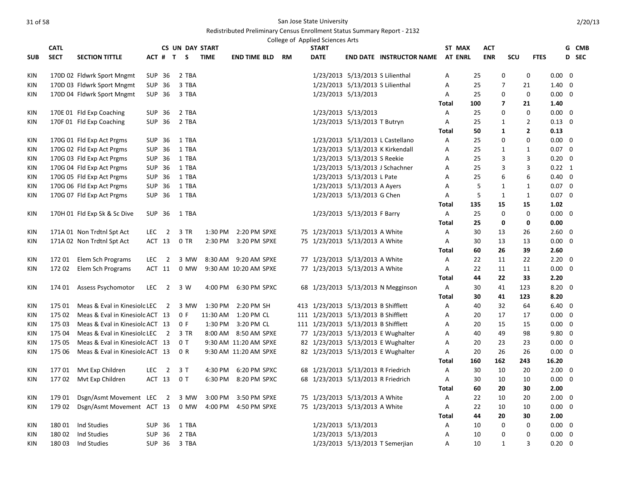|            |             |                                 |            |                          |                        |             |                       |    | College of Applied Sciences Arts    |                                  |                                    |              |                |            |                |                         |                |       |  |
|------------|-------------|---------------------------------|------------|--------------------------|------------------------|-------------|-----------------------|----|-------------------------------------|----------------------------------|------------------------------------|--------------|----------------|------------|----------------|-------------------------|----------------|-------|--|
|            | <b>CATL</b> |                                 |            |                          | <b>CS UN DAY START</b> |             |                       |    | <b>START</b>                        |                                  |                                    |              | ST MAX         | <b>ACT</b> |                |                         |                | G CMB |  |
| <b>SUB</b> | <b>SECT</b> | <b>SECTION TITTLE</b>           |            | ACT # T                  | S                      | <b>TIME</b> | <b>END TIME BLD</b>   | RM | <b>DATE</b>                         |                                  | <b>END DATE INSTRUCTOR NAME</b>    |              | <b>AT ENRL</b> | <b>ENR</b> | SCU            | <b>FTES</b>             |                | D SEC |  |
| KIN        |             | 170D 02 Fldwrk Sport Mngmt      |            | SUP 36                   | 2 TBA                  |             |                       |    |                                     | 1/23/2013 5/13/2013 S Lilienthal |                                    | Α            | 25             |            | 0              | 0                       | $0.00 \quad 0$ |       |  |
| <b>KIN</b> |             | 170D 03 Fldwrk Sport Mngmt      |            | SUP 36                   | 3 TBA                  |             |                       |    |                                     | 1/23/2013 5/13/2013 S Lilienthal |                                    | A            | 25             |            | $\overline{7}$ | 21                      | $1.40 \quad 0$ |       |  |
| KIN        |             | 170D 04 Fldwrk Sport Mngmt      |            | SUP 36                   | 3 TBA                  |             |                       |    |                                     | 1/23/2013 5/13/2013              |                                    | Α            | 25             |            | 0              | 0                       | $0.00 \quad 0$ |       |  |
|            |             |                                 |            |                          |                        |             |                       |    |                                     |                                  |                                    | Total        | 100            |            | $\overline{7}$ | 21                      | 1.40           |       |  |
| <b>KIN</b> |             | 170E 01 Fld Exp Coaching        |            | SUP 36                   | 2 TBA                  |             |                       |    |                                     | 1/23/2013 5/13/2013              |                                    | Α            | 25             |            | 0              | $\mathbf 0$             | $0.00 \quad 0$ |       |  |
| KIN        |             | 170F 01 Fld Exp Coaching        |            | SUP 36                   | 2 TBA                  |             |                       |    |                                     | 1/23/2013 5/13/2013 T Butryn     |                                    | Α            | 25             |            | $\mathbf{1}$   | $\mathbf 2$             | $0.13 \quad 0$ |       |  |
|            |             |                                 |            |                          |                        |             |                       |    |                                     |                                  |                                    | Total        | 50             |            | 1              | $\overline{\mathbf{2}}$ | 0.13           |       |  |
| <b>KIN</b> |             | 170G 01 Fld Exp Act Prgms       | <b>SUP</b> | 36                       | 1 TBA                  |             |                       |    |                                     |                                  | 1/23/2013 5/13/2013 L Castellano   | A            | 25             |            | $\Omega$       | 0                       | $0.00 \quad 0$ |       |  |
| KIN        |             | 170G 02 Fld Exp Act Prgms       |            | SUP 36                   | 1 TBA                  |             |                       |    |                                     |                                  | 1/23/2013 5/13/2013 K Kirkendall   | Α            | 25             |            | 1              | $\mathbf{1}$            | $0.07 \quad 0$ |       |  |
| KIN        |             | 170G 03 Fld Exp Act Prgms       |            | SUP 36                   | 1 TBA                  |             |                       |    |                                     | 1/23/2013 5/13/2013 S Reekie     |                                    | Α            | 25             |            | 3              | 3                       | $0.20 \quad 0$ |       |  |
| <b>KIN</b> |             | 170G 04 Fld Exp Act Prgms       |            | SUP 36                   | 1 TBA                  |             |                       |    |                                     |                                  | 1/23/2013 5/13/2013 J Schachner    | A            | 25             |            | 3              | 3                       | $0.22 \quad 1$ |       |  |
| <b>KIN</b> |             | 170G 05 Fld Exp Act Prgms       |            | SUP 36                   | 1 TBA                  |             |                       |    |                                     | 1/23/2013 5/13/2013 L Pate       |                                    | Α            | 25             |            | 6              | 6                       | $0.40 \quad 0$ |       |  |
| KIN        |             | 170G 06 Fld Exp Act Prgms       |            | SUP 36                   | 1 TBA                  |             |                       |    |                                     | 1/23/2013 5/13/2013 A Ayers      |                                    | Α            | 5              |            | 1              | 1                       | $0.07 \quad 0$ |       |  |
| <b>KIN</b> |             | 170G 07 Fld Exp Act Prgms       |            | SUP 36                   | 1 TBA                  |             |                       |    |                                     | 1/23/2013 5/13/2013 G Chen       |                                    | A            | 5              |            | $\mathbf{1}$   | $\mathbf{1}$            | $0.07 \quad 0$ |       |  |
|            |             |                                 |            |                          |                        |             |                       |    |                                     |                                  |                                    | <b>Total</b> | 135            | 15         |                | 15                      | 1.02           |       |  |
| KIN        |             | 170H 01 Fld Exp Sk & Sc Dive    |            | SUP 36                   | 1 TBA                  |             |                       |    |                                     | 1/23/2013 5/13/2013 F Barry      |                                    | Α            | 25             |            | $\mathbf 0$    | 0                       | $0.00 \quad 0$ |       |  |
|            |             |                                 |            |                          |                        |             |                       |    |                                     |                                  |                                    | Total        | 25             |            | 0              | 0                       | 0.00           |       |  |
| KIN        |             | 171A 01 Non Trdtnl Spt Act      | LEC        | $\overline{\phantom{0}}$ | 3 TR                   | 1:30 PM     | 2:20 PM SPXE          |    | 75 1/23/2013 5/13/2013 A White      |                                  |                                    | Α            | 30             | 13         |                | 26                      | $2.60 \quad 0$ |       |  |
| KIN        |             | 171A 02 Non Trdtnl Spt Act      |            | ACT 13                   | 0 TR                   | 2:30 PM     | 3:20 PM SPXE          |    | 75 1/23/2013 5/13/2013 A White      |                                  |                                    | Α            | 30             | 13         |                | 13                      | $0.00 \quad 0$ |       |  |
|            |             |                                 |            |                          |                        |             |                       |    |                                     |                                  |                                    | Total        | 60             | 26         |                | 39                      | 2.60           |       |  |
| KIN        | 172 01      | Elem Sch Programs               | <b>LEC</b> | $\overline{2}$           | 3 MW                   | 8:30 AM     | 9:20 AM SPXE          |    | 77 1/23/2013 5/13/2013 A White      |                                  |                                    | A            | 22             | 11         |                | 22                      | $2.20 \quad 0$ |       |  |
| KIN        | 17202       | Elem Sch Programs               |            | ACT 11                   | 0 MW                   |             | 9:30 AM 10:20 AM SPXE |    | 77 1/23/2013 5/13/2013 A White      |                                  |                                    | Α            | 22             | 11         |                | 11                      | $0.00 \quad 0$ |       |  |
|            |             |                                 |            |                          |                        |             |                       |    |                                     |                                  |                                    | Total        | 44             | 22         |                | 33                      | 2.20           |       |  |
| <b>KIN</b> | 174 01      | Assess Psychomotor              | <b>LEC</b> | $\overline{2}$           | 3 W                    | 4:00 PM     | 6:30 PM SPXC          |    |                                     |                                  | 68 1/23/2013 5/13/2013 N Megginson | $\mathsf{A}$ | 30             | 41         | 123            |                         | $8.20 \quad 0$ |       |  |
|            |             |                                 |            |                          |                        |             |                       |    |                                     |                                  |                                    | <b>Total</b> | 30             | 41         | 123            |                         | 8.20           |       |  |
| KIN        | 175 01      | Meas & Eval in Kinesiolc LEC    |            | $\overline{2}$           | 3 MW                   | 1:30 PM     | 2:20 PM SH            |    | 413 1/23/2013 5/13/2013 B Shifflett |                                  |                                    | Α            | 40             | 32         |                | 64                      | $6.40 \quad 0$ |       |  |
| KIN        | 175 02      | Meas & Eval in Kinesiolc ACT 13 |            |                          | 0 F                    | 11:30 AM    | 1:20 PM CL            |    | 111 1/23/2013 5/13/2013 B Shifflett |                                  |                                    | Α            | 20             | 17         |                | 17                      | $0.00 \quad 0$ |       |  |
| KIN        | 175 03      | Meas & Eval in Kinesiolc ACT 13 |            |                          | 0 F                    | 1:30 PM     | 3:20 PM CL            |    | 111 1/23/2013 5/13/2013 B Shifflett |                                  |                                    | Α            | 20             | 15         |                | 15                      | $0.00 \quad 0$ |       |  |
| <b>KIN</b> | 175 04      | Meas & Eval in Kinesiolc LEC    |            | $\overline{\phantom{0}}$ | 3 TR                   | 8:00 AM     | 8:50 AM SPXE          |    |                                     |                                  | 77 1/23/2013 5/13/2013 E Wughalter | Α            | 40             | 49         |                | 98                      | 9.80 0         |       |  |
| KIN        | 175 05      | Meas & Eval in Kinesiolc ACT 13 |            |                          | 0T                     |             | 9:30 AM 11:20 AM SPXE |    |                                     |                                  | 82 1/23/2013 5/13/2013 E Wughalter | Α            | 20             | 23         |                | 23                      | $0.00 \quad 0$ |       |  |
| KIN        | 175 06      | Meas & Eval in Kinesiolc ACT 13 |            |                          | 0 R                    |             | 9:30 AM 11:20 AM SPXE |    |                                     |                                  | 82 1/23/2013 5/13/2013 E Wughalter | Α            | 20             | 26         |                | 26                      | $0.00 \quad 0$ |       |  |
|            |             |                                 |            |                          |                        |             |                       |    |                                     |                                  |                                    | <b>Total</b> | 160            | 162        | 243            |                         | 16.20          |       |  |
| KIN        | 17701       | Mvt Exp Children                | <b>LEC</b> | $\overline{2}$           | 3T                     | 4:30 PM     | 6:20 PM SPXC          |    | 68 1/23/2013 5/13/2013 R Friedrich  |                                  |                                    | Α            | 30             | 10         |                | 20                      | $2.00 \quad 0$ |       |  |
| KIN        | 17702       | Mvt Exp Children                |            | ACT 13                   | 0 <sub>T</sub>         | 6:30 PM     | 8:20 PM SPXC          |    | 68 1/23/2013 5/13/2013 R Friedrich  |                                  |                                    | A            | 30             | 10         |                | 10                      | $0.00 \quad 0$ |       |  |
|            |             |                                 |            |                          |                        |             |                       |    |                                     |                                  |                                    | <b>Total</b> | 60             | 20         |                | 30                      | 2.00           |       |  |
| KIN        | 179 01      | Dsgn/Asmt Movement LEC          |            | $\overline{\mathbf{2}}$  | 3 MW                   | 3:00 PM     | 3:50 PM SPXE          |    | 75 1/23/2013 5/13/2013 A White      |                                  |                                    | Α            | 22             | 10         |                | 20                      | $2.00 \quad 0$ |       |  |
| <b>KIN</b> | 179 02      | Dsgn/Asmt Movement ACT 13       |            |                          | 0 MW                   | 4:00 PM     | 4:50 PM SPXE          |    | 75 1/23/2013 5/13/2013 A White      |                                  |                                    | A            | 22             | 10         |                | 10                      | $0.00 \quad 0$ |       |  |
|            |             |                                 |            |                          |                        |             |                       |    |                                     |                                  |                                    | <b>Total</b> | 44             | 20         |                | 30                      | 2.00           |       |  |
| KIN        | 18001       | Ind Studies                     |            | <b>SUP 36</b>            | 1 TBA                  |             |                       |    |                                     | 1/23/2013 5/13/2013              |                                    | Α            | 10             |            | 0              | 0                       | $0.00 \quad 0$ |       |  |
| <b>KIN</b> | 18002       | Ind Studies                     |            | <b>SUP 36</b>            | 2 TBA                  |             |                       |    |                                     | 1/23/2013 5/13/2013              |                                    | Α            | 10             |            | 0              | 0                       | $0.00 \quad 0$ |       |  |
| KIN        | 18003       | Ind Studies                     |            | SUP 36                   | 3 TBA                  |             |                       |    |                                     |                                  | 1/23/2013 5/13/2013 T Semerjian    | A            | 10             |            | $\mathbf{1}$   | 3                       | $0.20 \quad 0$ |       |  |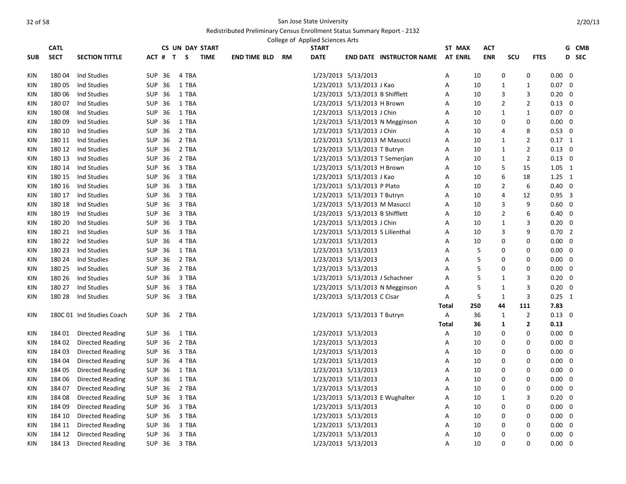|            | <b>CATL</b> |                           |               |       | <b>CS UN DAY START</b> |                     |           | College of Applied Sciences Arts<br><b>START</b> |                                  |                                 | ST MAX         | АСТ        |                |                |                | G CMB |
|------------|-------------|---------------------------|---------------|-------|------------------------|---------------------|-----------|--------------------------------------------------|----------------------------------|---------------------------------|----------------|------------|----------------|----------------|----------------|-------|
| <b>SUB</b> | <b>SECT</b> | <b>SECTION TITTLE</b>     | ACT # T S     |       | <b>TIME</b>            | <b>END TIME BLD</b> | <b>RM</b> | <b>DATE</b>                                      |                                  | <b>END DATE INSTRUCTOR NAME</b> | <b>AT ENRL</b> | <b>ENR</b> | SCU            | <b>FTES</b>    |                | D SEC |
| KIN        | 18004       | Ind Studies               | <b>SUP 36</b> | 4 TBA |                        |                     |           |                                                  | 1/23/2013 5/13/2013              |                                 | Α              | 10         | 0              | 0              | $0.00 \quad 0$ |       |
| KIN        | 18005       | Ind Studies               | SUP 36        | 1 TBA |                        |                     |           |                                                  | 1/23/2013 5/13/2013 J Kao        |                                 | A              | 10         | $\mathbf{1}$   | 1              | $0.07 \quad 0$ |       |
| KIN        | 180 06      | Ind Studies               | SUP 36        | 1 TBA |                        |                     |           |                                                  | 1/23/2013 5/13/2013 B Shifflett  |                                 | A              | 10         | 3              | 3              | $0.20 \ 0$     |       |
| KIN        | 18007       | Ind Studies               | SUP 36        | 1 TBA |                        |                     |           |                                                  | 1/23/2013 5/13/2013 H Brown      |                                 | Α              | 10         | $\overline{2}$ | $\overline{2}$ | $0.13 \quad 0$ |       |
| KIN        | 18008       | Ind Studies               | SUP 36        | 1 TBA |                        |                     |           |                                                  | 1/23/2013 5/13/2013 J Chin       |                                 | Α              | 10         | 1              | $\mathbf{1}$   | $0.07 \quad 0$ |       |
| KIN        | 180 09      | Ind Studies               | SUP 36        | 1 TBA |                        |                     |           |                                                  |                                  | 1/23/2013 5/13/2013 N Megginson | A              | 10         | 0              | 0              | $0.00 \quad 0$ |       |
| KIN        | 180 10      | Ind Studies               | SUP 36        | 2 TBA |                        |                     |           |                                                  | 1/23/2013 5/13/2013 J Chin       |                                 | A              | 10         | $\overline{4}$ | 8              | $0.53 \ 0$     |       |
| <b>KIN</b> | 180 11      | Ind Studies               | SUP 36        | 2 TBA |                        |                     |           |                                                  | 1/23/2013 5/13/2013 M Masucci    |                                 | A              | 10         | 1              | $\overline{2}$ | $0.17$ 1       |       |
| KIN        | 180 12      | Ind Studies               | SUP 36        | 2 TBA |                        |                     |           |                                                  | 1/23/2013 5/13/2013 T Butryn     |                                 | Α              | 10         | $\mathbf{1}$   | $\overline{2}$ | $0.13 \quad 0$ |       |
| KIN        | 180 13      | Ind Studies               | SUP 36        | 2 TBA |                        |                     |           |                                                  |                                  | 1/23/2013 5/13/2013 T Semerjian | Α              | 10         | $\mathbf{1}$   | $\overline{2}$ | $0.13 \quad 0$ |       |
| KIN        | 180 14      | Ind Studies               | <b>SUP 36</b> | 3 TBA |                        |                     |           |                                                  | 1/23/2013 5/13/2013 H Brown      |                                 | Α              | 10         | 5              | 15             | $1.05 \quad 1$ |       |
| KIN        | 180 15      | Ind Studies               | <b>SUP 36</b> | 3 TBA |                        |                     |           |                                                  | 1/23/2013 5/13/2013 J Kao        |                                 | Α              | 10         | 6              | 18             | $1.25 \quad 1$ |       |
| KIN        | 180 16      | Ind Studies               | <b>SUP 36</b> | 3 TBA |                        |                     |           |                                                  | 1/23/2013 5/13/2013 P Plato      |                                 | A              | 10         | $\overline{2}$ | 6              | $0.40 \quad 0$ |       |
| KIN        | 180 17      | Ind Studies               | SUP 36        | 3 TBA |                        |                     |           |                                                  | 1/23/2013 5/13/2013 T Butryn     |                                 | A              | 10         | $\overline{4}$ | 12             | $0.95$ 3       |       |
| KIN        | 180 18      | Ind Studies               | SUP 36        | 3 TBA |                        |                     |           |                                                  | 1/23/2013 5/13/2013 M Masucci    |                                 | Α              | 10         | 3              | 9              | $0.60 \quad 0$ |       |
| KIN        | 180 19      | Ind Studies               | SUP 36        | 3 TBA |                        |                     |           |                                                  | 1/23/2013 5/13/2013 B Shifflett  |                                 | Α              | 10         | $\overline{2}$ | 6              | $0.40 \quad 0$ |       |
| KIN        | 180 20      | Ind Studies               | SUP 36        | 3 TBA |                        |                     |           |                                                  | 1/23/2013 5/13/2013 J Chin       |                                 | A              | 10         | 1              | 3              | $0.20 \quad 0$ |       |
| KIN        | 180 21      | Ind Studies               | <b>SUP 36</b> | 3 TBA |                        |                     |           |                                                  | 1/23/2013 5/13/2013 S Lilienthal |                                 | Α              | 10         | 3              | 9              | $0.70$ 2       |       |
| KIN        | 180 22      | Ind Studies               | <b>SUP 36</b> | 4 TBA |                        |                     |           |                                                  | 1/23/2013 5/13/2013              |                                 | A              | 10         | $\mathbf 0$    | 0              | $0.00 \quad 0$ |       |
| KIN        | 180 23      | Ind Studies               | SUP 36        | 1 TBA |                        |                     |           |                                                  | 1/23/2013 5/13/2013              |                                 | A              | 5          | $\Omega$       | 0              | $0.00 \quad 0$ |       |
| KIN        | 180 24      | Ind Studies               | SUP 36        | 2 TBA |                        |                     |           |                                                  | 1/23/2013 5/13/2013              |                                 | A              | 5          | $\Omega$       | 0              | $0.00 \quad 0$ |       |
| KIN        | 180 25      | Ind Studies               | SUP 36        | 2 TBA |                        |                     |           |                                                  | 1/23/2013 5/13/2013              |                                 | Α              | 5          | $\mathbf 0$    | 0              | $0.00 \quad 0$ |       |
| KIN        | 180 26      | Ind Studies               | SUP 36        | 3 TBA |                        |                     |           |                                                  |                                  | 1/23/2013 5/13/2013 J Schachner | A              | 5          | 1              | 3              | $0.20 \quad 0$ |       |
| KIN        | 180 27      | Ind Studies               | SUP 36        | 3 TBA |                        |                     |           |                                                  |                                  | 1/23/2013 5/13/2013 N Megginson | Α              | 5          | 1              | 3              | $0.20 \ 0$     |       |
| KIN        | 180 28      | Ind Studies               | <b>SUP 36</b> | 3 TBA |                        |                     |           |                                                  | 1/23/2013 5/13/2013 C Cisar      |                                 | Α              | 5          | $\mathbf{1}$   | 3              | $0.25$ 1       |       |
|            |             |                           |               |       |                        |                     |           |                                                  |                                  |                                 | <b>Total</b>   | 250        | 44             | 111            | 7.83           |       |
| KIN        |             | 180C 01 Ind Studies Coach | SUP 36        | 2 TBA |                        |                     |           |                                                  | 1/23/2013 5/13/2013 T Butryn     |                                 | A              | 36         | $\mathbf{1}$   | $\overline{2}$ | $0.13 \quad 0$ |       |
|            |             |                           |               |       |                        |                     |           |                                                  |                                  |                                 | <b>Total</b>   | 36         | $\mathbf{1}$   | $\overline{2}$ | 0.13           |       |
| KIN        | 184 01      | <b>Directed Reading</b>   | SUP 36        | 1 TBA |                        |                     |           |                                                  | 1/23/2013 5/13/2013              |                                 | Α              | 10         | 0              | 0              | $0.00 \quad 0$ |       |
| KIN        | 184 02      | Directed Reading          | SUP 36        | 2 TBA |                        |                     |           |                                                  | 1/23/2013 5/13/2013              |                                 | Α              | 10         | 0              | 0              | $0.00 \quad 0$ |       |
| KIN        | 184 03      | Directed Reading          | SUP 36        | 3 TBA |                        |                     |           |                                                  | 1/23/2013 5/13/2013              |                                 | A              | 10         | 0              | 0              | $0.00 \quad 0$ |       |
| KIN        | 184 04      | Directed Reading          | SUP 36        | 4 TBA |                        |                     |           |                                                  | 1/23/2013 5/13/2013              |                                 | A              | 10         | 0              | 0              | $0.00 \quad 0$ |       |
| <b>KIN</b> | 184 05      | Directed Reading          | SUP 36        | 1 TBA |                        |                     |           |                                                  | 1/23/2013 5/13/2013              |                                 | Α              | 10         | $\mathbf 0$    | 0              | $0.00 \quad 0$ |       |
| KIN        | 184 06      | Directed Reading          | SUP 36        | 1 TBA |                        |                     |           |                                                  | 1/23/2013 5/13/2013              |                                 | Α              | 10         | $\mathbf 0$    | 0              | $0.00 \quad 0$ |       |
| KIN        | 184 07      | Directed Reading          | SUP 36        | 2 TBA |                        |                     |           |                                                  | 1/23/2013 5/13/2013              |                                 | Α              | 10         | 0              | 0              | $0.00 \quad 0$ |       |
| KIN        | 184 08      | Directed Reading          | SUP 36        | 3 TBA |                        |                     |           |                                                  |                                  | 1/23/2013 5/13/2013 E Wughalter | Α              | 10         | 1              | 3              | $0.20 \quad 0$ |       |
| KIN        | 184 09      | Directed Reading          | SUP 36        | 3 TBA |                        |                     |           |                                                  | 1/23/2013 5/13/2013              |                                 | Α              | 10         | $\mathbf 0$    | 0              | $0.00 \quad 0$ |       |
| KIN        | 184 10      | Directed Reading          | SUP 36        | 3 TBA |                        |                     |           |                                                  | 1/23/2013 5/13/2013              |                                 | A              | 10         | 0              | 0              | $0.00 \quad 0$ |       |
| KIN        | 184 11      | Directed Reading          | SUP 36        | 3 TBA |                        |                     |           |                                                  | 1/23/2013 5/13/2013              |                                 | Α              | 10         | $\mathbf 0$    | 0              | $0.00 \quad 0$ |       |
| KIN        | 184 12      | Directed Reading          | SUP 36        | 3 TBA |                        |                     |           |                                                  | 1/23/2013 5/13/2013              |                                 | Α              | 10         | $\mathbf 0$    | 0              | $0.00 \quad 0$ |       |
| KIN        | 184 13      | Directed Reading          | <b>SUP 36</b> | 3 TBA |                        |                     |           |                                                  | 1/23/2013 5/13/2013              |                                 | A              | 10         | $\Omega$       | 0              | $0.00 \quad 0$ |       |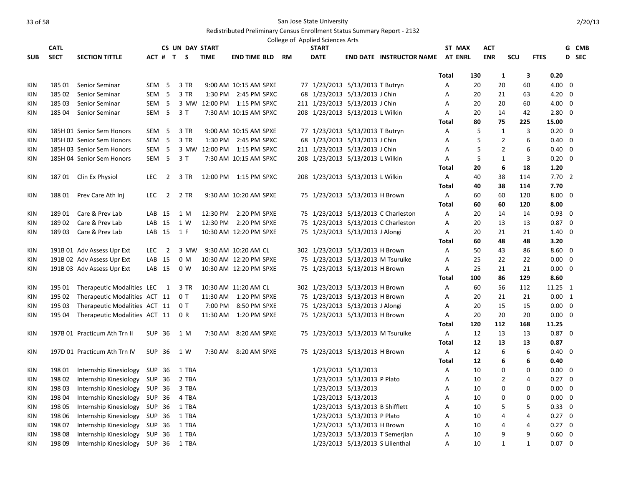|            |             |                               |                   |                         |                        |             |                            |    | College of Applied Sciences Arts |                                  |                                     |              |        |                |              |                |   |       |
|------------|-------------|-------------------------------|-------------------|-------------------------|------------------------|-------------|----------------------------|----|----------------------------------|----------------------------------|-------------------------------------|--------------|--------|----------------|--------------|----------------|---|-------|
|            | <b>CATL</b> |                               |                   |                         | <b>CS UN DAY START</b> |             |                            |    | <b>START</b>                     |                                  |                                     |              | ST MAX | <b>ACT</b>     |              |                |   | G CMB |
| <b>SUB</b> | <b>SECT</b> | <b>SECTION TITTLE</b>         |                   |                         | ACT # T S              | <b>TIME</b> | END TIME BLD               | RM | <b>DATE</b>                      |                                  | END DATE INSTRUCTOR NAME AT ENRL    |              |        | <b>ENR</b>     | scu          | <b>FTES</b>    |   | D SEC |
|            |             |                               |                   |                         |                        |             |                            |    |                                  |                                  |                                     |              |        |                |              |                |   |       |
|            |             |                               |                   |                         |                        |             |                            |    |                                  |                                  |                                     | Total        | 130    | 1              | 3<br>60      | 0.20           |   |       |
| KIN        | 185 01      | Senior Seminar                | SEM <sub>5</sub>  |                         | 3 TR                   |             | 9:00 AM 10:15 AM SPXE      |    |                                  | 77 1/23/2013 5/13/2013 T Butryn  |                                     | Α            | 20     | 20             |              | 4.00 0         |   |       |
| KIN        | 185 02      | Senior Seminar                | SEM <sub>5</sub>  |                         | 3 TR                   |             | 1:30 PM 2:45 PM SPXC       |    |                                  | 68 1/23/2013 5/13/2013 J Chin    |                                     | А            | 20     | 21             | 63           | 4.20 0         |   |       |
| KIN        | 18503       | Senior Seminar                | SEM <sub>5</sub>  |                         |                        |             | 3 MW 12:00 PM 1:15 PM SPXC |    |                                  | 211 1/23/2013 5/13/2013 J Chin   |                                     | A            | 20     | 20             | 60           | 4.00 0         |   |       |
| KIN        | 185 04      | Senior Seminar                |                   | SEM <sub>5</sub>        | 3T                     |             | 7:30 AM 10:15 AM SPXC      |    |                                  | 208 1/23/2013 5/13/2013 L Wilkin |                                     | Α            | 20     | 14             | 42           | $2.80 \quad 0$ |   |       |
|            |             |                               |                   |                         |                        |             |                            |    |                                  |                                  |                                     | Total        | 80     | 75             | 225          | 15.00          |   |       |
| KIN        |             | 185H 01 Senior Sem Honors     | SEM <sub>5</sub>  |                         | 3 TR                   |             | 9:00 AM 10:15 AM SPXE      |    |                                  | 77 1/23/2013 5/13/2013 T Butryn  |                                     | Α            | 5      | 1              | 3<br>6       | $0.20 \quad 0$ |   |       |
| <b>KIN</b> |             | 185H 02 Senior Sem Honors     | SEM <sub>5</sub>  |                         | 3 TR                   |             | 1:30 PM 2:45 PM SPXC       |    |                                  | 68 1/23/2013 5/13/2013 J Chin    |                                     | A            | 5      | $\overline{2}$ |              | $0.40 \quad 0$ |   |       |
| KIN        |             | 185H 03 Senior Sem Honors     | SEM <sub>5</sub>  |                         |                        |             | 3 MW 12:00 PM 1:15 PM SPXC |    |                                  | 211 1/23/2013 5/13/2013 J Chin   |                                     | Α            | 5      | $\overline{2}$ | 6            | $0.40 \quad 0$ |   |       |
| KIN        |             | 185H 04 Senior Sem Honors     |                   | SEM 5                   | 3 T                    |             | 7:30 AM 10:15 AM SPXC      |    |                                  | 208 1/23/2013 5/13/2013 L Wilkin |                                     | А            | 5      | 1              | 3            | $0.20 \quad 0$ |   |       |
|            |             |                               |                   |                         |                        |             |                            |    |                                  |                                  |                                     | Total        | 20     | 6              | 18           | 1.20           |   |       |
| KIN        |             | 187 01 Clin Ex Physiol        | <b>LEC</b>        | $\overline{2}$          | 3 TR                   |             | 12:00 PM  1:15 PM SPXC     |    |                                  | 208 1/23/2013 5/13/2013 L Wilkin |                                     | A            | 40     | 38             | 114          | 7.702          |   |       |
|            |             |                               |                   |                         |                        |             |                            |    |                                  |                                  |                                     | <b>Total</b> | 40     | 38             | 114          | 7.70           |   |       |
| KIN        | 188 01      | Prev Care Ath Inj             | LEC               | $\overline{\mathbf{2}}$ | 2 TR                   |             | 9:30 AM 10:20 AM SPXE      |    |                                  | 75 1/23/2013 5/13/2013 H Brown   |                                     | A            | 60     | 60             | 120          | $8.00 \quad 0$ |   |       |
|            |             |                               |                   |                         |                        |             |                            |    |                                  |                                  |                                     | Total        | 60     | 60             | 120          | 8.00           |   |       |
| KIN        | 18901       | Care & Prev Lab               | LAB 15            |                         | 1 M                    |             | 12:30 PM 2:20 PM SPXE      |    |                                  |                                  | 75 1/23/2013 5/13/2013 C Charleston | Α            | 20     | 14             | 14           | $0.93 \quad 0$ |   |       |
| KIN        | 18902       | Care & Prev Lab               | LAB 15            |                         | 1 W                    |             | 12:30 PM 2:20 PM SPXE      |    |                                  |                                  | 75 1/23/2013 5/13/2013 C Charleston | Α            | 20     | 13             | 13           | $0.87 \quad 0$ |   |       |
| KIN        | 18903       | Care & Prev Lab               | LAB 15            |                         | 1 F                    |             | 10:30 AM 12:20 PM SPXE     |    |                                  | 75 1/23/2013 5/13/2013 J Alongi  |                                     | Α            | 20     | 21             | 21           | $1.40 \quad 0$ |   |       |
|            |             |                               |                   |                         |                        |             |                            |    |                                  |                                  |                                     | Total        | 60     | 48             | 48           | 3.20           |   |       |
| KIN        |             | 191B 01 Adv Assess Upr Ext    | <b>LEC</b>        | $\overline{2}$          | 3 MW                   |             | 9:30 AM 10:20 AM CL        |    |                                  | 302 1/23/2013 5/13/2013 H Brown  |                                     | Α            | 50     | 43             | 86           | $8.60 \quad 0$ |   |       |
| KIN        |             | 191B 02 Adv Assess Upr Ext    | LAB 15            |                         | 0 M                    |             | 10:30 AM 12:20 PM SPXE     |    |                                  |                                  | 75 1/23/2013 5/13/2013 M Tsuruike   | Α            | 25     | 22             | 22           | $0.00\,$       | 0 |       |
| KIN        |             | 191B 03 Adv Assess Upr Ext    | LAB <sub>15</sub> |                         | 0 W                    |             | 10:30 AM 12:20 PM SPXE     |    |                                  | 75 1/23/2013 5/13/2013 H Brown   |                                     | Α            | 25     | 21             | 21           | $0.00 \quad 0$ |   |       |
|            |             |                               |                   |                         |                        |             |                            |    |                                  |                                  |                                     | <b>Total</b> | 100    | 86             | 129          | 8.60           |   |       |
| KIN        | 195 01      | Therapeutic Modalities LEC    |                   | $\overline{1}$          | 3 TR                   |             | 10:30 AM 11:20 AM CL       |    |                                  | 302 1/23/2013 5/13/2013 H Brown  |                                     | A            | 60     | 56             | 112          | 11.25 1        |   |       |
| KIN        | 195 02      | Therapeutic Modalities ACT 11 |                   |                         | 0 T                    |             | 11:30 AM  1:20 PM SPXE     |    |                                  | 75 1/23/2013 5/13/2013 H Brown   |                                     | A            | 20     | 21             | 21           | 0.00 1         |   |       |
| KIN        | 195 03      | Therapeutic Modalities ACT 11 |                   |                         | 0T                     | 7:00 PM     | 8:50 PM SPXE               |    |                                  | 75 1/23/2013 5/13/2013 J Alongi  |                                     | Α            | 20     | 15             | 15           | $0.00 \quad 0$ |   |       |
| KIN        | 195 04      | Therapeutic Modalities ACT 11 |                   |                         | 0 R                    |             | 11:30 AM  1:20 PM SPXE     |    |                                  | 75 1/23/2013 5/13/2013 H Brown   |                                     | Α            | 20     | 20             | 20           | $0.00 \quad 0$ |   |       |
|            |             |                               |                   |                         |                        |             |                            |    |                                  |                                  |                                     | Total        | 120    | 112            | 168          | 11.25          |   |       |
| KIN        |             | 197B 01 Practicum Ath Trn II  | SUP 36            |                         | 1 M                    |             | 7:30 AM 8:20 AM SPXE       |    |                                  |                                  | 75 1/23/2013 5/13/2013 M Tsuruike   | Α            | 12     | 13             | 13           | $0.87 \quad 0$ |   |       |
|            |             |                               |                   |                         |                        |             |                            |    |                                  |                                  |                                     | <b>Total</b> | 12     | 13             | 13           | 0.87           |   |       |
| KIN        |             | 197D 01 Practicum Ath Trn IV  | SUP 36            |                         | 1 W                    |             | 7:30 AM 8:20 AM SPXE       |    |                                  | 75 1/23/2013 5/13/2013 H Brown   |                                     | A            | 12     | 6              | 6            | $0.40 \quad 0$ |   |       |
|            |             |                               |                   |                         |                        |             |                            |    |                                  |                                  |                                     | Total        | 12     | 6              | 6            | 0.40           |   |       |
| KIN        | 198 01      | Internship Kinesiology        | SUP 36            |                         | 1 TBA                  |             |                            |    |                                  | 1/23/2013 5/13/2013              |                                     | Α            | 10     | 0              | $\mathbf 0$  | $0.00 \quad 0$ |   |       |
| KIN        | 198 02      | Internship Kinesiology SUP 36 |                   |                         | 2 TBA                  |             |                            |    |                                  | 1/23/2013 5/13/2013 P Plato      |                                     | А            | 10     | $\overline{2}$ | 4            | $0.27 \quad 0$ |   |       |
| KIN        | 198 03      | Internship Kinesiology SUP 36 |                   |                         | 3 TBA                  |             |                            |    |                                  | 1/23/2013 5/13/2013              |                                     | А            | 10     | 0              | 0            | $0.00 \quad 0$ |   |       |
| KIN        | 198 04      | Internship Kinesiology        | SUP 36            |                         | 4 TBA                  |             |                            |    |                                  | 1/23/2013 5/13/2013              |                                     | А            | 10     | 0              | 0            | $0.00 \quad 0$ |   |       |
| KIN        | 198 05      | Internship Kinesiology SUP 36 |                   |                         | 1 TBA                  |             |                            |    |                                  | 1/23/2013 5/13/2013 B Shifflett  |                                     | А            | 10     | 5              | 5            | $0.33 \quad 0$ |   |       |
| KIN        | 198 06      | Internship Kinesiology SUP 36 |                   |                         | 1 TBA                  |             |                            |    |                                  | 1/23/2013 5/13/2013 P Plato      |                                     | Α            | 10     | 4              | 4            | $0.27 \quad 0$ |   |       |
| <b>KIN</b> | 198 07      | Internship Kinesiology SUP 36 |                   |                         | 1 TBA                  |             |                            |    |                                  | 1/23/2013 5/13/2013 H Brown      |                                     | A            | 10     | 4              | 4            | $0.27 \quad 0$ |   |       |
| <b>KIN</b> | 198 08      | Internship Kinesiology SUP 36 |                   |                         | 1 TBA                  |             |                            |    |                                  |                                  | 1/23/2013 5/13/2013 T Semerjian     | А            | 10     | 9              | 9            | $0.60 \quad 0$ |   |       |
| KIN        | 198 09      | Internship Kinesiology SUP 36 |                   |                         | 1 TBA                  |             |                            |    |                                  | 1/23/2013 5/13/2013 S Lilienthal |                                     | A            | 10     | $\mathbf{1}$   | $\mathbf{1}$ | $0.07 \quad 0$ |   |       |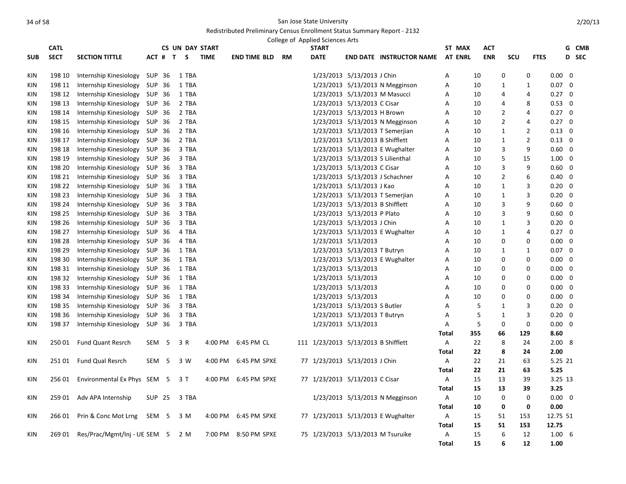|            | <b>CATL</b> |                                  |        |                  | <b>CS UN DAY START</b> |             |                      |    | College of Applied Sciences Arts<br><b>START</b> |                                 |                                    | ST MAX         | <b>ACT</b> |                |                |                   |                         | G CMB        |
|------------|-------------|----------------------------------|--------|------------------|------------------------|-------------|----------------------|----|--------------------------------------------------|---------------------------------|------------------------------------|----------------|------------|----------------|----------------|-------------------|-------------------------|--------------|
| <b>SUB</b> | <b>SECT</b> | <b>SECTION TITTLE</b>            |        | ACT # T          | S.                     | <b>TIME</b> | END TIME BLD         | RM | <b>DATE</b>                                      |                                 | <b>END DATE INSTRUCTOR NAME</b>    | <b>AT ENRL</b> | <b>ENR</b> | SCU            | <b>FTES</b>    |                   |                         | <b>D</b> SEC |
|            |             |                                  |        |                  |                        |             |                      |    |                                                  |                                 |                                    |                |            |                |                |                   |                         |              |
| KIN        | 198 10      | Internship Kinesiology           | SUP 36 |                  | 1 TBA                  |             |                      |    |                                                  | 1/23/2013 5/13/2013 J Chin      |                                    | А              | 10         | 0              | 0              | $0.00 \quad 0$    |                         |              |
| KIN        | 198 11      | Internship Kinesiology           | SUP 36 |                  | 1 TBA                  |             |                      |    |                                                  |                                 | 1/23/2013 5/13/2013 N Megginson    | А              | 10         | 1              | 1              | $0.07 \quad 0$    |                         |              |
| KIN        | 198 12      | Internship Kinesiology           | SUP 36 |                  | 1 TBA                  |             |                      |    |                                                  |                                 | 1/23/2013 5/13/2013 M Masucci      | Α              | 10         | 4              | 4              | $0.27 \quad 0$    |                         |              |
| KIN        | 198 13      | Internship Kinesiology SUP 36    |        |                  | 2 TBA                  |             |                      |    |                                                  | 1/23/2013 5/13/2013 C Cisar     |                                    | А              | 10         | 4              | 8              | $0.53 \quad 0$    |                         |              |
| KIN        | 198 14      | Internship Kinesiology           | SUP 36 |                  | 2 TBA                  |             |                      |    |                                                  | 1/23/2013 5/13/2013 H Brown     |                                    | А              | 10         | 2              | 4              | $0.27 \quad 0$    |                         |              |
| KIN        | 198 15      | Internship Kinesiology SUP 36    |        |                  | 2 TBA                  |             |                      |    |                                                  |                                 | 1/23/2013 5/13/2013 N Megginson    | A              | 10         | $\overline{2}$ | 4              | $0.27 \quad 0$    |                         |              |
| KIN        | 198 16      | Internship Kinesiology SUP 36    |        |                  | 2 TBA                  |             |                      |    |                                                  |                                 | 1/23/2013 5/13/2013 T Semerjian    | A              | 10         | 1              | $\overline{2}$ | $0.13 \quad 0$    |                         |              |
| KIN        | 198 17      | Internship Kinesiology           | SUP 36 |                  | 2 TBA                  |             |                      |    |                                                  | 1/23/2013 5/13/2013 B Shifflett |                                    | Α              | 10         | $\mathbf{1}$   | $\overline{2}$ | $0.13 \quad 0$    |                         |              |
| KIN        | 198 18      | Internship Kinesiology SUP 36    |        |                  | 3 TBA                  |             |                      |    |                                                  |                                 | 1/23/2013 5/13/2013 E Wughalter    | А              | 10         | 3              | 9              | $0.60 \quad 0$    |                         |              |
| KIN        | 198 19      | Internship Kinesiology           | SUP 36 |                  | 3 TBA                  |             |                      |    |                                                  |                                 | 1/23/2013 5/13/2013 S Lilienthal   | Α              | 10         | 5              | 15             | $1.00 \quad 0$    |                         |              |
| KIN        | 198 20      | Internship Kinesiology           | SUP 36 |                  | 3 TBA                  |             |                      |    |                                                  | 1/23/2013 5/13/2013 C Cisar     |                                    | A              | 10         | 3              | 9              | $0.60 \quad 0$    |                         |              |
| KIN        | 198 21      | Internship Kinesiology SUP 36    |        |                  | 3 TBA                  |             |                      |    |                                                  |                                 | 1/23/2013 5/13/2013 J Schachner    | А              | 10         | $\overline{2}$ | 6              | $0.40 \quad 0$    |                         |              |
| KIN        | 198 22      | Internship Kinesiology           | SUP 36 |                  | 3 TBA                  |             |                      |    |                                                  | 1/23/2013 5/13/2013 J Kao       |                                    | A              | 10         | 1              | 3              | $0.20 \quad 0$    |                         |              |
| <b>KIN</b> | 198 23      | Internship Kinesiology SUP 36    |        |                  | 3 TBA                  |             |                      |    |                                                  |                                 | 1/23/2013 5/13/2013 T Semerjian    | A              | 10         | 1              | 3              | $0.20 \quad 0$    |                         |              |
| KIN        | 198 24      | Internship Kinesiology SUP 36    |        |                  | 3 TBA                  |             |                      |    |                                                  | 1/23/2013 5/13/2013 B Shifflett |                                    | A              | 10         | 3              | 9              | $0.60 \quad 0$    |                         |              |
| KIN        | 198 25      | Internship Kinesiology           | SUP 36 |                  | 3 TBA                  |             |                      |    |                                                  | 1/23/2013 5/13/2013 P Plato     |                                    | Α              | 10         | 3              | 9              | $0.60 \quad 0$    |                         |              |
| KIN        | 198 26      | Internship Kinesiology SUP 36    |        |                  | 3 TBA                  |             |                      |    |                                                  | 1/23/2013 5/13/2013 J Chin      |                                    | Α              | 10         | 1              | 3              | $0.20 \quad 0$    |                         |              |
| KIN        | 198 27      | Internship Kinesiology           | SUP 36 |                  | 4 TBA                  |             |                      |    |                                                  |                                 | 1/23/2013 5/13/2013 E Wughalter    | Α              | 10         | 1              | 4              | $0.27 \quad 0$    |                         |              |
| KIN        | 198 28      | Internship Kinesiology           | SUP 36 |                  | 4 TBA                  |             |                      |    |                                                  | 1/23/2013 5/13/2013             |                                    | Α              | 10         | 0              | 0              | $0.00 \quad 0$    |                         |              |
| KIN        | 198 29      | Internship Kinesiology SUP 36    |        |                  | 1 TBA                  |             |                      |    |                                                  | 1/23/2013 5/13/2013 T Butryn    |                                    | Α              | 10         | 1              | 1              | $0.07 \quad 0$    |                         |              |
| KIN        | 198 30      | Internship Kinesiology           | SUP 36 |                  | 1 TBA                  |             |                      |    |                                                  |                                 | 1/23/2013 5/13/2013 E Wughalter    | Α              | 10         | 0              | 0              | $0.00\,$          | 0                       |              |
| KIN        | 198 31      | Internship Kinesiology SUP 36    |        |                  | 1 TBA                  |             |                      |    |                                                  | 1/23/2013 5/13/2013             |                                    | A              | 10         | 0              | $\mathbf 0$    | $0.00 \quad 0$    |                         |              |
| KIN        | 198 32      | Internship Kinesiology           | SUP 36 |                  | 1 TBA                  |             |                      |    |                                                  | 1/23/2013 5/13/2013             |                                    | A              | 10         | 0              | 0              | $0.00 \quad 0$    |                         |              |
| KIN        | 198 33      | Internship Kinesiology           | SUP 36 |                  | 1 TBA                  |             |                      |    |                                                  | 1/23/2013 5/13/2013             |                                    | Α              | 10         | 0              | $\mathbf 0$    | $0.00\,$          | $\overline{\mathbf{0}}$ |              |
| KIN        | 198 34      | Internship Kinesiology SUP 36    |        |                  | 1 TBA                  |             |                      |    |                                                  | 1/23/2013 5/13/2013             |                                    | A              | 10         | 0              | $\mathbf 0$    | $0.00 \quad 0$    |                         |              |
| KIN        | 198 35      | Internship Kinesiology           | SUP 36 |                  | 3 TBA                  |             |                      |    |                                                  | 1/23/2013 5/13/2013 S Butler    |                                    | А              | 5          | 1              | 3              | $0.20 \quad 0$    |                         |              |
| KIN        | 198 36      | Internship Kinesiology           | SUP 36 |                  | 3 TBA                  |             |                      |    |                                                  | 1/23/2013 5/13/2013 T Butryn    |                                    | Α              | 5          | $\mathbf{1}$   | 3              | 0.20              | $\mathbf 0$             |              |
| KIN        | 198 37      | Internship Kinesiology SUP 36    |        |                  | 3 TBA                  |             |                      |    |                                                  | 1/23/2013 5/13/2013             |                                    | Α              | 5          | 0              | 0              | $0.00 \quad 0$    |                         |              |
|            |             |                                  |        |                  |                        |             |                      |    |                                                  |                                 |                                    | Total          | 355        | 66             | 129            | 8.60              |                         |              |
| KIN        | 250 01      | <b>Fund Quant Resrch</b>         |        | SEM <sub>5</sub> | 3 R                    | 4:00 PM     | 6:45 PM CL           |    | 111 1/23/2013 5/13/2013 B Shifflett              |                                 |                                    | A              | 22         | 8              | 24             | 2.00 <sub>8</sub> |                         |              |
|            |             |                                  |        |                  |                        |             |                      |    |                                                  |                                 |                                    | <b>Total</b>   | 22         | 8              | 24             | 2.00              |                         |              |
| KIN        | 25101       | <b>Fund Qual Resrch</b>          |        | SEM <sub>5</sub> | 3 W                    | 4:00 PM     | 6:45 PM SPXE         |    | 77 1/23/2013 5/13/2013 J Chin                    |                                 |                                    | Α              | 22         | 21             | 63             | 5.25 21           |                         |              |
|            |             |                                  |        |                  |                        |             |                      |    |                                                  |                                 |                                    | <b>Total</b>   | 22         | 21             | 63             | 5.25              |                         |              |
| KIN        | 256 01      | Environmental Ex Phys SEM 5      |        |                  | 3 T                    | 4:00 PM     | 6:45 PM SPXE         |    | 77 1/23/2013 5/13/2013 C Cisar                   |                                 |                                    | Α              | 15         | 13             | 39             | 3.25 13           |                         |              |
|            |             |                                  |        |                  |                        |             |                      |    |                                                  |                                 |                                    | Total          | 15         | 13             | 39             | 3.25              |                         |              |
| KIN        | 259 01      | Adv APA Internship               |        | SUP 25           | 3 TBA                  |             |                      |    |                                                  |                                 | 1/23/2013 5/13/2013 N Megginson    | Α              | 10         | 0              | 0              | $0.00 \quad 0$    |                         |              |
|            |             |                                  |        |                  |                        |             |                      |    |                                                  |                                 |                                    | Total          | 10         | 0              | 0              | 0.00              |                         |              |
| KIN        | 266 01      | Prin & Conc Mot Lrng             | SEM 5  |                  | 3 M                    |             | 4:00 PM 6:45 PM SPXE |    |                                                  |                                 | 77 1/23/2013 5/13/2013 E Wughalter | A              | 15         | 51             | 153            | 12.75 51          |                         |              |
|            |             |                                  |        |                  |                        |             |                      |    |                                                  |                                 |                                    | <b>Total</b>   | 15         | 51             | 153            | 12.75             |                         |              |
| KIN        | 269 01      | Res/Prac/Mgmt/Inj - UE SEM 5 2 M |        |                  |                        | 7:00 PM     | 8:50 PM SPXE         |    |                                                  |                                 | 75 1/23/2013 5/13/2013 M Tsuruike  | Α              | 15         | 6              | 12             | $1.00\quad 6$     |                         |              |
|            |             |                                  |        |                  |                        |             |                      |    |                                                  |                                 |                                    | <b>Total</b>   | 15         | 6              | 12             | 1.00              |                         |              |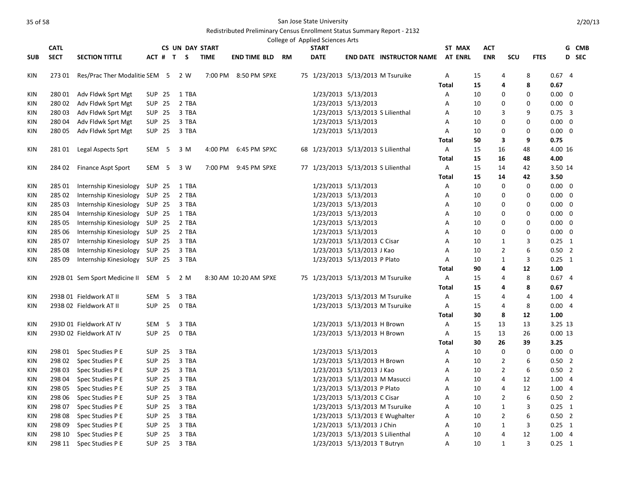|            |             |                               |               |                  |                        |             |                        |  | College of Applied Sciences Arts |                                     |                                         |              |        |            |                |                |                |              |
|------------|-------------|-------------------------------|---------------|------------------|------------------------|-------------|------------------------|--|----------------------------------|-------------------------------------|-----------------------------------------|--------------|--------|------------|----------------|----------------|----------------|--------------|
|            | <b>CATL</b> |                               |               |                  | <b>CS UN DAY START</b> |             |                        |  | <b>START</b>                     |                                     |                                         |              | ST MAX | <b>ACT</b> |                |                |                | G CMB        |
| <b>SUB</b> | <b>SECT</b> | <b>SECTION TITTLE</b>         |               |                  | ACT # T S              | <b>TIME</b> | <b>END TIME BLD RM</b> |  | <b>DATE</b>                      |                                     | <b>END DATE INSTRUCTOR NAME AT ENRL</b> |              |        | <b>ENR</b> | SCU            | <b>FTES</b>    |                | <b>D</b> SEC |
| KIN        | 27301       | Res/Prac Ther Modalitie SEM 5 |               |                  | 2 W                    |             | 7:00 PM 8:50 PM SPXE   |  |                                  |                                     | 75 1/23/2013 5/13/2013 M Tsuruike       | $\mathsf{A}$ |        | 15         | 4              | 8              | 0.674          |              |
|            |             |                               |               |                  |                        |             |                        |  |                                  |                                     |                                         | Total        |        | 15         | 4              | 8              | 0.67           |              |
| KIN        | 280 01      | Adv Fldwk Sprt Mgt            |               | SUP 25           | 1 TBA                  |             |                        |  |                                  | 1/23/2013 5/13/2013                 |                                         | Α            |        | 10         | 0              | 0              | $0.00 \quad 0$ |              |
| KIN        | 28002       | Adv Fldwk Sprt Mgt            |               | <b>SUP 25</b>    | 2 TBA                  |             |                        |  |                                  | 1/23/2013 5/13/2013                 |                                         | A            |        | 10         | 0              | 0              | $0.00 \quad 0$ |              |
| KIN        | 28003       | Adv Fldwk Sprt Mgt            |               | <b>SUP 25</b>    | 3 TBA                  |             |                        |  |                                  | 1/23/2013 5/13/2013 S Lilienthal    |                                         | A            |        | 10         | 3              | 9              | $0.75 \quad 3$ |              |
| KIN        | 280 04      | Adv Fldwk Sprt Mgt            | <b>SUP 25</b> |                  | 3 TBA                  |             |                        |  |                                  | 1/23/2013 5/13/2013                 |                                         | Α            |        | 10         | 0              | 0              | $0.00 \quad 0$ |              |
| KIN        | 280 05      | Adv Fldwk Sprt Mgt            |               | SUP 25           | 3 TBA                  |             |                        |  |                                  | 1/23/2013 5/13/2013                 |                                         | Α            |        | 10         | 0              | 0              | $0.00 \quad 0$ |              |
|            |             |                               |               |                  |                        |             |                        |  |                                  |                                     |                                         | Total        |        | 50         | 3              | 9              | 0.75           |              |
| <b>KIN</b> | 28101       | Legal Aspects Sprt            |               | SEM <sub>5</sub> | 3 M                    | 4:00 PM     | 6:45 PM SPXC           |  |                                  | 68 1/23/2013 5/13/2013 S Lilienthal |                                         | $\mathsf{A}$ |        | 15         | 16             | 48             | 4.00 16        |              |
|            |             |                               |               |                  |                        |             |                        |  |                                  |                                     |                                         | <b>Total</b> |        | 15         | 16             | 48             | 4.00           |              |
| KIN        | 284 02      | <b>Finance Aspt Sport</b>     |               | SEM <sub>5</sub> | 3 W                    | 7:00 PM     | 9:45 PM SPXE           |  |                                  | 77 1/23/2013 5/13/2013 S Lilienthal |                                         | A            |        | 15         | 14             | 42             | 3.50 14        |              |
|            |             |                               |               |                  |                        |             |                        |  |                                  |                                     |                                         | <b>Total</b> |        | 15         | 14             | 42             | 3.50           |              |
| KIN        | 285 01      | Internship Kinesiology        | SUP 25        |                  | 1 TBA                  |             |                        |  |                                  | 1/23/2013 5/13/2013                 |                                         | Α            |        | 10         | 0              | 0              | $0.00 \quad 0$ |              |
| KIN        | 285 02      | Internship Kinesiology        | SUP 25        |                  | 2 TBA                  |             |                        |  |                                  | 1/23/2013 5/13/2013                 |                                         | A            |        | 10         | 0              | 0              | $0.00 \quad 0$ |              |
| KIN        | 285 03      | Internship Kinesiology        | <b>SUP 25</b> |                  | 3 TBA                  |             |                        |  |                                  | 1/23/2013 5/13/2013                 |                                         | А            |        | 10         | 0              | 0              | $0.00 \quad 0$ |              |
| KIN        | 285 04      | Internship Kinesiology        | SUP 25        |                  | 1 TBA                  |             |                        |  |                                  | 1/23/2013 5/13/2013                 |                                         | А            |        | 10         | 0              | 0              | $0.00 \quad 0$ |              |
| KIN        | 285 05      | Internship Kinesiology SUP 25 |               |                  | 2 TBA                  |             |                        |  |                                  | 1/23/2013 5/13/2013                 |                                         | Α            |        | 10         | 0              | 0              | $0.00 \quad 0$ |              |
| KIN        | 285 06      | Internship Kinesiology        | <b>SUP 25</b> |                  | 2 TBA                  |             |                        |  |                                  | 1/23/2013 5/13/2013                 |                                         | A            |        | 10         | 0              | 0              | $0.00 \quad 0$ |              |
| KIN        | 285 07      | Internship Kinesiology        | SUP 25        |                  | 3 TBA                  |             |                        |  |                                  | 1/23/2013 5/13/2013 C Cisar         |                                         | A            |        | 10         | 1              | 3              | $0.25 \quad 1$ |              |
| KIN        | 285 08      | Internship Kinesiology        | SUP 25        |                  | 3 TBA                  |             |                        |  |                                  | 1/23/2013 5/13/2013 J Kao           |                                         | А            |        | 10         | 2              | 6              | $0.50$ 2       |              |
| KIN        | 285 09      | Internship Kinesiology SUP 25 |               |                  | 3 TBA                  |             |                        |  |                                  | 1/23/2013 5/13/2013 P Plato         |                                         | Α            |        | 10         | $\mathbf{1}$   | 3              | $0.25 \quad 1$ |              |
|            |             |                               |               |                  |                        |             |                        |  |                                  |                                     |                                         | <b>Total</b> |        | 90         | 4              | 12             | 1.00           |              |
| KIN        |             | 292B 01 Sem Sport Medicine II | SEM 5         |                  | 2 M                    |             | 8:30 AM 10:20 AM SPXE  |  |                                  |                                     | 75 1/23/2013 5/13/2013 M Tsuruike       | Α            |        | 15         | 4              | 8              | 0.674          |              |
|            |             |                               |               |                  |                        |             |                        |  |                                  |                                     |                                         | <b>Total</b> |        | 15         | 4              | 8              | 0.67           |              |
| KIN        |             | 293B 01 Fieldwork AT II       |               | SEM <sub>5</sub> | 3 TBA                  |             |                        |  |                                  |                                     | 1/23/2013 5/13/2013 M Tsuruike          | Α            |        | 15         | 4              | 4              | 1.004          |              |
| KIN        |             | 293B 02 Fieldwork AT II       |               | <b>SUP 25</b>    | 0 TBA                  |             |                        |  |                                  |                                     | 1/23/2013 5/13/2013 M Tsuruike          | Α            |        | 15         | 4              | 8              | 0.004          |              |
|            |             |                               |               |                  |                        |             |                        |  |                                  |                                     |                                         | Total        |        | 30         | 8              | 12             | 1.00           |              |
| <b>KIN</b> |             | 293D 01 Fieldwork AT IV       |               | SEM <sub>5</sub> | 3 TBA                  |             |                        |  |                                  | 1/23/2013 5/13/2013 H Brown         |                                         | Α            |        | 15         | 13             | 13             | 3.25 13        |              |
| <b>KIN</b> |             | 293D 02 Fieldwork AT IV       |               | <b>SUP 25</b>    | 0 TBA                  |             |                        |  |                                  | 1/23/2013 5/13/2013 H Brown         |                                         | A            |        | 15         | 13             | 26             | 0.0013         |              |
|            |             |                               |               |                  |                        |             |                        |  |                                  |                                     |                                         | <b>Total</b> |        | 30         | 26             | 39             | 3.25           |              |
| KIN        |             | 298 01 Spec Studies P E       |               | <b>SUP 25</b>    | 3 TBA                  |             |                        |  |                                  | 1/23/2013 5/13/2013                 |                                         | Α            |        | 10         | 0              | 0              | $0.00 \quad 0$ |              |
| KIN        | 298 02      | Spec Studies P E              |               | <b>SUP 25</b>    | 3 TBA                  |             |                        |  |                                  | 1/23/2013 5/13/2013 H Brown         |                                         | А            |        | 10         | 2              | 6              | $0.50$ 2       |              |
| KIN        | 298 03      | Spec Studies P E              |               | <b>SUP 25</b>    | 3 TBA                  |             |                        |  |                                  | 1/23/2013 5/13/2013 J Kao           |                                         | А            |        | 10         | $\overline{2}$ | 6              | $0.50$ 2       |              |
| KIN        | 298 04      | Spec Studies P E              | <b>SUP 25</b> |                  | 3 TBA                  |             |                        |  |                                  | 1/23/2013 5/13/2013 M Masucci       |                                         | Α            |        | 10         | 4              | 12             | 1.004          |              |
| KIN        | 298 05      | Spec Studies P E              |               | <b>SUP 25</b>    | 3 TBA                  |             |                        |  |                                  | 1/23/2013 5/13/2013 P Plato         |                                         | Α            |        | 10         | 4              | 12             | 1.004          |              |
| KIN        | 298 06      | Spec Studies P E              | <b>SUP 25</b> |                  | 3 TBA                  |             |                        |  |                                  | 1/23/2013 5/13/2013 C Cisar         |                                         | А            |        | 10         | 2              | 6              | $0.50$ 2       |              |
| KIN        | 298 07      | Spec Studies P E              | <b>SUP 25</b> |                  | 3 TBA                  |             |                        |  |                                  |                                     | 1/23/2013 5/13/2013 M Tsuruike          | А            |        | 10         | 1              | 3              | $0.25$ 1       |              |
| KIN        | 298 08      | Spec Studies P E              | <b>SUP 25</b> |                  | 3 TBA                  |             |                        |  |                                  |                                     | 1/23/2013 5/13/2013 E Wughalter         | А            |        | 10         | $\overline{2}$ | 6              | $0.50$ 2       |              |
| <b>KIN</b> | 298 09      | Spec Studies P E              | <b>SUP 25</b> |                  | 3 TBA                  |             |                        |  |                                  | 1/23/2013 5/13/2013 J Chin          |                                         | A            |        | 10         | $\mathbf{1}$   | 3              | $0.25$ 1       |              |
| KIN        | 298 10      | Spec Studies P E              |               | <b>SUP 25</b>    | 3 TBA                  |             |                        |  |                                  | 1/23/2013 5/13/2013 S Lilienthal    |                                         | Α            |        | 10         | $\overline{4}$ | 12             | 1.004          |              |
| KIN        | 298 11      | Spec Studies P E              |               | <b>SUP 25</b>    | 3 TBA                  |             |                        |  |                                  | 1/23/2013 5/13/2013 T Butryn        |                                         | A            |        | 10         | $\mathbf{1}$   | $\overline{3}$ | $0.25$ 1       |              |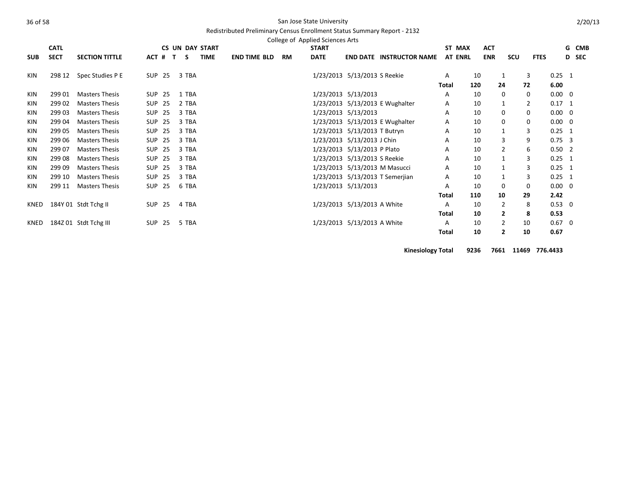#### Redistributed Preliminary Census Enrollment Status Summary Report - 2132

|            | College of Applied Sciences Arts |                       |               |  |              |       |                        |                     |  |  |           |              |                               |                                 |              |                |            |                |             |                |   |       |
|------------|----------------------------------|-----------------------|---------------|--|--------------|-------|------------------------|---------------------|--|--|-----------|--------------|-------------------------------|---------------------------------|--------------|----------------|------------|----------------|-------------|----------------|---|-------|
|            | <b>CATL</b>                      |                       |               |  |              |       | <b>CS UN DAY START</b> |                     |  |  |           | <b>START</b> |                               |                                 |              | ST MAX         | <b>ACT</b> |                |             |                |   | G CMB |
| <b>SUB</b> | <b>SECT</b>                      | <b>SECTION TITTLE</b> | ACT #         |  | $\mathbf{T}$ | S.    | <b>TIME</b>            | <b>END TIME BLD</b> |  |  | <b>RM</b> | <b>DATE</b>  |                               | <b>END DATE INSTRUCTOR NAME</b> |              | <b>AT ENRL</b> | <b>ENR</b> | scu            | <b>FTES</b> |                | D | SEC   |
| KIN        | 298 12                           | Spec Studies P E      | SUP 25        |  |              | 3 TBA |                        |                     |  |  |           |              | 1/23/2013 5/13/2013 S Reekie  |                                 | A            |                | 10         |                | 3           | $0.25$ 1       |   |       |
|            |                                  |                       |               |  |              |       |                        |                     |  |  |           |              |                               |                                 | Total        |                | 120        | 24             | 72          | 6.00           |   |       |
| KIN        | 299 01                           | <b>Masters Thesis</b> | SUP 25        |  |              | 1 TBA |                        |                     |  |  |           |              | 1/23/2013 5/13/2013           |                                 | A            |                | 10         | 0              | 0           | $0.00 \quad 0$ |   |       |
| KIN        | 299 02                           | <b>Masters Thesis</b> | <b>SUP 25</b> |  |              | 2 TBA |                        |                     |  |  |           |              |                               | 1/23/2013 5/13/2013 E Wughalter | A            |                | 10         |                | 2           | $0.17$ 1       |   |       |
| KIN        | 299 03                           | <b>Masters Thesis</b> | <b>SUP 25</b> |  |              | 3 TBA |                        |                     |  |  |           |              | 1/23/2013 5/13/2013           |                                 | A            |                | 10         | 0              | 0           | $0.00 \quad 0$ |   |       |
| KIN        | 299 04                           | <b>Masters Thesis</b> | <b>SUP 25</b> |  |              | 3 TBA |                        |                     |  |  |           |              |                               | 1/23/2013 5/13/2013 E Wughalter | A            |                | 10         | $\Omega$       | 0           | $0.00 \quad 0$ |   |       |
| KIN        | 299 05                           | <b>Masters Thesis</b> | <b>SUP 25</b> |  |              | 3 TBA |                        |                     |  |  |           |              | 1/23/2013 5/13/2013 T Butryn  |                                 | A            |                | 10         |                | 3           | $0.25$ 1       |   |       |
| <b>KIN</b> | 299 06                           | <b>Masters Thesis</b> | <b>SUP 25</b> |  |              | 3 TBA |                        |                     |  |  |           |              | 1/23/2013 5/13/2013 J Chin    |                                 | A            |                | 10         | 3              | 9           | $0.75 \quad 3$ |   |       |
| <b>KIN</b> | 299 07                           | <b>Masters Thesis</b> | <b>SUP 25</b> |  |              | 3 TBA |                        |                     |  |  |           |              | 1/23/2013 5/13/2013 P Plato   |                                 | A            |                | 10         | $\overline{2}$ | 6           | $0.50$ 2       |   |       |
| KIN        | 299 08                           | <b>Masters Thesis</b> | <b>SUP 25</b> |  |              | 3 TBA |                        |                     |  |  |           |              | 1/23/2013 5/13/2013 S Reekie  |                                 | A            |                | 10         |                | 3           | $0.25$ 1       |   |       |
| KIN        | 299 09                           | <b>Masters Thesis</b> | <b>SUP 25</b> |  |              | 3 TBA |                        |                     |  |  |           |              | 1/23/2013 5/13/2013 M Masucci |                                 | A            |                | 10         |                | 3           | $0.25$ 1       |   |       |
| <b>KIN</b> | 299 10                           | <b>Masters Thesis</b> | <b>SUP 25</b> |  |              | 3 TBA |                        |                     |  |  |           |              |                               | 1/23/2013 5/13/2013 T Semerjian | A            |                | 10         |                | 3           | $0.25$ 1       |   |       |
| <b>KIN</b> | 299 11                           | <b>Masters Thesis</b> | <b>SUP 25</b> |  |              | 6 TBA |                        |                     |  |  |           |              | 1/23/2013 5/13/2013           |                                 | A            |                | 10         | $\Omega$       | 0           | $0.00 \quad 0$ |   |       |
|            |                                  |                       |               |  |              |       |                        |                     |  |  |           |              |                               |                                 | Total        |                | 110        | 10             | 29          | 2.42           |   |       |
| KNED       |                                  | 184Y 01 Stdt Tchg II  | SUP 25        |  |              | 4 TBA |                        |                     |  |  |           |              | 1/23/2013 5/13/2013 A White   |                                 | A            |                | 10         | 2              | 8           | $0.53 \ 0$     |   |       |
|            |                                  |                       |               |  |              |       |                        |                     |  |  |           |              |                               |                                 | <b>Total</b> |                | 10         | $\overline{2}$ | 8           | 0.53           |   |       |
| KNED       |                                  | 184Z 01 Stdt Tchg III | SUP 25        |  |              | 5 TBA |                        |                     |  |  |           |              | 1/23/2013 5/13/2013 A White   |                                 | A            |                | 10         | 2              | 10          | $0.67$ 0       |   |       |
|            |                                  |                       |               |  |              |       |                        |                     |  |  |           |              |                               |                                 | <b>Total</b> |                | 10         | 2              | 10          | 0.67           |   |       |

**Kinesiology Total 9236 7661 11469 776.4433**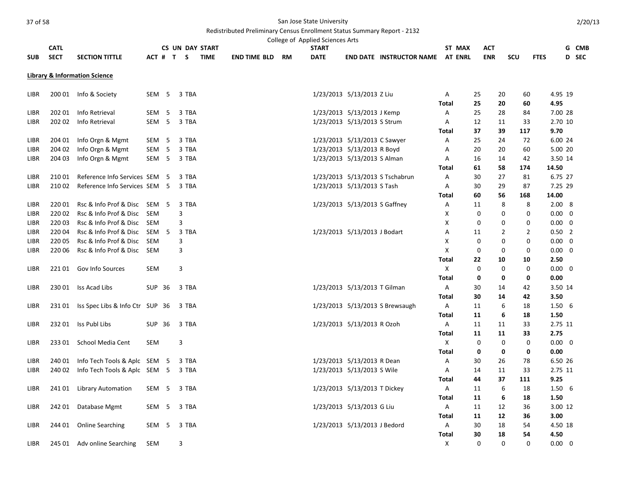#### Redistributed Preliminary Census Enrollment Status Summary Report - 2132

|                     | College of Applied Sciences Arts<br><b>CATL</b><br><b>CS UN DAY START</b><br><b>START</b><br>G CMB<br>ST MAX<br>ACT<br>ACT # T S |                                          |                  |     |                |             |                        |  |             |                               |                                 |                   |                |            |                |                |                 |       |
|---------------------|----------------------------------------------------------------------------------------------------------------------------------|------------------------------------------|------------------|-----|----------------|-------------|------------------------|--|-------------|-------------------------------|---------------------------------|-------------------|----------------|------------|----------------|----------------|-----------------|-------|
|                     |                                                                                                                                  |                                          |                  |     |                |             |                        |  |             |                               |                                 |                   |                |            |                |                |                 |       |
| <b>SUB</b>          | <b>SECT</b>                                                                                                                      | <b>SECTION TITTLE</b>                    |                  |     |                | <b>TIME</b> | <b>END TIME BLD RM</b> |  | <b>DATE</b> |                               | <b>END DATE INSTRUCTOR NAME</b> |                   | <b>AT ENRL</b> | <b>ENR</b> | SCU            | <b>FTES</b>    |                 | D SEC |
|                     |                                                                                                                                  | <b>Library &amp; Information Science</b> |                  |     |                |             |                        |  |             |                               |                                 |                   |                |            |                |                |                 |       |
| LIBR                |                                                                                                                                  | 200 01 Info & Society                    | SEM <sub>5</sub> |     | 3 TBA          |             |                        |  |             | 1/23/2013 5/13/2013 Z Liu     |                                 | Α                 | 25             | 20         | 60             |                | 4.95 19         |       |
|                     |                                                                                                                                  |                                          |                  |     |                |             |                        |  |             |                               |                                 | <b>Total</b>      | 25             | 20         | 60             |                | 4.95            |       |
| LIBR                | 202 01                                                                                                                           | Info Retrieval                           | SEM <sub>5</sub> |     | 3 TBA          |             |                        |  |             | 1/23/2013 5/13/2013 J Kemp    |                                 | Α                 | 25             | 28         | 84             |                | 7.00 28         |       |
| LIBR                | 202 02                                                                                                                           | Info Retrieval                           | SEM <sub>5</sub> |     | 3 TBA          |             |                        |  |             | 1/23/2013 5/13/2013 S Strum   |                                 | Α                 | 12             | 11         | 33             |                | 2.70 10         |       |
|                     |                                                                                                                                  |                                          |                  |     |                |             |                        |  |             |                               |                                 | <b>Total</b>      | 37             | 39         | 117            |                | 9.70            |       |
| LIBR                | 204 01                                                                                                                           | Info Orgn & Mgmt                         | SEM <sub>5</sub> |     | 3 TBA          |             |                        |  |             | 1/23/2013 5/13/2013 C Sawyer  |                                 | Α                 | 25             | 24         | 72             |                | 6.00 24         |       |
| LIBR                | 204 02                                                                                                                           | Info Orgn & Mgmt                         | SEM              | 5   | 3 TBA          |             |                        |  |             | 1/23/2013 5/13/2013 R Boyd    |                                 | Α                 | 20             | 20         | 60             |                | 5.00 20         |       |
| LIBR                | 204 03                                                                                                                           | Info Orgn & Mgmt                         | SEM <sub>5</sub> |     | 3 TBA          |             |                        |  |             | 1/23/2013 5/13/2013 S Alman   |                                 | Α                 | 16             | 14         | 42             |                | 3.50 14         |       |
|                     |                                                                                                                                  |                                          |                  |     |                |             |                        |  |             |                               |                                 | <b>Total</b>      | 61             | 58         | 174            |                | 14.50           |       |
| LIBR                | 210 01                                                                                                                           | Reference Info Services SEM 5            |                  |     | 3 TBA          |             |                        |  |             |                               | 1/23/2013 5/13/2013 S Tschabrun | Α                 | 30             | 27         | 81             |                | 6.75 27         |       |
| <b>LIBR</b>         | 210 02                                                                                                                           | Reference Info Services SEM 5            |                  |     | 3 TBA          |             |                        |  |             | 1/23/2013 5/13/2013 S Tash    |                                 | Α                 | 30             | 29         | 87             |                | 7.25 29         |       |
|                     |                                                                                                                                  |                                          |                  |     |                |             |                        |  |             |                               |                                 | <b>Total</b>      | 60             | 56         | 168            |                | 14.00           |       |
| LIBR                | 22001                                                                                                                            | Rsc & Info Prof & Disc SEM 5             |                  |     | 3 TBA          |             |                        |  |             | 1/23/2013 5/13/2013 S Gaffney |                                 | Α                 | 11             |            | 8              | 8              | 2.008           |       |
| <b>LIBR</b>         | 220 02                                                                                                                           | Rsc & Info Prof & Disc SEM               |                  |     | 3              |             |                        |  |             |                               |                                 | X                 |                | 0          | 0              | 0              | $0.00 \quad 0$  |       |
| LIBR                | 220 03                                                                                                                           | Rsc & Info Prof & Disc                   | SEM              |     | 3              |             |                        |  |             |                               |                                 | X                 |                | 0          | $\mathbf 0$    | 0              | $0.00 \quad 0$  |       |
| LIBR                | 220 04                                                                                                                           | Rsc & Info Prof & Disc SEM               |                  | -5  | 3 TBA          |             |                        |  |             | 1/23/2013 5/13/2013 J Bodart  |                                 | Α                 | 11             |            | $\overline{2}$ | $\overline{2}$ | $0.50$ 2        |       |
| LIBR                | 220 05                                                                                                                           | Rsc & Info Prof & Disc SEM               |                  |     | 3              |             |                        |  |             |                               |                                 | X                 |                | 0          | 0              | 0              | $0.00 \quad 0$  |       |
| LIBR                | 220 06                                                                                                                           | Rsc & Info Prof & Disc SEM               |                  |     | 3              |             |                        |  |             |                               |                                 | X                 |                | 0          | 0              | 0              | $0.00 \quad 0$  |       |
|                     |                                                                                                                                  |                                          |                  |     |                |             |                        |  |             |                               |                                 | <b>Total</b>      | 22             | 10         | 10             |                | 2.50            |       |
| LIBR                |                                                                                                                                  | 221 01 Gov Info Sources                  | <b>SEM</b>       |     | 3              |             |                        |  |             |                               |                                 | X                 |                | 0          | $\mathbf 0$    | 0              | $0.00 \quad 0$  |       |
|                     |                                                                                                                                  |                                          |                  |     |                |             |                        |  |             |                               |                                 | <b>Total</b>      |                | 0          | $\mathbf 0$    | 0              | 0.00            |       |
| LIBR                |                                                                                                                                  | 230 01 Iss Acad Libs                     | SUP 36           |     | 3 TBA          |             |                        |  |             | 1/23/2013 5/13/2013 T Gilman  |                                 | Α                 | 30             | 14         | 42             |                | 3.50 14         |       |
|                     |                                                                                                                                  |                                          |                  |     |                |             |                        |  |             |                               |                                 | <b>Total</b>      | 30             | 14         | 42             |                | 3.50            |       |
| LIBR                |                                                                                                                                  | 231 01 Iss Spec Libs & Info Ctr SUP 36   |                  |     | 3 TBA          |             |                        |  |             |                               | 1/23/2013 5/13/2013 S Brewsaugh | Α                 | 11             |            | 6<br>18        |                | 1.506           |       |
|                     |                                                                                                                                  |                                          |                  |     |                |             |                        |  |             |                               |                                 | <b>Total</b>      | 11             |            | 6<br>18        |                | 1.50            |       |
| LIBR                |                                                                                                                                  | 232 01 Iss Publ Libs                     | SUP 36           |     | 3 TBA          |             |                        |  |             | 1/23/2013 5/13/2013 R Ozoh    |                                 | A                 | 11             | 11         | 33<br>33       |                | 2.75 11<br>2.75 |       |
| LIBR                |                                                                                                                                  | 233 01 School Media Cent                 | <b>SEM</b>       |     | 3              |             |                        |  |             |                               |                                 | <b>Total</b><br>X | 11             | 11<br>0    | $\mathbf 0$    | 0              | $0.00 \quad 0$  |       |
|                     |                                                                                                                                  |                                          |                  |     |                |             |                        |  |             |                               |                                 | <b>Total</b>      |                | 0          | 0              | 0              | 0.00            |       |
|                     |                                                                                                                                  | 240 01 Info Tech Tools & Aplc SEM 5      |                  |     |                |             |                        |  |             | 1/23/2013 5/13/2013 R Dean    |                                 |                   |                |            |                |                | 6.50 26         |       |
| LIBR<br><b>LIBR</b> |                                                                                                                                  | 240 02 Info Tech Tools & Aplc SEM 5      |                  |     | 3 TBA<br>3 TBA |             |                        |  |             | 1/23/2013 5/13/2013 S Wile    |                                 | Α<br>A            | 30<br>14       | 26<br>11   | 78<br>33       |                | 2.75 11         |       |
|                     |                                                                                                                                  |                                          |                  |     |                |             |                        |  |             |                               |                                 | <b>Total</b>      | 44             | 37         | 111            |                | 9.25            |       |
| LIBR                |                                                                                                                                  | 241 01 Library Automation                | SEM 5            |     | 3 TBA          |             |                        |  |             | 1/23/2013 5/13/2013 T Dickey  |                                 | Α                 | 11             |            | 6<br>18        |                | 1.506           |       |
|                     |                                                                                                                                  |                                          |                  |     |                |             |                        |  |             |                               |                                 | Total             | 11             |            | 6<br>18        |                | 1.50            |       |
| LIBR                |                                                                                                                                  | 242 01 Database Mgmt                     | SEM <sub>5</sub> |     | 3 TBA          |             |                        |  |             | 1/23/2013 5/13/2013 G Liu     |                                 | A                 | 11             | 12         | 36             |                | 3.00 12         |       |
|                     |                                                                                                                                  |                                          |                  |     |                |             |                        |  |             |                               |                                 | Total             | 11             | 12         | 36             |                | 3.00            |       |
| <b>LIBR</b>         |                                                                                                                                  | 244 01 Online Searching                  | SEM              | - 5 | 3 TBA          |             |                        |  |             | 1/23/2013 5/13/2013 J Bedord  |                                 | $\mathsf{A}$      | 30             | 18         | 54             |                | 4.50 18         |       |
|                     |                                                                                                                                  |                                          |                  |     |                |             |                        |  |             |                               |                                 | <b>Total</b>      | 30             | 18         | 54             |                | 4.50            |       |
| LIBR                |                                                                                                                                  | 245 01 Adv online Searching              | SEM              |     | 3              |             |                        |  |             |                               |                                 | X                 |                | 0          | $\Omega$       | $\mathbf 0$    | $0.00 \quad 0$  |       |

2/20/13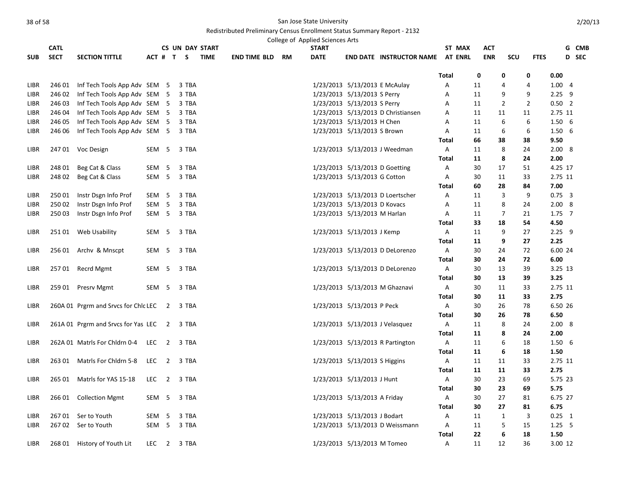|             |             |                                              |                  |                  |             |                        |                     |    | College of Applied Sciences Arts |                                |                                         |                   |            |                |                |                   |              |
|-------------|-------------|----------------------------------------------|------------------|------------------|-------------|------------------------|---------------------|----|----------------------------------|--------------------------------|-----------------------------------------|-------------------|------------|----------------|----------------|-------------------|--------------|
|             | <b>CATL</b> |                                              |                  |                  |             | <b>CS UN DAY START</b> |                     |    | <b>START</b>                     |                                |                                         | ST MAX            | ACT        |                |                |                   | G CMB        |
| <b>SUB</b>  | <b>SECT</b> | <b>SECTION TITTLE</b>                        |                  |                  | ACT # T S   | <b>TIME</b>            | <b>END TIME BLD</b> | RM | <b>DATE</b>                      |                                | <b>END DATE INSTRUCTOR NAME AT ENRL</b> |                   | <b>ENR</b> | SCU            | <b>FTES</b>    |                   | <b>D</b> SEC |
|             |             |                                              |                  |                  |             |                        |                     |    |                                  |                                |                                         | <b>Total</b>      | 0          | 0              | 0              | 0.00              |              |
| LIBR        | 246 01      | Inf Tech Tools App Adv SEM 5                 |                  |                  | 3 TBA       |                        |                     |    |                                  | 1/23/2013 5/13/2013 E McAulay  |                                         | Α                 | 11         | 4              | 4              | 1.004             |              |
| LIBR        | 246 02      | Inf Tech Tools App Adv SEM 5                 |                  |                  | 3 TBA       |                        |                     |    |                                  | 1/23/2013 5/13/2013 S Perry    |                                         | Α                 | 11         | 9              | 9              | $2.25$ 9          |              |
| <b>LIBR</b> | 24603       | Inf Tech Tools App Adv SEM 5                 |                  |                  | 3 TBA       |                        |                     |    |                                  | 1/23/2013 5/13/2013 S Perry    |                                         | Α                 | 11         | $\overline{2}$ | $\overline{2}$ | $0.50$ 2          |              |
| LIBR        | 246 04      | Inf Tech Tools App Adv SEM 5                 |                  |                  | 3 TBA       |                        |                     |    |                                  |                                | 1/23/2013 5/13/2013 D Christiansen      | Α                 | 11         | 11             | 11             | 2.75 11           |              |
| LIBR        | 246 05      | Inf Tech Tools App Adv SEM 5                 |                  |                  | 3 TBA       |                        |                     |    |                                  | 1/23/2013 5/13/2013 H Chen     |                                         | Α                 | 11         | 6              | 6              | 1.506             |              |
| LIBR        | 246 06      | Inf Tech Tools App Adv SEM 5                 |                  |                  | 3 TBA       |                        |                     |    |                                  | 1/23/2013 5/13/2013 S Brown    |                                         | Α                 | 11         | 6              | 6              | 1.506             |              |
|             |             |                                              |                  |                  |             |                        |                     |    |                                  |                                |                                         | Total             | 66         | 38             | 38             | 9.50              |              |
| LIBR        |             | 247 01 Voc Design                            |                  | SEM 5            | 3 TBA       |                        |                     |    |                                  |                                | 1/23/2013 5/13/2013 J Weedman           | Α                 | 11         | 8              | 24             | 2.008             |              |
|             |             |                                              |                  |                  |             |                        |                     |    |                                  |                                |                                         | <b>Total</b>      | 11         | 8              | 24             | 2.00              |              |
| LIBR        | 248 01      | Beg Cat & Class                              | SEM 5            |                  | 3 TBA       |                        |                     |    |                                  | 1/23/2013 5/13/2013 D Goetting |                                         | Α                 | 30         | 17             | 51             | 4.25 17           |              |
| LIBR        | 248 02      | Beg Cat & Class                              |                  | SEM 5            | 3 TBA       |                        |                     |    |                                  | 1/23/2013 5/13/2013 G Cotton   |                                         | Α                 | 30         | 11             | 33             | 2.75 11           |              |
|             |             |                                              |                  |                  |             |                        |                     |    |                                  |                                |                                         | <b>Total</b>      | 60         | 28             | 84             | 7.00              |              |
| LIBR        | 25001       | Instr Dsgn Info Prof                         | SEM <sub>5</sub> |                  | 3 TBA       |                        |                     |    |                                  |                                | 1/23/2013 5/13/2013 D Loertscher        | A                 | 11         | 3              | 9              | $0.75 \quad 3$    |              |
| LIBR        | 25002       | Instr Dsgn Info Prof                         | SEM <sub>5</sub> |                  | 3 TBA       |                        |                     |    |                                  | 1/23/2013 5/13/2013 D Kovacs   |                                         | Α                 | 11         | 8              | 24             | 2.008             |              |
| LIBR        | 25003       | Instr Dsgn Info Prof                         |                  | SEM <sub>5</sub> | 3 TBA       |                        |                     |    |                                  | 1/23/2013 5/13/2013 M Harlan   |                                         | Α                 | 11         | $\overline{7}$ | 21             | $1.75$ 7          |              |
|             |             |                                              |                  |                  |             |                        |                     |    |                                  |                                |                                         | Total             | 33         | 18             | 54             | 4.50              |              |
| LIBR        | 25101       | Web Usability                                |                  | SEM 5            | 3 TBA       |                        |                     |    |                                  | 1/23/2013 5/13/2013 J Kemp     |                                         | A                 | 11         | 9              | 27             | $2.25$ 9          |              |
|             |             |                                              |                  |                  |             |                        |                     |    |                                  |                                |                                         | <b>Total</b>      | 11         | 9              | 27             | 2.25              |              |
| LIBR        |             | 256 01 Archv & Mnscpt                        | SEM 5            |                  | 3 TBA       |                        |                     |    |                                  |                                | 1/23/2013 5/13/2013 D DeLorenzo         | A                 | 30         | 24             | 72             | 6.00 24           |              |
|             |             |                                              |                  |                  |             |                        |                     |    |                                  |                                |                                         | Total             | 30         | 24             | 72             | 6.00              |              |
| LIBR        |             | 257 01 Recrd Mgmt                            |                  | SEM 5            | 3 TBA       |                        |                     |    |                                  |                                | 1/23/2013 5/13/2013 D DeLorenzo         | Α                 | 30         | 13             | 39             | 3.25 13           |              |
|             |             |                                              |                  |                  |             |                        |                     |    |                                  |                                |                                         | <b>Total</b>      | 30         | 13             | 39             | 3.25              |              |
| LIBR        |             | 259 01 Presrv Mgmt                           |                  | SEM 5            | 3 TBA       |                        |                     |    |                                  |                                | 1/23/2013 5/13/2013 M Ghaznavi          | A                 | 30         | 11             | 33             | 2.75 11           |              |
|             |             |                                              |                  |                  |             |                        |                     |    |                                  |                                |                                         | Total             | 30         | 11             | 33             | 2.75              |              |
| LIBR        |             | 260A 01 Prgrm and Srvcs for Chlc LEC 2 3 TBA |                  |                  |             |                        |                     |    |                                  | 1/23/2013 5/13/2013 P Peck     |                                         | A                 | 30         | 26             | 78             | 6.50 26           |              |
|             |             |                                              |                  |                  |             |                        |                     |    |                                  |                                |                                         | Total             | 30         | 26             | 78             | 6.50              |              |
| LIBR        |             | 261A 01 Prgrm and Srvcs for Yas LEC 2 3 TBA  |                  |                  |             |                        |                     |    |                                  |                                | 1/23/2013 5/13/2013 J Velasquez         | A                 | 11         | 8              | 24             | 2.008             |              |
|             |             |                                              |                  |                  |             |                        |                     |    |                                  |                                |                                         | <b>Total</b>      | 11         | 8              | 24             | 2.00              |              |
| LIBR        |             | 262A 01 Matrls For Chldrn 0-4                | LEC              |                  | 2 3 TBA     |                        |                     |    |                                  |                                | 1/23/2013 5/13/2013 R Partington        | A                 | 11         | 6              | 18             | 1.506             |              |
|             |             |                                              |                  |                  |             |                        |                     |    |                                  |                                |                                         | Total             | 11         | 6              | 18             | 1.50              |              |
| LIBR        |             | 263 01 Matrls For Chidrn 5-8                 |                  |                  | LEC 2 3 TBA |                        |                     |    |                                  | 1/23/2013 5/13/2013 S Higgins  |                                         | A                 | 11         | 11             | 33             | 2.75 11           |              |
|             |             |                                              |                  |                  |             |                        |                     |    |                                  |                                |                                         | <b>Total</b>      | 11         | 11             | 33             | 2.75              |              |
| LIBR        |             | 265 01 Matrls for YAS 15-18                  |                  |                  | LEC 2 3 TBA |                        |                     |    |                                  | 1/23/2013 5/13/2013 J Hunt     |                                         | A                 | 30         | 23             | 69             | 5.75 23<br>5.75   |              |
| LIBR        |             |                                              | SEM 5            |                  |             |                        |                     |    |                                  | 1/23/2013 5/13/2013 A Friday   |                                         | <b>Total</b><br>A | 30<br>30   | 23<br>27       | 69<br>81       | 6.75 27           |              |
|             | 266 01      | <b>Collection Mgmt</b>                       |                  |                  | 3 TBA       |                        |                     |    |                                  |                                |                                         | <b>Total</b>      |            | 27             |                |                   |              |
| LIBR        |             | 267 01 Ser to Youth                          | SEM 5            |                  | 3 TBA       |                        |                     |    |                                  | 1/23/2013 5/13/2013 J Bodart   |                                         | A                 | 30<br>11   | $\mathbf{1}$   | 81<br>3        | 6.75<br>$0.25$ 1  |              |
| <b>LIBR</b> |             | 267 02 Ser to Youth                          |                  | SEM <sub>5</sub> | 3 TBA       |                        |                     |    |                                  |                                | 1/23/2013 5/13/2013 D Weissmann         | A                 | 11         | 5              | 15             | 1.25 <sub>5</sub> |              |
|             |             |                                              |                  |                  |             |                        |                     |    |                                  |                                |                                         | <b>Total</b>      | 22         | 6              | 18             | 1.50              |              |
| LIBR        |             | 268 01 History of Youth Lit                  |                  | LEC 2            | 3 TBA       |                        |                     |    |                                  | 1/23/2013 5/13/2013 M Tomeo    |                                         | A                 | 11         | 12             | 36             | 3.00 12           |              |
|             |             |                                              |                  |                  |             |                        |                     |    |                                  |                                |                                         |                   |            |                |                |                   |              |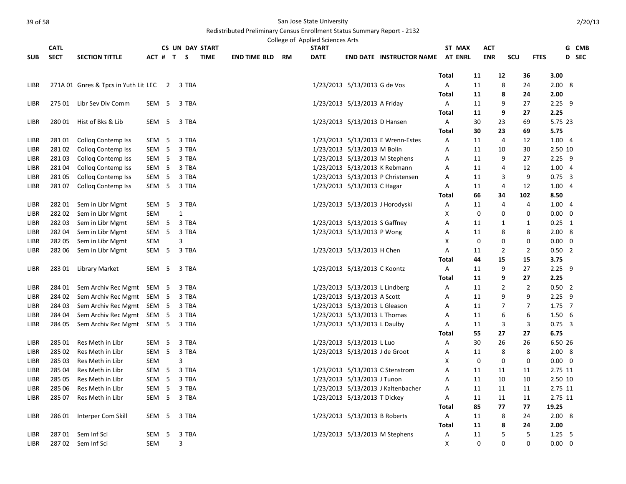|             |             |                                      |                  |    |                |           |                        |                     |           | College of Applied Sciences Arts |                                |                                         |              |        |            |                |                |                |             |              |
|-------------|-------------|--------------------------------------|------------------|----|----------------|-----------|------------------------|---------------------|-----------|----------------------------------|--------------------------------|-----------------------------------------|--------------|--------|------------|----------------|----------------|----------------|-------------|--------------|
|             | <b>CATL</b> |                                      |                  |    |                |           | <b>CS UN DAY START</b> |                     |           | <b>START</b>                     |                                |                                         |              | ST MAX | <b>ACT</b> |                |                |                |             | G CMB        |
| <b>SUB</b>  | <b>SECT</b> | <b>SECTION TITTLE</b>                |                  |    |                | ACT # T S | <b>TIME</b>            | <b>END TIME BLD</b> | <b>RM</b> | <b>DATE</b>                      |                                | <b>END DATE INSTRUCTOR NAME AT ENRL</b> |              |        | <b>ENR</b> | SCU            | <b>FTES</b>    |                |             | <b>D</b> SEC |
|             |             |                                      |                  |    |                |           |                        |                     |           |                                  |                                |                                         | <b>Total</b> |        | 11         | 12             | 36             | 3.00           |             |              |
| LIBR        |             | 271A 01 Gnres & Tpcs in Yuth Lit LEC |                  |    | $\overline{2}$ | 3 TBA     |                        |                     |           |                                  | 1/23/2013 5/13/2013 G de Vos   |                                         | Α            |        | 11         | 8              | 24             | 2.008          |             |              |
|             |             |                                      |                  |    |                |           |                        |                     |           |                                  |                                |                                         | Total        |        | 11         | 8              | 24             | 2.00           |             |              |
| <b>LIBR</b> |             | 275 01 Libr Sev Div Comm             | SEM 5            |    |                | 3 TBA     |                        |                     |           |                                  | 1/23/2013 5/13/2013 A Friday   |                                         | A            |        | 11         | 9              | 27             | $2.25$ 9       |             |              |
|             |             |                                      |                  |    |                |           |                        |                     |           |                                  |                                |                                         | <b>Total</b> |        | 11         | 9              | 27             | 2.25           |             |              |
| LIBR        | 28001       | Hist of Bks & Lib                    | SEM 5            |    |                | 3 TBA     |                        |                     |           |                                  | 1/23/2013 5/13/2013 D Hansen   |                                         | A            |        | 30         | 23             | 69             | 5.75 23        |             |              |
|             |             |                                      |                  |    |                |           |                        |                     |           |                                  |                                |                                         | Total        |        | 30         | 23             | 69             | 5.75           |             |              |
| LIBR        | 28101       | <b>Collog Contemp Iss</b>            | SEM              | 5  |                | 3 TBA     |                        |                     |           |                                  |                                | 1/23/2013 5/13/2013 E Wrenn-Estes       | Α            |        | 11         | $\overline{4}$ | 12             | 1.004          |             |              |
| LIBR        | 28102       | <b>Collog Contemp Iss</b>            | SEM              | 5  |                | 3 TBA     |                        |                     |           |                                  | 1/23/2013 5/13/2013 M Bolin    |                                         | А            |        | 11         | 10             | 30             | 2.50 10        |             |              |
| LIBR        | 28103       | <b>Collog Contemp Iss</b>            | SEM <sub>5</sub> |    |                | 3 TBA     |                        |                     |           |                                  |                                | 1/23/2013 5/13/2013 M Stephens          | Α            |        | 11         | 9              | 27             | $2.25$ 9       |             |              |
| LIBR        | 28104       | Colloq Contemp Iss                   | SEM <sub>5</sub> |    |                | 3 TBA     |                        |                     |           |                                  |                                | 1/23/2013 5/13/2013 K Rebmann           | Α            |        | 11         | 4              | 12             | 1.004          |             |              |
| LIBR        | 28105       | <b>Collog Contemp Iss</b>            | SEM              | 5  |                | 3 TBA     |                        |                     |           |                                  |                                | 1/23/2013 5/13/2013 P Christensen       | А            |        | 11         | 3              | 9              | $0.75 \quad 3$ |             |              |
| LIBR        | 28107       | <b>Collog Contemp Iss</b>            | SEM 5            |    |                | 3 TBA     |                        |                     |           |                                  | 1/23/2013 5/13/2013 C Hagar    |                                         | А            |        | 11         | 4              | 12             | 1.004          |             |              |
|             |             |                                      |                  |    |                |           |                        |                     |           |                                  |                                |                                         | Total        |        | 66         | 34             | 102            | 8.50           |             |              |
| LIBR        | 282 01      | Sem in Libr Mgmt                     | SEM              | 5  |                | 3 TBA     |                        |                     |           |                                  |                                | 1/23/2013 5/13/2013 J Horodyski         | Α            |        | 11         | 4              | 4              | 1.004          |             |              |
| LIBR        | 28202       | Sem in Libr Mgmt                     | SEM              |    |                | 1         |                        |                     |           |                                  |                                |                                         | X            |        | 0          | 0              | 0              | $0.00 \quad 0$ |             |              |
| LIBR        | 28203       | Sem in Libr Mgmt                     | SEM              | -5 |                | 3 TBA     |                        |                     |           |                                  | 1/23/2013 5/13/2013 S Gaffney  |                                         | А            |        | 11         | 1              | 1              | $0.25$ 1       |             |              |
| <b>LIBR</b> | 282 04      | Sem in Libr Mgmt                     | SEM              | 5  |                | 3 TBA     |                        |                     |           |                                  | 1/23/2013 5/13/2013 P Wong     |                                         | Α            |        | 11         | 8              | 8              | 2.008          |             |              |
| LIBR        | 282 05      | Sem in Libr Mgmt                     | SEM              |    |                | 3         |                        |                     |           |                                  |                                |                                         | X            |        | 0          | 0              | 0              | $0.00 \quad 0$ |             |              |
| LIBR        | 282 06      | Sem in Libr Mgmt                     | SEM <sub>5</sub> |    |                | 3 TBA     |                        |                     |           |                                  | 1/23/2013 5/13/2013 H Chen     |                                         | Α            |        | 11         | $\overline{2}$ | $\overline{2}$ | $0.50$ 2       |             |              |
|             |             |                                      |                  |    |                |           |                        |                     |           |                                  |                                |                                         | Total        |        | 44         | 15             | 15             | 3.75           |             |              |
| LIBR        | 28301       | Library Market                       | SEM 5            |    |                | 3 TBA     |                        |                     |           |                                  | 1/23/2013 5/13/2013 C Koontz   |                                         | Α            |        | 11         | 9              | 27             | $2.25$ 9       |             |              |
|             |             |                                      |                  |    |                |           |                        |                     |           |                                  |                                |                                         | <b>Total</b> |        | 11         | 9              | 27             | 2.25           |             |              |
| LIBR        | 284 01      | Sem Archiv Rec Mgmt SEM 5            |                  |    |                | 3 TBA     |                        |                     |           |                                  | 1/23/2013 5/13/2013 L Lindberg |                                         | Α            |        | 11         | $\overline{2}$ | $\overline{2}$ | $0.50$ 2       |             |              |
| LIBR        | 284 02      | Sem Archiv Rec Mgmt                  | SEM 5            |    |                | 3 TBA     |                        |                     |           |                                  | 1/23/2013 5/13/2013 A Scott    |                                         | А            |        | 11         | 9              | 9              | $2.25$ 9       |             |              |
| LIBR        | 284 03      | Sem Archiv Rec Mgmt SEM 5            |                  |    |                | 3 TBA     |                        |                     |           |                                  | 1/23/2013 5/13/2013 L Gleason  |                                         | А            |        | 11         | $\overline{7}$ | 7              | $1.75$ 7       |             |              |
| LIBR        | 284 04      | Sem Archiv Rec Mgmt SEM 5            |                  |    |                | 3 TBA     |                        |                     |           |                                  | 1/23/2013 5/13/2013 L Thomas   |                                         | А            |        | 11         | 6              | 6              | 1.506          |             |              |
| <b>LIBR</b> | 284 05      | Sem Archiv Rec Mgmt SEM 5            |                  |    |                | 3 TBA     |                        |                     |           |                                  | 1/23/2013 5/13/2013 L Daulby   |                                         | Α            |        | 11         | 3              | 3              | $0.75$ 3       |             |              |
|             |             |                                      |                  |    |                |           |                        |                     |           |                                  |                                |                                         | <b>Total</b> |        | 55         | 27             | 27             | 6.75           |             |              |
| LIBR        | 285 01      | Res Meth in Libr                     | SEM              | 5  |                | 3 TBA     |                        |                     |           |                                  | 1/23/2013 5/13/2013 L Luo      |                                         | А            |        | 30         | 26             | 26             | 6.50 26        |             |              |
| LIBR        | 285 02      | Res Meth in Libr                     | SEM <sub>5</sub> |    |                | 3 TBA     |                        |                     |           |                                  | 1/23/2013 5/13/2013 J de Groot |                                         | Α            |        | 11         | 8              | 8              | 2.008          |             |              |
| LIBR        | 28503       | Res Meth in Libr                     | SEM              |    |                | 3         |                        |                     |           |                                  |                                |                                         | X            |        | 0          | 0              | 0              | $0.00 \quad 0$ |             |              |
| LIBR        | 285 04      | Res Meth in Libr                     | SEM 5            |    |                | 3 TBA     |                        |                     |           |                                  |                                | 1/23/2013 5/13/2013 C Stenstrom         | А            |        | 11         | 11             | 11             | 2.75 11        |             |              |
| LIBR        | 285 05      | Res Meth in Libr                     | SEM <sub>5</sub> |    |                | 3 TBA     |                        |                     |           |                                  | 1/23/2013 5/13/2013 J Tunon    |                                         | А            |        | 11         | 10             | 10             | 2.50 10        |             |              |
| LIBR        | 285 06      | Res Meth in Libr                     | SEM <sub>5</sub> |    |                | 3 TBA     |                        |                     |           |                                  |                                | 1/23/2013 5/13/2013 J Kaltenbacher      | Α            |        | 11         | 11             | 11             | 2.75 11        |             |              |
| LIBR        | 285 07      | Res Meth in Libr                     | SEM <sub>5</sub> |    |                | 3 TBA     |                        |                     |           |                                  | 1/23/2013 5/13/2013 T Dickey   |                                         | Α            |        | 11         | 11             | 11             | 2.75 11        |             |              |
|             |             |                                      |                  |    |                |           |                        |                     |           |                                  |                                |                                         | Total        |        | 85         | 77             | 77             | 19.25          |             |              |
| LIBR        | 286 01      | Interper Com Skill                   | SEM 5            |    |                | 3 TBA     |                        |                     |           |                                  | 1/23/2013 5/13/2013 B Roberts  |                                         | A            |        | 11         | 8              | 24             | 2.008          |             |              |
|             |             |                                      |                  |    |                |           |                        |                     |           |                                  |                                |                                         | <b>Total</b> |        | 11         | 8              | 24             | 2.00           |             |              |
| LIBR        |             | 287 01 Sem Inf Sci                   | SEM              | 5  |                | 3 TBA     |                        |                     |           |                                  |                                | 1/23/2013 5/13/2013 M Stephens          | Α            |        | 11         | 5              | 5              | $1.25$ 5       |             |              |
| LIBR        |             | 287 02 Sem Inf Sci                   | SEM              |    |                | 3         |                        |                     |           |                                  |                                |                                         | X            |        | 0          | 0              | $\Omega$       | $0.00\,$       | $\mathbf 0$ |              |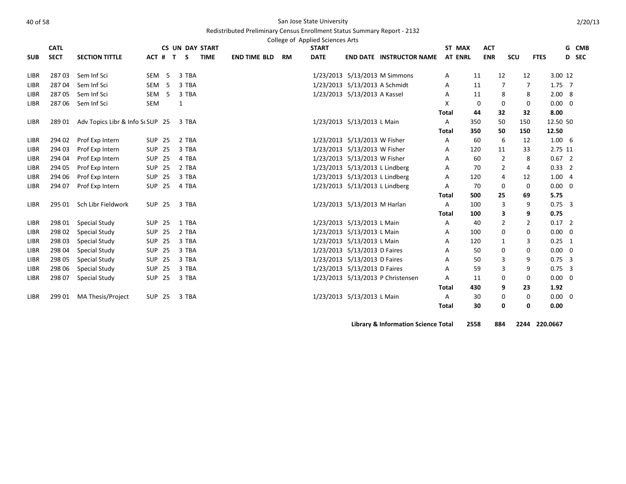#### Redistributed Preliminary Census Enrollment Status Summary Report - 2132

|             |             |                                  |                  |              |       |                        |                     |    | College of Applied Sciences Arts |                                |                                            |                |             |            |                |                |                |   |       |
|-------------|-------------|----------------------------------|------------------|--------------|-------|------------------------|---------------------|----|----------------------------------|--------------------------------|--------------------------------------------|----------------|-------------|------------|----------------|----------------|----------------|---|-------|
|             | <b>CATL</b> |                                  |                  |              |       | <b>CS UN DAY START</b> |                     |    | <b>START</b>                     |                                |                                            | ST MAX         |             | <b>ACT</b> |                |                |                | G | CMB   |
| <b>SUB</b>  | <b>SECT</b> | <b>SECTION TITTLE</b>            | ACT # T          |              | S –   | <b>TIME</b>            | <b>END TIME BLD</b> | RM | <b>DATE</b>                      |                                | <b>END DATE INSTRUCTOR NAME</b>            | <b>AT ENRL</b> |             | <b>ENR</b> | SCU            | <b>FTES</b>    |                |   | D SEC |
| LIBR        | 28703       | Sem Inf Sci                      | SEM <sub>5</sub> |              | 3 TBA |                        |                     |    |                                  |                                | 1/23/2013 5/13/2013 M Simmons              | A              | 11          | 12         |                | 12             | 3.00 12        |   |       |
| LIBR        | 28704       | Sem Inf Sci                      | SEM <sub>5</sub> |              | 3 TBA |                        |                     |    |                                  | 1/23/2013 5/13/2013 A Schmidt  |                                            | Α              | 11          |            | 7              | 7              | $1.75$ 7       |   |       |
| LIBR        | 28705       | Sem Inf Sci                      | SEM <sub>5</sub> |              | 3 TBA |                        |                     |    |                                  | 1/23/2013 5/13/2013 A Kassel   |                                            | Α              | 11          |            | 8              | 8              | 2.008          |   |       |
| LIBR        | 28706       | Sem Inf Sci                      | SEM              | $\mathbf{1}$ |       |                        |                     |    |                                  |                                |                                            | X              | 0           |            | $\Omega$       | 0              | $0.00 \quad 0$ |   |       |
|             |             |                                  |                  |              |       |                        |                     |    |                                  |                                |                                            | <b>Total</b>   | 44          | 32         |                | 32             | 8.00           |   |       |
| LIBR        | 289 01      | Adv Topics Libr & Info Sc SUP 25 |                  |              | 3 TBA |                        |                     |    |                                  | 1/23/2013 5/13/2013 L Main     |                                            | A              | 350         | 50         | 150            |                | 12.50 50       |   |       |
|             |             |                                  |                  |              |       |                        |                     |    |                                  |                                |                                            | <b>Total</b>   | 350         | 50         | 150            |                | 12.50          |   |       |
| <b>LIBR</b> | 294 02      | Prof Exp Intern                  | <b>SUP 25</b>    |              | 2 TBA |                        |                     |    |                                  | 1/23/2013 5/13/2013 W Fisher   |                                            | A              | 60          |            | 6              | 12             | $1.00\quad 6$  |   |       |
| LIBR        | 294 03      | Prof Exp Intern                  | <b>SUP 25</b>    |              | 3 TBA |                        |                     |    |                                  | 1/23/2013 5/13/2013 W Fisher   |                                            | Α              | 120         | 11         |                | 33             | 2.75 11        |   |       |
| <b>LIBR</b> | 294 04      | Prof Exp Intern                  | <b>SUP 25</b>    |              | 4 TBA |                        |                     |    |                                  | 1/23/2013 5/13/2013 W Fisher   |                                            | A              | 60          |            | $\overline{2}$ | 8              | $0.67$ 2       |   |       |
| LIBR        | 294 05      | Prof Exp Intern                  | <b>SUP 25</b>    |              | 2 TBA |                        |                     |    |                                  | 1/23/2013 5/13/2013 L Lindberg |                                            | Α              | 70          |            | $\overline{2}$ | 4              | $0.33$ 2       |   |       |
| LIBR        | 294 06      | Prof Exp Intern                  | <b>SUP 25</b>    |              | 3 TBA |                        |                     |    |                                  | 1/23/2013 5/13/2013 L Lindberg |                                            | A              | 120         |            | 4              | 12             | 1.004          |   |       |
| LIBR        | 294 07      | Prof Exp Intern                  | <b>SUP 25</b>    |              | 4 TBA |                        |                     |    |                                  | 1/23/2013 5/13/2013 L Lindberg |                                            | A              | 70          |            | 0              | 0              | $0.00 \quad 0$ |   |       |
|             |             |                                  |                  |              |       |                        |                     |    |                                  |                                |                                            | <b>Total</b>   | 500         | 25         |                | 69             | 5.75           |   |       |
| LIBR        | 295 01      | Sch Libr Fieldwork               | <b>SUP 25</b>    |              | 3 TBA |                        |                     |    |                                  | 1/23/2013 5/13/2013 M Harlan   |                                            | A              | 100         |            | 3              | 9              | $0.75$ 3       |   |       |
|             |             |                                  |                  |              |       |                        |                     |    |                                  |                                |                                            | <b>Total</b>   | 100         |            | 3              | 9              | 0.75           |   |       |
| <b>LIBR</b> | 298 01      | Special Study                    | <b>SUP 25</b>    |              | 1 TBA |                        |                     |    |                                  | 1/23/2013 5/13/2013 L Main     |                                            | A              | 40          |            | $\overline{2}$ | $\overline{2}$ | $0.17$ 2       |   |       |
| LIBR        | 298 02      | Special Study                    | <b>SUP 25</b>    |              | 2 TBA |                        |                     |    |                                  | 1/23/2013 5/13/2013 L Main     |                                            | A              | 100         |            | 0              | 0              | $0.00 \quad 0$ |   |       |
| <b>LIBR</b> | 298 03      | Special Study                    | <b>SUP 25</b>    |              | 3 TBA |                        |                     |    |                                  | 1/23/2013 5/13/2013 L Main     |                                            | A              | 120         |            | 1              | 3              | $0.25$ 1       |   |       |
| LIBR        | 298 04      | Special Study                    | <b>SUP 25</b>    |              | 3 TBA |                        |                     |    |                                  | 1/23/2013 5/13/2013 D Faires   |                                            | A              | 50          |            | 0              | 0              | $0.00 \quad 0$ |   |       |
| LIBR        | 298 05      | Special Study                    | <b>SUP 25</b>    |              | 3 TBA |                        |                     |    |                                  | 1/23/2013 5/13/2013 D Faires   |                                            | A              | 50          |            | 3              | 9              | $0.75$ 3       |   |       |
| LIBR        | 298 06      | Special Study                    | <b>SUP 25</b>    |              | 3 TBA |                        |                     |    |                                  | 1/23/2013 5/13/2013 D Faires   |                                            | A              | 59          |            | 3              | 9              | $0.75 \quad 3$ |   |       |
| LIBR        | 298 07      | <b>Special Study</b>             | <b>SUP 25</b>    |              | 3 TBA |                        |                     |    |                                  |                                | 1/23/2013 5/13/2013 P Christensen          | A              | 11          |            | 0              | 0              | $0.00 \quad 0$ |   |       |
|             |             |                                  |                  |              |       |                        |                     |    |                                  |                                |                                            | <b>Total</b>   | 430         |            | 9              | 23             | 1.92           |   |       |
| <b>LIBR</b> | 299 01      | MA Thesis/Project                | <b>SUP 25</b>    |              | 3 TBA |                        |                     |    |                                  | 1/23/2013 5/13/2013 L Main     |                                            | Α              | 30          |            | 0              | 0              | $0.00 \quad 0$ |   |       |
|             |             |                                  |                  |              |       |                        |                     |    |                                  |                                |                                            | <b>Total</b>   | 30          |            | 0              | 0              | 0.00           |   |       |
|             |             |                                  |                  |              |       |                        |                     |    |                                  |                                | <b>Tikuon: O Information Colones Total</b> |                | <b>OFFO</b> | 00A        |                |                | 2244.220000    |   |       |

**Library & Information Science Total 2558 884 2244 220.0667**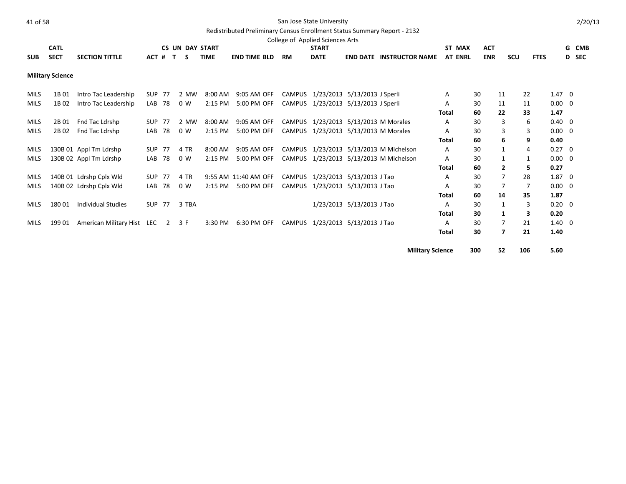# Redistributed Preliminary Census Enrollment Status Summary Report - 2132

|     | <b>CATL</b>             |                       |           |  | <b>CS UN DAY START</b> |                     |           | College of Applied Sciences Arts<br><b>START</b> |                                         | ST MAX | <b>ACT</b> |     |             | G CMB |
|-----|-------------------------|-----------------------|-----------|--|------------------------|---------------------|-----------|--------------------------------------------------|-----------------------------------------|--------|------------|-----|-------------|-------|
| SUB | <b>SECT</b>             | <b>SECTION TITTLE</b> | ACT # T S |  | <b>TIME</b>            | <b>END TIME BLD</b> | <b>RM</b> | <b>DATE</b>                                      | <b>END DATE INSTRUCTOR NAME AT ENRL</b> |        | ENR        | scu | <b>FTES</b> | D SEC |
|     | <b>Military Science</b> |                       |           |  |                        |                     |           |                                                  |                                         |        |            |     |             |       |

|             |        |                            |            |    |       |           |                      |  |                                        | <b>Military Science</b> | 300 | 52             | 106 | 5.60           |  |
|-------------|--------|----------------------------|------------|----|-------|-----------|----------------------|--|----------------------------------------|-------------------------|-----|----------------|-----|----------------|--|
|             |        |                            |            |    |       |           |                      |  |                                        | <b>Total</b>            | 30  | $\overline{ }$ | 21  | 1.40           |  |
| <b>MILS</b> | 199 01 | American Military Hist LEC |            | 2  | 3 F   | 3:30 PM   | 6:30 PM OFF          |  | CAMPUS 1/23/2013 5/13/2013 J Tao       | A                       | 30  |                | 21  | $1.40 \quad 0$ |  |
|             |        |                            |            |    |       |           |                      |  |                                        | Total                   | 30  |                | 3   | 0.20           |  |
| <b>MILS</b> | 18001  | Individual Studies         | SUP 77     |    | 3 TBA |           |                      |  | 1/23/2013 5/13/2013 J Tao              | A                       | 30  |                | 3   | $0.20 \quad 0$ |  |
|             |        |                            |            |    |       |           |                      |  |                                        | Total                   | 60  | 14             | 35  | 1.87           |  |
| <b>MILS</b> |        | 140B 02 Ldrshp Cplx Wld    | LAB        | 78 | 0 W   | 2:15 PM   | 5:00 PM OFF          |  | CAMPUS 1/23/2013 5/13/2013 J Tao       | A                       | 30  |                | 7   | $0.00 \quad 0$ |  |
| MILS        |        | 140B 01 Ldrshp Cplx Wld    | SUP 77     |    | 4 TR  |           | 9:55 AM 11:40 AM OFF |  | CAMPUS 1/23/2013 5/13/2013 J Tao       | A                       | 30  |                | 28  | $1.87 \quad 0$ |  |
|             |        |                            |            |    |       |           |                      |  |                                        | Total                   | 60  | $\mathbf{2}$   | 5   | 0.27           |  |
| <b>MILS</b> |        | 130B 02 Appl Tm Ldrshp     | LAB        | 78 | 0 W   | 2:15 PM   | 5:00 PM OFF          |  | CAMPUS 1/23/2013 5/13/2013 M Michelson | A                       | 30  |                |     | $0.00 \quad 0$ |  |
| MILS        |        | 130B 01 Appl Tm Ldrshp     | SUP 77     |    | 4 TR  | 8:00 AM   | 9:05 AM OFF          |  | CAMPUS 1/23/2013 5/13/2013 M Michelson | A                       | 30  |                | 4   | $0.27 \quad 0$ |  |
|             |        |                            |            |    |       |           |                      |  |                                        | Total                   | 60  | 6              | 9   | 0.40           |  |
| MILS        | 2B 02  | Fnd Tac Ldrshp             | LAB        | 78 | 0 W   | $2:15$ PM | 5:00 PM OFF          |  | CAMPUS 1/23/2013 5/13/2013 M Morales   | A                       | 30  | 3              | 3   | $0.00 \quad 0$ |  |
| <b>MILS</b> | 2B 01  | Fnd Tac Ldrshp             | <b>SUP</b> | 77 | 2 MW  | 8:00 AM   | 9:05 AM OFF          |  | CAMPUS 1/23/2013 5/13/2013 M Morales   | A                       | 30  | 3              | 6   | $0.40 \quad 0$ |  |
|             |        |                            |            |    |       |           |                      |  |                                        | <b>Total</b>            | 60  | 22             | 33  | 1.47           |  |
| MILS        | 1B 02  | Intro Tac Leadership       | LAB        | 78 | 0 W   | $2:15$ PM | 5:00 PM OFF          |  | CAMPUS 1/23/2013 5/13/2013 J Sperli    | Α                       | 30  | 11             | 11  | $0.00 \quad 0$ |  |
| MILS        | 1B 01  | Intro Tac Leadership       | SUP 77     |    | 2 MW  | 8:00 AM   | 9:05 AM OFF          |  | CAMPUS 1/23/2013 5/13/2013 J Sperli    | Α                       | 30  | 11             | 22  | $1.47 \quad 0$ |  |
|             |        |                            |            |    |       |           |                      |  |                                        |                         |     |                |     |                |  |

2/20/13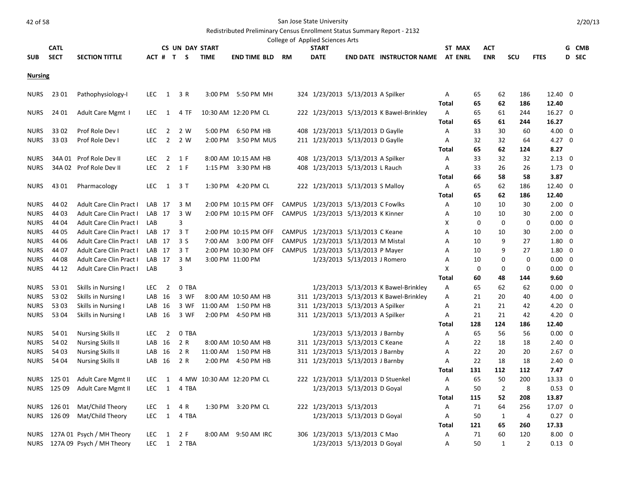#### Redistributed Preliminary Census Enrollment Status Summary Report - 2132

|            |             |                       |                            |                           | College of Applied Sciences Arts                       |        |            |     |             |            |
|------------|-------------|-----------------------|----------------------------|---------------------------|--------------------------------------------------------|--------|------------|-----|-------------|------------|
|            | <b>CATL</b> |                       | <b>CS UN DAY START</b>     |                           | START                                                  | ST MAX | ACT        |     |             | <b>CMB</b> |
| <b>SUB</b> | <b>SECT</b> | <b>SECTION TITTLE</b> | <b>TIME</b><br>$ACT$ # T S | RM<br><b>END TIME BLD</b> | <b>DATE</b><br><b>END DATE INSTRUCTOR NAME AT ENRL</b> |        | <b>ENR</b> | scu | <b>FTES</b> | <b>SEC</b> |

**Nursing**

| <b>NURS</b> | 23 01  | Pathophysiology-I              | <b>LEC</b> | 1              | 3 R   |         | 3:00 PM 5:50 PM MH        |                         | 324 1/23/2013 5/13/2013 A Spilker        | Α            | 65          | 62             | 186           | 12.40 0        |  |
|-------------|--------|--------------------------------|------------|----------------|-------|---------|---------------------------|-------------------------|------------------------------------------|--------------|-------------|----------------|---------------|----------------|--|
|             |        |                                |            |                |       |         |                           |                         |                                          | Total        | 65          | 62             | 186           | 12.40          |  |
| <b>NURS</b> | 24 01  | Adult Care Mgmt 1              | LEC.       | 1              | 4 TF  |         | 10:30 AM 12:20 PM CL      |                         | 222 1/23/2013 5/13/2013 K Bawel-Brinkley | A            | 65          | 61             | 244           | $16.27$ 0      |  |
|             |        |                                |            |                |       |         |                           |                         |                                          | <b>Total</b> | 65          | 61             | 244           | 16.27          |  |
| <b>NURS</b> | 33 02  | Prof Role Dev I                | <b>LEC</b> | $\overline{2}$ | 2 W   | 5:00 PM | 6:50 PM HB                |                         | 408 1/23/2013 5/13/2013 D Gaylle         | А            | 33          | 30             | 60            | $4.00 \quad 0$ |  |
| <b>NURS</b> | 33 03  | Prof Role Dev I                | <b>LEC</b> | $\overline{2}$ | 2 W   | 2:00 PM | 3:50 PM MUS               |                         | 211 1/23/2013 5/13/2013 D Gaylle         | A            | 32          | 32             | 64            | $4.27 \quad 0$ |  |
|             |        |                                |            |                |       |         |                           |                         |                                          | Total        | 65          | 62             | 124           | 8.27           |  |
| <b>NURS</b> |        | 34A 01 Prof Role Dev II        | <b>LEC</b> | $\overline{2}$ | 1 F   |         | 8:00 AM 10:15 AM HB       |                         | 408 1/23/2013 5/13/2013 A Spilker        | А            | 33          | 32             | 32            | $2.13 \quad 0$ |  |
| <b>NURS</b> |        | 34A 02 Prof Role Dev II        | <b>LEC</b> | $\overline{2}$ | 1 F   |         | 1:15 PM 3:30 PM HB        |                         | 408 1/23/2013 5/13/2013 L Rauch          | А            | 33          | 26             | 26            | $1.73 \quad 0$ |  |
|             |        |                                |            |                |       |         |                           |                         |                                          | Total        | 66          | 58             | 58            | 3.87           |  |
| <b>NURS</b> | 43 01  | Pharmacology                   | <b>LEC</b> | 1              | 3T    |         | 1:30 PM 4:20 PM CL        |                         | 222 1/23/2013 5/13/2013 S Malloy         | A            | 65          | 62             | 186           | 12.40 0        |  |
|             |        |                                |            |                |       |         |                           |                         |                                          | Total        | 65          | 62             | 186           | 12.40          |  |
| <b>NURS</b> | 44 02  | <b>Adult Care Clin Pract I</b> | LAB        | 17             | 3 M   |         | 2:00 PM 10:15 PM OFF      |                         | CAMPUS 1/23/2013 5/13/2013 C Fowlks      | А            | 10          | 10             | 30            | $2.00 \quad 0$ |  |
| <b>NURS</b> | 44 03  | <b>Adult Care Clin Pract I</b> | LAB 17     |                | 3 W   |         | 2:00 PM 10:15 PM OFF      |                         | CAMPUS 1/23/2013 5/13/2013 K Kinner      | A            | 10          | 10             | 30            | $2.00 \quad 0$ |  |
| <b>NURS</b> | 44 04  | Adult Care Clin Pract I        | LAB        |                | 3     |         |                           |                         |                                          | X            | $\mathbf 0$ | $\mathbf 0$    | 0             | $0.00 \quad 0$ |  |
| <b>NURS</b> | 44 05  | Adult Care Clin Pract I        | $LAB$ 17   |                | 3T    |         | 2:00 PM 10:15 PM OFF      |                         | CAMPUS 1/23/2013 5/13/2013 C Keane       | A            | 10          | 10             | 30            | $2.00 \ 0$     |  |
| <b>NURS</b> | 44 06  | Adult Care Clin Pract I        | LAB 17     |                | 3 S   |         | 7:00 AM 3:00 PM OFF       |                         | CAMPUS 1/23/2013 5/13/2013 M Mistal      | A            | 10          | 9              | 27            | 1.80 0         |  |
| <b>NURS</b> | 44 07  | Adult Care Clin Pract I        | LAB 17     |                | 3T    |         | 2:00 PM 10:30 PM OFF      |                         | CAMPUS 1/23/2013 5/13/2013 P Mayer       | A            | 10          | 9              | 27            | $1.80 \quad 0$ |  |
| <b>NURS</b> | 44 08  | Adult Care Clin Pract I        | LAB 17     |                | 3 M   |         | 3:00 PM 11:00 PM          |                         | 1/23/2013 5/13/2013 J Romero             | A            | 10          | 0              | $\mathbf 0$   | $0.00 \quad 0$ |  |
| <b>NURS</b> | 44 12  | Adult Care Clin Pract I        | LAB        |                | 3     |         |                           |                         |                                          | X            | 0           | 0              | 0             | $0.00 \quad 0$ |  |
|             |        |                                |            |                |       |         |                           |                         |                                          | <b>Total</b> | 60          | 48             | 144           | 9.60           |  |
| <b>NURS</b> | 53 01  | Skills in Nursing I            | <b>LEC</b> | $\overline{2}$ | 0 TBA |         |                           |                         | 1/23/2013 5/13/2013 K Bawel-Brinkley     | A            | 65          | 62             | 62            | $0.00 \quad 0$ |  |
| <b>NURS</b> | 53 02  | Skills in Nursing I            | LAB        | 16             | 3 WF  |         | 8:00 AM 10:50 AM HB       |                         | 311 1/23/2013 5/13/2013 K Bawel-Brinkley | A            | 21          | 20             | 40            | $4.00 \quad 0$ |  |
| <b>NURS</b> | 5303   | Skills in Nursing I            | LAB        | 16             | 3 WF  |         | 11:00 AM 1:50 PM HB       |                         | 311 1/23/2013 5/13/2013 A Spilker        | A            | 21          | 21             | 42            | $4.20 \ 0$     |  |
| <b>NURS</b> | 53 04  | Skills in Nursing I            | LAB        | 16             | 3 WF  | 2:00 PM | 4:50 PM HB                |                         | 311 1/23/2013 5/13/2013 A Spilker        | Α            | 21          | 21             | 42            | $4.20 \ 0$     |  |
|             |        |                                |            |                |       |         |                           |                         |                                          | Total        | 128         | 124            | 186           | 12.40          |  |
| <b>NURS</b> | 54 01  | <b>Nursing Skills II</b>       | <b>LEC</b> | $\overline{2}$ | 0 TBA |         |                           |                         | 1/23/2013 5/13/2013 J Barnby             | А            | 65          | 56             | 56            | $0.00 \quad 0$ |  |
| <b>NURS</b> | 54 02  | <b>Nursing Skills II</b>       | LAB        | 16             | 2 R   |         | 8:00 AM 10:50 AM HB       |                         | 311 1/23/2013 5/13/2013 C Keane          | А            | 22          | 18             | 18            | $2.40 \quad 0$ |  |
| <b>NURS</b> | 54 03  | <b>Nursing Skills II</b>       | LAB        | 16             | 2 R   |         | 11:00 AM  1:50 PM HB      |                         | 311 1/23/2013 5/13/2013 J Barnby         | Α            | 22          | 20             | 20            | $2.67$ 0       |  |
| <b>NURS</b> | 54 04  | <b>Nursing Skills II</b>       | LAB 16     |                | 2 R   |         | 2:00 PM 4:50 PM HB        |                         | 311 1/23/2013 5/13/2013 J Barnby         | Α            | 22          | 18             | 18            | $2.40 \quad 0$ |  |
|             |        |                                |            |                |       |         |                           |                         |                                          | Total        | 131         | 112            | 112           | 7.47           |  |
| <b>NURS</b> | 125 01 | Adult Care Mgmt II             | LEC.       | 1              |       |         | 4 MW 10:30 AM 12:20 PM CL |                         | 222 1/23/2013 5/13/2013 D Stuenkel       | Α            | 65          | 50             | 200           | 13.33 0        |  |
| <b>NURS</b> | 125 09 | Adult Care Mgmt II             | <b>LEC</b> | 1              | 4 TBA |         |                           |                         | 1/23/2013 5/13/2013 D Goyal              | Α            | 50          | $\overline{2}$ | 8             | $0.53 \ 0$     |  |
|             |        |                                |            |                |       |         |                           |                         |                                          | Total        | 115         | 52             | 208           | 13.87          |  |
| <b>NURS</b> | 126 01 | Mat/Child Theory               | <b>LEC</b> | 1              | 4 R   |         | 1:30 PM 3:20 PM CL        | 222 1/23/2013 5/13/2013 |                                          | A            | 71          | 64             | 256           | 17.07 0        |  |
| <b>NURS</b> | 126 09 | Mat/Child Theory               | <b>LEC</b> | 1              | 4 TBA |         |                           |                         | 1/23/2013 5/13/2013 D Goyal              | Α            | 50          | $\mathbf{1}$   | 4             | $0.27 \quad 0$ |  |
|             |        |                                |            |                |       |         |                           |                         |                                          | <b>Total</b> | 121         | 65             | 260           | 17.33          |  |
| <b>NURS</b> |        | 127A 01 Psych / MH Theory      | <b>LEC</b> | 1              | 2 F   | 8:00 AM | 9:50 AM IRC               |                         | 306 1/23/2013 5/13/2013 C Mao            | А            | 71          | 60             | 120           | $8.00 \quad 0$ |  |
| <b>NURS</b> |        | 127A 09 Psych / MH Theory      | LEC.       | 1              | 2 TBA |         |                           |                         | 1/23/2013 5/13/2013 D Goyal              | A            | 50          | 1              | $\mathcal{P}$ | $0.13 \quad 0$ |  |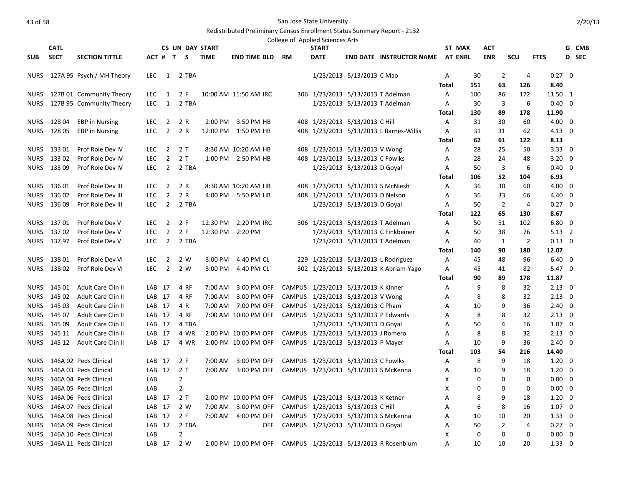|                            | <b>CATL</b>      |                                        |                          |                                  | <b>CS UN DAY START</b> |             |                       | College of Applied Sciences Arts | <b>START</b> |                                                                       |                                         |              | ST MAX         | <b>ACT</b>           |                     |                          | G CMB        |
|----------------------------|------------------|----------------------------------------|--------------------------|----------------------------------|------------------------|-------------|-----------------------|----------------------------------|--------------|-----------------------------------------------------------------------|-----------------------------------------|--------------|----------------|----------------------|---------------------|--------------------------|--------------|
| <b>SUB</b>                 | <b>SECT</b>      | <b>SECTION TITTLE</b>                  |                          |                                  | ACT # T S              | <b>TIME</b> | <b>END TIME BLD</b>   | RM                               | <b>DATE</b>  |                                                                       | <b>END DATE INSTRUCTOR NAME</b>         |              | <b>AT ENRL</b> | <b>ENR</b>           | <b>SCU</b>          | <b>FTES</b>              | <b>D</b> SEC |
| <b>NURS</b>                |                  | 127A 95 Psych / MH Theory              | LEC                      | 1                                | 2 TBA                  |             |                       |                                  |              | 1/23/2013 5/13/2013 C Mao                                             |                                         | Α            | 30             |                      | $\overline{2}$<br>4 | $0.27 \quad 0$           |              |
|                            |                  |                                        |                          |                                  |                        |             |                       |                                  |              |                                                                       |                                         | Total        | 151            | 63                   | 126                 | 8.40                     |              |
| <b>NURS</b>                |                  | 127B 01 Community Theory               | LEC.                     | 1                                | 2 F                    |             | 10:00 AM 11:50 AM IRC |                                  |              | 306 1/23/2013 5/13/2013 T Adelman                                     |                                         | A            | 100            | 86                   | 172                 | 11.50 1                  |              |
| <b>NURS</b>                |                  | 127B 95 Community Theory               | <b>LEC</b>               | $\mathbf{1}$                     | 2 TBA                  |             |                       |                                  |              | 1/23/2013 5/13/2013 T Adelman                                         |                                         | A            | 30             |                      | 3<br>6              | $0.40 \quad 0$           |              |
|                            |                  |                                        |                          |                                  |                        |             |                       |                                  |              |                                                                       |                                         | Total        | 130            | 89                   | 178                 | 11.90                    |              |
| <b>NURS</b>                | 128 04           | <b>EBP</b> in Nursing                  | <b>LEC</b>               | $\overline{2}$                   | 2 R                    |             | 2:00 PM 3:50 PM HB    |                                  |              | 408 1/23/2013 5/13/2013 C Hill                                        |                                         | A            | 31             | 30                   | 60                  | $4.00 \quad 0$           |              |
| <b>NURS</b>                | 128 05           | <b>EBP</b> in Nursing                  | <b>LEC</b>               | $\overline{2}$                   | 2 R                    |             | 12:00 PM 1:50 PM HB   |                                  |              |                                                                       | 408 1/23/2013 5/13/2013 L Barnes-Willis | A            | 31             | 31                   | 62                  | $4.13 \quad 0$           |              |
|                            |                  |                                        |                          |                                  |                        |             |                       |                                  |              |                                                                       |                                         | <b>Total</b> | 62             | 61                   | 122                 | 8.13                     |              |
| <b>NURS</b>                | 133 01           | Prof Role Dev IV                       | LEC.                     | $\overline{\mathbf{2}}$          | 2 T                    |             | 8:30 AM 10:20 AM HB   |                                  |              | 408 1/23/2013 5/13/2013 V Wong                                        |                                         | A            | 28             | 25                   | 50                  | $3.33 \quad 0$           |              |
| <b>NURS</b>                | 133 02           | Prof Role Dev IV                       | LEC                      | $\overline{2}$                   | 2T                     |             | 1:00 PM 2:50 PM HB    |                                  |              | 408 1/23/2013 5/13/2013 C Fowlks                                      |                                         | A            | 28             | 24                   | 48                  | $3.20 \ 0$               |              |
| <b>NURS</b>                | 133 09           | Prof Role Dev IV                       | <b>LEC</b>               | $\overline{2}$                   | 2 TBA                  |             |                       |                                  |              | 1/23/2013 5/13/2013 D Goyal                                           |                                         | A            | 50             |                      | 3<br>6              | $0.40 \quad 0$           |              |
|                            |                  |                                        |                          |                                  |                        |             |                       |                                  |              |                                                                       |                                         | Total        | 106            | 52                   | 104                 | 6.93                     |              |
| <b>NURS</b>                | 136 01           | Prof Role Dev III                      | <b>LEC</b>               | $\overline{2}$<br>$\overline{2}$ | 2 R<br>2 R             |             | 8:30 AM 10:20 AM HB   |                                  |              | 408 1/23/2013 5/13/2013 S McNiesh<br>408 1/23/2013 5/13/2013 D Nelson |                                         | A            | 36             | 30                   | 60                  | $4.00 \quad 0$           |              |
| <b>NURS</b><br><b>NURS</b> | 136 02<br>136 09 | Prof Role Dev III<br>Prof Role Dev III | <b>LEC</b><br><b>LEC</b> | $\overline{2}$                   | 2 TBA                  |             | 4:00 PM 5:50 PM HB    |                                  |              |                                                                       |                                         | A<br>A       | 36<br>50       | 33<br>$\overline{2}$ | 66<br>4             | 4.40 0<br>$0.27 \quad 0$ |              |
|                            |                  |                                        |                          |                                  |                        |             |                       |                                  |              | 1/23/2013 5/13/2013 D Goyal                                           |                                         | Total        | 122            | 65                   | 130                 | 8.67                     |              |
| NURS                       | 137 01           | Prof Role Dev V                        | <b>LEC</b>               | $\overline{2}$                   | 2 F                    |             | 12:30 PM 2:20 PM IRC  |                                  |              | 306 1/23/2013 5/13/2013 T Adelman                                     |                                         | Α            | 50             | 51                   | 102                 | $6.80 \quad 0$           |              |
| <b>NURS</b>                | 137 02           | Prof Role Dev V                        | <b>LEC</b>               | $\overline{2}$                   | 2 F                    |             | 12:30 PM 2:20 PM      |                                  |              |                                                                       | 1/23/2013 5/13/2013 C Finkbeiner        | Α            | 50             | 38                   | 76                  | $5.13 \quad 2$           |              |
|                            | NURS 137 97      | Prof Role Dev V                        | <b>LEC</b>               | $\overline{2}$                   | 2 TBA                  |             |                       |                                  |              | 1/23/2013 5/13/2013 T Adelman                                         |                                         | Α            | 40             | 1                    | $\overline{2}$      | $0.13 \quad 0$           |              |
|                            |                  |                                        |                          |                                  |                        |             |                       |                                  |              |                                                                       |                                         | Total        | 140            | 90                   | 180                 | 12.07                    |              |
| <b>NURS</b>                | 138 01           | Prof Role Dev VI                       | <b>LEC</b>               | $\overline{2}$                   | 2 W                    | 3:00 PM     | 4:40 PM CL            |                                  |              |                                                                       | 229 1/23/2013 5/13/2013 L Rodriguez     | Α            | 45             | 48                   | 96                  | $6.40 \quad 0$           |              |
| <b>NURS</b>                | 138 02           | Prof Role Dev VI                       | <b>LEC</b>               | $\overline{2}$                   | 2 W                    | $3:00$ PM   | 4:40 PM CL            |                                  |              |                                                                       | 302 1/23/2013 5/13/2013 K Abriam-Yago   | Α            | 45             | 41                   | 82                  | $5.47 \quad 0$           |              |
|                            |                  |                                        |                          |                                  |                        |             |                       |                                  |              |                                                                       |                                         | Total        | 90             | 89                   | 178                 | 11.87                    |              |
| NURS                       | 145 01           | Adult Care Clin II                     |                          | LAB 17                           | 4 RF                   | 7:00 AM     | 3:00 PM OFF           |                                  |              | CAMPUS 1/23/2013 5/13/2013 K Kinner                                   |                                         | Α            | 9              |                      | 8<br>32             | $2.13 \quad 0$           |              |
| NURS                       | 145 02           | Adult Care Clin II                     |                          | LAB 17                           | 4 RF                   | 7:00 AM     | 3:00 PM OFF           |                                  |              | CAMPUS 1/23/2013 5/13/2013 V Wong                                     |                                         | Α            | 8              |                      | 8<br>32             | $2.13 \quad 0$           |              |
| <b>NURS</b>                | 145 03           | <b>Adult Care Clin II</b>              |                          | LAB 17                           | 4 R                    | 7:00 AM     | 7:00 PM OFF           |                                  |              | CAMPUS 1/23/2013 5/13/2013 C Pham                                     |                                         | A            | 10             |                      | 9<br>36             | $2.40 \quad 0$           |              |
| <b>NURS</b>                | 145 07           | Adult Care Clin II                     |                          | LAB 17                           | 4 RF                   |             | 7:00 AM 10:00 PM OFF  |                                  |              | CAMPUS 1/23/2013 5/13/2013 P Edwards                                  |                                         | Α            | 8              |                      | 8<br>32             | $2.13 \quad 0$           |              |
| NURS                       | 145 09           | Adult Care Clin II                     |                          | LAB 17                           | 4 TBA                  |             |                       |                                  |              | 1/23/2013 5/13/2013 D Goyal                                           |                                         | Α            | 50             |                      | 16<br>4             | $1.07\quad0$             |              |
| <b>NURS</b>                | 145 11           | <b>Adult Care Clin II</b>              |                          | LAB 17                           | 4 WR                   |             | 2:00 PM 10:00 PM OFF  |                                  |              | CAMPUS 1/23/2013 5/13/2013 J Romero                                   |                                         | A            | 8              |                      | 8<br>32             | $2.13 \quad 0$           |              |
| <b>NURS</b>                | 145 12           | Adult Care Clin II                     |                          | LAB 17                           | 4 WR                   |             | 2:00 PM 10:00 PM OFF  |                                  |              | CAMPUS 1/23/2013 5/13/2013 P Mayer                                    |                                         | Α            | 10             |                      | 9<br>36             | $2.40 \quad 0$           |              |
|                            |                  |                                        |                          |                                  |                        |             |                       |                                  |              |                                                                       |                                         | Total        | 103            | 54                   | 216                 | 14.40                    |              |
| <b>NURS</b>                |                  | 146A 02 Peds Clinical                  |                          | LAB 17                           | 2 F                    | 7:00 AM     | 3:00 PM OFF           |                                  |              | CAMPUS 1/23/2013 5/13/2013 C Fowlks                                   |                                         | A            | 8              |                      | 9<br>18             | $1.20 \quad 0$           |              |
| <b>NURS</b>                |                  | 146A 03 Peds Clinical                  |                          | LAB 17                           | 2T                     | 7:00 AM     | 3:00 PM OFF           |                                  |              | CAMPUS 1/23/2013 5/13/2013 S McKenna                                  |                                         | A            | 10             |                      | 9<br>18             | $1.20 \quad 0$           |              |
| <b>NURS</b>                |                  | 146A 04 Peds Clinical                  | LAB                      |                                  | $\overline{2}$         |             |                       |                                  |              |                                                                       |                                         | X            | 0              |                      | $\Omega$<br>0       | $0.00 \quad 0$           |              |
| <b>NURS</b>                |                  | 146A 05 Peds Clinical                  | LAB                      |                                  | $\overline{2}$         |             |                       |                                  |              |                                                                       |                                         | Χ            | 0              |                      | 0<br>0              | $0.00 \quad 0$           |              |
| <b>NURS</b>                |                  | 146A 06 Peds Clinical                  |                          | LAB 17                           | 2T                     |             | 2:00 PM 10:00 PM OFF  |                                  |              | CAMPUS 1/23/2013 5/13/2013 K Ketner                                   |                                         | Α            | 8              |                      | 9<br>18             | $1.20 \quad 0$           |              |
| <b>NURS</b>                |                  | 146A 07 Peds Clinical                  |                          | LAB 17                           | 2 W                    | 7:00 AM     | 3:00 PM OFF           |                                  |              | CAMPUS 1/23/2013 5/13/2013 C Hill                                     |                                         | A            | 6              |                      | 8<br>16             | $1.07 \quad 0$           |              |
| <b>NURS</b>                |                  | 146A 08 Peds Clinical                  |                          | LAB <sub>17</sub>                | 2 F                    | 7:00 AM     | 4:00 PM OFF           |                                  |              | CAMPUS 1/23/2013 5/13/2013 S McKenna                                  |                                         | A            | 10             | 10                   | 20                  | $1.33 \quad 0$           |              |
| <b>NURS</b>                |                  | 146A 09 Peds Clinical                  |                          | LAB 17                           | 2 TBA                  |             | <b>OFF</b>            |                                  |              | CAMPUS 1/23/2013 5/13/2013 D Goyal                                    |                                         | Α            | 50             | $\overline{2}$       | 4                   | $0.27 \quad 0$           |              |
| <b>NURS</b>                |                  | 146A 10 Peds Clinical                  | LAB                      |                                  | $\overline{2}$         |             |                       |                                  |              |                                                                       |                                         | X            | 0              |                      | 0<br>0              | $0.00 \quad 0$           |              |
| <b>NURS</b>                |                  | 146A 11 Peds Clinical                  |                          | LAB <sub>17</sub>                | 2 W                    |             | 2:00 PM 10:00 PM OFF  |                                  |              |                                                                       | CAMPUS 1/23/2013 5/13/2013 R Rosenblum  | A            | 10             | 10                   | 20                  | $1.33 \ 0$               |              |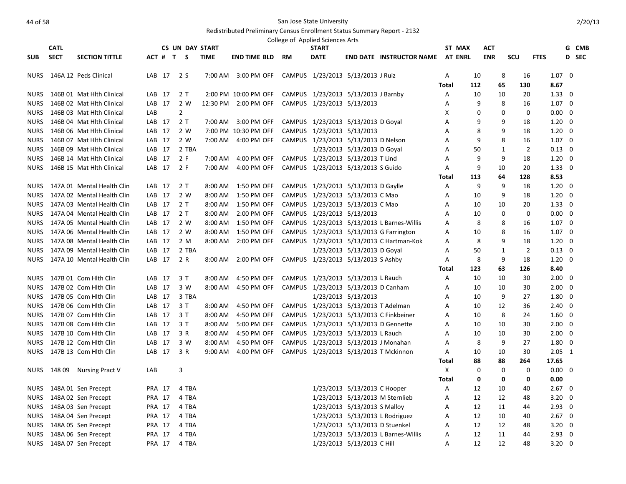|             | <b>CATL</b> |                                 |        |                   | <b>CS UN DAY START</b> |             |                      |           | College of Applied Sciences Arts<br><b>START</b> |                                |                                            |              | ST MAX | <b>ACT</b> |                                |             |                | G CMB        |
|-------------|-------------|---------------------------------|--------|-------------------|------------------------|-------------|----------------------|-----------|--------------------------------------------------|--------------------------------|--------------------------------------------|--------------|--------|------------|--------------------------------|-------------|----------------|--------------|
| <b>SUB</b>  | <b>SECT</b> | <b>SECTION TITTLE</b>           |        | ACT # T S         |                        | <b>TIME</b> | <b>END TIME BLD</b>  | <b>RM</b> | <b>DATE</b>                                      |                                | <b>END DATE INSTRUCTOR NAME AT ENRL</b>    |              |        | <b>ENR</b> | <b>SCU</b>                     | <b>FTES</b> |                | <b>D</b> SEC |
| NURS        |             | 146A 12 Peds Clinical           |        | LAB 17 2 S        |                        | 7:00 AM     | 3:00 PM OFF          |           | CAMPUS 1/23/2013 5/13/2013 J Ruiz                |                                |                                            | A            | 10     |            | 8<br>16                        |             | $1.07 \quad 0$ |              |
|             |             |                                 |        |                   |                        |             |                      |           |                                                  |                                |                                            | <b>Total</b> | 112    | 65         | 130                            |             | 8.67           |              |
| <b>NURS</b> |             | 146B 01 Mat Hith Clinical       |        | LAB 17            | 2 T                    |             | 2:00 PM 10:00 PM OFF |           | CAMPUS 1/23/2013 5/13/2013 J Barnby              |                                |                                            | A            | 10     | 10         | 20                             |             | $1.33 \quad 0$ |              |
| NURS        |             | 146B 02 Mat Hith Clinical       |        | LAB 17            | 2 W                    |             | 12:30 PM 2:00 PM OFF |           | CAMPUS 1/23/2013 5/13/2013                       |                                |                                            | Α            | 9      |            | 8<br>16                        |             | $1.07 \quad 0$ |              |
| <b>NURS</b> |             | 146B 03 Mat Hith Clinical       | LAB    |                   | $\overline{2}$         |             |                      |           |                                                  |                                |                                            | X            | 0      |            | 0<br>$\mathbf 0$               |             | $0.00 \quad 0$ |              |
| NURS        |             | 146B 04 Mat Hith Clinical       |        | LAB 17            | 2T                     | 7:00 AM     | 3:00 PM OFF          |           | CAMPUS 1/23/2013 5/13/2013 D Goyal               |                                |                                            | A            | 9      |            | 9<br>18                        |             | $1.20 \ 0$     |              |
| NURS        |             | 146B 06 Mat Hlth Clinical       |        | LAB <sub>17</sub> | 2 W                    |             | 7:00 PM 10:30 PM OFF |           | CAMPUS 1/23/2013 5/13/2013                       |                                |                                            | Α            | 8      |            | 9<br>18                        |             | $1.20 \quad 0$ |              |
| <b>NURS</b> |             | 146B 07 Mat Hlth Clinical       |        | LAB 17            | 2 W                    |             | 7:00 AM 4:00 PM OFF  |           | CAMPUS 1/23/2013 5/13/2013 D Nelson              |                                |                                            | A            | 9      |            | 8<br>16                        |             | $1.07 \quad 0$ |              |
| <b>NURS</b> |             | 146B 09 Mat Hlth Clinical       |        | LAB 17            | 2 TBA                  |             |                      |           |                                                  | 1/23/2013 5/13/2013 D Goyal    |                                            | Α            | 50     |            | $\mathbf{1}$<br>$\overline{2}$ |             | $0.13 \quad 0$ |              |
| <b>NURS</b> |             | 146B 14 Mat Hith Clinical       |        | LAB 17            | 2F                     | 7:00 AM     | 4:00 PM OFF          |           | CAMPUS 1/23/2013 5/13/2013 T Lind                |                                |                                            | A            | 9      |            | 9<br>18                        |             | $1.20 \ 0$     |              |
| <b>NURS</b> |             | 146B 15 Mat Hlth Clinical       |        | LAB 17            | 2 F                    | 7:00 AM     | 4:00 PM OFF          |           | CAMPUS 1/23/2013 5/13/2013 S Guido               |                                |                                            | Α            | 9      | 10         | 20                             |             | $1.33 \quad 0$ |              |
|             |             |                                 |        |                   |                        |             |                      |           |                                                  |                                |                                            | Total        | 113    | 64         | 128                            |             | 8.53           |              |
|             |             | NURS 147A 01 Mental Health Clin |        | LAB 17            | 2 T                    | 8:00 AM     | 1:50 PM OFF          |           | CAMPUS 1/23/2013 5/13/2013 D Gaylle              |                                |                                            | Α            | 9      |            | 9<br>18                        |             | $1.20 \quad 0$ |              |
| NURS        |             | 147A 02 Mental Health Clin      |        | LAB 17            | 2 W                    | 8:00 AM     | 1:50 PM OFF          |           | CAMPUS 1/23/2013 5/13/2013 C Mao                 |                                |                                            | A            | 10     |            | 9<br>18                        |             | $1.20 \ 0$     |              |
| <b>NURS</b> |             | 147A 03 Mental Health Clin      |        | LAB 17            | 2 T                    | 8:00 AM     | 1:50 PM OFF          |           | CAMPUS 1/23/2013 5/13/2013 C Mao                 |                                |                                            | A            | 10     | 10         | 20                             |             | $1.33 \quad 0$ |              |
| <b>NURS</b> |             | 147A 04 Mental Health Clin      |        | LAB 17            | 2T                     | 8:00 AM     | 2:00 PM OFF          |           | CAMPUS 1/23/2013 5/13/2013                       |                                |                                            | Α            | 10     |            | 0<br>0                         |             | $0.00 \quad 0$ |              |
| NURS        |             | 147A 05 Mental Health Clin      |        | LAB 17            | 2 W                    | 8:00 AM     | 1:50 PM OFF          |           |                                                  |                                | CAMPUS 1/23/2013 5/13/2013 L Barnes-Willis | A            | 8      |            | 8<br>16                        |             | $1.07 \quad 0$ |              |
| <b>NURS</b> |             | 147A 06 Mental Health Clin      |        | LAB 17            | 2 W                    | 8:00 AM     | 1:50 PM OFF          |           |                                                  |                                | CAMPUS 1/23/2013 5/13/2013 G Farrington    | Α            | 10     |            | 8<br>16                        |             | $1.07 \quad 0$ |              |
| NURS        |             | 147A 08 Mental Health Clin      |        | LAB 17            | 2 M                    | 8:00 AM     | 2:00 PM OFF          |           |                                                  |                                | CAMPUS 1/23/2013 5/13/2013 C Hartman-Kok   | Α            | 8      |            | 9<br>18                        |             | $1.20 \ 0$     |              |
| <b>NURS</b> |             | 147A 09 Mental Health Clin      |        | LAB 17            | 2 TBA                  |             |                      |           |                                                  | 1/23/2013 5/13/2013 D Goyal    |                                            | A            | 50     |            | $\mathbf{1}$<br>$\overline{2}$ |             | $0.13 \quad 0$ |              |
| <b>NURS</b> |             | 147A 10 Mental Health Clin      |        | LAB 17            | 2 R                    |             | 8:00 AM 2:00 PM OFF  |           | CAMPUS 1/23/2013 5/13/2013 S Ashby               |                                |                                            | Α            | 8      |            | 9<br>18                        |             | $1.20 \ 0$     |              |
|             |             |                                 |        |                   |                        |             |                      |           |                                                  |                                |                                            | Total        | 123    | 63         | 126                            |             | 8.40           |              |
| NURS        |             | 147B 01 Com Hith Clin           |        | LAB 17            | 3 T                    | 8:00 AM     | 4:50 PM OFF          |           | CAMPUS 1/23/2013 5/13/2013 L Rauch               |                                |                                            | A            | 10     | 10         | 30                             |             | $2.00 \quad 0$ |              |
| <b>NURS</b> |             | 147B 02 Com Hith Clin           |        | LAB 17            | 3 W                    | 8:00 AM     | 4:50 PM OFF          |           | CAMPUS 1/23/2013 5/13/2013 D Canham              |                                |                                            | A            | 10     | 10         | 30                             |             | $2.00 \quad 0$ |              |
| <b>NURS</b> |             | 147B 05 Com Hlth Clin           |        | LAB 17            | 3 TBA                  |             |                      |           |                                                  | 1/23/2013 5/13/2013            |                                            | A            | 10     |            | 9<br>27                        |             | $1.80 \quad 0$ |              |
| <b>NURS</b> |             | 147B 06 Com Hlth Clin           |        | LAB 17            | 3 T                    | 8:00 AM     | 4:50 PM OFF          |           | CAMPUS 1/23/2013 5/13/2013 T Adelman             |                                |                                            | A            | 10     | 12         | 36                             |             | $2.40 \quad 0$ |              |
| <b>NURS</b> |             | 147B 07 Com Hith Clin           |        | LAB 17            | 3T                     | 8:00 AM     | 4:50 PM OFF          |           |                                                  |                                | CAMPUS 1/23/2013 5/13/2013 C Finkbeiner    | Α            | 10     |            | 8<br>24                        |             | $1.60 \quad 0$ |              |
| <b>NURS</b> |             | 147B 08 Com Hlth Clin           |        | LAB 17            | 3T                     | 8:00 AM     | 5:00 PM OFF          |           |                                                  |                                | CAMPUS 1/23/2013 5/13/2013 D Gennette      | A            | 10     | 10         | 30                             |             | $2.00 \quad 0$ |              |
| <b>NURS</b> |             | 147B 10 Com Hlth Clin           |        | LAB 17            | 3 R                    | 8:00 AM     | 4:50 PM OFF          |           | CAMPUS 1/23/2013 5/13/2013 L Rauch               |                                |                                            | A            | 10     | 10         | 30                             |             | $2.00 \quad 0$ |              |
| <b>NURS</b> |             | 147B 12 Com Hith Clin           | LAB 17 |                   | 3 W                    | 8:00 AM     | 4:50 PM OFF          |           | CAMPUS 1/23/2013 5/13/2013 J Monahan             |                                |                                            | A            | 8      |            | 9<br>27                        |             | $1.80 \quad 0$ |              |
| <b>NURS</b> |             | 147B 13 Com Hith Clin           |        | LAB 17            | 3 R                    | 9:00 AM     | 4:00 PM OFF          |           |                                                  |                                | CAMPUS 1/23/2013 5/13/2013 T Mckinnon      | A            | 10     | 10         | 30                             |             | $2.05 \quad 1$ |              |
|             |             |                                 |        |                   |                        |             |                      |           |                                                  |                                |                                            | Total        | 88     | 88         | 264                            |             | 17.65          |              |
| NURS        |             | 148 09 Nursing Pract V          | LAB    |                   | 3                      |             |                      |           |                                                  |                                |                                            | X            | 0      |            | 0<br>0                         |             | $0.00 \quad 0$ |              |
|             |             |                                 |        |                   |                        |             |                      |           |                                                  |                                |                                            | Total        | 0      |            | 0<br>0                         |             | 0.00           |              |
| <b>NURS</b> |             | 148A 01 Sen Precept             |        | <b>PRA 17</b>     | 4 TBA                  |             |                      |           |                                                  | 1/23/2013 5/13/2013 C Hooper   |                                            | A            | 12     | 10         | 40                             |             | $2.67 \quad 0$ |              |
| NURS        |             | 148A 02 Sen Precept             |        | PRA 17            | 4 TBA                  |             |                      |           |                                                  |                                | 1/23/2013 5/13/2013 M Sternlieb            | Α            | 12     | 12         | 48                             |             | $3.20 \quad 0$ |              |
| NURS        |             | 148A 03 Sen Precept             |        | PRA 17            | 4 TBA                  |             |                      |           |                                                  | 1/23/2013 5/13/2013 S Malloy   |                                            | Α            | 12     | 11         | 44                             |             | $2.93 \quad 0$ |              |
| <b>NURS</b> |             | 148A 04 Sen Precept             |        | <b>PRA 17</b>     | 4 TBA                  |             |                      |           |                                                  |                                | 1/23/2013 5/13/2013 L Rodriguez            | A            | 12     | 10         | 40                             |             | $2.67 \quad 0$ |              |
| <b>NURS</b> |             | 148A 05 Sen Precept             |        | <b>PRA 17</b>     | 4 TBA                  |             |                      |           |                                                  | 1/23/2013 5/13/2013 D Stuenkel |                                            | A            | 12     | 12         | 48                             |             | $3.20 \quad 0$ |              |
| <b>NURS</b> |             | 148A 06 Sen Precept             |        | <b>PRA 17</b>     | 4 TBA                  |             |                      |           |                                                  |                                | 1/23/2013 5/13/2013 L Barnes-Willis        | A            | 12     | 11         | 44                             |             | $2.93 \quad 0$ |              |
| <b>NURS</b> |             | 148A 07 Sen Precept             |        | <b>PRA 17</b>     | 4 TBA                  |             |                      |           |                                                  | 1/23/2013 5/13/2013 C Hill     |                                            | A            | 12     | 12         | 48                             |             | $3.20 \ 0$     |              |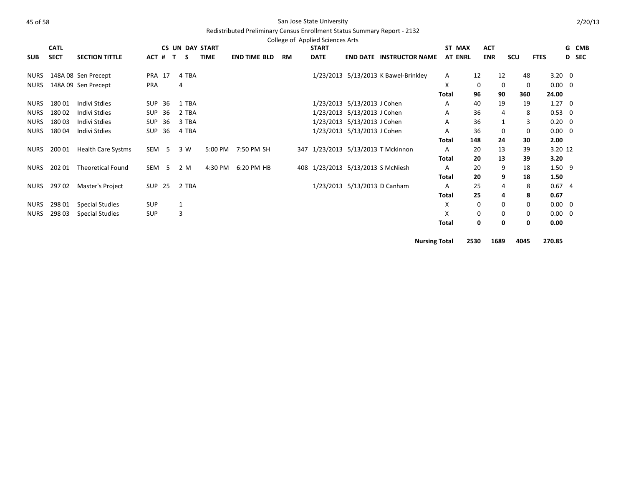|             | <b>CATL</b> |                           |                  |    |              |       | <b>CS UN DAY START</b> |                     |           | College of Applied Sciences Arts<br><b>START</b> |                                   |                                      |                      | ST MAX         | <b>ACT</b> |                |      |                | G CMB        |
|-------------|-------------|---------------------------|------------------|----|--------------|-------|------------------------|---------------------|-----------|--------------------------------------------------|-----------------------------------|--------------------------------------|----------------------|----------------|------------|----------------|------|----------------|--------------|
| <b>SUB</b>  | <b>SECT</b> | <b>SECTION TITTLE</b>     | ACT #            |    | $\mathbf{T}$ | S.    | <b>TIME</b>            | <b>END TIME BLD</b> | <b>RM</b> | <b>DATE</b>                                      |                                   | <b>END DATE INSTRUCTOR NAME</b>      |                      | <b>AT ENRL</b> | <b>ENR</b> |                | scu  | <b>FTES</b>    | <b>D</b> SEC |
| <b>NURS</b> |             | 148A 08 Sen Precept       | <b>PRA 17</b>    |    |              | 4 TBA |                        |                     |           |                                                  |                                   | 1/23/2013 5/13/2013 K Bawel-Brinkley |                      | A              | 12         | 12             | 48   | $3.20 \ 0$     |              |
| <b>NURS</b> |             | 148A 09 Sen Precept       | <b>PRA</b>       |    |              | 4     |                        |                     |           |                                                  |                                   |                                      |                      | X              | 0          | 0              | 0    | $0.00 \quad 0$ |              |
|             |             |                           |                  |    |              |       |                        |                     |           |                                                  |                                   |                                      |                      | <b>Total</b>   | 96         | 90             | 360  | 24.00          |              |
| <b>NURS</b> | 18001       | Indivi Stdies             | SUP              | 36 |              | 1 TBA |                        |                     |           |                                                  | 1/23/2013 5/13/2013 J Cohen       |                                      |                      | A              | 40         | 19             | 19   | $1.27 \quad 0$ |              |
| <b>NURS</b> | 18002       | Indivi Stdies             | SUP 36           |    |              | 2 TBA |                        |                     |           |                                                  | 1/23/2013 5/13/2013 J Cohen       |                                      |                      | A              | 36         | $\overline{4}$ | 8    | $0.53 \ 0$     |              |
| <b>NURS</b> | 18003       | Indivi Stdies             | SUP              | 36 |              | 3 TBA |                        |                     |           |                                                  | 1/23/2013 5/13/2013 J Cohen       |                                      |                      | Α              | 36         |                | 3    | $0.20 \quad 0$ |              |
| <b>NURS</b> | 18004       | Indivi Stdies             | SUP              | 36 |              | 4 TBA |                        |                     |           |                                                  | 1/23/2013 5/13/2013 J Cohen       |                                      |                      | Α              | 36         | 0              | 0    | $0.00 \quad 0$ |              |
|             |             |                           |                  |    |              |       |                        |                     |           |                                                  |                                   |                                      |                      | Total          | 148        | 24             | 30   | 2.00           |              |
| <b>NURS</b> | 200 01      | <b>Health Care Systms</b> | SEM 5            |    |              | 3 W   | 5:00 PM                | 7:50 PM SH          |           |                                                  |                                   | 347 1/23/2013 5/13/2013 T Mckinnon   |                      | A              | 20         | 13             | 39   | 3.20 12        |              |
|             |             |                           |                  |    |              |       |                        |                     |           |                                                  |                                   |                                      |                      | <b>Total</b>   | 20         | 13             | 39   | 3.20           |              |
| <b>NURS</b> | 20201       | <b>Theoretical Found</b>  | SEM <sub>5</sub> |    |              | 2 M   | 4:30 PM                | 6:20 PM HB          |           |                                                  | 408 1/23/2013 5/13/2013 S McNiesh |                                      |                      | A              | 20         | 9              | 18   | $1.50$ 9       |              |
|             |             |                           |                  |    |              |       |                        |                     |           |                                                  |                                   |                                      |                      | Total          | 20         | 9              | 18   | 1.50           |              |
| <b>NURS</b> | 29702       | Master's Project          | SUP 25           |    |              | 2 TBA |                        |                     |           |                                                  | 1/23/2013 5/13/2013 D Canham      |                                      |                      | Α              | 25         | 4              | 8    | 0.674          |              |
|             |             |                           |                  |    |              |       |                        |                     |           |                                                  |                                   |                                      |                      | <b>Total</b>   | 25         | 4              | 8    | 0.67           |              |
| <b>NURS</b> | 298 01      | <b>Special Studies</b>    | SUP              |    | $\mathbf{1}$ |       |                        |                     |           |                                                  |                                   |                                      |                      | X              | 0          | $\Omega$       | 0    | $0.00 \quad 0$ |              |
| <b>NURS</b> | 298 03      | <b>Special Studies</b>    | <b>SUP</b>       |    |              | 3     |                        |                     |           |                                                  |                                   |                                      |                      | x              | 0          | 0              | 0    | $0.00 \quad 0$ |              |
|             |             |                           |                  |    |              |       |                        |                     |           |                                                  |                                   |                                      |                      | <b>Total</b>   | 0          | 0              | 0    | 0.00           |              |
|             |             |                           |                  |    |              |       |                        |                     |           |                                                  |                                   |                                      | <b>Nursing Total</b> |                | 2530       | 1689           | 4045 | 270.85         |              |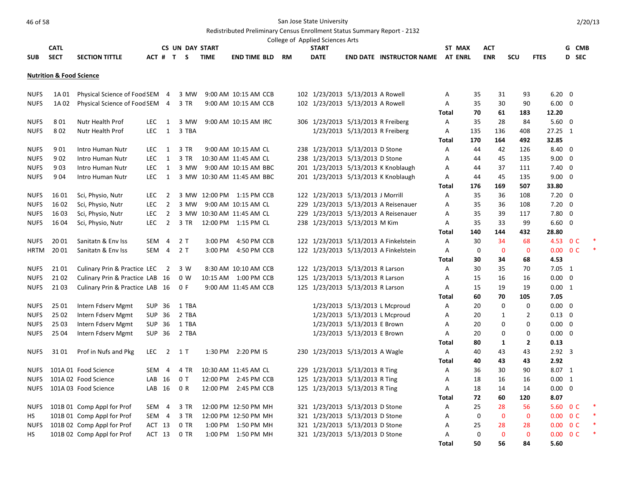# At the San Jose State University Canada and San Jose State University

# Redistributed Preliminary Census Enrollment Status Summary Report - 2132

|             |                                     |                                 |                  |                          |                        |             |                            |    | College of Applied Sciences Arts |                                    |                                         |              |             |              |                |                          |                         |       |
|-------------|-------------------------------------|---------------------------------|------------------|--------------------------|------------------------|-------------|----------------------------|----|----------------------------------|------------------------------------|-----------------------------------------|--------------|-------------|--------------|----------------|--------------------------|-------------------------|-------|
|             | <b>CATL</b>                         |                                 |                  |                          | <b>CS UN DAY START</b> |             |                            |    | <b>START</b>                     |                                    |                                         |              | ST MAX      | ACT          |                |                          |                         | G CMB |
| <b>SUB</b>  | <b>SECT</b>                         | <b>SECTION TITTLE</b>           |                  |                          | ACT # T S              | <b>TIME</b> | <b>END TIME BLD</b>        | RM | <b>DATE</b>                      |                                    | <b>END DATE INSTRUCTOR NAME AT ENRL</b> |              |             | <b>ENR</b>   | SCU            | <b>FTES</b>              | D SEC                   |       |
|             | <b>Nutrition &amp; Food Science</b> |                                 |                  |                          |                        |             |                            |    |                                  |                                    |                                         |              |             |              |                |                          |                         |       |
| <b>NUFS</b> | 1A 01                               | Physical Science of Food SEM 4  |                  |                          | 3 MW                   |             | 9:00 AM 10:15 AM CCB       |    |                                  | 102 1/23/2013 5/13/2013 A Rowell   |                                         | Α            | 35          | 31           | 93             | $6.20 \quad 0$           |                         |       |
| <b>NUFS</b> | 1A 02                               | Physical Science of Food SEM 4  |                  |                          | 3 TR                   |             | 9:00 AM 10:15 AM CCB       |    |                                  | 102 1/23/2013 5/13/2013 A Rowell   |                                         | Α            | 35          | 30           | 90             | $6.00 \quad 0$           |                         |       |
|             |                                     |                                 |                  |                          |                        |             |                            |    |                                  |                                    |                                         | <b>Total</b> | 70          | 61           | 183            | 12.20                    |                         |       |
| <b>NUFS</b> | 801                                 | Nutr Health Prof                | <b>LEC</b>       | $\overline{1}$           | 3 MW                   |             | 9:00 AM 10:15 AM IRC       |    |                                  | 306 1/23/2013 5/13/2013 R Freiberg |                                         | Α            | 35          | 28           | 84             | $5.60 \quad 0$           |                         |       |
| <b>NUFS</b> | 802                                 | Nutr Health Prof                | <b>LEC</b>       | $\mathbf{1}$             | 3 TBA                  |             |                            |    |                                  | 1/23/2013 5/13/2013 R Freiberg     |                                         | Α            | 135         | 136          | 408            | 27.25 1                  |                         |       |
|             |                                     |                                 |                  |                          |                        |             |                            |    |                                  |                                    |                                         | Total        | 170         | 164          | 492            | 32.85                    |                         |       |
| <b>NUFS</b> | 901                                 | Intro Human Nutr                | <b>LEC</b>       | 1                        | 3 TR                   |             | 9:00 AM 10:15 AM CL        |    |                                  | 238 1/23/2013 5/13/2013 D Stone    |                                         | Α            | 44          | 42           | 126            | 8.40 0                   |                         |       |
| <b>NUFS</b> | 902                                 | Intro Human Nutr                | <b>LEC</b>       | $\mathbf{1}$             | 3 TR                   |             | 10:30 AM 11:45 AM CL       |    |                                  | 238 1/23/2013 5/13/2013 D Stone    |                                         | A            | 44          | 45           | 135            | $9.00 \quad 0$           |                         |       |
| <b>NUFS</b> | 903                                 | Intro Human Nutr                | <b>LEC</b>       | 1                        | 3 MW                   |             | 9:00 AM 10:15 AM BBC       |    |                                  |                                    | 201 1/23/2013 5/13/2013 K Knoblaugh     | Α            | 44          | 37           | 111            | $7.40 \quad 0$           |                         |       |
| <b>NUFS</b> | 904                                 | Intro Human Nutr                | <b>LEC</b>       | 1                        |                        |             | 3 MW 10:30 AM 11:45 AM BBC |    |                                  |                                    | 201 1/23/2013 5/13/2013 K Knoblaugh     | Α            | 44          | 45           | 135            | 9.00                     | $\overline{0}$          |       |
|             |                                     |                                 |                  |                          |                        |             |                            |    |                                  |                                    |                                         | Total        | 176         | 169          | 507            | 33.80                    |                         |       |
| <b>NUFS</b> | 16 01                               | Sci, Physio, Nutr               | <b>LEC</b>       | $\overline{2}$           |                        |             | 3 MW 12:00 PM 1:15 PM CCB  |    |                                  | 122 1/23/2013 5/13/2013 J Morrill  |                                         | A            | 35          | 36           | 108            | $7.20 \quad 0$           |                         |       |
| <b>NUFS</b> | 16 02                               | Sci, Physio, Nutr               | <b>LEC</b>       | $\overline{2}$           | 3 MW                   |             | 9:00 AM 10:15 AM CL        |    |                                  |                                    | 229 1/23/2013 5/13/2013 A Reisenauer    | A            | 35          | 36           | 108            | $7.20 \ 0$               |                         |       |
| <b>NUFS</b> | 16 03                               | Sci, Physio, Nutr               | <b>LEC</b>       | $\overline{2}$           |                        |             | 3 MW 10:30 AM 11:45 AM CL  |    |                                  |                                    | 229 1/23/2013 5/13/2013 A Reisenauer    | Α            | 35          | 39           | 117            | 7.80 0                   |                         |       |
| <b>NUFS</b> | 16 04                               | Sci, Physio, Nutr               | <b>LEC</b>       | $\overline{2}$           | 3 TR                   |             | 12:00 PM 1:15 PM CL        |    |                                  | 238 1/23/2013 5/13/2013 M Kim      |                                         | Α            | 35          | 33           | 99             | 6.60                     | $\overline{\mathbf{0}}$ |       |
|             |                                     |                                 |                  |                          |                        |             |                            |    |                                  |                                    |                                         | <b>Total</b> | 140         | 144          | 432            | 28.80                    |                         |       |
| <b>NUFS</b> | 20 01                               | Sanitatn & Env Iss              | SEM 4            |                          | 2T                     | $3:00$ PM   | 4:50 PM CCB                |    |                                  |                                    | 122 1/23/2013 5/13/2013 A Finkelstein   | Α            | 30          | 34           | 68             | 4.53 O C                 |                         |       |
| <b>HRTM</b> | 20 01                               | Sanitatn & Env Iss              | SEM 4            |                          | 2T                     |             | 3:00 PM 4:50 PM CCB        |    |                                  |                                    | 122 1/23/2013 5/13/2013 A Finkelstein   | Α            | 0           | $\mathbf 0$  | $\mathbf 0$    | $0.00 \t 0 C$            |                         |       |
|             |                                     |                                 |                  |                          |                        |             |                            |    |                                  |                                    |                                         | Total        | 30          | 34           | 68             | 4.53                     |                         |       |
| <b>NUFS</b> | 21 01                               | Culinary Prin & Practice LEC    |                  | $\overline{\phantom{0}}$ | 3 W                    |             | 8:30 AM 10:10 AM CCB       |    |                                  | 122 1/23/2013 5/13/2013 R Larson   |                                         | Α            | 30          | 35           | 70             | $7.05 \quad 1$           |                         |       |
| <b>NUFS</b> | 21 02                               | Culinary Prin & Practice LAB 16 |                  |                          | 0 W                    |             | 10:15 AM  1:00 PM CCB      |    |                                  | 125 1/23/2013 5/13/2013 R Larson   |                                         | Α            | 15          | 16           | 16             | $0.00 \quad 0$           |                         |       |
| <b>NUFS</b> | 2103                                | Culinary Prin & Practice LAB 16 |                  |                          | 0 F                    |             | 9:00 AM 11:45 AM CCB       |    |                                  | 125 1/23/2013 5/13/2013 R Larson   |                                         | A            | 15          | 19           | 19             | $0.00 \quad 1$           |                         |       |
|             |                                     |                                 |                  |                          |                        |             |                            |    |                                  |                                    |                                         | <b>Total</b> | 60          | 70           | 105            | 7.05                     |                         |       |
| <b>NUFS</b> | 25 01                               | Intern Fdserv Mgmt              | SUP 36           |                          | 1 TBA                  |             |                            |    |                                  | 1/23/2013 5/13/2013 L Mcproud      |                                         | Α            | 20          | $\mathbf 0$  | $\mathbf 0$    | $0.00 \quad 0$           |                         |       |
| <b>NUFS</b> | 25 02                               | Intern Fdserv Mgmt              | <b>SUP 36</b>    |                          | 2 TBA                  |             |                            |    |                                  | 1/23/2013 5/13/2013 L Mcproud      |                                         | A            | 20          | $\mathbf{1}$ | $\overline{2}$ | $0.13 \quad 0$           |                         |       |
| <b>NUFS</b> | 25 03                               | Intern Fdserv Mgmt              | <b>SUP 36</b>    |                          | 1 TBA                  |             |                            |    |                                  | 1/23/2013 5/13/2013 E Brown        |                                         | Α            | 20          | $\mathbf 0$  | $\mathbf 0$    | $0.00 \quad 0$           |                         |       |
| <b>NUFS</b> | 25 04                               | Intern Fdserv Mgmt              | SUP 36           |                          | 2 TBA                  |             |                            |    |                                  | 1/23/2013 5/13/2013 E Brown        |                                         | Α            | 20          | $\mathbf 0$  | $\mathbf 0$    | $0.00 \quad 0$           |                         |       |
|             |                                     |                                 |                  |                          |                        |             |                            |    |                                  |                                    |                                         | Total        | 80          | $\mathbf{1}$ | $\overline{2}$ | 0.13                     |                         |       |
| <b>NUFS</b> | 31 01                               | Prof in Nufs and Pkg            | LEC              | $\overline{2}$           | $1\,$ T                |             | 1:30 PM 2:20 PM IS         |    |                                  | 230 1/23/2013 5/13/2013 A Wagle    |                                         | Α            | 40          | 43           | 43             | $2.92 \quad 3$           |                         |       |
|             |                                     |                                 |                  |                          |                        |             |                            |    |                                  |                                    |                                         | <b>Total</b> | 40          | 43           | 43             | 2.92                     |                         |       |
| <b>NUFS</b> |                                     | 101A 01 Food Science            | SEM <sub>4</sub> |                          | 4 TR                   |             | 10:30 AM 11:45 AM CL       |    |                                  | 229 1/23/2013 5/13/2013 R Ting     |                                         | A            | 36          | 30           | 90             | 8.07 1                   |                         |       |
| <b>NUFS</b> |                                     | 101A 02 Food Science            | LAB 16           |                          | 0T                     |             | 12:00 PM 2:45 PM CCB       |    |                                  | 125 1/23/2013 5/13/2013 R Ting     |                                         | Α            | 18          | 16           | 16             | 0.00 1                   |                         |       |
| <b>NUFS</b> |                                     | 101A 03 Food Science            | LAB 16           |                          | 0 R                    |             | 12:00 PM 2:45 PM CCB       |    |                                  | 125 1/23/2013 5/13/2013 R Ting     |                                         | A            | 18          | 14           | 14             | $0.00 \quad 0$           |                         |       |
|             |                                     |                                 |                  |                          |                        |             |                            |    |                                  |                                    |                                         | <b>Total</b> | 72          | 60           | 120            | 8.07                     |                         |       |
| <b>NUFS</b> |                                     | 101B 01 Comp Appl for Prof      | SEM <sub>4</sub> |                          | 3 TR                   |             | 12:00 PM 12:50 PM MH       |    |                                  | 321 1/23/2013 5/13/2013 D Stone    |                                         | A            | 25          | 28           | 56             | 5.60                     | 0 <sup>C</sup>          |       |
| HS          |                                     | 101B 01 Comp Appl for Prof      | SEM 4            |                          | 3 TR                   |             | 12:00 PM 12:50 PM MH       |    |                                  | 321 1/23/2013 5/13/2013 D Stone    |                                         | Α            | $\mathbf 0$ | $\mathbf 0$  | $\mathbf 0$    | $0.00 \t 0 C$            |                         |       |
| <b>NUFS</b> |                                     | 101B 02 Comp Appl for Prof      | ACT 13           |                          | 0 TR                   |             | 1:00 PM 1:50 PM MH         |    |                                  | 321 1/23/2013 5/13/2013 D Stone    |                                         | Α            | 25          | 28           | 28             | $0.00 \quad 0 \text{ C}$ |                         |       |
| HS.         |                                     | 101B 02 Comp Appl for Prof      | ACT 13           |                          | 0 TR                   |             | 1:00 PM 1:50 PM MH         |    |                                  | 321 1/23/2013 5/13/2013 D Stone    |                                         | Α            | $\mathbf 0$ | $\mathbf{0}$ | $\mathbf{0}$   | 0.00                     | 0 <sup>C</sup>          |       |
|             |                                     |                                 |                  |                          |                        |             |                            |    |                                  |                                    |                                         | <b>Total</b> | 50          | 56           | 84             | 5.60                     |                         |       |

2/20/13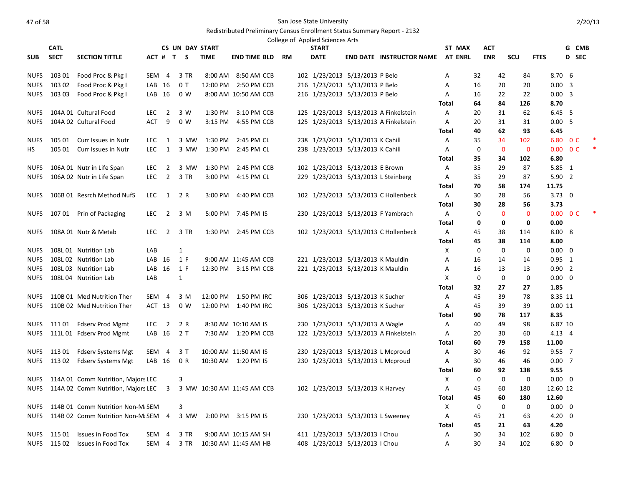|             | <b>CATL</b> |                                      |            |                | CS UN DAY START |             |                            |    | College of Applied Sciences Arts<br><b>START</b> |                                       | ST MAX            |             | ACT                        |                    |             |                | G CMB                    |        |
|-------------|-------------|--------------------------------------|------------|----------------|-----------------|-------------|----------------------------|----|--------------------------------------------------|---------------------------------------|-------------------|-------------|----------------------------|--------------------|-------------|----------------|--------------------------|--------|
| <b>SUB</b>  | <b>SECT</b> | <b>SECTION TITTLE</b>                |            |                | ACT # T S       | <b>TIME</b> | <b>END TIME BLD</b>        | RM | <b>DATE</b>                                      | <b>END DATE INSTRUCTOR NAME</b>       | <b>AT ENRL</b>    |             | <b>ENR</b>                 | <b>SCU</b>         | <b>FTES</b> |                | D SEC                    |        |
|             |             |                                      |            |                |                 |             |                            |    |                                                  |                                       |                   |             |                            |                    |             |                |                          |        |
| <b>NUFS</b> | 103 01      | Food Proc & Pkg I                    | SEM 4      |                | 3 TR            |             | 8:00 AM 8:50 AM CCB        |    | 102 1/23/2013 5/13/2013 P Belo                   |                                       | А                 | 32          | 42                         | 84                 |             | $8.70\t6$      |                          |        |
| <b>NUFS</b> | 103 02      | Food Proc & Pkg I                    | LAB 16     |                | 0T              |             | 12:00 PM 2:50 PM CCB       |    | 216 1/23/2013 5/13/2013 P Belo                   |                                       | A                 | 16          | 20                         | 20                 |             | $0.00 \quad 3$ |                          |        |
| <b>NUFS</b> | 103 03      | Food Proc & Pkg I                    | LAB 16     |                | 0 W             |             | 8:00 AM 10:50 AM CCB       |    | 216 1/23/2013 5/13/2013 P Belo                   |                                       | Α                 | 16          | 22                         | 22                 |             | $0.00 \quad 3$ |                          |        |
|             |             |                                      |            |                |                 |             |                            |    |                                                  |                                       | Total             | 64          | 84                         | 126                | 8.70        |                |                          |        |
| <b>NUFS</b> |             | 104A 01 Cultural Food                | LEC.       | $\overline{2}$ | 3 W             | 1:30 PM     | 3:10 PM CCB                |    |                                                  | 125 1/23/2013 5/13/2013 A Finkelstein | Α                 | 20          | 31                         | 62                 |             | $6.45\quad 5$  |                          |        |
| <b>NUFS</b> |             | 104A 02 Cultural Food                | <b>ACT</b> | 9              | 0 <sub>W</sub>  | 3:15 PM     | 4:55 PM CCB                |    |                                                  | 125 1/23/2013 5/13/2013 A Finkelstein | A                 | 20          | 31                         | 31                 |             | 0.005          |                          |        |
|             |             |                                      |            |                |                 |             |                            |    |                                                  |                                       | Total             | 40          | 62                         | 93                 | 6.45        |                |                          |        |
| <b>NUFS</b> | 105 01      | Curr Issues in Nutr                  | <b>LEC</b> | 1              | 3 MW            | 1:30 PM     | 2:45 PM CL                 |    | 238 1/23/2013 5/13/2013 K Cahill                 |                                       | Α                 | 35          | 34                         | 102                | 6.80        |                | 0 <sup>C</sup>           | $\ast$ |
| <b>HS</b>   | 105 01      | Curr Issues in Nutr                  | LEC.       | $\overline{1}$ | 3 MW            | 1:30 PM     | 2:45 PM CL                 |    | 238 1/23/2013 5/13/2013 K Cahill                 |                                       | Α                 | 0           | $\mathbf 0$                | $\mathbf{0}$       |             |                | $0.00 \quad 0 \text{ C}$ | $\ast$ |
|             |             |                                      |            |                |                 |             |                            |    |                                                  |                                       | Total             | 35          | 34                         | 102                | 6.80        |                |                          |        |
| <b>NUFS</b> |             | 106A 01 Nutr in Life Span            | <b>LEC</b> | $\overline{2}$ | 3 MW            | 1:30 PM     | 2:45 PM CCB                |    | 102 1/23/2013 5/13/2013 E Brown                  |                                       | А                 | 35          | 29                         | 87                 |             | 5.85 1         |                          |        |
| <b>NUFS</b> |             | 106A 02 Nutr in Life Span            | <b>LEC</b> | $\overline{2}$ | 3 TR            | 3:00 PM     | 4:15 PM CL                 |    | 229 1/23/2013 5/13/2013 L Steinberg              |                                       | А                 | 35          | 29                         | 87                 |             | 5.902          |                          |        |
|             |             |                                      |            |                |                 |             |                            |    |                                                  |                                       | Total             | 70          | 58                         | 174                | 11.75       |                |                          |        |
| <b>NUFS</b> |             | 106B 01 Resrch Method NufS           | LEC.       | $\mathbf{1}$   | 2 R             | 3:00 PM     | 4:40 PM CCB                |    |                                                  | 102 1/23/2013 5/13/2013 C Hollenbeck  | A                 | 30          | 28                         | 56                 |             | $3.73 \quad 0$ |                          |        |
|             |             |                                      |            |                |                 |             |                            |    |                                                  |                                       | Total             | 30          | 28                         | 56<br>$\mathbf{0}$ | 3.73        |                |                          |        |
| <b>NUFS</b> | 107 01      | Prin of Packaging                    | LEC.       | $\overline{2}$ | 3 M             |             | 5:00 PM 7:45 PM IS         |    | 230 1/23/2013 5/13/2013 F Yambrach               |                                       | Α<br><b>Total</b> | 0<br>0      | $\mathbf 0$<br>$\mathbf 0$ | 0                  | 0.00        |                | $0.00 \quad 0 \text{ C}$ |        |
| <b>NUFS</b> |             | 108A 01 Nutr & Metab                 | <b>LEC</b> | $\overline{2}$ | 3 TR            |             | 1:30 PM 2:45 PM CCB        |    |                                                  | 102 1/23/2013 5/13/2013 C Hollenbeck  | Α                 | 45          | 38                         | 114                |             | 8.00 8         |                          |        |
|             |             |                                      |            |                |                 |             |                            |    |                                                  |                                       | <b>Total</b>      | 45          | 38                         | 114                | 8.00        |                |                          |        |
| <b>NUFS</b> |             | 108L 01 Nutrition Lab                | LAB        |                | $\mathbf{1}$    |             |                            |    |                                                  |                                       | X                 | 0           | $\mathbf 0$                | $\mathbf 0$        |             | $0.00 \quad 0$ |                          |        |
| <b>NUFS</b> |             | 108L 02 Nutrition Lab                | LAB 16     |                | 1 F             |             | 9:00 AM 11:45 AM CCB       |    | 221 1/23/2013 5/13/2013 K Mauldin                |                                       | Α                 | 16          | 14                         | 14                 |             | $0.95$ 1       |                          |        |
| <b>NUFS</b> |             | 108L 03 Nutrition Lab                | $LAB$ 16   |                | 1 F             |             | 12:30 PM 3:15 PM CCB       |    | 221 1/23/2013 5/13/2013 K Mauldin                |                                       | Α                 | 16          | 13                         | 13                 |             | 0.902          |                          |        |
| <b>NUFS</b> |             | 108L 04 Nutrition Lab                | LAB        |                | $\mathbf{1}$    |             |                            |    |                                                  |                                       | X                 | $\mathbf 0$ | $\mathbf 0$                | $\mathbf 0$        |             | $0.00 \quad 0$ |                          |        |
|             |             |                                      |            |                |                 |             |                            |    |                                                  |                                       | Total             | 32          | 27                         | 27                 | 1.85        |                |                          |        |
| <b>NUFS</b> |             | 110B 01 Med Nutrition Ther           | SEM 4      |                | 3 M             |             | 12:00 PM 1:50 PM IRC       |    | 306 1/23/2013 5/13/2013 K Sucher                 |                                       | А                 | 45          | 39                         | 78                 |             | 8.35 11        |                          |        |
| <b>NUFS</b> |             | 110B 02 Med Nutrition Ther           | ACT 13     |                | 0 W             |             | 12:00 PM 1:40 PM IRC       |    | 306 1/23/2013 5/13/2013 K Sucher                 |                                       | A                 | 45          | 39                         | 39                 |             | 0.0011         |                          |        |
|             |             |                                      |            |                |                 |             |                            |    |                                                  |                                       | Total             | 90          | 78                         | 117                | 8.35        |                |                          |        |
| <b>NUFS</b> |             | 11101 Fdserv Prod Mgmt               | LEC        | $\overline{2}$ | 2 R             |             | 8:30 AM 10:10 AM IS        |    | 230 1/23/2013 5/13/2013 A Wagle                  |                                       | А                 | 40          | 49                         | 98                 |             | 6.87 10        |                          |        |
| <b>NUFS</b> |             | 111L 01 Fdserv Prod Mgmt             | LAB 16     |                | 2T              |             | 7:30 AM 1:20 PM CCB        |    |                                                  | 122 1/23/2013 5/13/2013 A Finkelstein | Α                 | 20          | 30                         | 60                 |             | $4.13 \quad 4$ |                          |        |
|             |             |                                      |            |                |                 |             |                            |    |                                                  |                                       | Total             | 60          | 79                         | 158                | 11.00       |                |                          |        |
| <b>NUFS</b> | 113 01      | <b>Fdserv Systems Mgt</b>            | SEM 4      |                | 3 T             |             | 10:00 AM 11:50 AM IS       |    | 230 1/23/2013 5/13/2013 L Mcproud                |                                       | Α                 | 30          | 46                         | 92                 |             | $9.55 \quad 7$ |                          |        |
| <b>NUFS</b> | 113 02      | <b>Fdserv Systems Mgt</b>            | LAB 16     |                | 0 R             |             | 10:30 AM 1:20 PM IS        |    | 230 1/23/2013 5/13/2013 L Mcproud                |                                       | Α                 | 30          | 46                         | 46                 |             | 0.007          |                          |        |
|             |             |                                      |            |                |                 |             |                            |    |                                                  |                                       | Total             | 60          | 92                         | 138                | 9.55        |                |                          |        |
| <b>NUFS</b> |             | 114A 01 Comm Nutrition, Majors LEC   |            |                | 3               |             |                            |    |                                                  |                                       | X                 | 0           | $\mathbf 0$                | $\mathbf 0$        |             | $0.00 \quad 0$ |                          |        |
| <b>NUFS</b> |             | 114A 02 Comm Nutrition, Majors LEC 3 |            |                |                 |             | 3 MW 10:30 AM 11:45 AM CCB |    | 102 1/23/2013 5/13/2013 K Harvey                 |                                       | A                 | 45          | 60                         | 180                | 12.60 12    |                |                          |        |
| <b>NUFS</b> |             | 114B 01 Comm Nutrition Non-M: SEM    |            |                | 3               |             |                            |    |                                                  |                                       | Total<br>Х        | 45<br>0     | 60<br>0                    | 180<br>$\mathbf 0$ | 12.60       | $0.00 \quad 0$ |                          |        |
| <b>NUFS</b> |             | 114B 02 Comm Nutrition Non-M. SEM 4  |            |                | 3 MW            |             | 2:00 PM 3:15 PM IS         |    | 230 1/23/2013 5/13/2013 L Sweeney                |                                       | A                 | 45          | 21                         | 63                 |             | $4.20 \ 0$     |                          |        |
|             |             |                                      |            |                |                 |             |                            |    |                                                  |                                       | <b>Total</b>      | 45          | 21                         | 63                 | 4.20        |                |                          |        |
| <b>NUFS</b> | 115 01      | <b>Issues in Food Tox</b>            | SEM        | $\overline{4}$ | 3 TR            |             | 9:00 AM 10:15 AM SH        |    | 411 1/23/2013 5/13/2013 I Chou                   |                                       | Α                 | 30          | 34                         | 102                |             | $6.80 \quad 0$ |                          |        |
| <b>NUFS</b> | 115 02      | Issues in Food Tox                   | SEM 4      |                | 3 TR            |             | 10:30 AM 11:45 AM HB       |    | 408 1/23/2013 5/13/2013   Chou                   |                                       | A                 | 30          | 34                         | 102                | 6.80        |                | $\overline{0}$           |        |
|             |             |                                      |            |                |                 |             |                            |    |                                                  |                                       |                   |             |                            |                    |             |                |                          |        |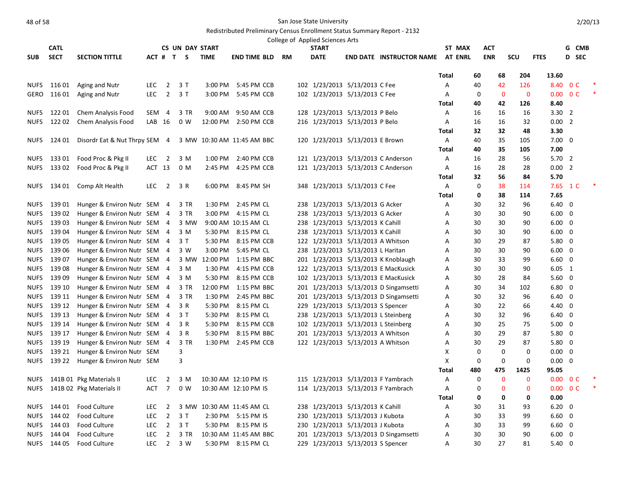|                            | <b>CATL</b>      |                                                            |            |                | <b>CS UN DAY START</b> |                    |                            |    | College of Applied Sciences Arts<br><b>START</b> |                                                                       |                                       | ST MAX         |             | <b>ACT</b>  |             |                                  | G CMB          |  |
|----------------------------|------------------|------------------------------------------------------------|------------|----------------|------------------------|--------------------|----------------------------|----|--------------------------------------------------|-----------------------------------------------------------------------|---------------------------------------|----------------|-------------|-------------|-------------|----------------------------------|----------------|--|
| <b>SUB</b>                 | <b>SECT</b>      | <b>SECTION TITTLE</b>                                      |            |                | ACT # T S              | <b>TIME</b>        | <b>END TIME BLD</b>        | RM | <b>DATE</b>                                      |                                                                       | <b>END DATE INSTRUCTOR NAME</b>       | <b>AT ENRL</b> |             | <b>ENR</b>  | <b>SCU</b>  | <b>FTES</b>                      | D SEC          |  |
|                            |                  |                                                            |            |                |                        |                    |                            |    |                                                  |                                                                       |                                       |                |             |             |             |                                  |                |  |
|                            |                  |                                                            |            |                |                        |                    |                            |    |                                                  |                                                                       |                                       | <b>Total</b>   | 60          | 68          | 204         | 13.60                            |                |  |
| <b>NUFS</b>                | 116 01           | Aging and Nutr                                             | <b>LEC</b> | $\overline{2}$ | 3T                     | 3:00 PM            | 5:45 PM CCB                |    |                                                  | 102 1/23/2013 5/13/2013 C Fee                                         |                                       | Α              | 40          | 42          | 126         | 8.40                             | 0 <sup>C</sup> |  |
| GERO                       | 116 01           | Aging and Nutr                                             | <b>LEC</b> | $\overline{2}$ | 3T                     | 3:00 PM            | 5:45 PM CCB                |    |                                                  | 102 1/23/2013 5/13/2013 C Fee                                         |                                       | Α              | 0           | $\mathbf 0$ | $\mathbf 0$ | $0.00 \quad 0 \text{ C}$         |                |  |
|                            |                  |                                                            |            |                |                        |                    |                            |    |                                                  |                                                                       |                                       | Total          | 40          | 42          | 126         | 8.40                             |                |  |
| <b>NUFS</b>                | 122 01           | Chem Analysis Food                                         | SEM 4      |                | 3 TR                   | 9:00 AM            | 9:50 AM CCB                |    |                                                  | 128 1/23/2013 5/13/2013 P Belo                                        |                                       | Α              | 16          | 16          | 16          | $3.30 \quad 2$                   |                |  |
| <b>NUFS</b>                | 122 02           | Chem Analysis Food                                         | LAB 16     |                | 0 <sub>W</sub>         | 12:00 PM           | 2:50 PM CCB                |    |                                                  | 216 1/23/2013 5/13/2013 P Belo                                        |                                       | Α              | 16          | 16          | 32          | 0.002                            |                |  |
|                            |                  |                                                            |            |                |                        |                    |                            |    |                                                  |                                                                       |                                       | Total          | 32          | 32          | 48          | 3.30                             |                |  |
| <b>NUFS</b>                | 124 01           | Disordr Eat & Nut Thrpy SEM 4                              |            |                |                        |                    | 3 MW 10:30 AM 11:45 AM BBC |    |                                                  | 120 1/23/2013 5/13/2013 E Brown                                       |                                       | A              | 40          | 35          | 105         | $7.00 \quad 0$                   |                |  |
|                            |                  |                                                            |            |                |                        |                    |                            |    |                                                  |                                                                       |                                       | Total          | 40          | 35          | 105         | 7.00                             |                |  |
| <b>NUFS</b>                | 133 01           | Food Proc & Pkg II                                         | LEC        | $\overline{2}$ | 3 M                    | 1:00 PM            | 2:40 PM CCB                |    |                                                  |                                                                       | 121 1/23/2013 5/13/2013 C Anderson    | Α              | 16          | 28          | 56          | 5.702                            |                |  |
| <b>NUFS</b>                | 133 02           | Food Proc & Pkg II                                         | ACT 13     |                | 0 M                    | 2:45 PM            | 4:25 PM CCB                |    |                                                  |                                                                       | 121 1/23/2013 5/13/2013 C Anderson    | A              | 16          | 28          | 28          | 0.00 2                           |                |  |
|                            |                  |                                                            |            |                |                        |                    |                            |    |                                                  |                                                                       |                                       | <b>Total</b>   | 32          | 56          | 84          | 5.70                             |                |  |
| <b>NUFS</b>                | 134 01           | Comp Alt Health                                            | LEC        | $\overline{2}$ | 3 R                    |                    | 6:00 PM 8:45 PM SH         |    |                                                  | 348 1/23/2013 5/13/2013 C Fee                                         |                                       | A              | 0           | 38          | 114         | 7.65 1 C                         |                |  |
|                            |                  |                                                            |            |                |                        |                    |                            |    |                                                  |                                                                       |                                       | Total          | 0           | 38          | 114         | 7.65                             |                |  |
| <b>NUFS</b>                | 13901            | Hunger & Environ Nutr SEM 4                                |            |                | 3 TR                   | 1:30 PM            | 2:45 PM CL                 |    |                                                  | 238 1/23/2013 5/13/2013 G Acker                                       |                                       | Α              | 30          | 32          | 96          | $6.40 \quad 0$                   |                |  |
| <b>NUFS</b>                | 13902            | Hunger & Environ Nutr SEM 4                                |            |                | 3 TR                   | 3:00 PM            | 4:15 PM CL                 |    |                                                  | 238 1/23/2013 5/13/2013 G Acker                                       |                                       | Α              | 30          | 30          | 90          | $6.00 \quad 0$                   |                |  |
| <b>NUFS</b>                | 13903            | Hunger & Environ Nutr SEM 4                                |            |                | 3 MW                   |                    | 9:00 AM 10:15 AM CL        |    |                                                  | 238 1/23/2013 5/13/2013 K Cahill                                      |                                       | A              | 30          | 30          | 90          | $6.00 \quad 0$                   |                |  |
| <b>NUFS</b><br><b>NUFS</b> | 139 04<br>139 05 | Hunger & Environ Nutr SEM 4                                |            |                | 3 M                    | 5:30 PM            | 8:15 PM CL                 |    |                                                  | 238 1/23/2013 5/13/2013 K Cahill<br>122 1/23/2013 5/13/2013 A Whitson |                                       | Α              | 30<br>30    | 30<br>29    | 90          | $6.00 \quad 0$<br>$5.80 \quad 0$ |                |  |
| <b>NUFS</b>                | 139 06           | Hunger & Environ Nutr SEM 4<br>Hunger & Environ Nutr SEM 4 |            |                | 3 T<br>3 W             | 5:30 PM<br>3:00 PM | 8:15 PM CCB<br>5:45 PM CL  |    |                                                  | 238 1/23/2013 5/13/2013 L Haritan                                     |                                       | Α<br>A         | 30          | 30          | 87<br>90    | $6.00 \quad 0$                   |                |  |
| <b>NUFS</b>                | 139 07           | Hunger & Environ Nutr SEM 4                                |            |                | 3 MW                   | 12:00 PM           | 1:15 PM BBC                |    |                                                  |                                                                       | 201 1/23/2013 5/13/2013 K Knoblaugh   | A              | 30          | 33          | 99          | $6.60 \quad 0$                   |                |  |
| <b>NUFS</b>                | 139 08           | Hunger & Environ Nutr SEM 4                                |            |                | 3 M                    | 1:30 PM            | 4:15 PM CCB                |    |                                                  |                                                                       | 122 1/23/2013 5/13/2013 E MacKusick   | A              | 30          | 30          | 90          | $6.05$ 1                         |                |  |
| <b>NUFS</b>                | 139 09           | Hunger & Environ Nutr SEM 4                                |            |                | 3 M                    | 5:30 PM            | 8:15 PM CCB                |    |                                                  |                                                                       | 102 1/23/2013 5/13/2013 E MacKusick   | A              | 30          | 28          | 84          | $5.60 \quad 0$                   |                |  |
| <b>NUFS</b>                | 139 10           | Hunger & Environ Nutr SEM 4                                |            |                | 3 TR                   | 12:00 PM           | 1:15 PM BBC                |    |                                                  |                                                                       | 201 1/23/2013 5/13/2013 D Singamsetti | Α              | 30          | 34          | 102         | $6.80\quad 0$                    |                |  |
| <b>NUFS</b>                | 139 11           | Hunger & Environ Nutr SEM 4                                |            |                | 3 TR                   | 1:30 PM            | 2:45 PM BBC                |    |                                                  |                                                                       | 201 1/23/2013 5/13/2013 D Singamsetti | Α              | 30          | 32          | 96          | $6.40 \quad 0$                   |                |  |
| <b>NUFS</b>                | 139 12           | Hunger & Environ Nutr SEM 4                                |            |                | 3 R                    | 5:30 PM            | 8:15 PM CL                 |    |                                                  | 229 1/23/2013 5/13/2013 S Spencer                                     |                                       | Α              | 30          | 22          | 66          | 4.40 0                           |                |  |
| <b>NUFS</b>                | 139 13           | Hunger & Environ Nutr SEM 4                                |            |                | 3T                     | 5:30 PM            | 8:15 PM CL                 |    |                                                  |                                                                       | 238 1/23/2013 5/13/2013 L Steinberg   | Α              | 30          | 32          | 96          | $6.40 \quad 0$                   |                |  |
| <b>NUFS</b>                | 139 14           | Hunger & Environ Nutr SEM 4                                |            |                | 3 R                    | 5:30 PM            | 8:15 PM CCB                |    |                                                  |                                                                       | 102 1/23/2013 5/13/2013 L Steinberg   | A              | 30          | 25          | 75          | $5.00 \quad 0$                   |                |  |
| <b>NUFS</b>                | 139 17           | Hunger & Environ Nutr SEM 4                                |            |                | 3 R                    | 5:30 PM            | 8:15 PM BBC                |    |                                                  | 201 1/23/2013 5/13/2013 A Whitson                                     |                                       | Α              | 30          | 29          | 87          | $5.80 \quad 0$                   |                |  |
| <b>NUFS</b>                | 139 19           | Hunger & Environ Nutr SEM 4                                |            |                | 3 TR                   | 1:30 PM            | 2:45 PM CCB                |    |                                                  | 122 1/23/2013 5/13/2013 A Whitson                                     |                                       | Α              | 30          | 29          | 87          | 5.80 0                           |                |  |
| <b>NUFS</b>                | 139 21           | Hunger & Environ Nutr SEM                                  |            |                | 3                      |                    |                            |    |                                                  |                                                                       |                                       | X              | $\mathbf 0$ | $\mathbf 0$ | $\mathbf 0$ | $0.00 \quad 0$                   |                |  |
| <b>NUFS</b>                | 139 22           | Hunger & Environ Nutr SEM                                  |            |                | 3                      |                    |                            |    |                                                  |                                                                       |                                       | X              | $\mathbf 0$ | 0           | $\mathbf 0$ | $0.00 \quad 0$                   |                |  |
|                            |                  |                                                            |            |                |                        |                    |                            |    |                                                  |                                                                       |                                       | <b>Total</b>   | 480         | 475         | 1425        | 95.05                            |                |  |
| <b>NUFS</b>                |                  | 141B 01 Pkg Materials II                                   | <b>LEC</b> | $\overline{2}$ | 3 M                    |                    | 10:30 AM 12:10 PM IS       |    |                                                  |                                                                       | 115 1/23/2013 5/13/2013 F Yambrach    | Α              | 0           | $\mathbf 0$ | $\mathbf 0$ | $0.00 \t 0 C$                    |                |  |
| <b>NUFS</b>                |                  | 141B 02 Pkg Materials II                                   | ACT        | $\overline{7}$ | 0 <sub>W</sub>         |                    | 10:30 AM 12:10 PM IS       |    |                                                  |                                                                       | 114 1/23/2013 5/13/2013 F Yambrach    | Α              | 0           | $\mathbf 0$ | $\mathbf 0$ | $0.00 \t 0 C$                    |                |  |
|                            |                  |                                                            |            |                |                        |                    |                            |    |                                                  |                                                                       |                                       | Total          | 0           | 0           | 0           | 0.00                             |                |  |
| <b>NUFS</b>                | 144 01           | <b>Food Culture</b>                                        | <b>LEC</b> | 2              |                        |                    | 3 MW 10:30 AM 11:45 AM CL  |    |                                                  | 238 1/23/2013 5/13/2013 K Cahill                                      |                                       | Α              | 30          | 31          | 93          | $6.20 \quad 0$                   |                |  |
| <b>NUFS</b>                | 144 02           | <b>Food Culture</b>                                        | <b>LEC</b> | $\overline{2}$ | 3T                     |                    | 2:30 PM 5:15 PM IS         |    |                                                  | 230 1/23/2013 5/13/2013 J Kubota                                      |                                       | Α              | 30          | 33          | 99          | $6.60 \quad 0$                   |                |  |
| <b>NUFS</b>                | 144 03           | Food Culture                                               | <b>LEC</b> | 2              | 3T                     | 5:30 PM            | 8:15 PM IS                 |    |                                                  | 230 1/23/2013 5/13/2013 J Kubota                                      |                                       | A              | 30          | 33          | 99          | $6.60 \quad 0$                   |                |  |
| <b>NUFS</b>                | 144 04           | <b>Food Culture</b>                                        | <b>LEC</b> | $\overline{2}$ | 3 TR                   |                    | 10:30 AM 11:45 AM BBC      |    |                                                  |                                                                       | 201 1/23/2013 5/13/2013 D Singamsetti | Α              | 30          | 30          | 90          | $6.00 \quad 0$                   |                |  |
| <b>NUFS</b>                | 144 05           | Food Culture                                               | <b>LEC</b> | 2              | 3 W                    |                    | 5:30 PM 8:15 PM CL         |    |                                                  | 229 1/23/2013 5/13/2013 S Spencer                                     |                                       | A              | 30          | 27          | 81          | $5.40 \quad 0$                   |                |  |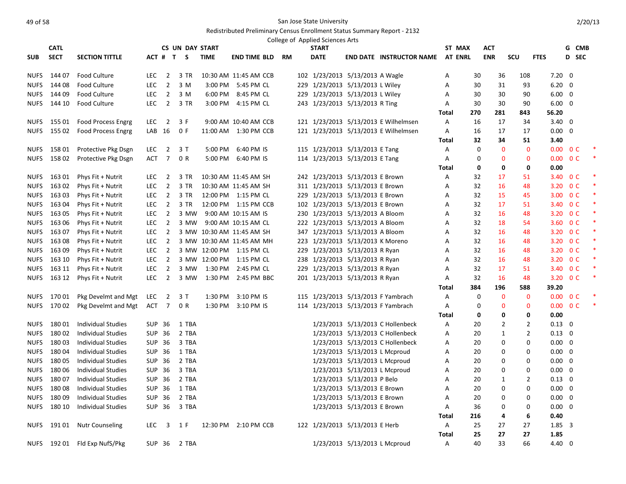|             | <b>CATL</b>      |                                     |                          |                                  | <b>CS UN DAY START</b> |                    |                           |     | <b>START</b>                     |                             |                                      | ST MAX            |          | ACT            |                |                          |                          | G CMB  |  |
|-------------|------------------|-------------------------------------|--------------------------|----------------------------------|------------------------|--------------------|---------------------------|-----|----------------------------------|-----------------------------|--------------------------------------|-------------------|----------|----------------|----------------|--------------------------|--------------------------|--------|--|
| <b>SUB</b>  | <b>SECT</b>      | <b>SECTION TITTLE</b>               |                          |                                  | ACT # T S              | <b>TIME</b>        | <b>END TIME BLD</b>       | RM. | <b>DATE</b>                      |                             | <b>END DATE INSTRUCTOR NAME</b>      | <b>AT ENRL</b>    |          | <b>ENR</b>     | <b>SCU</b>     | <b>FTES</b>              | D SEC                    |        |  |
|             |                  |                                     |                          |                                  |                        |                    |                           |     |                                  |                             |                                      |                   |          |                |                |                          |                          |        |  |
| <b>NUFS</b> | 144 07           | <b>Food Culture</b>                 | <b>LEC</b>               | $\overline{2}$                   | 3 TR                   |                    | 10:30 AM 11:45 AM CCB     |     | 102 1/23/2013 5/13/2013 A Wagle  |                             |                                      | Α                 | 30       | 36             | 108            | $7.20 \quad 0$           |                          |        |  |
| <b>NUFS</b> | 144 08           | <b>Food Culture</b>                 | <b>LEC</b>               | $\overline{2}$                   | 3 M                    | 3:00 PM            | 5:45 PM CL                |     | 229 1/23/2013 5/13/2013 L Wiley  |                             |                                      | A                 | 30       | 31             | 93             | 6.20                     | $\overline{0}$           |        |  |
| <b>NUFS</b> | 144 09<br>144 10 | <b>Food Culture</b><br>Food Culture | <b>LEC</b><br><b>LEC</b> | $\overline{2}$<br>$\overline{2}$ | 3 M<br>3 TR            | 6:00 PM<br>3:00 PM | 8:45 PM CL                |     | 229 1/23/2013 5/13/2013 L Wiley  |                             |                                      | A                 | 30<br>30 | 30<br>30       | 90<br>90       | $6.00 \quad 0$           |                          |        |  |
| <b>NUFS</b> |                  |                                     |                          |                                  |                        |                    | 4:15 PM CL                |     | 243 1/23/2013 5/13/2013 R Ting   |                             |                                      | A                 | 270      |                |                | $6.00 \quad 0$           |                          |        |  |
|             | NUFS 155 01      | Food Process Engrg                  | LEC.                     | $\overline{2}$                   | 3 F                    |                    | 9:00 AM 10:40 AM CCB      |     |                                  |                             | 121 1/23/2013 5/13/2013 E Wilhelmsen | Total<br>A        | 16       | 281<br>17      | 843<br>34      | 56.20<br>$3.40 \quad 0$  |                          |        |  |
| <b>NUFS</b> | 155 02           | <b>Food Process Engrg</b>           | LAB 16                   |                                  | 0 F                    |                    | 11:00 AM  1:30 PM CCB     |     |                                  |                             | 121 1/23/2013 5/13/2013 E Wilhelmsen | A                 | 16       | 17             | 17             | $0.00 \quad 0$           |                          |        |  |
|             |                  |                                     |                          |                                  |                        |                    |                           |     |                                  |                             |                                      | <b>Total</b>      | 32       | 34             | 51             | 3.40                     |                          |        |  |
| NUFS        | 158 01           | Protective Pkg Dsgn                 | LEC                      | $\overline{2}$                   | 3 T                    | 5:00 PM            | 6:40 PM IS                |     | 115 1/23/2013 5/13/2013 E Tang   |                             |                                      | Α                 | 0        | $\mathbf 0$    | $\mathbf{0}$   |                          | $0.00 \quad 0 \text{ C}$ | $\ast$ |  |
| <b>NUFS</b> | 15802            | Protective Pkg Dsgn                 | ACT                      | $\overline{7}$                   | 0 R                    | 5:00 PM            | 6:40 PM IS                |     | 114 1/23/2013 5/13/2013 E Tang   |                             |                                      | Α                 | 0        | $\mathbf 0$    | $\mathbf{0}$   | $0.00 \quad 0 \text{ C}$ |                          | $\ast$ |  |
|             |                  |                                     |                          |                                  |                        |                    |                           |     |                                  |                             |                                      | Total             | 0        | 0              | 0              | 0.00                     |                          |        |  |
| NUFS        | 163 01           | Phys Fit + Nutrit                   | <b>LEC</b>               | $\overline{2}$                   | 3 TR                   |                    | 10:30 AM 11:45 AM SH      |     | 242 1/23/2013 5/13/2013 E Brown  |                             |                                      | Α                 | 32       | 17             | 51             |                          | 3.40 OC                  |        |  |
| <b>NUFS</b> | 16302            | Phys Fit + Nutrit                   | <b>LEC</b>               | $\overline{2}$                   | 3 TR                   |                    | 10:30 AM 11:45 AM SH      |     | 311 1/23/2013 5/13/2013 E Brown  |                             |                                      | Α                 | 32       | 16             | 48             |                          | 3.20 OC                  |        |  |
| NUFS        | 163 03           | Phys Fit + Nutrit                   | LEC.                     | $\overline{2}$                   | 3 TR                   |                    | 12:00 PM 1:15 PM CL       |     | 229 1/23/2013 5/13/2013 E Brown  |                             |                                      | Α                 | 32       | 15             | 45             |                          | 3.00 0 C                 | $\ast$ |  |
| <b>NUFS</b> | 16304            | Phys Fit + Nutrit                   | <b>LEC</b>               | $\overline{2}$                   | 3 TR                   |                    | 12:00 PM 1:15 PM CCB      |     | 102 1/23/2013 5/13/2013 E Brown  |                             |                                      | Α                 | 32       | 17             | 51             |                          | 3.40 OC                  | $\ast$ |  |
| NUFS        | 163 05           | Phys Fit + Nutrit                   | <b>LEC</b>               | $\overline{2}$                   | 3 MW                   |                    | 9:00 AM 10:15 AM IS       |     | 230 1/23/2013 5/13/2013 A Bloom  |                             |                                      | A                 | 32       | 16             | 48             |                          | 3.20 O C                 | $\ast$ |  |
| <b>NUFS</b> | 163 06           | Phys Fit + Nutrit                   | <b>LEC</b>               | $\overline{2}$                   | 3 MW                   |                    | 9:00 AM 10:15 AM CL       |     | 222 1/23/2013 5/13/2013 A Bloom  |                             |                                      | A                 | 32       | 18             | 54             |                          | 3.60 OC                  | ∗      |  |
| <b>NUFS</b> | 16307            | Phys Fit + Nutrit                   | <b>LEC</b>               | $\overline{2}$                   |                        |                    | 3 MW 10:30 AM 11:45 AM SH |     | 347 1/23/2013 5/13/2013 A Bloom  |                             |                                      | A                 | 32       | 16             | 48             |                          | 3.20 OC                  | *      |  |
|             | NUFS 163 08      | Phys Fit + Nutrit                   | <b>LEC</b>               | $\overline{2}$                   |                        |                    | 3 MW 10:30 AM 11:45 AM MH |     | 223 1/23/2013 5/13/2013 K Moreno |                             |                                      | Α                 | 32       | 16             | 48             |                          | 3.20 OC                  | $\ast$ |  |
|             | NUFS 163 09      | Phys Fit + Nutrit                   | <b>LEC</b>               | $\overline{2}$                   |                        |                    | 3 MW 12:00 PM 1:15 PM CL  |     | 229 1/23/2013 5/13/2013 R Ryan   |                             |                                      | A                 | 32       | 16             | 48             |                          | 3.20 OC                  | $\ast$ |  |
| <b>NUFS</b> | 163 10           | Phys Fit + Nutrit                   | <b>LEC</b>               | $\overline{2}$                   |                        |                    | 3 MW 12:00 PM 1:15 PM CL  |     | 238 1/23/2013 5/13/2013 R Ryan   |                             |                                      | A                 | 32       | 16             | 48             |                          | 3.20 O C                 |        |  |
| <b>NUFS</b> | 163 11           | Phys Fit + Nutrit                   | <b>LEC</b>               | $\overline{2}$                   |                        | 3 MW 1:30 PM       | 2:45 PM CL                |     | 229 1/23/2013 5/13/2013 R Ryan   |                             |                                      | Α                 | 32       | 17             | 51             |                          | 3.40 OC                  | ∗      |  |
| <b>NUFS</b> | 163 12           | Phys Fit + Nutrit                   | <b>LEC</b>               | $\overline{2}$                   | 3 MW                   | 1:30 PM            | 2:45 PM BBC               |     | 201 1/23/2013 5/13/2013 R Ryan   |                             |                                      | A                 | 32       | 16             | 48             |                          | 3.20 OC                  | $\ast$ |  |
|             |                  |                                     |                          |                                  |                        |                    |                           |     |                                  |                             |                                      | Total             | 384      | 196            | 588            | 39.20                    |                          |        |  |
| NUFS        | 170 01           | Pkg Develmt and Mgt                 | <b>LEC</b>               | 2                                | 3T                     | 1:30 PM            | 3:10 PM IS                |     |                                  |                             | 115 1/23/2013 5/13/2013 F Yambrach   | Α                 | 0        | $\mathbf 0$    | $\mathbf 0$    | $0.00 \t 0 C$            |                          |        |  |
| NUFS        | 170 02           | Pkg Develmt and Mgt                 | ACT                      | $\overline{7}$                   | 0 R                    | 1:30 PM            | 3:10 PM IS                |     |                                  |                             | 114 1/23/2013 5/13/2013 F Yambrach   | Α                 | 0        | $\mathbf 0$    | $\mathbf 0$    |                          | $0.00 \quad 0 \text{ C}$ | $\ast$ |  |
|             |                  |                                     |                          |                                  |                        |                    |                           |     |                                  |                             |                                      | Total             | 0        | 0              | 0              | 0.00                     |                          |        |  |
| <b>NUFS</b> | 18001            | <b>Individual Studies</b>           | <b>SUP 36</b>            |                                  | 1 TBA                  |                    |                           |     |                                  |                             | 1/23/2013 5/13/2013 C Hollenbeck     | Α                 | 20       | $\overline{2}$ | $\overline{2}$ | $0.13 \quad 0$           |                          |        |  |
| <b>NUFS</b> | 18002            | <b>Individual Studies</b>           | SUP 36                   |                                  | 2 TBA                  |                    |                           |     |                                  |                             | 1/23/2013 5/13/2013 C Hollenbeck     | A                 | 20       | $\mathbf{1}$   | $\overline{2}$ | $0.13 \quad 0$           |                          |        |  |
| <b>NUFS</b> | 18003            | <b>Individual Studies</b>           | SUP 36                   |                                  | 3 TBA                  |                    |                           |     |                                  |                             | 1/23/2013 5/13/2013 C Hollenbeck     | Α                 | 20       | 0              | 0              | $0.00 \quad 0$           |                          |        |  |
| <b>NUFS</b> | 18004            | Individual Studies                  | SUP 36                   |                                  | 1 TBA                  |                    |                           |     |                                  |                             | 1/23/2013 5/13/2013 L Mcproud        | Α                 | 20       | 0              | $\mathbf 0$    | $0.00 \quad 0$           |                          |        |  |
| <b>NUFS</b> | 18005            | <b>Individual Studies</b>           | <b>SUP 36</b>            |                                  | 2 TBA                  |                    |                           |     |                                  |                             | 1/23/2013 5/13/2013 L Mcproud        | Α                 | 20       | 0              | 0              | $0.00 \quad 0$           |                          |        |  |
| <b>NUFS</b> | 180 06           | <b>Individual Studies</b>           | <b>SUP 36</b>            |                                  | 3 TBA                  |                    |                           |     |                                  |                             | 1/23/2013 5/13/2013 L Mcproud        | A                 | 20       | $\mathbf 0$    | 0              | $0.00 \quad 0$           |                          |        |  |
| <b>NUFS</b> | 18007            | <b>Individual Studies</b>           | SUP 36                   |                                  | 2 TBA                  |                    |                           |     |                                  | 1/23/2013 5/13/2013 P Belo  |                                      | A                 | 20       | 1              | $\overline{2}$ | $0.13 \quad 0$           |                          |        |  |
| <b>NUFS</b> | 18008            | <b>Individual Studies</b>           | SUP 36                   |                                  | 1 TBA                  |                    |                           |     |                                  | 1/23/2013 5/13/2013 E Brown |                                      | Α                 | 20       | 0              | 0              | $0.00 \quad 0$           |                          |        |  |
| <b>NUFS</b> | 18009            | Individual Studies                  | SUP 36                   |                                  | 2 TBA                  |                    |                           |     |                                  | 1/23/2013 5/13/2013 E Brown |                                      | Α                 | 20       | 0              | 0              | $0.00 \quad 0$           |                          |        |  |
| <b>NUFS</b> | 180 10           | <b>Individual Studies</b>           | <b>SUP 36</b>            |                                  | 3 TBA                  |                    |                           |     |                                  | 1/23/2013 5/13/2013 E Brown |                                      | Α                 | 36       | 0              | 0              | $0.00 \quad 0$           |                          |        |  |
|             |                  |                                     |                          |                                  |                        |                    |                           |     |                                  |                             |                                      | Total             | 216      | 4              | 6              | 0.40                     |                          |        |  |
| NUFS        | 191 01           | <b>Nutr Counseling</b>              | <b>LEC</b>               | $\overline{\mathbf{3}}$          | 1 F                    |                    | 12:30 PM 2:10 PM CCB      |     | 122 1/23/2013 5/13/2013 E Herb   |                             |                                      | Α                 | 25       | 27             | 27             | $1.85 \quad 3$           |                          |        |  |
|             |                  | NUFS 192 01 Fld Exp NufS/Pkg        | SUP 36                   |                                  | 2 TBA                  |                    |                           |     |                                  |                             | 1/23/2013 5/13/2013 L Mcproud        | <b>Total</b><br>A | 25<br>40 | 27<br>33       | 27<br>66       | 1.85<br>$4.40 \quad 0$   |                          |        |  |
|             |                  |                                     |                          |                                  |                        |                    |                           |     |                                  |                             |                                      |                   |          |                |                |                          |                          |        |  |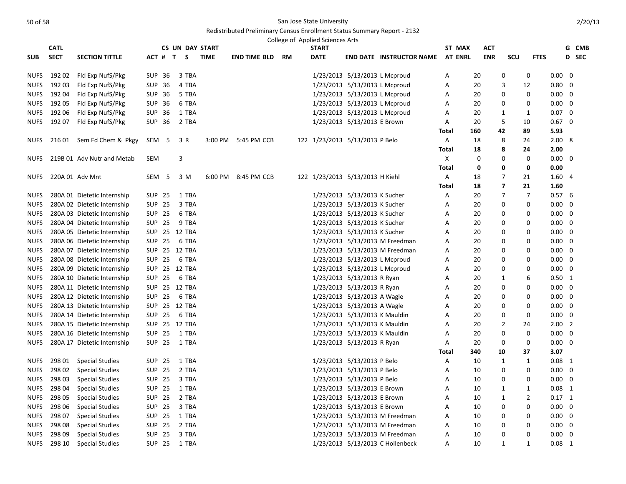|             | <b>CATL</b> |                             |       |               | <b>CS UN DAY START</b> |             |                     |    | College of Applied Sciences Arts<br><b>START</b> |                               |                                  | ST MAX         |     | <b>ACT</b> |                          |                |                |   | G CMB |
|-------------|-------------|-----------------------------|-------|---------------|------------------------|-------------|---------------------|----|--------------------------------------------------|-------------------------------|----------------------------------|----------------|-----|------------|--------------------------|----------------|----------------|---|-------|
| <b>SUB</b>  | <b>SECT</b> | <b>SECTION TITTLE</b>       |       | ACT # T       | S.                     | <b>TIME</b> | END TIME BLD        | RM | <b>DATE</b>                                      |                               | <b>END DATE INSTRUCTOR NAME</b>  | <b>AT ENRL</b> |     | <b>ENR</b> | scu                      | <b>FTES</b>    |                |   | D SEC |
|             |             |                             |       |               |                        |             |                     |    |                                                  |                               |                                  |                |     |            |                          |                |                |   |       |
| NUFS        | 192 02      | Fld Exp NufS/Pkg            |       | SUP 36        | 3 TBA                  |             |                     |    |                                                  | 1/23/2013 5/13/2013 L Mcproud |                                  | Α              | 20  |            | 0                        | 0              | $0.00 \quad 0$ |   |       |
| <b>NUFS</b> | 192 03      | Fld Exp NufS/Pkg            |       | SUP 36        | 4 TBA                  |             |                     |    |                                                  | 1/23/2013 5/13/2013 L Mcproud |                                  | Α              | 20  |            | 3                        | 12             | 0.80           | 0 |       |
| <b>NUFS</b> | 19204       | Fld Exp NufS/Pkg            |       | SUP 36        | 5 TBA                  |             |                     |    |                                                  | 1/23/2013 5/13/2013 L Mcproud |                                  | A              | 20  |            | 0                        | $\mathbf 0$    | $0.00 \quad 0$ |   |       |
| <b>NUFS</b> | 192 05      | Fld Exp NufS/Pkg            |       | SUP 36        | 6 TBA                  |             |                     |    |                                                  | 1/23/2013 5/13/2013 L Mcproud |                                  | Α              | 20  |            | 0                        | 0              | $0.00 \quad 0$ |   |       |
| <b>NUFS</b> | 192 06      | Fld Exp NufS/Pkg            |       | SUP 36        | 1 TBA                  |             |                     |    |                                                  | 1/23/2013 5/13/2013 L Mcproud |                                  | Α              | 20  |            | 1                        | 1              | $0.07 \quad 0$ |   |       |
| <b>NUFS</b> | 192 07      | Fld Exp NufS/Pkg            |       | SUP 36        | 2 TBA                  |             |                     |    |                                                  | 1/23/2013 5/13/2013 E Brown   |                                  | Α              | 20  |            | 5                        | 10             | $0.67 \quad 0$ |   |       |
|             |             |                             |       |               |                        |             |                     |    |                                                  |                               |                                  | Total          | 160 | 42         |                          | 89             | 5.93           |   |       |
| <b>NUFS</b> | 216 01      | Sem Fd Chem & Pkgy          | SEM 5 |               | 3 R                    |             | 3:00 PM 5:45 PM CCB |    | 122 1/23/2013 5/13/2013 P Belo                   |                               |                                  | Α              | 18  |            | 8                        | 24             | 2.008          |   |       |
|             |             |                             |       |               |                        |             |                     |    |                                                  |                               |                                  | <b>Total</b>   | 18  |            | 8                        | 24             | 2.00           |   |       |
| <b>NUFS</b> |             | 219B 01 Adv Nutr and Metab  | SEM   |               | 3                      |             |                     |    |                                                  |                               |                                  | Χ              | 0   |            | 0                        | 0              | $0.00 \quad 0$ |   |       |
|             |             |                             |       |               |                        |             |                     |    |                                                  |                               |                                  | <b>Total</b>   | 0   |            | 0                        | 0              | 0.00           |   |       |
| <b>NUFS</b> |             | 220A 01 Adv Mnt             |       | SEM 5         | 3 M                    |             | 6:00 PM 8:45 PM CCB |    | 122 1/23/2013 5/13/2013 H Kiehl                  |                               |                                  | Α              | 18  |            | 7                        | 21             | 1.604          |   |       |
|             |             |                             |       |               |                        |             |                     |    |                                                  |                               |                                  | Total          | 18  |            | $\overline{\phantom{a}}$ | 21             | 1.60           |   |       |
| <b>NUFS</b> |             | 280A 01 Dietetic Internship |       | <b>SUP 25</b> | 1 TBA                  |             |                     |    |                                                  | 1/23/2013 5/13/2013 K Sucher  |                                  | A              | 20  |            | $\overline{7}$           | $\overline{7}$ | 0.576          |   |       |
| <b>NUFS</b> |             | 280A 02 Dietetic Internship |       | <b>SUP 25</b> | 3 TBA                  |             |                     |    |                                                  | 1/23/2013 5/13/2013 K Sucher  |                                  | Α              | 20  |            | $\Omega$                 | 0              | $0.00 \quad 0$ |   |       |
| <b>NUFS</b> |             | 280A 03 Dietetic Internship |       | SUP 25        | 6 TBA                  |             |                     |    |                                                  | 1/23/2013 5/13/2013 K Sucher  |                                  | Α              | 20  |            | 0                        | 0              | $0.00 \quad 0$ |   |       |
| <b>NUFS</b> |             | 280A 04 Dietetic Internship |       | SUP 25        | 9 TBA                  |             |                     |    |                                                  | 1/23/2013 5/13/2013 K Sucher  |                                  | A              | 20  |            | 0                        | $\Omega$       | $0.00 \quad 0$ |   |       |
| <b>NUFS</b> |             | 280A 05 Dietetic Internship |       |               | SUP 25 12 TBA          |             |                     |    |                                                  | 1/23/2013 5/13/2013 K Sucher  |                                  | Α              | 20  |            | 0                        | 0              | $0.00 \quad 0$ |   |       |
| <b>NUFS</b> |             | 280A 06 Dietetic Internship |       | SUP 25        | 6 TBA                  |             |                     |    |                                                  |                               | 1/23/2013 5/13/2013 M Freedman   | Α              | 20  |            | 0                        | 0              | $0.00 \quad 0$ |   |       |
| <b>NUFS</b> |             | 280A 07 Dietetic Internship |       |               | SUP 25 12 TBA          |             |                     |    |                                                  |                               | 1/23/2013 5/13/2013 M Freedman   | A              | 20  |            | $\Omega$                 | $\Omega$       | $0.00 \quad 0$ |   |       |
| <b>NUFS</b> |             | 280A 08 Dietetic Internship |       | <b>SUP 25</b> | 6 TBA                  |             |                     |    |                                                  | 1/23/2013 5/13/2013 L Mcproud |                                  | A              | 20  |            | $\Omega$                 | 0              | $0.00 \quad 0$ |   |       |
| <b>NUFS</b> |             | 280A 09 Dietetic Internship |       |               | SUP 25 12 TBA          |             |                     |    |                                                  | 1/23/2013 5/13/2013 L Mcproud |                                  | Α              | 20  |            | 0                        | 0              | $0.00 \quad 0$ |   |       |
| <b>NUFS</b> |             | 280A 10 Dietetic Internship |       | <b>SUP 25</b> | 6 TBA                  |             |                     |    |                                                  | 1/23/2013 5/13/2013 R Ryan    |                                  | Α              | 20  |            | 1                        | 6              | $0.50$ 1       |   |       |
| <b>NUFS</b> |             | 280A 11 Dietetic Internship |       |               | SUP 25 12 TBA          |             |                     |    |                                                  | 1/23/2013 5/13/2013 R Ryan    |                                  | Α              | 20  |            | 0                        | 0              | $0.00 \quad 0$ |   |       |
| <b>NUFS</b> |             | 280A 12 Dietetic Internship |       | SUP 25        | 6 TBA                  |             |                     |    |                                                  | 1/23/2013 5/13/2013 A Wagle   |                                  | Α              | 20  |            | 0                        | 0              | $0.00 \quad 0$ |   |       |
| <b>NUFS</b> |             | 280A 13 Dietetic Internship |       |               | SUP 25 12 TBA          |             |                     |    |                                                  | 1/23/2013 5/13/2013 A Wagle   |                                  | A              | 20  |            | 0                        | 0              | $0.00 \quad 0$ |   |       |
| <b>NUFS</b> |             | 280A 14 Dietetic Internship |       | <b>SUP 25</b> | 6 TBA                  |             |                     |    |                                                  | 1/23/2013 5/13/2013 K Mauldin |                                  | Α              | 20  |            | $\Omega$                 | $\mathbf 0$    | $0.00 \quad 0$ |   |       |
| <b>NUFS</b> |             | 280A 15 Dietetic Internship |       |               | SUP 25 12 TBA          |             |                     |    |                                                  | 1/23/2013 5/13/2013 K Mauldin |                                  | Α              | 20  |            | $\overline{2}$           | 24             | $2.00$ 2       |   |       |
| <b>NUFS</b> |             | 280A 16 Dietetic Internship |       | <b>SUP 25</b> | 1 TBA                  |             |                     |    |                                                  | 1/23/2013 5/13/2013 K Mauldin |                                  | Α              | 20  |            | 0                        | 0              | $0.00 \quad 0$ |   |       |
| <b>NUFS</b> |             | 280A 17 Dietetic Internship |       | <b>SUP 25</b> | 1 TBA                  |             |                     |    |                                                  | 1/23/2013 5/13/2013 R Ryan    |                                  | Α              | 20  |            | 0                        | 0              | 0.00           | 0 |       |
|             |             |                             |       |               |                        |             |                     |    |                                                  |                               |                                  | Total          | 340 | 10         |                          | 37             | 3.07           |   |       |
| <b>NUFS</b> | 298 01      | <b>Special Studies</b>      |       | <b>SUP 25</b> | 1 TBA                  |             |                     |    |                                                  | 1/23/2013 5/13/2013 P Belo    |                                  | A              | 10  |            | 1                        | 1              | $0.08$ 1       |   |       |
| <b>NUFS</b> | 298 02      | <b>Special Studies</b>      |       | <b>SUP 25</b> | 2 TBA                  |             |                     |    |                                                  | 1/23/2013 5/13/2013 P Belo    |                                  | Α              | 10  |            | $\Omega$                 | 0              | $0.00 \quad 0$ |   |       |
| <b>NUFS</b> | 298 03      | <b>Special Studies</b>      |       | SUP 25        | 3 TBA                  |             |                     |    |                                                  | 1/23/2013 5/13/2013 P Belo    |                                  | Α              | 10  |            | 0                        | 0              | $0.00 \quad 0$ |   |       |
| <b>NUFS</b> | 298 04      | <b>Special Studies</b>      |       | <b>SUP 25</b> | 1 TBA                  |             |                     |    |                                                  | 1/23/2013 5/13/2013 E Brown   |                                  | Α              | 10  |            | 1                        | 1              | $0.08$ 1       |   |       |
| <b>NUFS</b> | 298 05      | <b>Special Studies</b>      |       | SUP 25        | 2 TBA                  |             |                     |    |                                                  | 1/23/2013 5/13/2013 E Brown   |                                  | A              | 10  |            | 1                        | $\overline{2}$ | $0.17$ 1       |   |       |
| <b>NUFS</b> | 298 06      | <b>Special Studies</b>      |       | SUP 25        | 3 TBA                  |             |                     |    |                                                  | 1/23/2013 5/13/2013 E Brown   |                                  | Α              | 10  |            | 0                        | 0              | $0.00 \quad 0$ |   |       |
| <b>NUFS</b> | 298 07      | <b>Special Studies</b>      |       | SUP 25        | 1 TBA                  |             |                     |    |                                                  |                               | 1/23/2013 5/13/2013 M Freedman   | A              | 10  |            | $\Omega$                 | 0              | $0.00 \quad 0$ |   |       |
| <b>NUFS</b> | 298 08      | <b>Special Studies</b>      |       | <b>SUP 25</b> | 2 TBA                  |             |                     |    |                                                  |                               | 1/23/2013 5/13/2013 M Freedman   | Α              | 10  |            | $\Omega$                 | 0              | $0.00 \quad 0$ |   |       |
| <b>NUFS</b> | 298 09      | <b>Special Studies</b>      |       | <b>SUP 25</b> | 3 TBA                  |             |                     |    |                                                  |                               | 1/23/2013 5/13/2013 M Freedman   | Α              | 10  |            | $\mathbf 0$              | 0              | $0.00 \quad 0$ |   |       |
| <b>NUFS</b> | 298 10      | <b>Special Studies</b>      |       | SUP 25        | 1 TBA                  |             |                     |    |                                                  |                               | 1/23/2013 5/13/2013 C Hollenbeck | A              | 10  |            | $\mathbf{1}$             | 1              | $0.08$ 1       |   |       |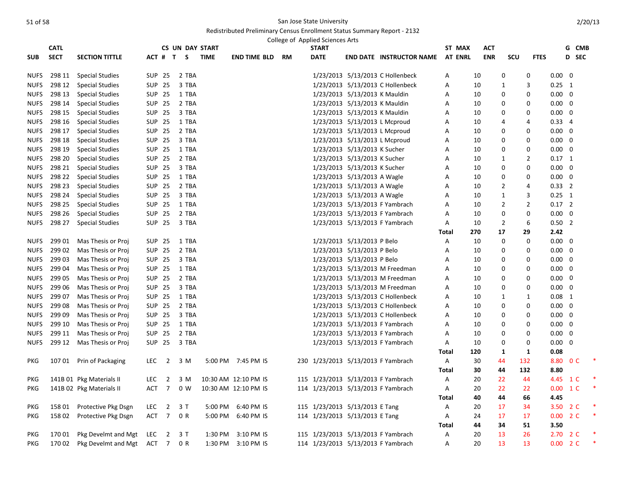|             | <b>CATL</b> |                          |            |                |                | <b>CS UN DAY START</b> |                      |           | College of Applied Sciences Arts<br><b>START</b> |                               |                                    | ST MAX         | ACT        |                  |                |                | G CMB |  |
|-------------|-------------|--------------------------|------------|----------------|----------------|------------------------|----------------------|-----------|--------------------------------------------------|-------------------------------|------------------------------------|----------------|------------|------------------|----------------|----------------|-------|--|
| <b>SUB</b>  | <b>SECT</b> | <b>SECTION TITTLE</b>    |            |                | ACT # T S      | <b>TIME</b>            | <b>END TIME BLD</b>  | <b>RM</b> | <b>DATE</b>                                      |                               | <b>END DATE INSTRUCTOR NAME</b>    | <b>AT ENRL</b> | <b>ENR</b> | <b>SCU</b>       | <b>FTES</b>    |                | D SEC |  |
|             |             |                          |            |                |                |                        |                      |           |                                                  |                               |                                    |                |            |                  |                |                |       |  |
| <b>NUFS</b> | 298 11      | <b>Special Studies</b>   |            | <b>SUP 25</b>  | 2 TBA          |                        |                      |           |                                                  |                               | 1/23/2013 5/13/2013 C Hollenbeck   | Α              | 10         | 0                | $\mathbf 0$    | $0.00 \quad 0$ |       |  |
| <b>NUFS</b> | 298 12      | <b>Special Studies</b>   |            | <b>SUP 25</b>  | 3 TBA          |                        |                      |           |                                                  |                               | 1/23/2013 5/13/2013 C Hollenbeck   | Α              | 10         | $\mathbf{1}$     | 3              | $0.25 \quad 1$ |       |  |
| <b>NUFS</b> | 298 13      | <b>Special Studies</b>   |            | <b>SUP 25</b>  | 1 TBA          |                        |                      |           |                                                  | 1/23/2013 5/13/2013 K Mauldin |                                    | A              | 10         | $\mathbf 0$      | $\mathbf 0$    | $0.00 \quad 0$ |       |  |
| <b>NUFS</b> | 298 14      | <b>Special Studies</b>   |            | <b>SUP 25</b>  | 2 TBA          |                        |                      |           |                                                  | 1/23/2013 5/13/2013 K Mauldin |                                    | Α              | 10         | 0                | 0              | $0.00 \quad 0$ |       |  |
| <b>NUFS</b> | 298 15      | <b>Special Studies</b>   |            | <b>SUP 25</b>  | 3 TBA          |                        |                      |           |                                                  | 1/23/2013 5/13/2013 K Mauldin |                                    | Α              | 10         | 0                | 0              | $0.00 \quad 0$ |       |  |
| <b>NUFS</b> | 298 16      | <b>Special Studies</b>   |            | <b>SUP 25</b>  | 1 TBA          |                        |                      |           |                                                  |                               | 1/23/2013 5/13/2013 L Mcproud      | A              | 10         | $\overline{a}$   | 4              | $0.33 \quad 4$ |       |  |
| <b>NUFS</b> | 298 17      | <b>Special Studies</b>   |            | <b>SUP 25</b>  | 2 TBA          |                        |                      |           |                                                  |                               | 1/23/2013 5/13/2013 L Mcproud      | Α              | 10         | 0                | 0              | $0.00 \quad 0$ |       |  |
| <b>NUFS</b> | 298 18      | <b>Special Studies</b>   |            | <b>SUP 25</b>  | 3 TBA          |                        |                      |           |                                                  |                               | 1/23/2013 5/13/2013 L Mcproud      | Α              | 10         | $\mathbf 0$      | 0              | $0.00 \quad 0$ |       |  |
| <b>NUFS</b> | 298 19      | <b>Special Studies</b>   |            | <b>SUP 25</b>  | 1 TBA          |                        |                      |           |                                                  | 1/23/2013 5/13/2013 K Sucher  |                                    | Α              | 10         | 0                | $\mathbf 0$    | $0.00 \quad 0$ |       |  |
| <b>NUFS</b> | 298 20      | <b>Special Studies</b>   |            | <b>SUP 25</b>  | 2 TBA          |                        |                      |           |                                                  | 1/23/2013 5/13/2013 K Sucher  |                                    | A              | 10         | $\mathbf{1}$     | $\overline{2}$ | $0.17$ 1       |       |  |
| <b>NUFS</b> | 298 21      | <b>Special Studies</b>   |            | <b>SUP 25</b>  | 3 TBA          |                        |                      |           |                                                  | 1/23/2013 5/13/2013 K Sucher  |                                    | A              | 10         | $\mathbf 0$      | $\mathbf 0$    | $0.00 \quad 0$ |       |  |
| <b>NUFS</b> | 298 22      | <b>Special Studies</b>   |            | <b>SUP 25</b>  | 1 TBA          |                        |                      |           |                                                  | 1/23/2013 5/13/2013 A Wagle   |                                    | A              | 10         | $\mathbf 0$      | $\mathbf 0$    | $0.00 \quad 0$ |       |  |
| NUFS        | 298 23      | <b>Special Studies</b>   |            | <b>SUP 25</b>  | 2 TBA          |                        |                      |           |                                                  | 1/23/2013 5/13/2013 A Wagle   |                                    | Α              | 10         | $\overline{2}$   | 4              | $0.33$ 2       |       |  |
| <b>NUFS</b> | 298 24      | <b>Special Studies</b>   |            | <b>SUP 25</b>  | 3 TBA          |                        |                      |           |                                                  | 1/23/2013 5/13/2013 A Wagle   |                                    | A              | 10         | $\mathbf{1}$     | 3              | $0.25$ 1       |       |  |
| <b>NUFS</b> | 298 25      | <b>Special Studies</b>   |            | <b>SUP 25</b>  | 1 TBA          |                        |                      |           |                                                  |                               | 1/23/2013 5/13/2013 F Yambrach     | A              | 10         | $\overline{2}$   | $\overline{2}$ | $0.17$ 2       |       |  |
| <b>NUFS</b> | 298 26      | <b>Special Studies</b>   |            | <b>SUP 25</b>  | 2 TBA          |                        |                      |           |                                                  |                               | 1/23/2013 5/13/2013 F Yambrach     | Α              | 10         | 0                | $\mathbf 0$    | $0.00 \quad 0$ |       |  |
| <b>NUFS</b> | 298 27      | <b>Special Studies</b>   |            | <b>SUP 25</b>  | 3 TBA          |                        |                      |           |                                                  |                               | 1/23/2013 5/13/2013 F Yambrach     | A              | 10         | $\overline{2}$   | 6              | $0.50$ 2       |       |  |
|             |             |                          |            |                |                |                        |                      |           |                                                  |                               |                                    | Total          | 270        | 17               | 29             | 2.42           |       |  |
| <b>NUFS</b> | 299 01      | Mas Thesis or Proj       |            | SUP 25         | 1 TBA          |                        |                      |           |                                                  | 1/23/2013 5/13/2013 P Belo    |                                    | Α              | 10         | 0                | $\mathbf 0$    | $0.00 \quad 0$ |       |  |
| <b>NUFS</b> | 29902       | Mas Thesis or Proj       |            | <b>SUP 25</b>  | 2 TBA          |                        |                      |           |                                                  | 1/23/2013 5/13/2013 P Belo    |                                    | Α              | 10         | 0                | 0              | $0.00 \quad 0$ |       |  |
| <b>NUFS</b> | 299 03      | Mas Thesis or Proj       |            | <b>SUP 25</b>  | 3 TBA          |                        |                      |           |                                                  | 1/23/2013 5/13/2013 P Belo    |                                    | A              | 10         | 0                | $\mathbf 0$    | $0.00 \quad 0$ |       |  |
| <b>NUFS</b> | 299 04      | Mas Thesis or Proj       |            | <b>SUP 25</b>  | 1 TBA          |                        |                      |           |                                                  |                               | 1/23/2013 5/13/2013 M Freedman     | A              | 10         | 0                | 0              | $0.00 \quad 0$ |       |  |
| <b>NUFS</b> | 299 05      | Mas Thesis or Proj       |            | <b>SUP 25</b>  | 2 TBA          |                        |                      |           |                                                  |                               | 1/23/2013 5/13/2013 M Freedman     | A              | 10         | $\boldsymbol{0}$ | $\Omega$       | $0.00 \quad 0$ |       |  |
| <b>NUFS</b> | 299 06      | Mas Thesis or Proj       |            | <b>SUP 25</b>  | 3 TBA          |                        |                      |           |                                                  |                               | 1/23/2013 5/13/2013 M Freedman     | Α              | 10         | 0                | 0              | $0.00 \quad 0$ |       |  |
| <b>NUFS</b> | 299 07      | Mas Thesis or Proj       |            | <b>SUP 25</b>  | 1 TBA          |                        |                      |           |                                                  |                               | 1/23/2013 5/13/2013 C Hollenbeck   | Α              | 10         | 1                | 1              | $0.08$ 1       |       |  |
| <b>NUFS</b> | 29908       | Mas Thesis or Proj       |            | <b>SUP 25</b>  | 2 TBA          |                        |                      |           |                                                  |                               | 1/23/2013 5/13/2013 C Hollenbeck   | Α              | 10         | 0                | $\mathbf 0$    | $0.00 \quad 0$ |       |  |
| <b>NUFS</b> | 299 09      | Mas Thesis or Proj       |            | <b>SUP 25</b>  | 3 TBA          |                        |                      |           |                                                  |                               | 1/23/2013 5/13/2013 C Hollenbeck   | A              | 10         | 0                | 0              | $0.00 \quad 0$ |       |  |
| <b>NUFS</b> | 299 10      | Mas Thesis or Proj       |            | <b>SUP 25</b>  | 1 TBA          |                        |                      |           |                                                  |                               | 1/23/2013 5/13/2013 F Yambrach     | A              | 10         | $\mathbf 0$      | $\mathbf 0$    | $0.00 \quad 0$ |       |  |
| <b>NUFS</b> | 299 11      | Mas Thesis or Proj       |            | <b>SUP 25</b>  | 2 TBA          |                        |                      |           |                                                  |                               | 1/23/2013 5/13/2013 F Yambrach     | Α              | 10         | 0                | 0              | $0.00 \quad 0$ |       |  |
| <b>NUFS</b> | 299 12      | Mas Thesis or Proj       |            | <b>SUP 25</b>  | 3 TBA          |                        |                      |           |                                                  |                               | 1/23/2013 5/13/2013 F Yambrach     | Α              | 10         | $\mathbf 0$      | 0              | $0.00 \quad 0$ |       |  |
|             |             |                          |            |                |                |                        |                      |           |                                                  |                               |                                    | Total          | 120        | $\mathbf{1}$     | 1              | 0.08           |       |  |
| PKG         | 107 01      | Prin of Packaging        | <b>LEC</b> | $\overline{2}$ | 3 M            |                        | 5:00 PM 7:45 PM IS   |           |                                                  |                               | 230 1/23/2013 5/13/2013 F Yambrach | Α              | 30         | 44               | 132            | 8.80 0 C       |       |  |
|             |             |                          |            |                |                |                        |                      |           |                                                  |                               |                                    | <b>Total</b>   | 30         | 44               | 132            | 8.80           |       |  |
| PKG         |             | 141B 01 Pkg Materials II | <b>LEC</b> | $\overline{2}$ | 3 M            |                        | 10:30 AM 12:10 PM IS |           |                                                  |                               | 115 1/23/2013 5/13/2013 F Yambrach | Α              | 20         | 22               | 44             | 4.45 1 C       |       |  |
| PKG         |             | 141B 02 Pkg Materials II | ACT        | $\overline{7}$ | 0 <sub>W</sub> |                        | 10:30 AM 12:10 PM IS |           |                                                  |                               | 114 1/23/2013 5/13/2013 F Yambrach | Α              | 20         | 22               | 22             | 0.00 1 C       |       |  |
|             |             |                          |            |                |                |                        |                      |           |                                                  |                               |                                    | Total          | 40         | 44               | 66             | 4.45           |       |  |
| PKG         | 158 01      | Protective Pkg Dsgn      | LEC        | $\overline{2}$ | 3T             | 5:00 PM                | 6:40 PM IS           |           | 115 1/23/2013 5/13/2013 E Tang                   |                               |                                    | Α              | 20         | 17               | 34             | 3.50 2 C       |       |  |
| PKG         | 15802       | Protective Pkg Dsgn      |            | ACT 7          | 0 R            | 5:00 PM                | 6:40 PM IS           |           | 114 1/23/2013 5/13/2013 E Tang                   |                               |                                    | Α              | 24         | 17               | 17             | 0.00 2 C       |       |  |
|             |             |                          |            |                |                |                        |                      |           |                                                  |                               |                                    | <b>Total</b>   | 44         | 34               | 51             | 3.50           |       |  |
| <b>PKG</b>  | 170 01      | Pkg Develmt and Mgt      | <b>LEC</b> | $\overline{2}$ | 3T             | 1:30 PM                | 3:10 PM IS           |           |                                                  |                               | 115 1/23/2013 5/13/2013 F Yambrach | Α              | 20         | 13               | 26             | 2.70 2 C       |       |  |
| PKG         | 17002       | Pkg Develmt and Mgt      |            | ACT 7          | 0 R            | 1:30 PM                | 3:10 PM IS           |           |                                                  |                               | 114 1/23/2013 5/13/2013 F Yambrach | A              | 20         | 13               | 13             | $0.00 \t 2 C$  |       |  |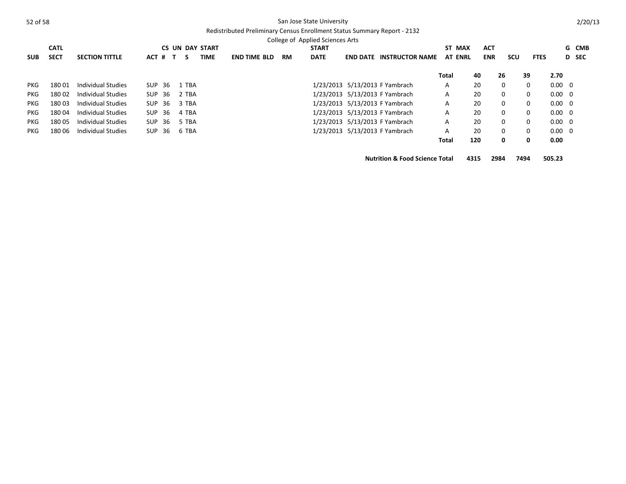# Redistributed Preliminary Census Enrollment Status Summary Report - 2132

|            | <b>CATL</b> |                       |            |     |                    | <b>CS UN DAY START</b> |                     |  |           | <b>START</b> |                 |                                | ST MAX         |     | <b>ACT</b> |          |             |                | G CMB |
|------------|-------------|-----------------------|------------|-----|--------------------|------------------------|---------------------|--|-----------|--------------|-----------------|--------------------------------|----------------|-----|------------|----------|-------------|----------------|-------|
| <b>SUB</b> | <b>SECT</b> | <b>SECTION TITTLE</b> | ACT #      |     | -S<br>$\mathbf{T}$ | <b>TIME</b>            | <b>END TIME BLD</b> |  | <b>RM</b> | <b>DATE</b>  | <b>END DATE</b> | <b>INSTRUCTOR NAME</b>         | <b>AT ENRL</b> |     | <b>ENR</b> | scu      |             | <b>FTES</b>    | D SEC |
|            |             |                       |            |     |                    |                        |                     |  |           |              |                 |                                | Total          |     | 40         | 26       | 39          | 2.70           |       |
| <b>PKG</b> | 18001       | Individual Studies    | SUP        | -36 | 1 TBA              |                        |                     |  |           |              |                 | 1/23/2013 5/13/2013 F Yambrach | A              |     | 20         | $\Omega$ | 0           | $0.00 \quad 0$ |       |
| <b>PKG</b> | 18002       | Individual Studies    | <b>SUP</b> | 36  | 2 TBA              |                        |                     |  |           |              |                 | 1/23/2013 5/13/2013 F Yambrach | A              |     | 20         | $\Omega$ | $\mathbf 0$ | $0.00 \quad 0$ |       |
| <b>PKG</b> | 18003       | Individual Studies    | SUP        | -36 | 3 TBA              |                        |                     |  |           |              |                 | 1/23/2013 5/13/2013 F Yambrach | A              |     | 20         | $\Omega$ | 0           | $0.00 \quad 0$ |       |
| <b>PKG</b> | 18004       | Individual Studies    | SUP        | -36 | 4 TBA              |                        |                     |  |           |              |                 | 1/23/2013 5/13/2013 F Yambrach | A              |     | 20         | $\Omega$ | $\mathbf 0$ | $0.00 \quad 0$ |       |
| <b>PKG</b> | 18005       | Individual Studies    | <b>SUP</b> | -36 | 5 TBA              |                        |                     |  |           |              |                 | 1/23/2013 5/13/2013 F Yambrach | A              |     | 20         | $\Omega$ | $\mathbf 0$ | $0.00 \quad 0$ |       |
| PKG.       | 180 06      | Individual Studies    | <b>SUP</b> | -36 | 6 TBA              |                        |                     |  |           |              |                 | 1/23/2013 5/13/2013 F Yambrach | A              |     | 20         | $\Omega$ | $\mathbf 0$ | $0.00 \quad 0$ |       |
|            |             |                       |            |     |                    |                        |                     |  |           |              |                 |                                | Total          | 120 |            | 0        | 0           | 0.00           |       |

**Nutrition & Food Science Total 4315 2984 7494 505.23**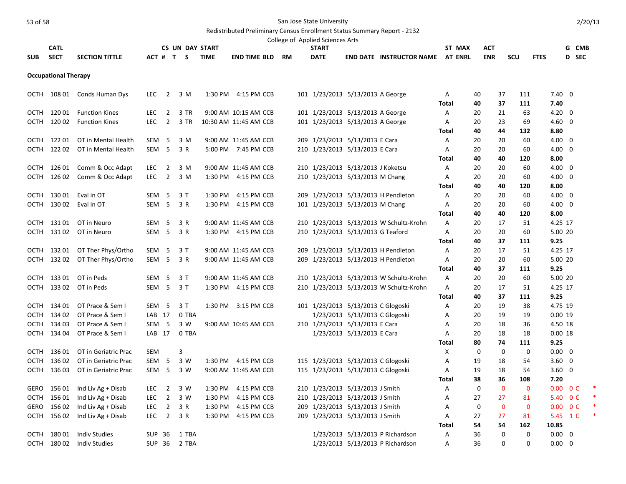|              |                             |                            |                  |                |                |                        |                                             |    | College of Applied Sciences Arts    |                                |                                         |                |             |              |              |                    |         |        |
|--------------|-----------------------------|----------------------------|------------------|----------------|----------------|------------------------|---------------------------------------------|----|-------------------------------------|--------------------------------|-----------------------------------------|----------------|-------------|--------------|--------------|--------------------|---------|--------|
|              | <b>CATL</b>                 |                            |                  |                |                | <b>CS UN DAY START</b> |                                             |    | <b>START</b>                        |                                |                                         | ST MAX         |             | ACT          |              |                    | G CMB   |        |
| <b>SUB</b>   | <b>SECT</b>                 | <b>SECTION TITTLE</b>      |                  |                | ACT # T S TIME |                        | <b>END TIME BLD</b>                         | RM | <b>DATE</b>                         |                                | <b>END DATE INSTRUCTOR NAME</b>         | <b>AT ENRL</b> |             | <b>ENR</b>   | SCU          | <b>FTES</b>        | D SEC   |        |
|              | <b>Occupational Therapy</b> |                            |                  |                |                |                        |                                             |    |                                     |                                |                                         |                |             |              |              |                    |         |        |
| OCTH         |                             | 108 01 Conds Human Dys     | <b>LEC</b>       | $\overline{2}$ | 3 M            |                        | 1:30 PM 4:15 PM CCB                         |    | 101 1/23/2013 5/13/2013 A George    |                                |                                         | Α              | 40          | 37           | 111          | $7.40 \quad 0$     |         |        |
|              |                             |                            |                  |                |                |                        |                                             |    |                                     |                                |                                         | Total          | 40          | 37           | 111          | 7.40               |         |        |
| OCTH         |                             | 120 01 Function Kines      | <b>LEC</b>       | $\overline{2}$ | 3 TR           |                        | 9:00 AM 10:15 AM CCB                        |    | 101 1/23/2013 5/13/2013 A George    |                                |                                         | A              | 20          | 21           | 63           | $4.20 \ 0$         |         |        |
| OCTH         | 120 02                      | <b>Function Kines</b>      | <b>LEC</b>       | $\overline{2}$ | 3 TR           |                        | 10:30 AM 11:45 AM CCB                       |    | 101 1/23/2013 5/13/2013 A George    |                                |                                         | Α              | 20          | 23           | 69           | $4.60 \quad 0$     |         |        |
|              |                             |                            |                  |                |                |                        |                                             |    |                                     |                                |                                         | Total          | 40          | 44           | 132          | 8.80               |         |        |
| OCTH         | 122 01                      | OT in Mental Health        | SEM <sub>5</sub> |                | 3 M            |                        | 9:00 AM 11:45 AM CCB                        |    | 209 1/23/2013 5/13/2013 E Cara      |                                |                                         | A              | 20          | 20           | 60           | $4.00 \quad 0$     |         |        |
| OCTH         | 122 02                      | OT in Mental Health        | SEM <sub>5</sub> |                | 3 R            |                        | 5:00 PM 7:45 PM CCB                         |    | 210 1/23/2013 5/13/2013 E Cara      |                                |                                         | Α              | 20          | 20           | 60           | $4.00 \quad 0$     |         |        |
|              |                             |                            |                  |                |                |                        |                                             |    |                                     |                                |                                         | <b>Total</b>   | 40          | 40           | 120          | 8.00               |         |        |
| OCTH         | 126 01                      | Comm & Occ Adapt           | <b>LEC</b>       | $\overline{2}$ | 3 M            |                        | 9:00 AM 11:45 AM CCB                        |    | 210 1/23/2013 5/13/2013 J Koketsu   |                                |                                         | A              | 20          | 20           | 60           | $4.00 \quad 0$     |         |        |
| OCTH         | 126 02                      | Comm & Occ Adapt           | LEC              | $\overline{2}$ | 3 M            |                        | 1:30 PM 4:15 PM CCB                         |    | 210 1/23/2013 5/13/2013 M Chang     |                                |                                         | Α              | 20          | 20           | 60           | $4.00 \quad 0$     |         |        |
|              |                             |                            |                  |                |                |                        |                                             |    |                                     |                                |                                         | Total          | 40          | 40           | 120          | 8.00               |         |        |
| <b>OCTH</b>  | 130 01                      | Eval in OT                 | SEM <sub>5</sub> |                | 3T             | 1:30 PM                | 4:15 PM CCB                                 |    | 209 1/23/2013 5/13/2013 H Pendleton |                                |                                         | A              | 20          | 20           | 60           | $4.00 \quad 0$     |         |        |
|              | OCTH 130 02                 | Eval in OT                 | SEM <sub>5</sub> |                | 3 R            | 1:30 PM                | 4:15 PM CCB                                 |    | 101 1/23/2013 5/13/2013 M Chang     |                                |                                         | Α              | 20          | 20           | 60           | $4.00 \quad 0$     |         |        |
|              |                             |                            |                  |                |                |                        |                                             |    |                                     |                                |                                         | <b>Total</b>   | 40          | 40           | 120          | 8.00               |         |        |
| OCTH<br>OCTH | 131 01<br>131 02            | OT in Neuro<br>OT in Neuro | SEM <sub>5</sub> |                | 3 R<br>3 R     |                        | 9:00 AM 11:45 AM CCB<br>1:30 PM 4:15 PM CCB |    |                                     |                                | 210 1/23/2013 5/13/2013 W Schultz-Krohn | A<br>A         | 20<br>20    | 17<br>20     | 51<br>60     | 4.25 17<br>5.00 20 |         |        |
|              |                             |                            | SEM <sub>5</sub> |                |                |                        |                                             |    | 210 1/23/2013 5/13/2013 G Teaford   |                                |                                         | Total          | 40          | 37           | 111          | 9.25               |         |        |
| OCTH         | 132 01                      | OT Ther Phys/Ortho         | SEM <sub>5</sub> |                | 3T             |                        | 9:00 AM 11:45 AM CCB                        |    | 209 1/23/2013 5/13/2013 H Pendleton |                                |                                         | A              | 20          | 17           | 51           | 4.25 17            |         |        |
|              | OCTH 132 02                 | OT Ther Phys/Ortho         | SEM <sub>5</sub> |                | 3 R            |                        | 9:00 AM 11:45 AM CCB                        |    | 209 1/23/2013 5/13/2013 H Pendleton |                                |                                         | A              | 20          | 20           | 60           | 5.00 20            |         |        |
|              |                             |                            |                  |                |                |                        |                                             |    |                                     |                                |                                         | <b>Total</b>   | 40          | 37           | 111          | 9.25               |         |        |
| OCTH         | 133 01                      | OT in Peds                 | SEM <sub>5</sub> |                | 3T             |                        | 9:00 AM 11:45 AM CCB                        |    |                                     |                                | 210 1/23/2013 5/13/2013 W Schultz-Krohn | A              | 20          | 20           | 60           | 5.00 20            |         |        |
|              | OCTH 133 02                 | OT in Peds                 | SEM <sub>5</sub> |                | 3T             |                        | 1:30 PM 4:15 PM CCB                         |    |                                     |                                | 210 1/23/2013 5/13/2013 W Schultz-Krohn | Α              | 20          | 17           | 51           | 4.25 17            |         |        |
|              |                             |                            |                  |                |                |                        |                                             |    |                                     |                                |                                         | <b>Total</b>   | 40          | 37           | 111          | 9.25               |         |        |
| OCTH         | 134 01                      | OT Prace & Sem I           | SEM <sub>5</sub> |                | 3T             | 1:30 PM                | 3:15 PM CCB                                 |    | 101 1/23/2013 5/13/2013 C Glogoski  |                                |                                         | A              | 20          | 19           | 38           | 4.75 19            |         |        |
|              | OCTH 134 02                 | OT Prace & Sem I           | LAB 17           |                | 0 TBA          |                        |                                             |    |                                     | 1/23/2013 5/13/2013 C Glogoski |                                         | A              | 20          | 19           | 19           | 0.0019             |         |        |
|              | OCTH 134 03                 | OT Prace & Sem I           | SEM <sub>5</sub> |                | 3 W            |                        | 9:00 AM 10:45 AM CCB                        |    | 210 1/23/2013 5/13/2013 E Cara      |                                |                                         | Α              | 20          | 18           | 36           | 4.50 18            |         |        |
| OCTH         | 134 04                      | OT Prace & Sem I           | LAB 17           |                | 0 TBA          |                        |                                             |    |                                     | 1/23/2013 5/13/2013 E Cara     |                                         | A              | 20          | 18           | 18           | 0.0018             |         |        |
|              |                             |                            |                  |                |                |                        |                                             |    |                                     |                                |                                         | Total          | 80          | 74           | 111          | 9.25               |         |        |
|              | OCTH 136 01                 | OT in Geriatric Prac       | SEM              |                | 3              |                        |                                             |    |                                     |                                |                                         | Χ              | 0           | $\mathbf 0$  | $\mathbf 0$  | $0.00 \quad 0$     |         |        |
| OCTH         | 136 02                      | OT in Geriatric Prac       | SEM <sub>5</sub> |                | 3 W            |                        | 1:30 PM 4:15 PM CCB                         |    | 115 1/23/2013 5/13/2013 C Glogoski  |                                |                                         | Α              | 19          | 18           | 54           | $3.60 \quad 0$     |         |        |
| OCTH         | 136 03                      | OT in Geriatric Prac       | SEM <sub>5</sub> |                | 3 W            |                        | 9:00 AM 11:45 AM CCB                        |    | 115 1/23/2013 5/13/2013 C Glogoski  |                                |                                         | A              | 19          | 18           | 54           | $3.60 \quad 0$     |         |        |
|              |                             |                            |                  |                |                |                        |                                             |    |                                     |                                |                                         | <b>Total</b>   | 38          | 36           | 108          | 7.20               |         |        |
| GERO         | 156 01                      | Ind Liv Ag + Disab         | <b>LEC</b>       | $\overline{2}$ | 3 W            | 1:30 PM                | 4:15 PM CCB                                 |    | 210 1/23/2013 5/13/2013 J Smith     |                                |                                         | Α              | 0           | $\mathbf 0$  | $\mathbf 0$  | $0.00 \t 0 C$      |         |        |
| ОСТН         | 156 01                      | Ind Liv Ag + Disab         | LEC              | $\overline{2}$ | 3 W            | 1:30 PM                | 4:15 PM CCB                                 |    | 210 1/23/2013 5/13/2013 J Smith     |                                |                                         | Α              | 27          | 27           | 81           |                    | 5.40 OC |        |
| <b>GERO</b>  | 156 02                      | Ind Liv Ag + Disab         | LEC              | $\overline{2}$ | 3 R            | 1:30 PM                | 4:15 PM CCB                                 |    | 209 1/23/2013 5/13/2013 J Smith     |                                |                                         | A              | $\mathbf 0$ | $\mathbf{0}$ | $\mathbf{0}$ | $0.00 \t 0 C$      |         |        |
|              | OCTH 156 02                 | Ind Liv Ag + Disab         | <b>LEC</b>       | $\overline{2}$ | 3 R            | 1:30 PM                | 4:15 PM CCB                                 |    | 209 1/23/2013 5/13/2013 J Smith     |                                |                                         | Α              | 27          | 27           | 81           | 5.45 1 C           |         | $\ast$ |
|              |                             |                            |                  |                |                |                        |                                             |    |                                     |                                |                                         | Total          | 54          | 54           | 162          | 10.85              |         |        |
| OCTH         | 180 01                      | <b>Indiv Studies</b>       | <b>SUP 36</b>    |                | 1 TBA          |                        |                                             |    |                                     |                                | 1/23/2013 5/13/2013 P Richardson        | A              | 36          | $\mathbf 0$  | $\mathbf 0$  | $0.00 \quad 0$     |         |        |
| OCTH         | 180 02                      | <b>Indiv Studies</b>       | SUP 36           |                | 2 TBA          |                        |                                             |    |                                     |                                | 1/23/2013 5/13/2013 P Richardson        | A              | 36          | $\Omega$     | $\Omega$     | $0.00 \quad 0$     |         |        |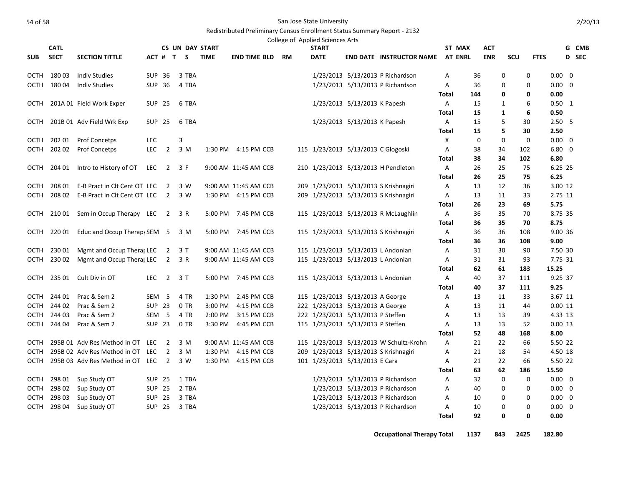#### Redistributed Preliminary Census Enrollment Status Summary Report - 2132

|             | <b>CATL</b> |                                    |                  |                          | <b>CS UN DAY START</b> |             |                      |           | College of Applied Sciences Arts<br><b>START</b> |                              |                                         | ST MAX         |     | <b>ACT</b> |             |             |                   | G | CMB   |
|-------------|-------------|------------------------------------|------------------|--------------------------|------------------------|-------------|----------------------|-----------|--------------------------------------------------|------------------------------|-----------------------------------------|----------------|-----|------------|-------------|-------------|-------------------|---|-------|
| <b>SUB</b>  | <b>SECT</b> | <b>SECTION TITTLE</b>              |                  | ACT # T S                |                        | <b>TIME</b> | END TIME BLD         | <b>RM</b> | <b>DATE</b>                                      |                              | <b>END DATE INSTRUCTOR NAME</b>         | <b>AT ENRL</b> |     | <b>ENR</b> | SCU         | <b>FTES</b> |                   |   | D SEC |
|             |             |                                    |                  |                          |                        |             |                      |           |                                                  |                              |                                         |                |     |            |             |             |                   |   |       |
| OCTH        | 18003       | <b>Indiv Studies</b>               |                  | SUP 36                   | 3 TBA                  |             |                      |           |                                                  |                              | 1/23/2013 5/13/2013 P Richardson        | A              | 36  | 0          | 0           |             | $0.00 \quad 0$    |   |       |
| OCTH        | 18004       | <b>Indiv Studies</b>               |                  | SUP 36                   | 4 TBA                  |             |                      |           |                                                  |                              | 1/23/2013 5/13/2013 P Richardson        | A              | 36  | 0          | 0           |             | $0.00 \quad 0$    |   |       |
|             |             |                                    |                  |                          |                        |             |                      |           |                                                  |                              |                                         | <b>Total</b>   | 144 | 0          | 0           |             | 0.00              |   |       |
| ОСТН        |             | 201A 01 Field Work Exper           |                  | SUP 25                   | 6 TBA                  |             |                      |           |                                                  | 1/23/2013 5/13/2013 K Papesh |                                         | $\mathsf{A}$   | 15  | 1          | 6           |             | $0.50 \quad 1$    |   |       |
|             |             |                                    |                  |                          |                        |             |                      |           |                                                  |                              |                                         | Total          | 15  | 1          | 6           |             | 0.50              |   |       |
| остн        |             | 201B 01 Adv Field Wrk Exp          |                  | SUP 25                   | 6 TBA                  |             |                      |           |                                                  | 1/23/2013 5/13/2013 K Papesh |                                         | A              | 15  | 5          | 30          |             | 2.50 <sub>5</sub> |   |       |
|             |             |                                    |                  |                          |                        |             |                      |           |                                                  |                              |                                         | <b>Total</b>   | 15  | 5          | 30          |             | 2.50              |   |       |
| ОСТН        | 202 01      | <b>Prof Concetps</b>               | LEC              |                          | 3                      |             |                      |           |                                                  |                              |                                         | X              | 0   | 0          | $\mathbf 0$ |             | $0.00 \quad 0$    |   |       |
| OCTH        | 20202       | Prof Concetps                      | <b>LEC</b>       | $\overline{2}$           | 3 M                    |             | 1:30 PM 4:15 PM CCB  |           | 115 1/23/2013 5/13/2013 C Glogoski               |                              |                                         | Α              | 38  | 34         | 102         |             | $6.80 \quad 0$    |   |       |
|             |             |                                    |                  |                          |                        |             |                      |           |                                                  |                              |                                         | <b>Total</b>   | 38  | 34         | 102         |             | 6.80              |   |       |
| ОСТН        | 204 01      | Intro to History of OT             | LEC              | $\overline{2}$           | 3 F                    |             | 9:00 AM 11:45 AM CCB |           |                                                  |                              | 210 1/23/2013 5/13/2013 H Pendleton     | A              | 26  | 25         | 75          |             | 6.25 25           |   |       |
|             |             |                                    |                  |                          |                        |             |                      |           |                                                  |                              |                                         | Total          | 26  | 25         | 75          |             | 6.25              |   |       |
| OCTH        | 208 01      | E-B Pract in Clt Cent OT LEC       |                  | $\overline{\phantom{0}}$ | 3 W                    |             | 9:00 AM 11:45 AM CCB |           |                                                  |                              | 209 1/23/2013 5/13/2013 S Krishnagiri   | A              | 13  | 12         | 36          |             | 3.00 12           |   |       |
| ОСТН        | 208 02      | E-B Pract in Clt Cent OT LEC 2     |                  |                          | 3 W                    |             | 1:30 PM 4:15 PM CCB  |           |                                                  |                              | 209 1/23/2013 5/13/2013 S Krishnagiri   | A              | 13  | 11         | 33          |             | 2.75 11           |   |       |
|             |             |                                    |                  |                          |                        |             |                      |           |                                                  |                              |                                         | Total          | 26  | 23         | 69          |             | 5.75              |   |       |
|             | OCTH 210 01 | Sem in Occup Therapy LEC           |                  | $\overline{2}$           | 3 R                    |             | 5:00 PM 7:45 PM CCB  |           |                                                  |                              | 115 1/23/2013 5/13/2013 R McLaughlin    | A              | 36  | 35         | 70          |             | 8.75 35           |   |       |
|             |             |                                    |                  |                          |                        |             |                      |           |                                                  |                              |                                         | <b>Total</b>   | 36  | 35         | 70          |             | 8.75              |   |       |
| ОСТН        | 220 01      | Educ and Occup Therapy SEM 5       |                  |                          | 3 M                    |             | 5:00 PM 7:45 PM CCB  |           |                                                  |                              | 115 1/23/2013 5/13/2013 S Krishnagiri   | A              | 36  | 36         | 108         |             | 9.00 36           |   |       |
|             |             |                                    |                  |                          |                        |             |                      |           |                                                  |                              |                                         | <b>Total</b>   | 36  | 36         | 108         |             | 9.00              |   |       |
| ОСТН        | 23001       | Mgmt and Occup Therar LEC          |                  | $\overline{2}$           | 3 T                    |             | 9:00 AM 11:45 AM CCB |           |                                                  |                              | 115 1/23/2013 5/13/2013 L Andonian      | A              | 31  | 30         | 90          |             | 7.50 30           |   |       |
| OCTH        | 23002       | Mgmt and Occup Therar LEC          |                  | $\overline{2}$           | 3 R                    |             | 9:00 AM 11:45 AM CCB |           |                                                  |                              | 115 1/23/2013 5/13/2013 L Andonian      | Α              | 31  | 31         | 93          |             | 7.75 31           |   |       |
|             |             |                                    |                  |                          |                        |             |                      |           |                                                  |                              |                                         | Total          | 62  | 61         | 183         |             | 15.25             |   |       |
| ОСТН        | 235 01      | Cult Div in OT                     | LEC              | $\overline{2}$           | 3 T                    |             | 5:00 PM 7:45 PM CCB  |           |                                                  |                              | 115 1/23/2013 5/13/2013 L Andonian      | A              | 40  | 37         | 111         |             | 9.25 37           |   |       |
|             |             |                                    |                  |                          |                        |             |                      |           |                                                  |                              |                                         | <b>Total</b>   | 40  | 37         | 111         |             | 9.25              |   |       |
| OCTH        | 244 01      | Prac & Sem 2                       |                  | SEM 5                    | 4 TR                   | 1:30 PM     | 2:45 PM CCB          |           | 115 1/23/2013 5/13/2013 A George                 |                              |                                         | Α              | 13  | 11         | 33          |             | 3.67 11           |   |       |
| OCTH        | 244 02      | Prac & Sem 2                       |                  | <b>SUP 23</b>            | 0 TR                   | 3:00 PM     | 4:15 PM CCB          |           | 222 1/23/2013 5/13/2013 A George                 |                              |                                         | А              | 13  | 11         | 44          |             | 0.0011            |   |       |
| OCTH        | 244 03      | Prac & Sem 2                       | SEM <sub>5</sub> |                          | 4 TR                   | 2:00 PM     | 3:15 PM CCB          |           | 222 1/23/2013 5/13/2013 P Steffen                |                              |                                         | А              | 13  | 13         | 39          |             | 4.33 13           |   |       |
| OCTH        | 244 04      | Prac & Sem 2                       |                  | <b>SUP 23</b>            | 0 TR                   | 3:30 PM     | 4:45 PM CCB          |           | 115 1/23/2013 5/13/2013 P Steffen                |                              |                                         | Α              | 13  | 13         | 52          |             | 0.0013            |   |       |
|             |             |                                    |                  |                          |                        |             |                      |           |                                                  |                              |                                         | <b>Total</b>   | 52  | 48         | 168         |             | 8.00              |   |       |
| OCTH        |             | 295B 01 Adv Res Method in OT LEC   |                  | $\overline{2}$           | 3 M                    |             | 9:00 AM 11:45 AM CCB |           |                                                  |                              | 115 1/23/2013 5/13/2013 W Schultz-Krohn | Α              | 21  | 22         | 66          |             | 5.50 22           |   |       |
| OCTH        |             | 295B 02 Adv Res Method in OT LEC   |                  | $\overline{2}$           | 3 M                    | 1:30 PM     | 4:15 PM CCB          |           |                                                  |                              | 209 1/23/2013 5/13/2013 S Krishnagiri   | Α              | 21  | 18         | 54          |             | 4.50 18           |   |       |
| OCTH        |             | 295B 03 Adv Res Method in OT LEC 2 |                  |                          | 3 W                    |             | 1:30 PM 4:15 PM CCB  |           | 101 1/23/2013 5/13/2013 E Cara                   |                              |                                         | Α              | 21  | 22         | 66          |             | 5.50 22           |   |       |
|             |             |                                    |                  |                          |                        |             |                      |           |                                                  |                              |                                         | <b>Total</b>   | 63  | 62         | 186         |             | 15.50             |   |       |
| OCTH        | 298 01      | Sup Study OT                       | <b>SUP 25</b>    |                          | 1 TBA                  |             |                      |           |                                                  |                              | 1/23/2013 5/13/2013 P Richardson        | Α              | 32  | 0          | $\mathbf 0$ |             | $0.00 \quad 0$    |   |       |
| OCTH        | 29802       | Sup Study OT                       | <b>SUP 25</b>    |                          | 2 TBA                  |             |                      |           |                                                  |                              | 1/23/2013 5/13/2013 P Richardson        | Α              | 40  | 0          | 0           |             | $0.00 \quad 0$    |   |       |
| OCTH        | 298 03      | Sup Study OT                       | <b>SUP 25</b>    |                          | 3 TBA                  |             |                      |           |                                                  |                              | 1/23/2013 5/13/2013 P Richardson        | Α              | 10  | 0          | 0           |             | $0.00 \quad 0$    |   |       |
| <b>OCTH</b> | 298 04      | Sup Study OT                       |                  | <b>SUP 25</b>            | 3 TBA                  |             |                      |           |                                                  |                              | 1/23/2013 5/13/2013 P Richardson        | Α              | 10  | 0          | 0           |             | $0.00 \quad 0$    |   |       |
|             |             |                                    |                  |                          |                        |             |                      |           |                                                  |                              |                                         | <b>Total</b>   | 92  | 0          | 0           |             | 0.00              |   |       |

**Occupational Therapy Total 1137 843 2425 182.80**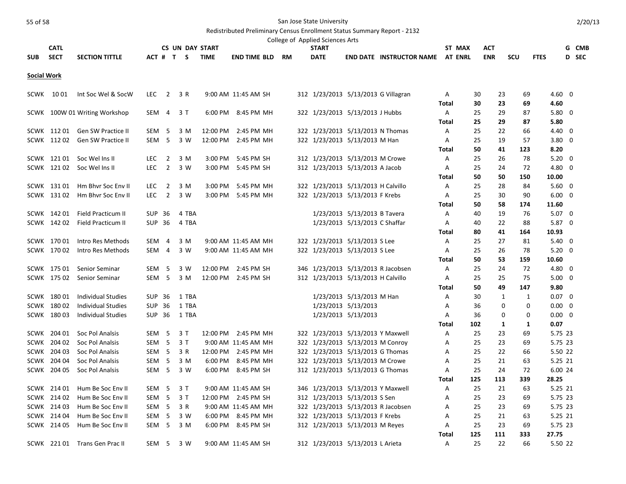|                    |             |                                |                  |                |           |                        |                     |           | College of Applied Sciences Arts    |                               |                                 |              |                |          |            |           |             |                        |       |
|--------------------|-------------|--------------------------------|------------------|----------------|-----------|------------------------|---------------------|-----------|-------------------------------------|-------------------------------|---------------------------------|--------------|----------------|----------|------------|-----------|-------------|------------------------|-------|
|                    | <b>CATL</b> |                                |                  |                |           | <b>CS UN DAY START</b> |                     |           | <b>START</b>                        |                               |                                 |              | ST MAX         |          | ACT        |           |             |                        | G CMB |
| <b>SUB</b>         | <b>SECT</b> | <b>SECTION TITTLE</b>          |                  |                | ACT # T S | <b>TIME</b>            | <b>END TIME BLD</b> | <b>RM</b> | <b>DATE</b>                         |                               | <b>END DATE INSTRUCTOR NAME</b> |              | <b>AT ENRL</b> |          | <b>ENR</b> | SCU       | <b>FTES</b> |                        | D SEC |
| <b>Social Work</b> |             |                                |                  |                |           |                        |                     |           |                                     |                               |                                 |              |                |          |            |           |             |                        |       |
|                    | SCWK 1001   |                                | LEC              |                |           |                        |                     |           |                                     |                               |                                 |              |                |          | 23         | 69        |             |                        |       |
|                    |             | Int Soc Wel & SocW             |                  | $\overline{2}$ | 3 R       |                        | 9:00 AM 11:45 AM SH |           | 312 1/23/2013 5/13/2013 G Villagran |                               |                                 | Α<br>Total   |                | 30<br>30 | 23         | 69        |             | $4.60 \quad 0$<br>4.60 |       |
|                    |             | SCWK 100W 01 Writing Workshop  | SEM 4            |                | 3 T       |                        | 6:00 PM 8:45 PM MH  |           | 322 1/23/2013 5/13/2013 J Hubbs     |                               |                                 | A            |                | 25       | 29         | 87        |             | $5.80 \quad 0$         |       |
|                    |             |                                |                  |                |           |                        |                     |           |                                     |                               |                                 | <b>Total</b> |                | 25       | 29         | 87        |             | 5.80                   |       |
|                    |             | SCWK 112 01 Gen SW Practice II | SEM 5            |                | 3 M       |                        | 12:00 PM 2:45 PM MH |           | 322 1/23/2013 5/13/2013 N Thomas    |                               |                                 | Α            |                | 25       | 22         | 66        |             | 4.40 0                 |       |
|                    | SCWK 11202  | <b>Gen SW Practice II</b>      | SEM <sub>5</sub> |                | 3 W       | 12:00 PM               | 2:45 PM MH          |           | 322 1/23/2013 5/13/2013 M Han       |                               |                                 | Α            |                | 25       | 19         | 57        |             | $3.80 \quad 0$         |       |
|                    |             |                                |                  |                |           |                        |                     |           |                                     |                               |                                 | Total        |                | 50       | 41         | 123       |             | 8.20                   |       |
|                    |             | SCWK 12101 Soc Wellns II       | <b>LEC</b>       | $\overline{2}$ | 3 M       | 3:00 PM                | 5:45 PM SH          |           | 312 1/23/2013 5/13/2013 M Crowe     |                               |                                 | Α            |                | 25       | 26         | 78        |             | $5.20 \ 0$             |       |
|                    |             | SCWK 121 02 Soc Wel Ins II     | <b>LEC</b>       | $\overline{2}$ | 3 W       | 3:00 PM                | 5:45 PM SH          |           | 312 1/23/2013 5/13/2013 A Jacob     |                               |                                 | Α            |                | 25       | 24         | 72        |             | 4.80 0                 |       |
|                    |             |                                |                  |                |           |                        |                     |           |                                     |                               |                                 | Total        |                | 50       | 50         | 150       |             | 10.00                  |       |
|                    |             | SCWK 131 01 Hm Bhvr Soc Env II | LEC <sub>2</sub> |                | 3 M       | 3:00 PM                | 5:45 PM MH          |           | 322 1/23/2013 5/13/2013 H Calvillo  |                               |                                 | Α            |                | 25       | 28         | 84        |             | $5.60 \quad 0$         |       |
|                    | SCWK 13102  | Hm Bhyr Soc Eny II             | <b>LEC</b>       | $\overline{2}$ | 3 W       | $3:00$ PM              | 5:45 PM MH          |           | 322 1/23/2013 5/13/2013 F Krebs     |                               |                                 | A            |                | 25       | 30         | 90        |             | $6.00 \quad 0$         |       |
|                    |             |                                |                  |                |           |                        |                     |           |                                     |                               |                                 | <b>Total</b> |                | 50       | 58         | 174       |             | 11.60                  |       |
|                    | SCWK 142 01 | Field Practicum II             | SUP 36           |                | 4 TBA     |                        |                     |           |                                     | 1/23/2013 5/13/2013 B Tavera  |                                 | Α            |                | 40       | 19         | 76        |             | $5.07 \quad 0$         |       |
|                    | SCWK 142 02 | Field Practicum II             | SUP 36           |                | 4 TBA     |                        |                     |           |                                     | 1/23/2013 5/13/2013 C Shaffar |                                 | A            |                | 40       | 22         | 88        |             | 5.87 0                 |       |
|                    |             |                                |                  |                |           |                        |                     |           |                                     |                               |                                 | Total        |                | 80       | 41         | 164       |             | 10.93                  |       |
|                    | SCWK 17001  | Intro Res Methods              | SEM 4            |                | 3 M       |                        | 9:00 AM 11:45 AM MH |           | 322 1/23/2013 5/13/2013 S Lee       |                               |                                 | Α            |                | 25       | 27         | 81        |             | $5.40 \quad 0$         |       |
|                    | SCWK 170 02 | Intro Res Methods              | SEM 4            |                | 3 W       |                        | 9:00 AM 11:45 AM MH |           | 322 1/23/2013 5/13/2013 S Lee       |                               |                                 | Α            |                | 25       | 26         | 78        |             | $5.20 \ 0$             |       |
|                    | SCWK 175 01 | Senior Seminar                 | SEM <sub>5</sub> |                | 3 W       | 12:00 PM               | 2:45 PM SH          |           | 346 1/23/2013 5/13/2013 R Jacobsen  |                               |                                 | Total<br>Α   |                | 50<br>25 | 53<br>24   | 159<br>72 |             | 10.60<br>4.80 0        |       |
|                    | SCWK 175 02 | Senior Seminar                 | SEM <sub>5</sub> |                | 3 M       | 12:00 PM               | 2:45 PM SH          |           | 312 1/23/2013 5/13/2013 H Calvillo  |                               |                                 | Α            |                | 25       | 25         | 75        |             | $5.00 \quad 0$         |       |
|                    |             |                                |                  |                |           |                        |                     |           |                                     |                               |                                 | Total        |                | 50       | 49         | 147       |             | 9.80                   |       |
|                    | SCWK 180 01 | Individual Studies             | SUP 36           |                | 1 TBA     |                        |                     |           |                                     | 1/23/2013 5/13/2013 M Han     |                                 | Α            |                | 30       | 1          | 1         |             | $0.07 \quad 0$         |       |
|                    | SCWK 180 02 | <b>Individual Studies</b>      | SUP 36           |                | 1 TBA     |                        |                     |           |                                     | 1/23/2013 5/13/2013           |                                 | Α            |                | 36       | 0          | 0         |             | $0.00 \quad 0$         |       |
|                    | SCWK 18003  | <b>Individual Studies</b>      | SUP 36           |                | 1 TBA     |                        |                     |           |                                     | 1/23/2013 5/13/2013           |                                 | Α            |                | 36       | 0          | 0         |             | $0.00 \quad 0$         |       |
|                    |             |                                |                  |                |           |                        |                     |           |                                     |                               |                                 | Total        |                | 102      | 1          | 1         |             | 0.07                   |       |
|                    | SCWK 204 01 | Soc Pol Analsis                | SEM <sub>5</sub> |                | 3T        |                        | 12:00 PM 2:45 PM MH |           | 322 1/23/2013 5/13/2013 Y Maxwell   |                               |                                 | Α            |                | 25       | 23         | 69        |             | 5.75 23                |       |
|                    | SCWK 204 02 | Soc Pol Analsis                | SEM <sub>5</sub> |                | 3 T       |                        | 9:00 AM 11:45 AM MH |           | 322 1/23/2013 5/13/2013 M Conroy    |                               |                                 | Α            |                | 25       | 23         | 69        |             | 5.75 23                |       |
|                    | SCWK 204 03 | Soc Pol Analsis                | SEM 5            |                | 3 R       | 12:00 PM               | 2:45 PM MH          |           | 322 1/23/2013 5/13/2013 G Thomas    |                               |                                 | A            |                | 25       | 22         | 66        |             | 5.50 22                |       |
|                    | SCWK 204 04 | Soc Pol Analsis                | SEM <sub>5</sub> |                | 3 M       | 6:00 PM                | 8:45 PM MH          |           | 322 1/23/2013 5/13/2013 M Crowe     |                               |                                 | Α            |                | 25       | 21         | 63        |             | 5.25 21                |       |
|                    | SCWK 204 05 | Soc Pol Analsis                | SEM 5            |                | 3 W       |                        | 6:00 PM 8:45 PM SH  |           | 312 1/23/2013 5/13/2013 G Thomas    |                               |                                 | Α            |                | 25       | 24         | 72        |             | 6.00 24                |       |
|                    |             |                                |                  |                |           |                        |                     |           |                                     |                               |                                 | Total        |                | 125      | 113        | 339       |             | 28.25                  |       |
|                    | SCWK 214 01 | Hum Be Soc Env II              | SEM 5            |                | 3 T       |                        | 9:00 AM 11:45 AM SH |           | 346 1/23/2013 5/13/2013 Y Maxwell   |                               |                                 | Α            |                | 25       | 21         | 63        |             | 5.25 21                |       |
|                    | SCWK 214 02 | Hum Be Soc Env II              | SEM 5            |                | 3T        |                        | 12:00 PM 2:45 PM SH |           | 312 1/23/2013 5/13/2013 S Sen       |                               |                                 | Α            |                | 25       | 23         | 69        |             | 5.75 23                |       |
|                    | SCWK 214 03 | Hum Be Soc Env II              |                  | SEM 5          | 3 R       |                        | 9:00 AM 11:45 AM MH |           | 322 1/23/2013 5/13/2013 R Jacobsen  |                               |                                 | A            |                | 25       | 23         | 69        |             | 5.75 23                |       |
|                    | SCWK 214 04 | Hum Be Soc Env II              | SEM <sub>5</sub> |                | 3 W       | 6:00 PM                | 8:45 PM MH          |           | 322 1/23/2013 5/13/2013 F Krebs     |                               |                                 | Α            |                | 25       | 21         | 63        |             | 5.25 21                |       |
|                    | SCWK 214 05 | Hum Be Soc Env II              | SEM 5            |                | 3 M       |                        | 6:00 PM 8:45 PM SH  |           | 312 1/23/2013 5/13/2013 M Reyes     |                               |                                 | Α            |                | 25       | 23         | 69        |             | 5.75 23                |       |
|                    |             |                                |                  |                |           |                        |                     |           |                                     |                               |                                 | Total        |                | 125      | 111        | 333       |             | 27.75                  |       |
|                    |             | SCWK 221 01 Trans Gen Prac II  | SEM <sub>5</sub> |                | 3 W       |                        | 9:00 AM 11:45 AM SH |           | 312 1/23/2013 5/13/2013 L Arieta    |                               |                                 | A            |                | 25       | 22         | 66        |             | 5.50 22                |       |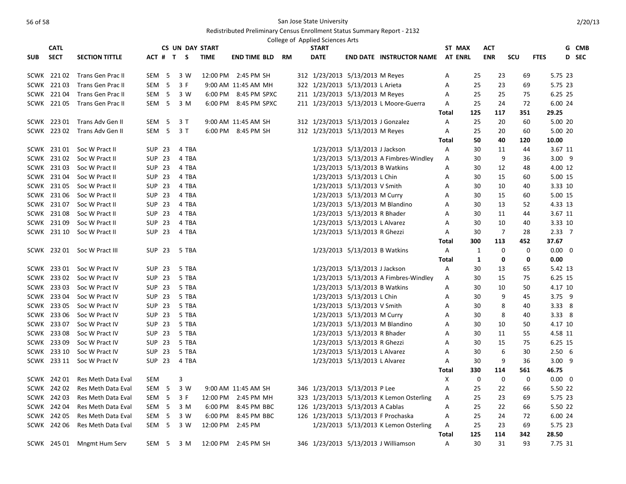|            | <b>CATL</b>                |                                          |                           | <b>CS UN DAY START</b> |             |                                    |    | College of Applied Sciences Arts<br><b>START</b>                        |                               |                                           |              | ST MAX         | ACT            |             |                    |                | G CMB        |
|------------|----------------------------|------------------------------------------|---------------------------|------------------------|-------------|------------------------------------|----|-------------------------------------------------------------------------|-------------------------------|-------------------------------------------|--------------|----------------|----------------|-------------|--------------------|----------------|--------------|
| <b>SUB</b> | <b>SECT</b>                | <b>SECTION TITTLE</b>                    | ACT # T S                 |                        | <b>TIME</b> | <b>END TIME BLD</b>                | RM | <b>DATE</b>                                                             |                               | <b>END DATE INSTRUCTOR NAME</b>           |              | <b>AT ENRL</b> | <b>ENR</b>     | SCU         | <b>FTES</b>        |                | <b>D</b> SEC |
|            |                            |                                          |                           |                        |             |                                    |    |                                                                         |                               |                                           |              |                |                |             |                    |                |              |
|            | SCWK 22102                 | Trans Gen Prac II                        | SEM 5                     | 3 W                    |             | 12:00 PM 2:45 PM SH                |    | 312 1/23/2013 5/13/2013 M Reyes                                         |                               |                                           | Α            | 25             | 23             | 69          | 5.75 23            |                |              |
|            | SCWK 22103                 | <b>Trans Gen Prac II</b>                 | SEM <sub>5</sub>          | 3 F                    |             | 9:00 AM 11:45 AM MH                |    | 322 1/23/2013 5/13/2013 L Arieta                                        |                               |                                           | A            | 25             | 23             | 69          |                    | 5.75 23        |              |
|            | SCWK 22104                 | Trans Gen Prac II                        | SEM <sub>5</sub>          | 3 W                    |             | 6:00 PM 8:45 PM SPXC               |    | 211 1/23/2013 5/13/2013 M Reyes                                         |                               |                                           | Α            | 25             | 25             | 75          | 6.25 25            |                |              |
|            | SCWK 22105                 | <b>Trans Gen Prac II</b>                 | SEM <sub>5</sub>          | 3 M                    |             | 6:00 PM 8:45 PM SPXC               |    |                                                                         |                               | 211 1/23/2013 5/13/2013 L Moore-Guerra    | Α            | 25             | 24             | 72          | 6.00 24            |                |              |
|            |                            |                                          |                           |                        |             |                                    |    |                                                                         |                               |                                           | Total        | 125            | 117            | 351         | 29.25              |                |              |
|            |                            | SCWK 223 01 Trans Adv Gen II             | SEM 5                     | 3 T                    |             | 9:00 AM 11:45 AM SH                |    | 312 1/23/2013 5/13/2013 J Gonzalez                                      |                               |                                           | Α            | 25             | 20             | 60          | 5.00 20            |                |              |
|            | SCWK 223 02                | Trans Adv Gen II                         | SEM <sub>5</sub>          | 3T                     |             | 6:00 PM 8:45 PM SH                 |    | 312 1/23/2013 5/13/2013 M Reyes                                         |                               |                                           | A            | 25             | 20             | 60          | 5.00 20            |                |              |
|            |                            |                                          |                           |                        |             |                                    |    |                                                                         |                               |                                           | <b>Total</b> | 50             | 40             | 120         | 10.00              |                |              |
|            |                            | SCWK 231 01 Soc W Pract II               | SUP 23                    | 4 TBA                  |             |                                    |    |                                                                         | 1/23/2013 5/13/2013 J Jackson |                                           | Α            | 30             | 11             | 44          | 3.67 11            |                |              |
|            | SCWK 23102                 | Soc W Pract II                           | <b>SUP 23</b>             | 4 TBA                  |             |                                    |    |                                                                         |                               | 1/23/2013 5/13/2013 A Fimbres-Windley     | Α            | 30             | 9              | 36          |                    | $3.00$ 9       |              |
|            | SCWK 23103                 | Soc W Pract II                           | <b>SUP 23</b>             | 4 TBA                  |             |                                    |    |                                                                         | 1/23/2013 5/13/2013 B Watkins |                                           | А            | 30             | 12             | 48          |                    | 4.00 12        |              |
|            | SCWK 23104                 | Soc W Pract II                           | <b>SUP 23</b>             | 4 TBA                  |             |                                    |    |                                                                         | 1/23/2013 5/13/2013 L Chin    |                                           | А            | 30             | 15             | 60          |                    | 5.00 15        |              |
|            | SCWK 231 05                | Soc W Pract II                           | <b>SUP 23</b>             | 4 TBA                  |             |                                    |    |                                                                         | 1/23/2013 5/13/2013 V Smith   |                                           | Α            | 30             | 10             | 40          |                    | 3.33 10        |              |
|            | SCWK 231 06                | Soc W Pract II                           | <b>SUP 23</b>             | 4 TBA                  |             |                                    |    |                                                                         | 1/23/2013 5/13/2013 M Curry   |                                           | Α            | 30             | 15             | 60          |                    | 5.00 15        |              |
|            | SCWK 23107                 | Soc W Pract II                           | <b>SUP 23</b>             | 4 TBA                  |             |                                    |    |                                                                         |                               | 1/23/2013 5/13/2013 M Blandino            | Α            | 30             | 13             | 52          | 4.33 13            |                |              |
|            | SCWK 23108                 | Soc W Pract II                           | <b>SUP 23</b>             | 4 TBA                  |             |                                    |    |                                                                         | 1/23/2013 5/13/2013 R Bhader  |                                           | Α            | 30             | 11             | 44          |                    | 3.67 11        |              |
|            | SCWK 231 09                | Soc W Pract II                           | <b>SUP 23</b>             | 4 TBA                  |             |                                    |    |                                                                         | 1/23/2013 5/13/2013 L Alvarez |                                           | A            | 30             | 10             | 40          |                    | 3.33 10        |              |
|            | SCWK 231 10                | Soc W Pract II                           | <b>SUP 23</b>             | 4 TBA                  |             |                                    |    |                                                                         | 1/23/2013 5/13/2013 R Ghezzi  |                                           | A            | 30             | $\overline{7}$ | 28          | $2.33 \quad 7$     |                |              |
|            |                            |                                          |                           |                        |             |                                    |    |                                                                         |                               |                                           | Total        | 300            | 113            | 452         | 37.67              |                |              |
|            |                            | SCWK 232 01 Soc W Pract III              | <b>SUP 23</b>             | 5 TBA                  |             |                                    |    |                                                                         | 1/23/2013 5/13/2013 B Watkins |                                           | A            | $\mathbf{1}$   | $\mathbf 0$    | 0           | $0.00 \quad 0$     |                |              |
|            |                            |                                          |                           |                        |             |                                    |    |                                                                         |                               |                                           | Total        | 1              | 0              | 0           | 0.00               |                |              |
|            | SCWK 233 01                | Soc W Pract IV                           | <b>SUP 23</b>             | 5 TBA                  |             |                                    |    |                                                                         | 1/23/2013 5/13/2013 J Jackson |                                           | А            | 30             | 13             | 65          | 5.42 13            |                |              |
|            | SCWK 233 02                | Soc W Pract IV                           | SUP 23                    | 5 TBA                  |             |                                    |    |                                                                         |                               | 1/23/2013 5/13/2013 A Fimbres-Windley     | A            | 30             | 15             | 75          |                    | 6.25 15        |              |
|            | SCWK 233 03                | Soc W Pract IV                           | <b>SUP 23</b>             | 5 TBA                  |             |                                    |    |                                                                         | 1/23/2013 5/13/2013 B Watkins |                                           | Α            | 30             | 10             | 50          | 4.17 10            |                |              |
|            | SCWK 233 04                | Soc W Pract IV                           | <b>SUP 23</b>             | 5 TBA                  |             |                                    |    |                                                                         | 1/23/2013 5/13/2013 L Chin    |                                           | Α            | 30             | 9              | 45          |                    | 3.75 9         |              |
|            | SCWK 233 05                | Soc W Pract IV                           | <b>SUP 23</b>             | 5 TBA                  |             |                                    |    |                                                                         | 1/23/2013 5/13/2013 V Smith   |                                           | A            | 30             | 8              | 40          |                    | $3.33 \quad 8$ |              |
|            | SCWK 233 06                | Soc W Pract IV                           | <b>SUP 23</b>             | 5 TBA                  |             |                                    |    |                                                                         | 1/23/2013 5/13/2013 M Curry   |                                           | А            | 30             | 8              | 40          |                    | 3.33 8         |              |
|            | SCWK 233 07                | Soc W Pract IV                           | <b>SUP 23</b>             | 5 TBA                  |             |                                    |    |                                                                         |                               | 1/23/2013 5/13/2013 M Blandino            | A            | 30             | 10             | 50          | 4.17 10            |                |              |
|            | SCWK 233 08                | Soc W Pract IV                           | SUP 23                    | 5 TBA                  |             |                                    |    |                                                                         | 1/23/2013 5/13/2013 R Bhader  |                                           | A            | 30             | 11             | 55          | 4.58 11            |                |              |
|            | SCWK 233 09                | Soc W Pract IV                           | <b>SUP 23</b>             | 5 TBA                  |             |                                    |    |                                                                         | 1/23/2013 5/13/2013 R Ghezzi  |                                           | Α            | 30             | 15             | 75          |                    | 6.25 15        |              |
|            | SCWK 233 10                | Soc W Pract IV                           | <b>SUP 23</b>             | 5 TBA                  |             |                                    |    |                                                                         | 1/23/2013 5/13/2013 L Alvarez |                                           | Α            | 30             | 6              | 30          | 2.506              |                |              |
|            | SCWK 233 11                | Soc W Pract IV                           | <b>SUP 23</b>             | 4 TBA                  |             |                                    |    |                                                                         | 1/23/2013 5/13/2013 L Alvarez |                                           | Α            | 30             | 9              | 36          |                    | $3.00$ 9       |              |
|            |                            |                                          |                           |                        |             |                                    |    |                                                                         |                               |                                           | <b>Total</b> | 330            | 114            | 561         | 46.75              |                |              |
|            | SCWK 242 01                | Res Meth Data Eval                       | <b>SEM</b>                | 3                      |             |                                    |    |                                                                         |                               |                                           | X            | 0              | $\mathbf 0$    | $\mathbf 0$ | $0.00 \t 0$        |                |              |
|            | SCWK 242 02                | Res Meth Data Eval                       | SEM <sub>5</sub>          | 3 W                    |             | 9:00 AM 11:45 AM SH                |    | 346 1/23/2013 5/13/2013 P Lee                                           |                               |                                           | Α            | 25             | 22             | 66          | 5.50 22            |                |              |
|            | SCWK 24203                 | Res Meth Data Eval                       | SEM 5                     | 3 F                    |             | 12:00 PM 2:45 PM MH                |    |                                                                         |                               | 323 1/23/2013 5/13/2013 K Lemon Osterling | Α            | 25             | 23             | 69          | 5.75 23            |                |              |
|            | SCWK 242 04<br>SCWK 242 05 | Res Meth Data Eval<br>Res Meth Data Eval | SEM 5<br>SEM <sub>5</sub> | 3 M<br>3 W             | 6:00 PM     | 6:00 PM 8:45 PM BBC<br>8:45 PM BBC |    | 126 1/23/2013 5/13/2013 A Cablas<br>126 1/23/2013 5/13/2013 F Prochaska |                               |                                           | Α            | 25<br>25       | 22<br>24       | 66<br>72    | 5.50 22<br>6.00 24 |                |              |
|            | SCWK 242 06                | Res Meth Data Eval                       | SEM <sub>5</sub>          | 3 W                    |             | 12:00 PM 2:45 PM                   |    |                                                                         |                               |                                           | Α<br>Α       | 25             | 23             | 69          |                    | 5.75 23        |              |
|            |                            |                                          |                           |                        |             |                                    |    |                                                                         |                               | 1/23/2013 5/13/2013 K Lemon Osterling     | <b>Total</b> | 125            | 114            | 342         | 28.50              |                |              |
|            | SCWK 245 01                |                                          | SEM 5                     | 3 M                    |             | 12:00 PM 2:45 PM SH                |    |                                                                         |                               | 346 1/23/2013 5/13/2013 J Williamson      | A            | 30             | 31             | 93          | 7.75 31            |                |              |
|            |                            | Mngmt Hum Serv                           |                           |                        |             |                                    |    |                                                                         |                               |                                           |              |                |                |             |                    |                |              |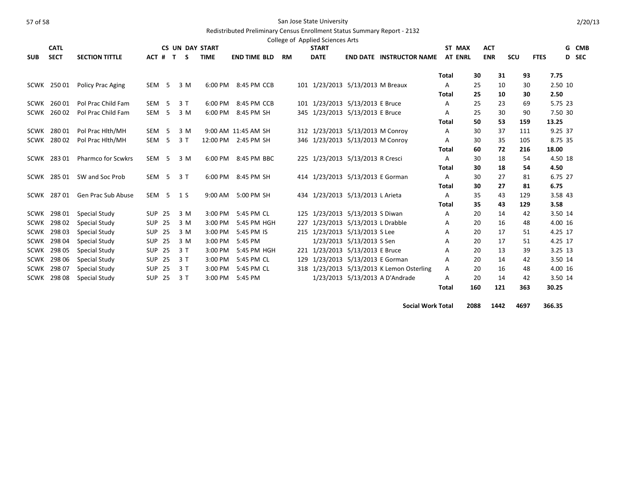|            | <b>CATL</b> |                           |                  |         | <b>CS UN DAY START</b> |             |                     |           | <b>START</b>                      |                           |                                           |              | ST MAX         | <b>ACT</b> |      |             | G | <b>CMB</b> |
|------------|-------------|---------------------------|------------------|---------|------------------------|-------------|---------------------|-----------|-----------------------------------|---------------------------|-------------------------------------------|--------------|----------------|------------|------|-------------|---|------------|
| <b>SUB</b> | <b>SECT</b> | <b>SECTION TITTLE</b>     |                  | ACT # T | S                      | <b>TIME</b> | <b>END TIME BLD</b> | <b>RM</b> | <b>DATE</b>                       |                           | <b>END DATE INSTRUCTOR NAME</b>           |              | <b>AT ENRL</b> | <b>ENR</b> | SCU  | <b>FTES</b> |   | D SEC      |
|            |             |                           |                  |         |                        |             |                     |           |                                   |                           |                                           | Total        | 30             | 31         | 93   | 7.75        |   |            |
|            | SCWK 250 01 | Policy Prac Aging         | SEM <sub>5</sub> |         | 3 M                    | 6:00 PM     | 8:45 PM CCB         |           | 101 1/23/2013 5/13/2013 M Breaux  |                           |                                           | A            | 25             | 10         | 30   | 2.50 10     |   |            |
|            |             |                           |                  |         |                        |             |                     |           |                                   |                           |                                           | <b>Total</b> | 25             | 10         | 30   | 2.50        |   |            |
|            | SCWK 260 01 | Pol Prac Child Fam        | SEM <sub>5</sub> |         | 3T                     | 6:00 PM     | 8:45 PM CCB         |           | 101 1/23/2013 5/13/2013 E Bruce   |                           |                                           | A            | 25             | 23         | 69   | 5.75 23     |   |            |
|            | SCWK 260 02 | Pol Prac Child Fam        | SEM <sub>5</sub> |         | 3 M                    | 6:00 PM     | 8:45 PM SH          |           | 345 1/23/2013 5/13/2013 E Bruce   |                           |                                           | A            | 25             | 30         | 90   | 7.50 30     |   |            |
|            |             |                           |                  |         |                        |             |                     |           |                                   |                           |                                           | <b>Total</b> | 50             | 53         | 159  | 13.25       |   |            |
| SCWK       | 28001       | Pol Prac Hith/MH          | SEM <sub>5</sub> |         | 3 M                    |             | 9:00 AM 11:45 AM SH |           | 312 1/23/2013 5/13/2013 M Conroy  |                           |                                           | A            | 30             | 37         | 111  | 9.25 37     |   |            |
| SCWK       | 28002       | Pol Prac Hlth/MH          | SEM <sub>5</sub> |         | 3T                     |             | 12:00 PM 2:45 PM SH |           | 346 1/23/2013 5/13/2013 M Conroy  |                           |                                           | Α            | 30             | 35         | 105  | 8.75 35     |   |            |
|            |             |                           |                  |         |                        |             |                     |           |                                   |                           |                                           | <b>Total</b> | 60             | 72         | 216  | 18.00       |   |            |
|            | SCWK 283 01 | <b>Pharmco for Scwkrs</b> | SEM <sub>5</sub> |         | 3 M                    |             | 6:00 PM 8:45 PM BBC |           | 225 1/23/2013 5/13/2013 R Cresci  |                           |                                           | A            | 30             | 18         | 54   | 4.50 18     |   |            |
|            |             |                           |                  |         |                        |             |                     |           |                                   |                           |                                           | Total        | 30             | 18         | 54   | 4.50        |   |            |
|            | SCWK 285 01 | SW and Soc Prob           | SEM <sub>5</sub> |         | 3T                     | 6:00 PM     | 8:45 PM SH          |           | 414 1/23/2013 5/13/2013 E Gorman  |                           |                                           | A            | 30             | 27         | 81   | 6.75 27     |   |            |
|            |             |                           |                  |         |                        |             |                     |           |                                   |                           |                                           | <b>Total</b> | 30             | 27         | 81   | 6.75        |   |            |
|            | SCWK 28701  | Gen Prac Sub Abuse        | SEM <sub>5</sub> |         | 1 S                    | 9:00 AM     | 5:00 PM SH          |           | 434 1/23/2013 5/13/2013 L Arieta  |                           |                                           | A            | 35             | 43         | 129  | 3.58 43     |   |            |
|            |             |                           |                  |         |                        |             |                     |           |                                   |                           |                                           | <b>Total</b> | 35             | 43         | 129  | 3.58        |   |            |
| SCWK       | 298 01      | Special Study             | <b>SUP 25</b>    |         | 3 M                    | 3:00 PM     | 5:45 PM CL          |           | 125 1/23/2013 5/13/2013 S Diwan   |                           |                                           | Α            | 20             | 14         | 42   | 3.50 14     |   |            |
| SCWK       | 298 02      | Special Study             | <b>SUP 25</b>    |         | 3 M                    | 3:00 PM     | 5:45 PM HGH         |           | 227 1/23/2013 5/13/2013 L Drabble |                           |                                           | A            | 20             | 16         | 48   | 4.00 16     |   |            |
| SCWK       | 298 03      | Special Study             | <b>SUP 25</b>    |         | 3 M                    | 3:00 PM     | 5:45 PM IS          |           | 215 1/23/2013 5/13/2013 S Lee     |                           |                                           | Α            | 20             | 17         | 51   | 4.25 17     |   |            |
| SCWK       | 298 04      | Special Study             | <b>SUP 25</b>    |         | 3 M                    | 3:00 PM     | 5:45 PM             |           |                                   | 1/23/2013 5/13/2013 S Sen |                                           | A            | 20             | 17         | 51   | 4.25 17     |   |            |
| SCWK       | 298 05      | Special Study             | <b>SUP 25</b>    |         | 3T                     | 3:00 PM     | 5:45 PM HGH         |           | 221 1/23/2013 5/13/2013 E Bruce   |                           |                                           | Α            | 20             | 13         | 39   | 3.25 13     |   |            |
| SCWK       | 298 06      | Special Study             | <b>SUP 25</b>    |         | 3T                     | 3:00 PM     | 5:45 PM CL          |           | 129 1/23/2013 5/13/2013 E Gorman  |                           |                                           | Α            | 20             | 14         | 42   | 3.50 14     |   |            |
| SCWK       | 298 07      | Special Study             | <b>SUP 25</b>    |         | 3T                     | 3:00 PM     | 5:45 PM CL          |           |                                   |                           | 318 1/23/2013 5/13/2013 K Lemon Osterling | A            | 20             | 16         | 48   | 4.00 16     |   |            |
| SCWK       | 298 08      | Special Study             | <b>SUP 25</b>    |         | 3T                     | 3:00 PM     | 5:45 PM             |           |                                   |                           | 1/23/2013 5/13/2013 A D'Andrade           | A            | 20             | 14         | 42   | 3.50 14     |   |            |
|            |             |                           |                  |         |                        |             |                     |           |                                   |                           |                                           | Total        | 160            | 121        | 363  | 30.25       |   |            |
|            |             |                           |                  |         |                        |             |                     |           |                                   |                           | <b>Social Work Total</b>                  |              | 2088           | 1442       | 4697 | 366.35      |   |            |